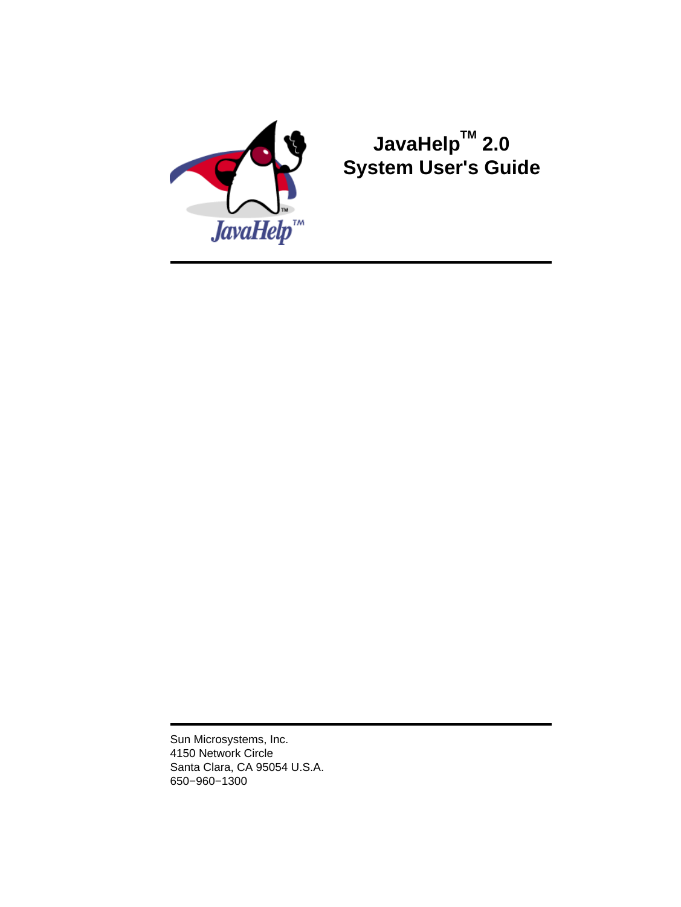

**JavaHelpTM 2.0 System User's Guide**

Sun Microsystems, Inc. 4150 Network Circle Santa Clara, CA 95054 U.S.A. 650−960−1300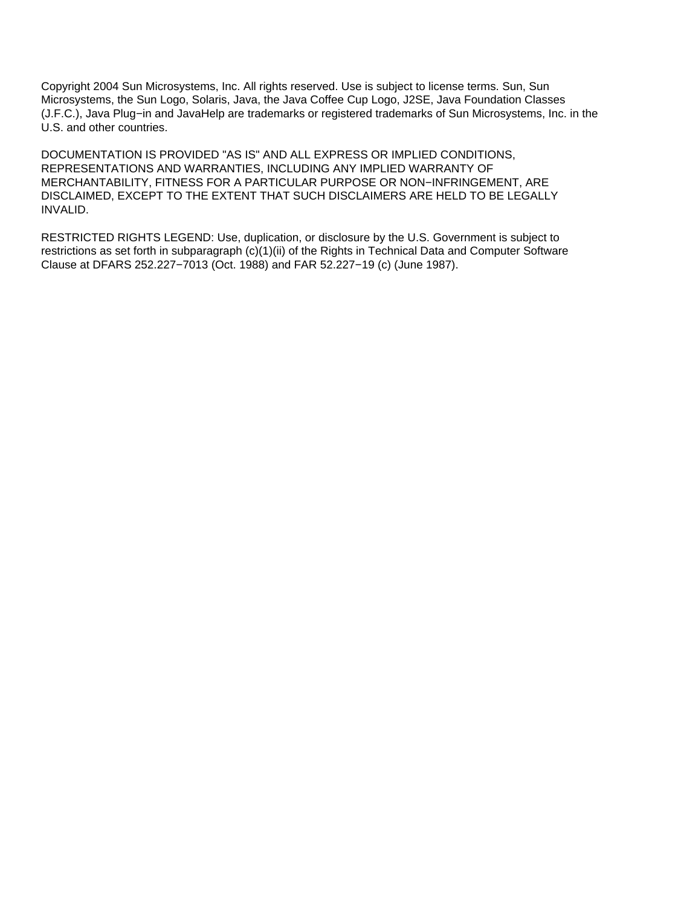Copyright 2004 Sun Microsystems, Inc. All rights reserved. Use is subject to license terms. Sun, Sun Microsystems, the Sun Logo, Solaris, Java, the Java Coffee Cup Logo, J2SE, Java Foundation Classes (J.F.C.), Java Plug−in and JavaHelp are trademarks or registered trademarks of Sun Microsystems, Inc. in the U.S. and other countries.

DOCUMENTATION IS PROVIDED "AS IS" AND ALL EXPRESS OR IMPLIED CONDITIONS, REPRESENTATIONS AND WARRANTIES, INCLUDING ANY IMPLIED WARRANTY OF MERCHANTABILITY, FITNESS FOR A PARTICULAR PURPOSE OR NON−INFRINGEMENT, ARE DISCLAIMED, EXCEPT TO THE EXTENT THAT SUCH DISCLAIMERS ARE HELD TO BE LEGALLY INVALID.

RESTRICTED RIGHTS LEGEND: Use, duplication, or disclosure by the U.S. Government is subject to restrictions as set forth in subparagraph (c)(1)(ii) of the Rights in Technical Data and Computer Software Clause at DFARS 252.227−7013 (Oct. 1988) and FAR 52.227−19 (c) (June 1987).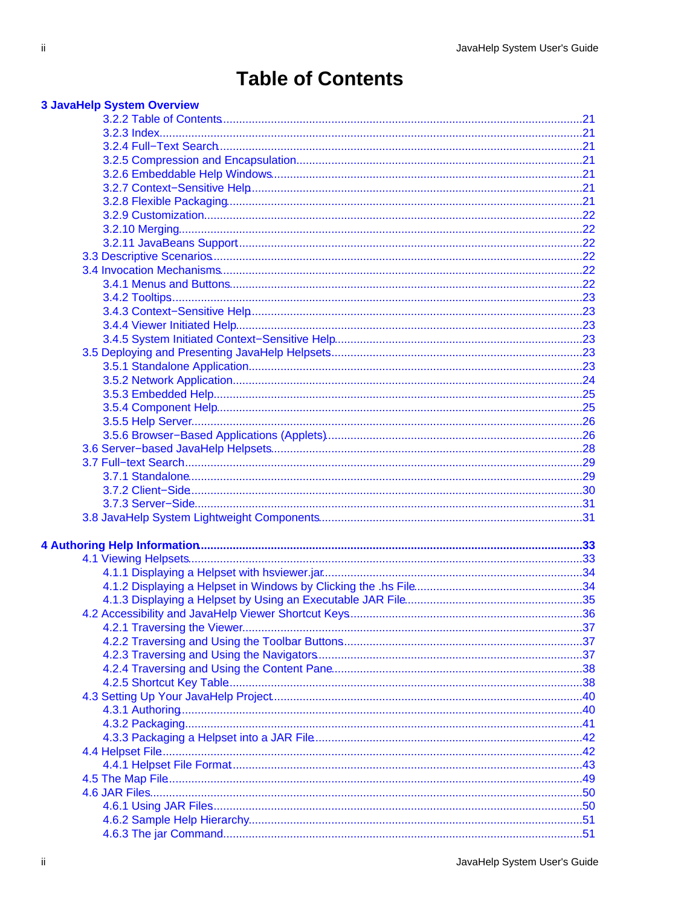| <b>3 JavaHelp System Overview</b> |  |
|-----------------------------------|--|
|                                   |  |
|                                   |  |
|                                   |  |
|                                   |  |
|                                   |  |
|                                   |  |
|                                   |  |
|                                   |  |
|                                   |  |
|                                   |  |
|                                   |  |
|                                   |  |
|                                   |  |
|                                   |  |
|                                   |  |
|                                   |  |
|                                   |  |
|                                   |  |
|                                   |  |
|                                   |  |
|                                   |  |
|                                   |  |
|                                   |  |
|                                   |  |
|                                   |  |
|                                   |  |
|                                   |  |
|                                   |  |
|                                   |  |
|                                   |  |
|                                   |  |
|                                   |  |
|                                   |  |
|                                   |  |
|                                   |  |
|                                   |  |
|                                   |  |
|                                   |  |
|                                   |  |
|                                   |  |
|                                   |  |
|                                   |  |
|                                   |  |
|                                   |  |
|                                   |  |
|                                   |  |
|                                   |  |
|                                   |  |
|                                   |  |
|                                   |  |
|                                   |  |
|                                   |  |
|                                   |  |
|                                   |  |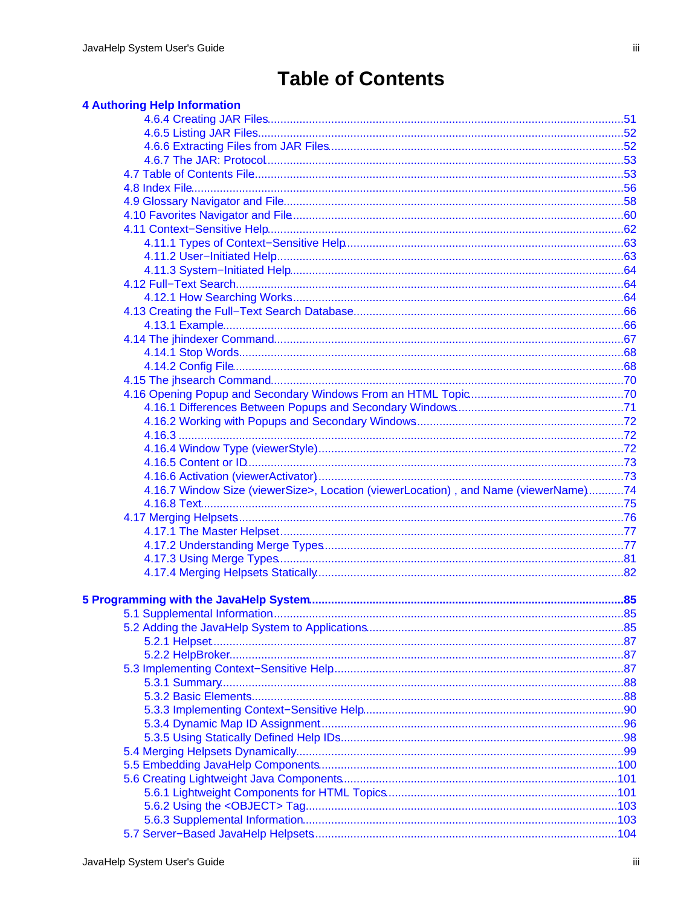| <b>4 Authoring Help Information</b>                                                 |  |
|-------------------------------------------------------------------------------------|--|
|                                                                                     |  |
|                                                                                     |  |
|                                                                                     |  |
|                                                                                     |  |
|                                                                                     |  |
|                                                                                     |  |
|                                                                                     |  |
|                                                                                     |  |
|                                                                                     |  |
|                                                                                     |  |
|                                                                                     |  |
|                                                                                     |  |
|                                                                                     |  |
|                                                                                     |  |
|                                                                                     |  |
|                                                                                     |  |
|                                                                                     |  |
|                                                                                     |  |
|                                                                                     |  |
|                                                                                     |  |
|                                                                                     |  |
|                                                                                     |  |
|                                                                                     |  |
|                                                                                     |  |
|                                                                                     |  |
|                                                                                     |  |
|                                                                                     |  |
| 4.16.7 Window Size (viewerSize>, Location (viewerLocation), and Name (viewerName)74 |  |
|                                                                                     |  |
|                                                                                     |  |
|                                                                                     |  |
|                                                                                     |  |
|                                                                                     |  |
|                                                                                     |  |
|                                                                                     |  |
|                                                                                     |  |
|                                                                                     |  |
|                                                                                     |  |
|                                                                                     |  |
|                                                                                     |  |
|                                                                                     |  |
|                                                                                     |  |
|                                                                                     |  |
|                                                                                     |  |
|                                                                                     |  |
|                                                                                     |  |
|                                                                                     |  |
|                                                                                     |  |
|                                                                                     |  |
|                                                                                     |  |
|                                                                                     |  |
|                                                                                     |  |
|                                                                                     |  |
|                                                                                     |  |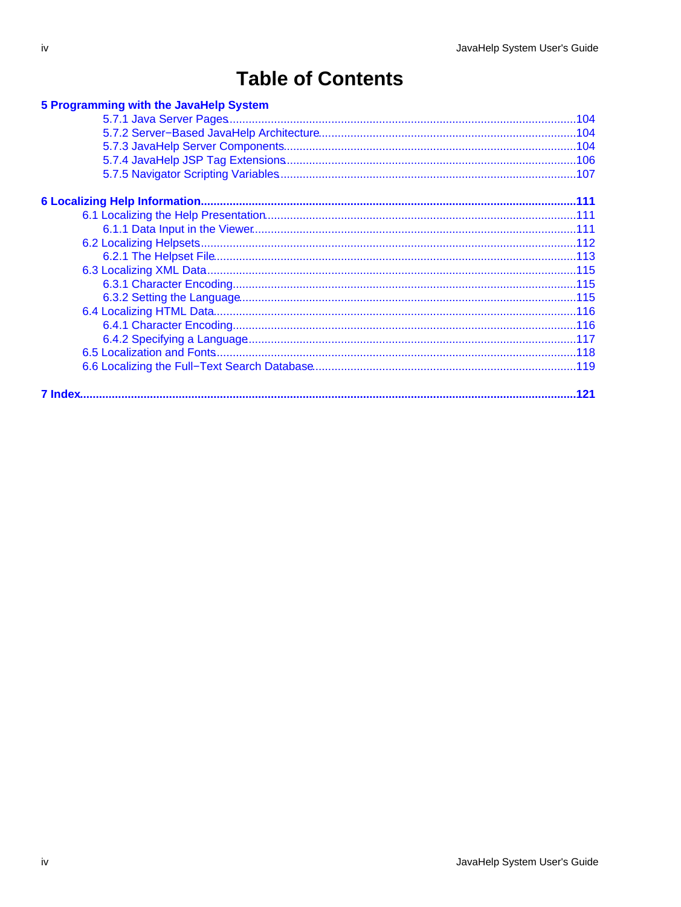| 5 Programming with the JavaHelp System |  |
|----------------------------------------|--|
|                                        |  |
|                                        |  |
|                                        |  |
|                                        |  |
|                                        |  |
|                                        |  |
|                                        |  |
|                                        |  |
|                                        |  |
|                                        |  |
|                                        |  |
|                                        |  |
|                                        |  |
|                                        |  |
|                                        |  |
|                                        |  |
|                                        |  |
|                                        |  |
|                                        |  |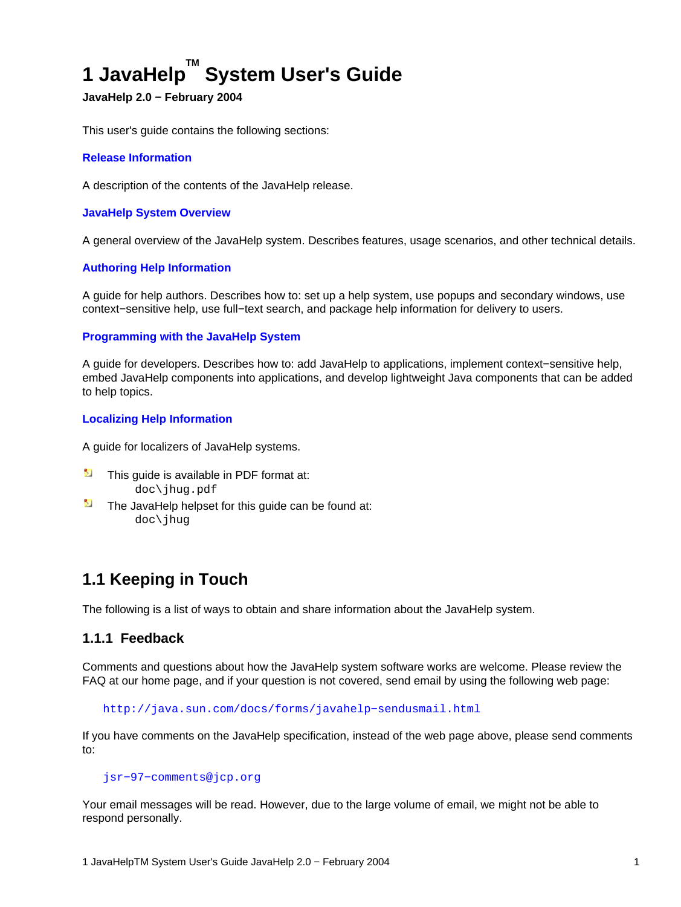### <span id="page-6-0"></span>**1 JavaHelp System User's Guide TM**

#### **JavaHelp 2.0 − February 2004**

This user's guide contains the following sections:

#### **[Release Information](#page-7-2)**

A description of the contents of the JavaHelp release.

#### **[JavaHelp System Overview](#page-22-0)**

A general overview of the JavaHelp system. Describes features, usage scenarios, and other technical details.

#### **[Authoring Help Information](#page-36-2)**

A guide for help authors. Describes how to: set up a help system, use popups and secondary windows, use context−sensitive help, use full−text search, and package help information for delivery to users.

#### **[Programming with the JavaHelp System](#page-89-0)**

A guide for developers. Describes how to: add JavaHelp to applications, implement context−sensitive help, embed JavaHelp components into applications, and develop lightweight Java components that can be added to help topics.

#### **[Localizing Help Information](#page-115-0)**

A guide for localizers of JavaHelp systems.

- ∑∠ This guide is available in PDF format at: doc\jhug.pdf
- 9. J The JavaHelp helpset for this guide can be found at: doc\jhug

## <span id="page-6-1"></span>**1.1 Keeping in Touch**

The following is a list of ways to obtain and share information about the JavaHelp system.

#### <span id="page-6-2"></span>**1.1.1 Feedback**

Comments and questions about how the JavaHelp system software works are welcome. Please review the FAQ at our home page, and if your question is not covered, send email by using the following web page:

[http://java.sun.com/docs/forms/javahelp−sendusmail.html](http://java.sun.com/docs/forms/javahelp-sendusmail.html)

If you have comments on the JavaHelp specification, instead of the web page above, please send comments to:

#### [jsr−97−comments@jcp.org](mailto:jsr-97-comments@jcp.org)

Your email messages will be read. However, due to the large volume of email, we might not be able to respond personally.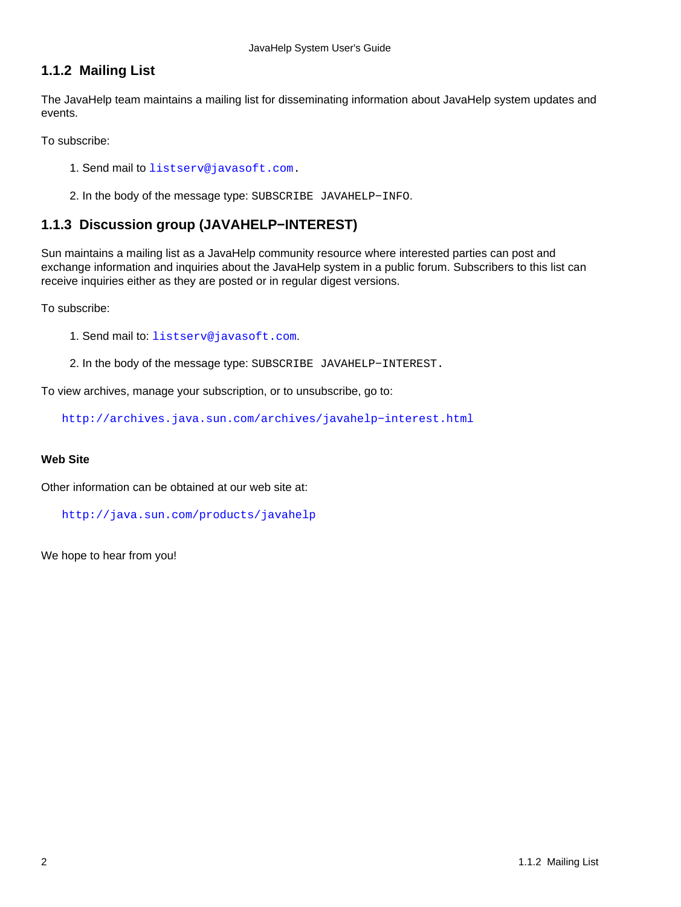## <span id="page-7-0"></span>**1.1.2 Mailing List**

The JavaHelp team maintains a mailing list for disseminating information about JavaHelp system updates and events.

To subscribe:

- 1. Send mail to [listserv@javasoft.com](mailto:listserv@javasoft.com).
- 2. In the body of the message type: SUBSCRIBE JAVAHELP−INFO.

## <span id="page-7-1"></span>**1.1.3 Discussion group (JAVAHELP−INTEREST)**

Sun maintains a mailing list as a JavaHelp community resource where interested parties can post and exchange information and inquiries about the JavaHelp system in a public forum. Subscribers to this list can receive inquiries either as they are posted or in regular digest versions.

To subscribe:

- 1. Send mail to: [listserv@javasoft.com](mailto:listserv@javasoft.com).
- 2. In the body of the message type: SUBSCRIBE JAVAHELP−INTEREST.

To view archives, manage your subscription, or to unsubscribe, go to:

[http://archives.java.sun.com/archives/javahelp−interest.html](http://archives.java.sun.com/archives/javahelp-interest.html)

#### **Web Site**

Other information can be obtained at our web site at:

<http://java.sun.com/products/javahelp>

<span id="page-7-2"></span>We hope to hear from you!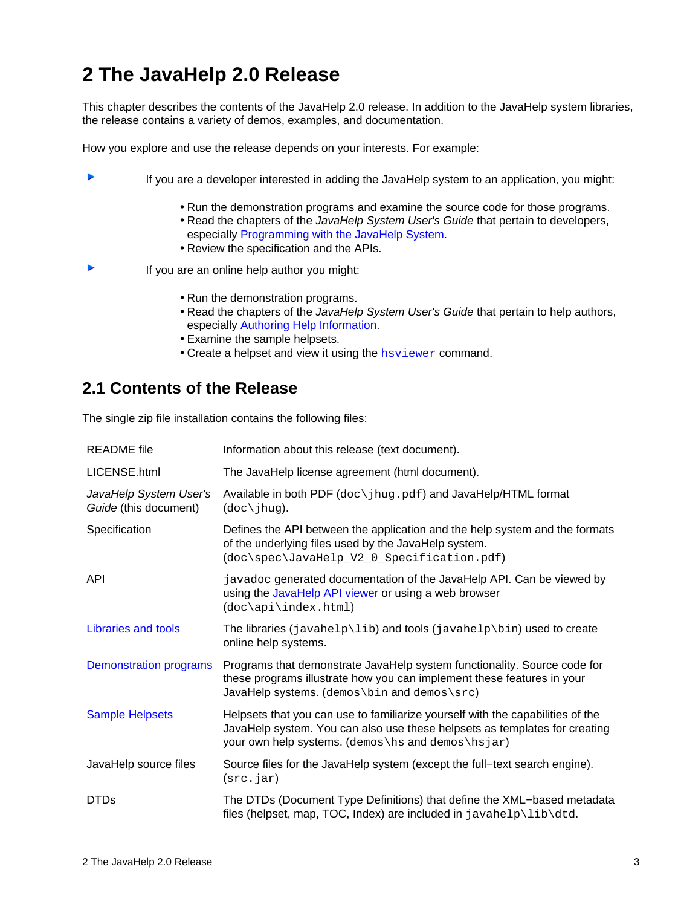# <span id="page-8-0"></span>**2 The JavaHelp 2.0 Release**

This chapter describes the contents of the JavaHelp 2.0 release. In addition to the JavaHelp system libraries, the release contains a variety of demos, examples, and documentation.

How you explore and use the release depends on your interests. For example:

- ь If you are a developer interested in adding the JavaHelp system to an application, you might:
	- Run the demonstration programs and examine the source code for those programs.
	- Read the chapters of the JavaHelp System User's Guide that pertain to developers, especiall[y Programming with the JavaHelp System.](#page-89-0)
	- Review the specification and the APIs.
- If you are an online help author you might:
	- Run the demonstration programs.
	- Read the chapters of the JavaHelp System User's Guide that pertain to help authors, especiall[y Authoring Help Information](#page-36-2).
	- Examine the sample helpsets.
	- Create a helpset and view it using the [hsviewer](#page-38-2) command.

## <span id="page-8-1"></span>**2.1 Contents of the Release**

The single zip file installation contains the following files:

| <b>README</b> file                              | Information about this release (text document).                                                                                                                                                                   |
|-------------------------------------------------|-------------------------------------------------------------------------------------------------------------------------------------------------------------------------------------------------------------------|
| LICENSE.html                                    | The JavaHelp license agreement (html document).                                                                                                                                                                   |
| JavaHelp System User's<br>Guide (this document) | Available in both PDF (doc\jhug.pdf) and JavaHelp/HTML format<br>$doc\jceil hug$ ).                                                                                                                               |
| Specification                                   | Defines the API between the application and the help system and the formats<br>of the underlying files used by the JavaHelp system.<br>(doc\spec\JavaHelp_V2_0_Specification.pdf)                                 |
| <b>API</b>                                      | javadoc generated documentation of the JavaHelp API. Can be viewed by<br>using the JavaHelp API viewer or using a web browser<br>(doc\api\index.html)                                                             |
| <b>Libraries and tools</b>                      | The libraries ( $j$ avahelp\lib) and tools ( $j$ avahelp\bin) used to create<br>online help systems.                                                                                                              |
| <b>Demonstration programs</b>                   | Programs that demonstrate JavaHelp system functionality. Source code for<br>these programs illustrate how you can implement these features in your<br>JavaHelp systems. (demos\bin and demos\src)                 |
| <b>Sample Helpsets</b>                          | Helpsets that you can use to familiarize yourself with the capabilities of the<br>JavaHelp system. You can also use these helpsets as templates for creating<br>your own help systems. (demos\hs and demos\hsjar) |
| JavaHelp source files                           | Source files for the JavaHelp system (except the full-text search engine).<br>(src.java)                                                                                                                          |
| <b>DTDs</b>                                     | The DTDs (Document Type Definitions) that define the XML-based metadata<br>files (helpset, map, TOC, Index) are included in javahelp\lib\dtd.                                                                     |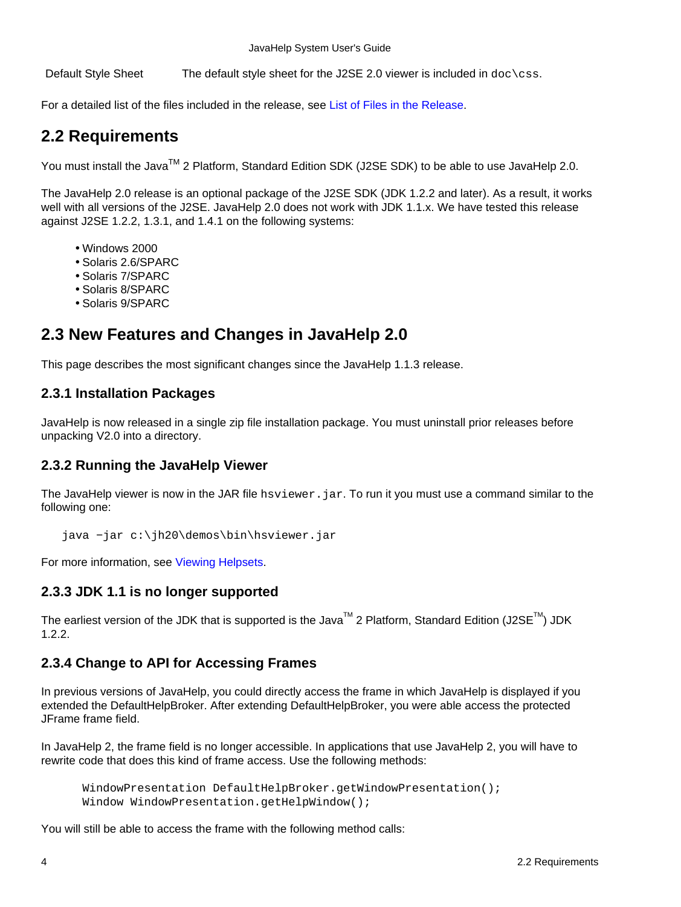Default Style Sheet The default style sheet for the J2SE 2.0 viewer is included in  $doc\$ 

For a detailed list of the files included in the release, se[e List of Files in the Release](#page-20-2).

## <span id="page-9-0"></span>**2.2 Requirements**

You must install the Java™ 2 Platform, Standard Edition SDK (J2SE SDK) to be able to use JavaHelp 2.0.

The JavaHelp 2.0 release is an optional package of the J2SE SDK (JDK 1.2.2 and later). As a result, it works well with all versions of the J2SE. JavaHelp 2.0 does not work with JDK 1.1.x. We have tested this release against J2SE 1.2.2, 1.3.1, and 1.4.1 on the following systems:

- Windows 2000
- Solaris 2.6/SPARC
- Solaris 7/SPARC
- Solaris 8/SPARC
- Solaris 9/SPARC

## <span id="page-9-6"></span><span id="page-9-1"></span>**2.3 New Features and Changes in JavaHelp 2.0**

This page describes the most significant changes since the JavaHelp 1.1.3 release.

### <span id="page-9-2"></span>**2.3.1 Installation Packages**

JavaHelp is now released in a single zip file installation package. You must uninstall prior releases before unpacking V2.0 into a directory.

## <span id="page-9-3"></span>**2.3.2 Running the JavaHelp Viewer**

The JavaHelp viewer is now in the JAR file hsviewer. jar. To run it you must use a command similar to the following one:

```
 java −jar c:\jh20\demos\bin\hsviewer.jar
```
For more information, se[e Viewing Helpsets.](#page-38-2)

#### <span id="page-9-4"></span>**2.3.3 JDK 1.1 is no longer supported**

The earliest version of the JDK that is supported is the Java<sup>TM</sup> 2 Platform, Standard Edition (J2SE<sup>TM</sup>) JDK 1.2.2.

#### <span id="page-9-5"></span>**2.3.4 Change to API for Accessing Frames**

In previous versions of JavaHelp, you could directly access the frame in which JavaHelp is displayed if you extended the DefaultHelpBroker. After extending DefaultHelpBroker, you were able access the protected JFrame frame field.

In JavaHelp 2, the frame field is no longer accessible. In applications that use JavaHelp 2, you will have to rewrite code that does this kind of frame access. Use the following methods:

WindowPresentation DefaultHelpBroker.getWindowPresentation(); Window WindowPresentation.getHelpWindow();

You will still be able to access the frame with the following method calls: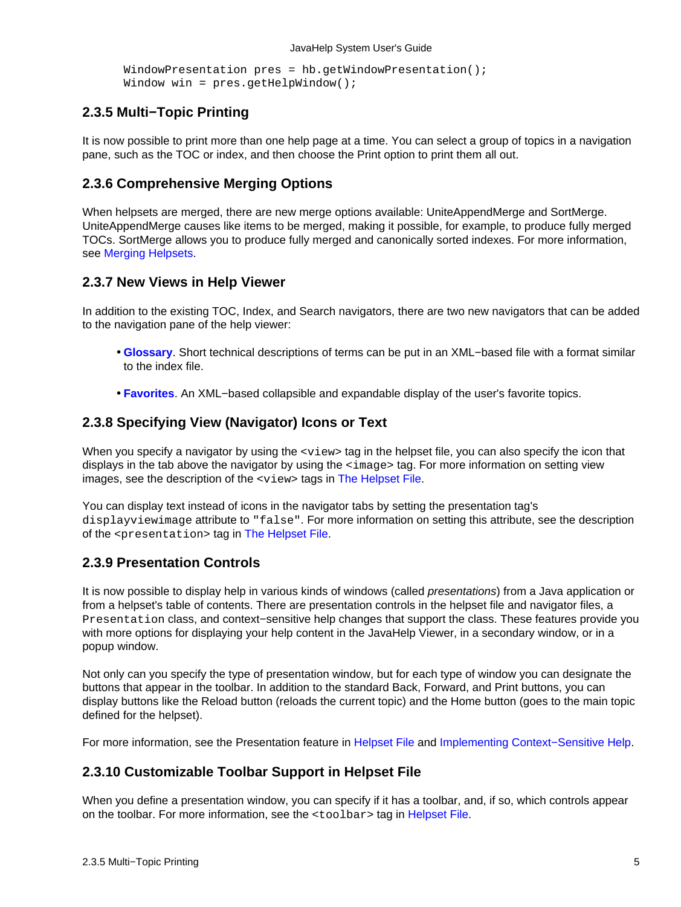```
WindowPresentation pres = hb.getWindowPresentation();
Window win = pres.getHelpWindow();
```
## <span id="page-10-0"></span>**2.3.5 Multi−Topic Printing**

It is now possible to print more than one help page at a time. You can select a group of topics in a navigation pane, such as the TOC or index, and then choose the Print option to print them all out.

## <span id="page-10-1"></span>**2.3.6 Comprehensive Merging Options**

When helpsets are merged, there are new merge options available: UniteAppendMerge and SortMerge. UniteAppendMerge causes like items to be merged, making it possible, for example, to produce fully merged TOCs. SortMerge allows you to produce fully merged and canonically sorted indexes. For more information, se[e Merging Helpsets.](#page-81-1)

## <span id="page-10-2"></span>**2.3.7 New Views in Help Viewer**

In addition to the existing TOC, Index, and Search navigators, there are two new navigators that can be added to the navigation pane of the help viewer:

- **[Glossary](#page-63-1)**. Short technical descriptions of terms can be put in an XML−based file with a format similar to the index file.
- **[Favorites](#page-65-1)**. An XML−based collapsible and expandable display of the user's favorite topics.

## <span id="page-10-3"></span>**2.3.8 Specifying View (Navigator) Icons or Text**

When you specify a navigator by using the  $\langle$ view> tag in the helpset file, you can also specify the icon that displays in the tab above the navigator by using the  $\langle \text{image} \rangle$  tag. For more information on setting view images, see the description of the <view> tags i[n The Helpset File](#page-50-0).

You can display text instead of icons in the navigator tabs by setting the presentation tag's displayviewimage attribute to "false". For more information on setting this attribute, see the description of the <presentation> tag i[n The Helpset File.](#page-51-0)

## <span id="page-10-4"></span>**2.3.9 Presentation Controls**

It is now possible to display help in various kinds of windows (called presentations) from a Java application or from a helpset's table of contents. There are presentation controls in the helpset file and navigator files, a Presentation class, and context−sensitive help changes that support the class. These features provide you with more options for displaying your help content in the JavaHelp Viewer, in a secondary window, or in a popup window.

Not only can you specify the type of presentation window, but for each type of window you can designate the buttons that appear in the toolbar. In addition to the standard Back, Forward, and Print buttons, you can display buttons like the Reload button (reloads the current topic) and the Home button (goes to the main topic defined for the helpset).

For more information, see the Presentation feature in [Helpset File](#page-51-0) and [Implementing Context−Sensitive Help](#page-95-1).

## <span id="page-10-5"></span>**2.3.10 Customizable Toolbar Support in Helpset File**

When you define a presentation window, you can specify if it has a toolbar, and, if so, which controls appear on the toolbar. For more information, see the <toolbar> tag in [Helpset File](#page-52-0).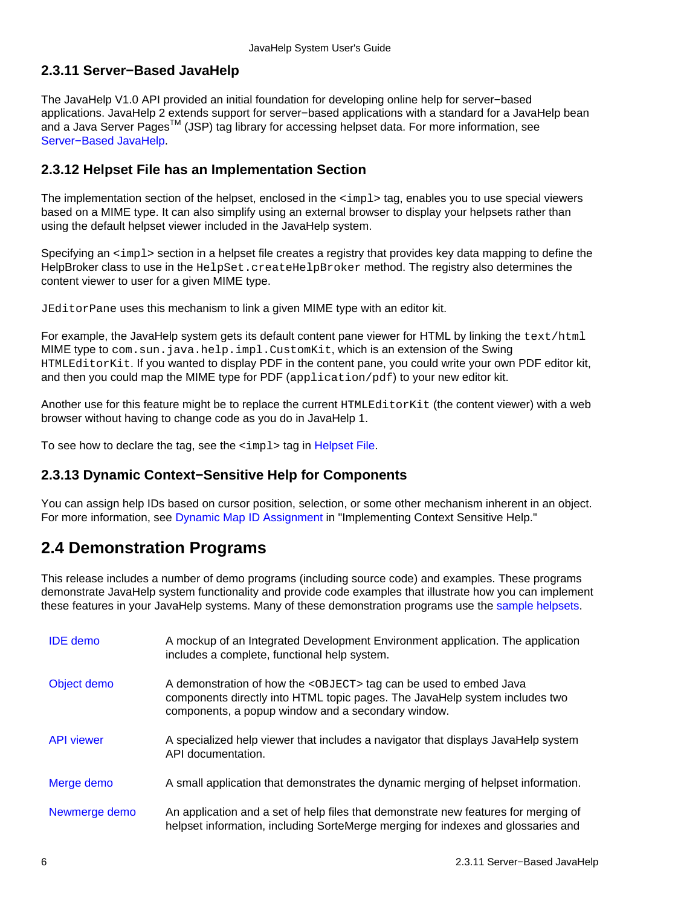## <span id="page-11-0"></span>**2.3.11 Server−Based JavaHelp**

The JavaHelp V1.0 API provided an initial foundation for developing online help for server−based applications. JavaHelp 2 extends support for server−based applications with a standard for a JavaHelp bean and a Java Server Pages<sup>™</sup> (JSP) tag library for accessing helpset data. For more information, see [Server−Based JavaHelp](#page-109-4).

## <span id="page-11-1"></span>**2.3.12 Helpset File has an Implementation Section**

The implementation section of the helpset, enclosed in the  $\langle \text{imp1} \rangle$  tag, enables you to use special viewers based on a MIME type. It can also simplify using an external browser to display your helpsets rather than using the default helpset viewer included in the JavaHelp system.

Specifying an <impl> section in a helpset file creates a registry that provides key data mapping to define the HelpBroker class to use in the HelpSet.createHelpBroker method. The registry also determines the content viewer to user for a given MIME type.

JEditorPane uses this mechanism to link a given MIME type with an editor kit.

For example, the JavaHelp system gets its default content pane viewer for HTML by linking the text/html MIME type to com.sun.java.help.impl.CustomKit, which is an extension of the Swing HTMLEditorKit. If you wanted to display PDF in the content pane, you could write your own PDF editor kit, and then you could map the MIME type for PDF (application/pdf) to your new editor kit.

Another use for this feature might be to replace the current HTMLEditorKit (the content viewer) with a web browser without having to change code as you do in JavaHelp 1.

To see how to declare the tag, see the <impl> tag in [Helpset File.](#page-52-0)

## <span id="page-11-2"></span>**2.3.13 Dynamic Context−Sensitive Help for Components**

You can assign help IDs based on cursor position, selection, or some other mechanism inherent in an object. For more information, se[e Dynamic Map ID Assignment](#page-92-3) in "Implementing Context Sensitive Help."

## <span id="page-11-4"></span><span id="page-11-3"></span>**2.4 Demonstration Programs**

This release includes a number of demo programs (including source code) and examples. These programs demonstrate JavaHelp system functionality and provide code examples that illustrate how you can implement these features in your JavaHelp systems. Many of these demonstration programs use th[e sample helpsets](#page-15-5).

| <b>IDE</b> demo   | A mockup of an Integrated Development Environment application. The application<br>includes a complete, functional help system.                                                                                    |
|-------------------|-------------------------------------------------------------------------------------------------------------------------------------------------------------------------------------------------------------------|
| Object demo       | A demonstration of how the <object> tag can be used to embed Java<br/>components directly into HTML topic pages. The JavaHelp system includes two<br/>components, a popup window and a secondary window.</object> |
| <b>API</b> viewer | A specialized help viewer that includes a navigator that displays JavaHelp system<br>API documentation.                                                                                                           |
| Merge demo        | A small application that demonstrates the dynamic merging of helpset information.                                                                                                                                 |
| Newmerge demo     | An application and a set of help files that demonstrate new features for merging of<br>helpset information, including SorteMerge merging for indexes and glossaries and                                           |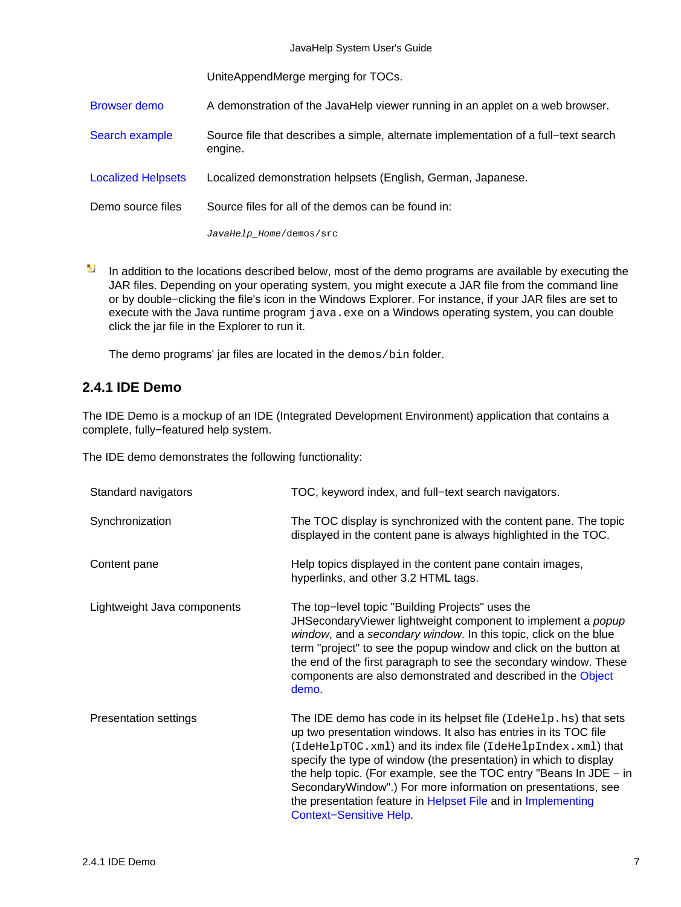JavaHelp System User's Guide

UniteAppendMerge merging for TOCs.

[Browser demo](#page-14-1) A demonstration of the JavaHelp viewer running in an applet on a web browser.

[Search example](#page-124-0) Source file that describes a simple, alternate implementation of a full−text search engine.

[Localized Helpsets](#page-14-2) Localized demonstration helpsets (English, German, Japanese.

Demo source files Source files for all of the demos can be found in:

JavaHelp\_Home/demos/src

۹J In addition to the locations described below, most of the demo programs are available by executing the JAR files. Depending on your operating system, you might execute a JAR file from the command line or by double−clicking the file's icon in the Windows Explorer. For instance, if your JAR files are set to execute with the Java runtime program java.exe on a Windows operating system, you can double click the jar file in the Explorer to run it.

The demo programs' jar files are located in the demos/bin folder.

### <span id="page-12-0"></span>**2.4.1 IDE Demo**

The IDE Demo is a mockup of an IDE (Integrated Development Environment) application that contains a complete, fully−featured help system.

The IDE demo demonstrates the following functionality:

| Standard navigators          | TOC, keyword index, and full-text search navigators.                                                                                                                                                                                                                                                                                                                                                                                                                                                              |
|------------------------------|-------------------------------------------------------------------------------------------------------------------------------------------------------------------------------------------------------------------------------------------------------------------------------------------------------------------------------------------------------------------------------------------------------------------------------------------------------------------------------------------------------------------|
| Synchronization              | The TOC display is synchronized with the content pane. The topic<br>displayed in the content pane is always highlighted in the TOC.                                                                                                                                                                                                                                                                                                                                                                               |
| Content pane                 | Help topics displayed in the content pane contain images,<br>hyperlinks, and other 3.2 HTML tags.                                                                                                                                                                                                                                                                                                                                                                                                                 |
| Lightweight Java components  | The top-level topic "Building Projects" uses the<br>JHSecondary Viewer lightweight component to implement a popup<br>window, and a secondary window. In this topic, click on the blue<br>term "project" to see the popup window and click on the button at<br>the end of the first paragraph to see the secondary window. These<br>components are also demonstrated and described in the Object<br>demo.                                                                                                          |
| <b>Presentation settings</b> | The IDE demo has code in its helpset file (IdeHelp.hs) that sets<br>up two presentation windows. It also has entries in its TOC file<br>(IdeHelpTOC.xml) and its index file (IdeHelpIndex.xml) that<br>specify the type of window (the presentation) in which to display<br>the help topic. (For example, see the TOC entry "Beans In JDE – in<br>SecondaryWindow".) For more information on presentations, see<br>the presentation feature in Helpset File and in Implementing<br><b>Context-Sensitive Help.</b> |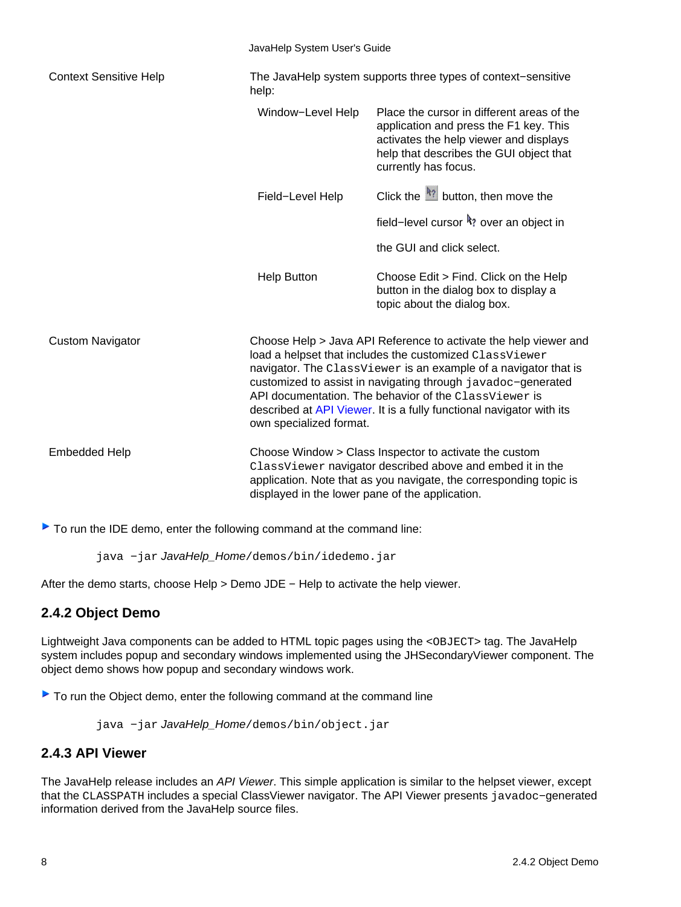| <b>Context Sensitive Help</b> | The JavaHelp system supports three types of context-sensitive<br>help:                                                                                                                                                                                                                                                                                                                                                     |                                                                                                                                                                                                   |
|-------------------------------|----------------------------------------------------------------------------------------------------------------------------------------------------------------------------------------------------------------------------------------------------------------------------------------------------------------------------------------------------------------------------------------------------------------------------|---------------------------------------------------------------------------------------------------------------------------------------------------------------------------------------------------|
|                               | Window-Level Help                                                                                                                                                                                                                                                                                                                                                                                                          | Place the cursor in different areas of the<br>application and press the F1 key. This<br>activates the help viewer and displays<br>help that describes the GUI object that<br>currently has focus. |
|                               | Field-Level Help                                                                                                                                                                                                                                                                                                                                                                                                           | Click the $\frac{k_2}{k_1}$ button, then move the                                                                                                                                                 |
|                               |                                                                                                                                                                                                                                                                                                                                                                                                                            | field-level cursor k? over an object in                                                                                                                                                           |
|                               |                                                                                                                                                                                                                                                                                                                                                                                                                            | the GUI and click select.                                                                                                                                                                         |
|                               | <b>Help Button</b>                                                                                                                                                                                                                                                                                                                                                                                                         | Choose Edit > Find. Click on the Help<br>button in the dialog box to display a<br>topic about the dialog box.                                                                                     |
| <b>Custom Navigator</b>       | Choose Help > Java API Reference to activate the help viewer and<br>load a helpset that includes the customized ClassViewer<br>navigator. The ClassViewer is an example of a navigator that is<br>customized to assist in navigating through javadoc-generated<br>API documentation. The behavior of the ClassViewer is<br>described at API Viewer. It is a fully functional navigator with its<br>own specialized format. |                                                                                                                                                                                                   |
| <b>Embedded Help</b>          | displayed in the lower pane of the application.                                                                                                                                                                                                                                                                                                                                                                            | Choose Window > Class Inspector to activate the custom<br>ClassViewer navigator described above and embed it in the<br>application. Note that as you navigate, the corresponding topic is         |

To run the IDE demo, enter the following command at the command line:

java -jar JavaHelp Home/demos/bin/idedemo.jar

After the demo starts, choose Help > Demo JDE − Help to activate the help viewer.

#### <span id="page-13-0"></span>**2.4.2 Object Demo**

Lightweight Java components can be added to HTML topic pages using the <OBJECT> tag. The JavaHelp system includes popup and secondary windows implemented using the JHSecondaryViewer component. The object demo shows how popup and secondary windows work.

To run the Object demo, enter the following command at the command line

```
java -jar JavaHelp_Home/demos/bin/object.jar
```
### <span id="page-13-1"></span>**2.4.3 API Viewer**

The JavaHelp release includes an API Viewer. This simple application is similar to the helpset viewer, except that the CLASSPATH includes a special ClassViewer navigator. The API Viewer presents javadoc−generated information derived from the JavaHelp source files.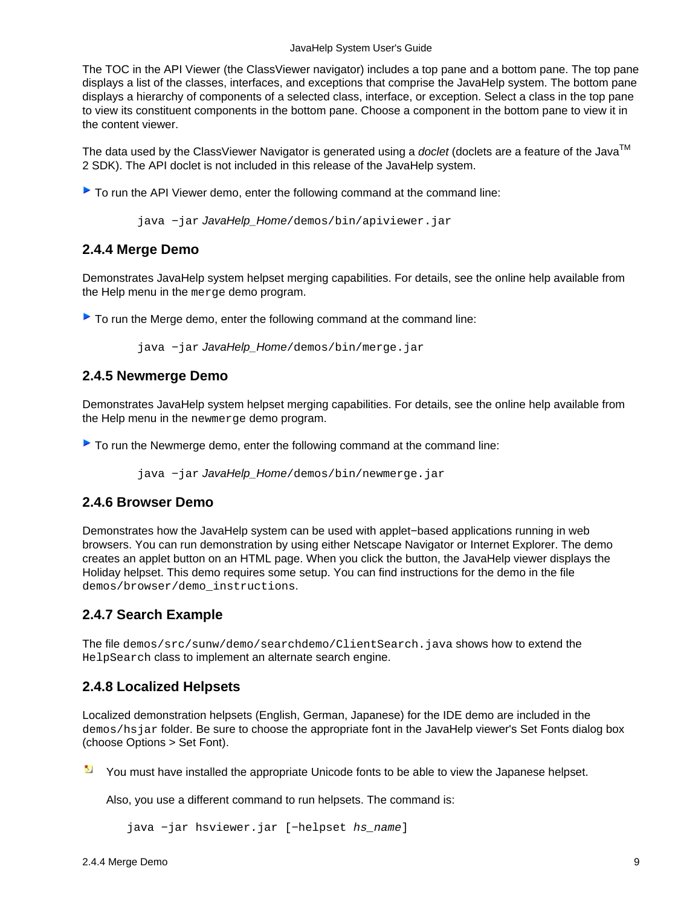#### JavaHelp System User's Guide

The TOC in the API Viewer (the ClassViewer navigator) includes a top pane and a bottom pane. The top pane displays a list of the classes, interfaces, and exceptions that comprise the JavaHelp system. The bottom pane displays a hierarchy of components of a selected class, interface, or exception. Select a class in the top pane to view its constituent components in the bottom pane. Choose a component in the bottom pane to view it in the content viewer.

The data used by the ClassViewer Navigator is generated using a *doclet* (doclets are a feature of the Java<sup>TM</sup> 2 SDK). The API doclet is not included in this release of the JavaHelp system.

To run the API Viewer demo, enter the following command at the command line:

java -jar JavaHelp Home/demos/bin/apiviewer.jar

### **2.4.4 Merge Demo**

Demonstrates JavaHelp system helpset merging capabilities. For details, see the online help available from the Help menu in the merge demo program.

To run the Merge demo, enter the following command at the command line:

java -jar JavaHelp\_Home/demos/bin/merge.jar

### <span id="page-14-0"></span>**2.4.5 Newmerge Demo**

Demonstrates JavaHelp system helpset merging capabilities. For details, see the online help available from the Help menu in the newmerge demo program.

To run the Newmerge demo, enter the following command at the command line:

java -jar JavaHelp\_Home/demos/bin/newmerge.jar

#### <span id="page-14-1"></span>**2.4.6 Browser Demo**

Demonstrates how the JavaHelp system can be used with applet−based applications running in web browsers. You can run demonstration by using either Netscape Navigator or Internet Explorer. The demo creates an applet button on an HTML page. When you click the button, the JavaHelp viewer displays the Holiday helpset. This demo requires some setup. You can find instructions for the demo in the file demos/browser/demo\_instructions.

## **2.4.7 Search Example**

The file demos/src/sunw/demo/searchdemo/ClientSearch.java shows how to extend the HelpSearch class to implement an alternate search engine.

## <span id="page-14-2"></span>**2.4.8 Localized Helpsets**

Localized demonstration helpsets (English, German, Japanese) for the IDE demo are included in the demos/hsjar folder. Be sure to choose the appropriate font in the JavaHelp viewer's Set Fonts dialog box (choose Options > Set Font).

You must have installed the appropriate Unicode fonts to be able to view the Japanese helpset.

Also, you use a different command to run helpsets. The command is:

```
 java −jar hsviewer.jar [−helpset hs_name]
```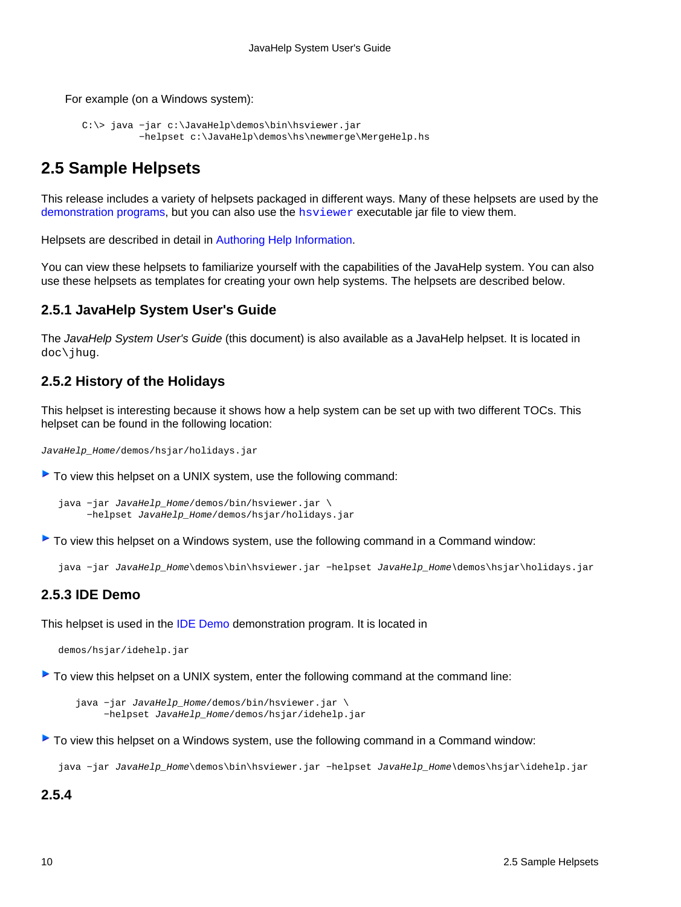For example (on a Windows system):

```
 C:\> java −jar c:\JavaHelp\demos\bin\hsviewer.jar
           −helpset c:\JavaHelp\demos\hs\newmerge\MergeHelp.hs
```
## <span id="page-15-5"></span><span id="page-15-0"></span>**2.5 Sample Helpsets**

This release includes a variety of helpsets packaged in different ways. Many of these helpsets are used by the [demonstration programs](#page-11-4), but you can also use the [hsviewer](#page-38-2) executable jar file to view them.

Helpsets are described in detail i[n Authoring Help Information.](#page-36-2)

You can view these helpsets to familiarize yourself with the capabilities of the JavaHelp system. You can also use these helpsets as templates for creating your own help systems. The helpsets are described below.

### <span id="page-15-1"></span>**2.5.1 JavaHelp System User's Guide**

The JavaHelp System User's Guide (this document) is also available as a JavaHelp helpset. It is located in doc\jhug.

### <span id="page-15-2"></span>**2.5.2 History of the Holidays**

This helpset is interesting because it shows how a help system can be set up with two different TOCs. This helpset can be found in the following location:

JavaHelp\_Home/demos/hsjar/holidays.jar

To view this helpset on a UNIX system, use the following command:

```
 java −jar JavaHelp_Home/demos/bin/hsviewer.jar \
      −helpset JavaHelp_Home/demos/hsjar/holidays.jar
```
To view this helpset on a Windows system, use the following command in a Command window:

java −jar JavaHelp\_Home\demos\bin\hsviewer.jar −helpset JavaHelp\_Home\demos\hsjar\holidays.jar

#### <span id="page-15-3"></span>**2.5.3 IDE Demo**

This helpset is used in the [IDE Demo](#page-12-0) demonstration program. It is located in

demos/hsjar/idehelp.jar

To view this helpset on a UNIX system, enter the following command at the command line:

```
 java −jar JavaHelp_Home/demos/bin/hsviewer.jar \
      −helpset JavaHelp_Home/demos/hsjar/idehelp.jar
```
To view this helpset on a Windows system, use the following command in a Command window:

java −jar JavaHelp\_Home\demos\bin\hsviewer.jar −helpset JavaHelp\_Home\demos\hsjar\idehelp.jar

<span id="page-15-4"></span>**2.5.4**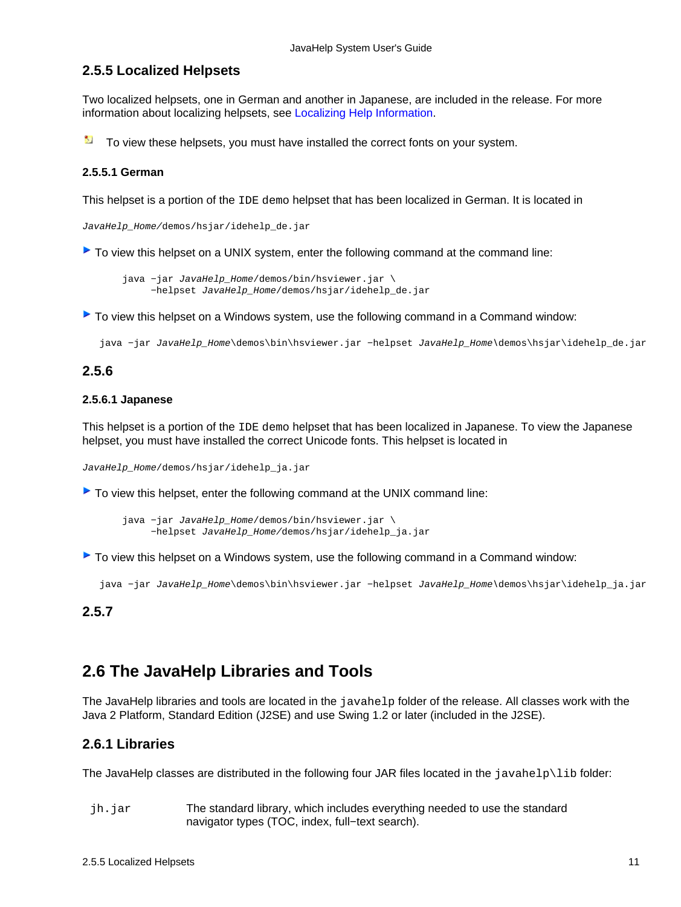## <span id="page-16-0"></span>**2.5.5 Localized Helpsets**

Two localized helpsets, one in German and another in Japanese, are included in the release. For more information about localizing helpsets, see [Localizing Help Information](#page-115-0).

 $\mathbb{Z}$  To view these helpsets, you must have installed the correct fonts on your system.

#### **2.5.5.1 German**

This helpset is a portion of the IDE demo helpset that has been localized in German. It is located in

JavaHelp\_Home/demos/hsjar/idehelp\_de.jar

To view this helpset on a UNIX system, enter the following command at the command line:

```
 java −jar JavaHelp_Home/demos/bin/hsviewer.jar \
     −helpset JavaHelp_Home/demos/hsjar/idehelp_de.jar
```
To view this helpset on a Windows system, use the following command in a Command window:

java −jar JavaHelp\_Home\demos\bin\hsviewer.jar −helpset JavaHelp\_Home\demos\hsjar\idehelp\_de.jar

#### <span id="page-16-1"></span>**2.5.6**

#### **2.5.6.1 Japanese**

This helpset is a portion of the IDE demo helpset that has been localized in Japanese. To view the Japanese helpset, you must have installed the correct Unicode fonts. This helpset is located in

JavaHelp\_Home/demos/hsjar/idehelp\_ja.jar

To view this helpset, enter the following command at the UNIX command line:

```
 java −jar JavaHelp_Home/demos/bin/hsviewer.jar \
      −helpset JavaHelp_Home/demos/hsjar/idehelp_ja.jar
```
To view this helpset on a Windows system, use the following command in a Command window:

java −jar JavaHelp\_Home\demos\bin\hsviewer.jar −helpset JavaHelp\_Home\demos\hsjar\idehelp\_ja.jar

#### <span id="page-16-2"></span>**2.5.7**

## <span id="page-16-5"></span><span id="page-16-3"></span>**2.6 The JavaHelp Libraries and Tools**

The JavaHelp libraries and tools are located in the javahelp folder of the release. All classes work with the Java 2 Platform, Standard Edition (J2SE) and use Swing 1.2 or later (included in the J2SE).

#### <span id="page-16-4"></span>**2.6.1 Libraries**

The JavaHelp classes are distributed in the following four JAR files located in the javahelp\lib folder:

jh. jar The standard library, which includes everything needed to use the standard navigator types (TOC, index, full−text search).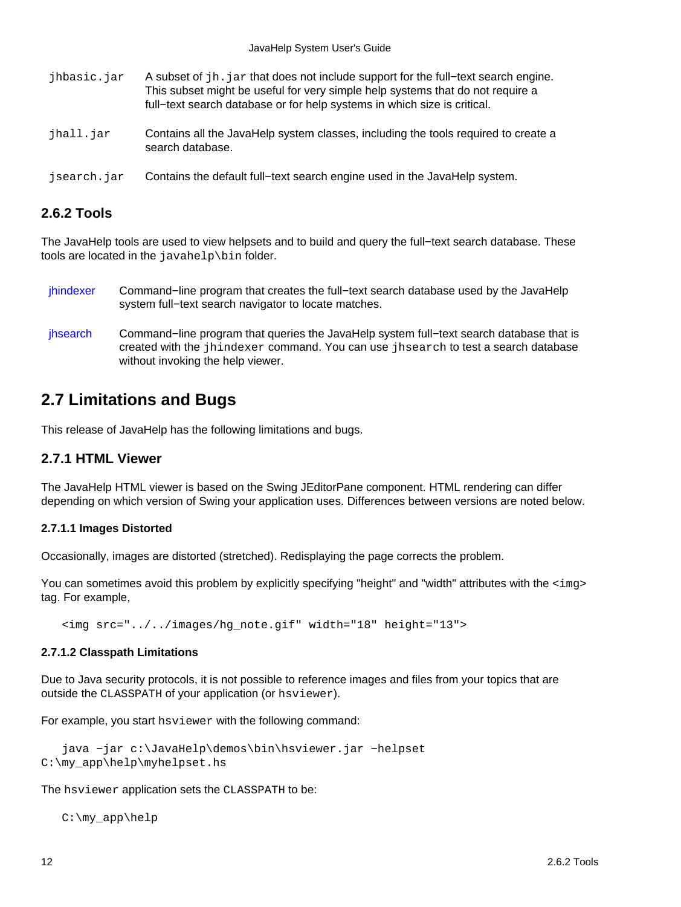| ihbasic.jar | A subset of jh. jar that does not include support for the full-text search engine.<br>This subset might be useful for very simple help systems that do not require a<br>full-text search database or for help systems in which size is critical. |
|-------------|--------------------------------------------------------------------------------------------------------------------------------------------------------------------------------------------------------------------------------------------------|
| jhall.jar   | Contains all the JavaHelp system classes, including the tools required to create a<br>search database.                                                                                                                                           |
| isearch.iar | Contains the default full-text search engine used in the JavaHelp system.                                                                                                                                                                        |

### <span id="page-17-0"></span>**2.6.2 Tools**

The JavaHelp tools are used to view helpsets and to build and query the full−text search database. These tools are located in the javahelp\bin folder.

- [jhindexer](#page-72-1) Command−line program that creates the full−text search database used by the JavaHelp system full−text search navigator to locate matches.
- [jhsearch](#page-75-2) Command−line program that queries the JavaHelp system full−text search database that is created with the jhindexer command. You can use jhsearch to test a search database without invoking the help viewer.

## <span id="page-17-1"></span>**2.7 Limitations and Bugs**

This release of JavaHelp has the following limitations and bugs.

#### <span id="page-17-2"></span>**2.7.1 HTML Viewer**

The JavaHelp HTML viewer is based on the Swing JEditorPane component. HTML rendering can differ depending on which version of Swing your application uses. Differences between versions are noted below.

#### **2.7.1.1 Images Distorted**

Occasionally, images are distorted (stretched). Redisplaying the page corrects the problem.

You can sometimes avoid this problem by explicitly specifying "height" and "width" attributes with the <img> tag. For example,

<img src="../../images/hg\_note.gif" width="18" height="13">

#### **2.7.1.2 Classpath Limitations**

Due to Java security protocols, it is not possible to reference images and files from your topics that are outside the CLASSPATH of your application (or hsviewer).

For example, you start hsviewer with the following command:

```
 java −jar c:\JavaHelp\demos\bin\hsviewer.jar −helpset
C:\my_app\help\myhelpset.hs
```
The hsviewer application sets the CLASSPATH to be:

C:\my\_app\help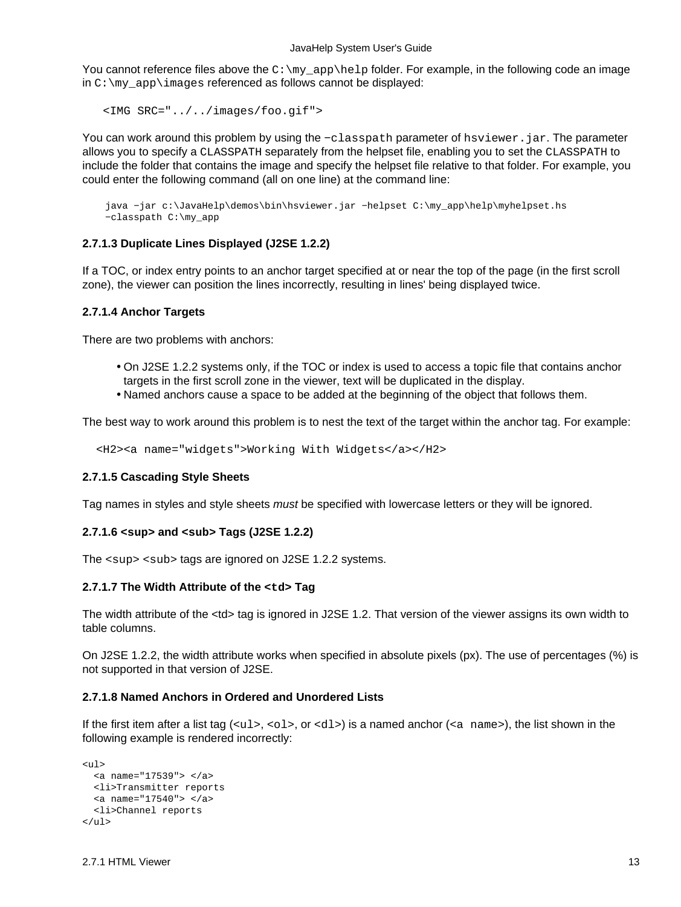You cannot reference files above the  $C:\my\alpha\phi\help$  folder. For example, in the following code an image in  $C:\my$  app $\rightarrow$ images referenced as follows cannot be displayed:

```
 <IMG SRC="../../images/foo.gif">
```
You can work around this problem by using the −classpath parameter of hsviewer.jar. The parameter allows you to specify a CLASSPATH separately from the helpset file, enabling you to set the CLASSPATH to include the folder that contains the image and specify the helpset file relative to that folder. For example, you could enter the following command (all on one line) at the command line:

```
 java −jar c:\JavaHelp\demos\bin\hsviewer.jar −helpset C:\my_app\help\myhelpset.hs 
 −classpath C:\my_app
```
#### **2.7.1.3 Duplicate Lines Displayed (J2SE 1.2.2)**

If a TOC, or index entry points to an anchor target specified at or near the top of the page (in the first scroll zone), the viewer can position the lines incorrectly, resulting in lines' being displayed twice.

#### **2.7.1.4 Anchor Targets**

There are two problems with anchors:

- On J2SE 1.2.2 systems only, if the TOC or index is used to access a topic file that contains anchor targets in the first scroll zone in the viewer, text will be duplicated in the display.
- Named anchors cause a space to be added at the beginning of the object that follows them.

The best way to work around this problem is to nest the text of the target within the anchor tag. For example:

<H2><a name="widgets">Working With Widgets</a></H2>

#### **2.7.1.5 Cascading Style Sheets**

Tag names in styles and style sheets must be specified with lowercase letters or they will be ignored.

#### **2.7.1.6 <sup> and <sub> Tags (J2SE 1.2.2)**

The <sup> <sub> tags are ignored on J2SE 1.2.2 systems.

#### **2.7.1.7 The Width Attribute of the <td> Tag**

The width attribute of the <td> tag is ignored in J2SE 1.2. That version of the viewer assigns its own width to table columns.

On J2SE 1.2.2, the width attribute works when specified in absolute pixels (px). The use of percentages (%) is not supported in that version of J2SE.

#### **2.7.1.8 Named Anchors in Ordered and Unordered Lists**

If the first item after a list tag (<ul>, <ol>, or <dl>) is a named anchor (<a name>), the list shown in the following example is rendered incorrectly:

```
<ul>
   <a name="17539"> </a>
   <li>Transmitter reports
   <a name="17540"> </a>
   <li>Channel reports
\langle \text{ul}\rangle
```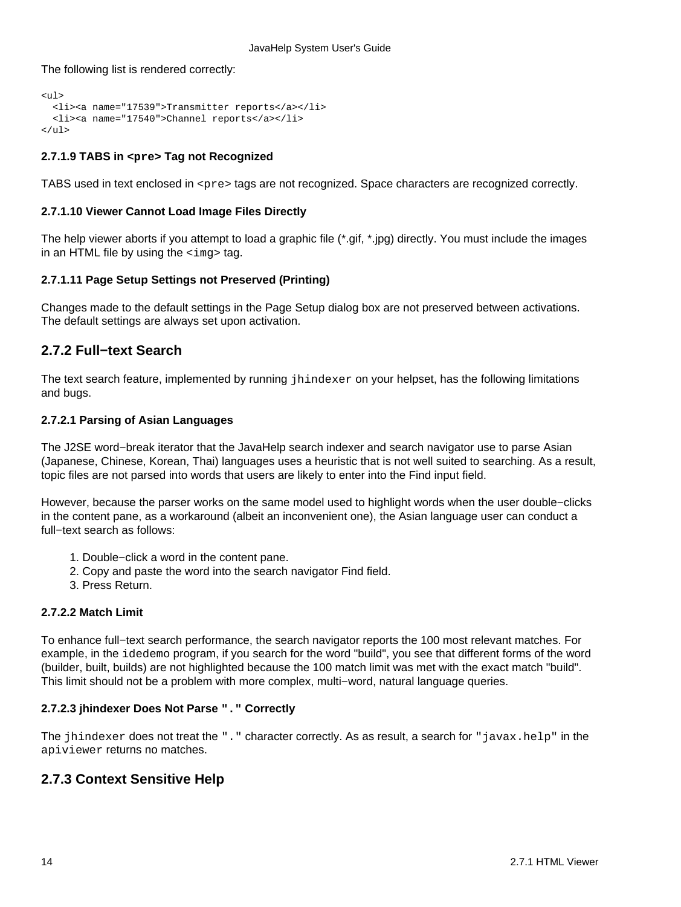The following list is rendered correctly:

```
112 <li><a name="17539">Transmitter reports</a></li>
  <li><a name="17540">Channel reports</a></li>
2/11
```
#### **2.7.1.9 TABS in <pre> Tag not Recognized**

TABS used in text enclosed in <pre> tags are not recognized. Space characters are recognized correctly.

#### **2.7.1.10 Viewer Cannot Load Image Files Directly**

The help viewer aborts if you attempt to load a graphic file (\*.gif, \*.jpg) directly. You must include the images in an HTML file by using the  $\langle \text{img} \rangle$  tag.

#### **2.7.1.11 Page Setup Settings not Preserved (Printing)**

Changes made to the default settings in the Page Setup dialog box are not preserved between activations. The default settings are always set upon activation.

#### <span id="page-19-0"></span>**2.7.2 Full−text Search**

The text search feature, implemented by running jhindexer on your helpset, has the following limitations and bugs.

#### **2.7.2.1 Parsing of Asian Languages**

The J2SE word−break iterator that the JavaHelp search indexer and search navigator use to parse Asian (Japanese, Chinese, Korean, Thai) languages uses a heuristic that is not well suited to searching. As a result, topic files are not parsed into words that users are likely to enter into the Find input field.

However, because the parser works on the same model used to highlight words when the user double−clicks in the content pane, as a workaround (albeit an inconvenient one), the Asian language user can conduct a full−text search as follows:

- 1. Double−click a word in the content pane.
- 2. Copy and paste the word into the search navigator Find field.
- 3. Press Return.

#### **2.7.2.2 Match Limit**

To enhance full−text search performance, the search navigator reports the 100 most relevant matches. For example, in the idedemo program, if you search for the word "build", you see that different forms of the word (builder, built, builds) are not highlighted because the 100 match limit was met with the exact match "build". This limit should not be a problem with more complex, multi−word, natural language queries.

#### **2.7.2.3 jhindexer Does Not Parse "." Correctly**

The jhindexer does not treat the "." character correctly. As as result, a search for "javax.help" in the apiviewer returns no matches.

#### <span id="page-19-1"></span>**2.7.3 Context Sensitive Help**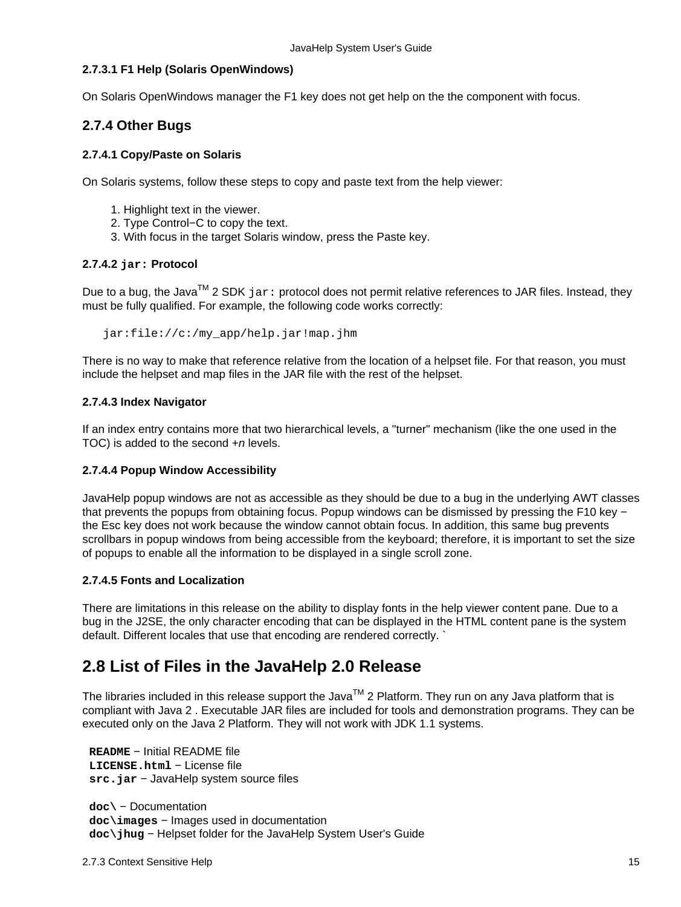#### **2.7.3.1 F1 Help (Solaris OpenWindows)**

On Solaris OpenWindows manager the F1 key does not get help on the the component with focus.

## <span id="page-20-0"></span>**2.7.4 Other Bugs**

#### **2.7.4.1 Copy/Paste on Solaris**

On Solaris systems, follow these steps to copy and paste text from the help viewer:

- 1. Highlight text in the viewer.
- 2. Type Control−C to copy the text.
- 3. With focus in the target Solaris window, press the Paste key.

#### **2.7.4.2 jar: Protocol**

Due to a bug, the Java<sup>TM</sup> 2 SDK jar: protocol does not permit relative references to JAR files. Instead, they must be fully qualified. For example, the following code works correctly:

jar:file://c:/my\_app/help.jar!map.jhm

There is no way to make that reference relative from the location of a helpset file. For that reason, you must include the helpset and map files in the JAR file with the rest of the helpset.

#### **2.7.4.3 Index Navigator**

If an index entry contains more that two hierarchical levels, a "turner" mechanism (like the one used in the TOC) is added to the second  $+n$  levels.

#### **2.7.4.4 Popup Window Accessibility**

JavaHelp popup windows are not as accessible as they should be due to a bug in the underlying AWT classes that prevents the popups from obtaining focus. Popup windows can be dismissed by pressing the F10 key − the Esc key does not work because the window cannot obtain focus. In addition, this same bug prevents scrollbars in popup windows from being accessible from the keyboard; therefore, it is important to set the size of popups to enable all the information to be displayed in a single scroll zone.

#### **2.7.4.5 Fonts and Localization**

There are limitations in this release on the ability to display fonts in the help viewer content pane. Due to a bug in the J2SE, the only character encoding that can be displayed in the HTML content pane is the system default. Different locales that use that encoding are rendered correctly. `

## <span id="page-20-2"></span><span id="page-20-1"></span>**2.8 List of Files in the JavaHelp 2.0 Release**

The libraries included in this release support the Java<sup>TM</sup> 2 Platform. They run on any Java platform that is compliant with Java 2 . Executable JAR files are included for tools and demonstration programs. They can be executed only on the Java 2 Platform. They will not work with JDK 1.1 systems.

 **README** − Initial README file  **LICENSE.html** − License file  **src.jar** − JavaHelp system source files

 **doc\** − Documentation  **doc\images** − Images used in documentation  **doc\jhug** − Helpset folder for the JavaHelp System User's Guide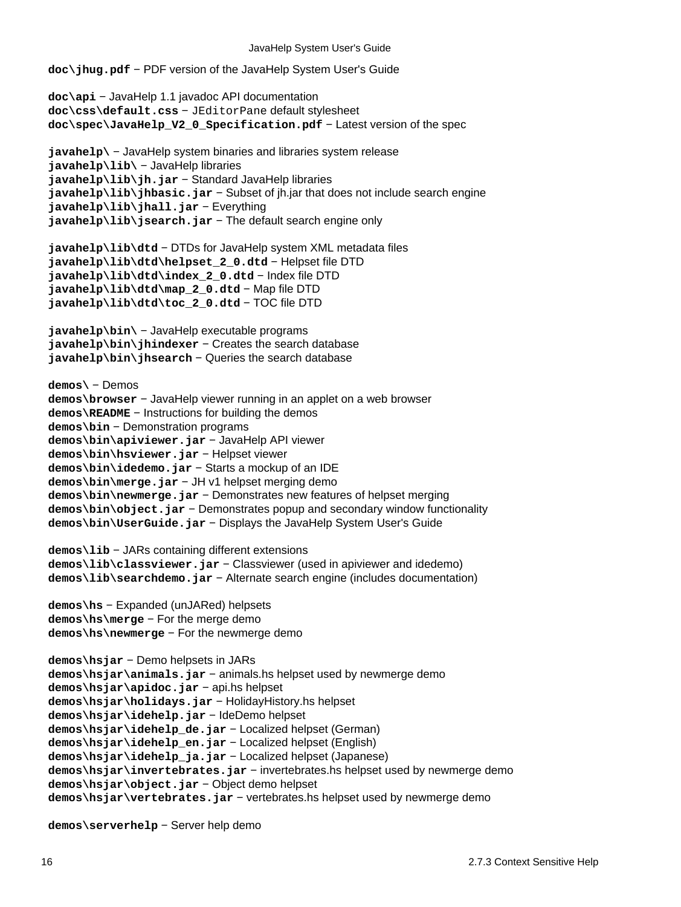JavaHelp System User's Guide

 **doc\jhug.pdf** − PDF version of the JavaHelp System User's Guide

 **doc\api** − JavaHelp 1.1 javadoc API documentation  **doc\css\default.css** − JEditorPane default stylesheet  **doc\spec\JavaHelp\_V2\_0\_Specification.pdf** − Latest version of the spec

 **javahelp\** − JavaHelp system binaries and libraries system release  **javahelp\lib\** − JavaHelp libraries  **javahelp\lib\jh.jar** − Standard JavaHelp libraries  **javahelp\lib\jhbasic.jar** − Subset of jh.jar that does not include search engine  **javahelp\lib\jhall.jar** − Everything  **javahelp\lib\jsearch.jar** − The default search engine only

 **javahelp\lib\dtd** − DTDs for JavaHelp system XML metadata files  **javahelp\lib\dtd\helpset\_2\_0.dtd** − Helpset file DTD  **javahelp\lib\dtd\index\_2\_0.dtd** − Index file DTD  **javahelp\lib\dtd\map\_2\_0.dtd** − Map file DTD  **javahelp\lib\dtd\toc\_2\_0.dtd** − TOC file DTD

 **javahelp\bin\** − JavaHelp executable programs  **javahelp\bin\jhindexer** − Creates the search database  **javahelp\bin\jhsearch** − Queries the search database

 **demos\** − Demos  **demos\browser** − JavaHelp viewer running in an applet on a web browser  **demos\README** − Instructions for building the demos  **demos\bin** − Demonstration programs  **demos\bin\apiviewer.jar** − JavaHelp API viewer  **demos\bin\hsviewer.jar** − Helpset viewer  **demos\bin\idedemo.jar** − Starts a mockup of an IDE  **demos\bin\merge.jar** − JH v1 helpset merging demo  **demos\bin\newmerge.jar** − Demonstrates new features of helpset merging  **demos\bin\object.jar** − Demonstrates popup and secondary window functionality  **demos\bin\UserGuide.jar** − Displays the JavaHelp System User's Guide

 **demos\lib** − JARs containing different extensions  **demos\lib\classviewer.jar** − Classviewer (used in apiviewer and idedemo)  **demos\lib\searchdemo.jar** − Alternate search engine (includes documentation)

 **demos\hs** − Expanded (unJARed) helpsets  **demos\hs\merge** − For the merge demo  **demos\hs\newmerge** − For the newmerge demo

 **demos\hsjar** − Demo helpsets in JARs  **demos\hsjar\animals.jar** − animals.hs helpset used by newmerge demo  **demos\hsjar\apidoc.jar** − api.hs helpset  **demos\hsjar\holidays.jar** − HolidayHistory.hs helpset  **demos\hsjar\idehelp.jar** − IdeDemo helpset  **demos\hsjar\idehelp\_de.jar** − Localized helpset (German)  **demos\hsjar\idehelp\_en.jar** − Localized helpset (English)  **demos\hsjar\idehelp\_ja.jar** − Localized helpset (Japanese)  **demos\hsjar\invertebrates.jar** − invertebrates.hs helpset used by newmerge demo  **demos\hsjar\object.jar** − Object demo helpset  **demos\hsjar\vertebrates.jar** − vertebrates.hs helpset used by newmerge demo

 **demos\serverhelp** − Server help demo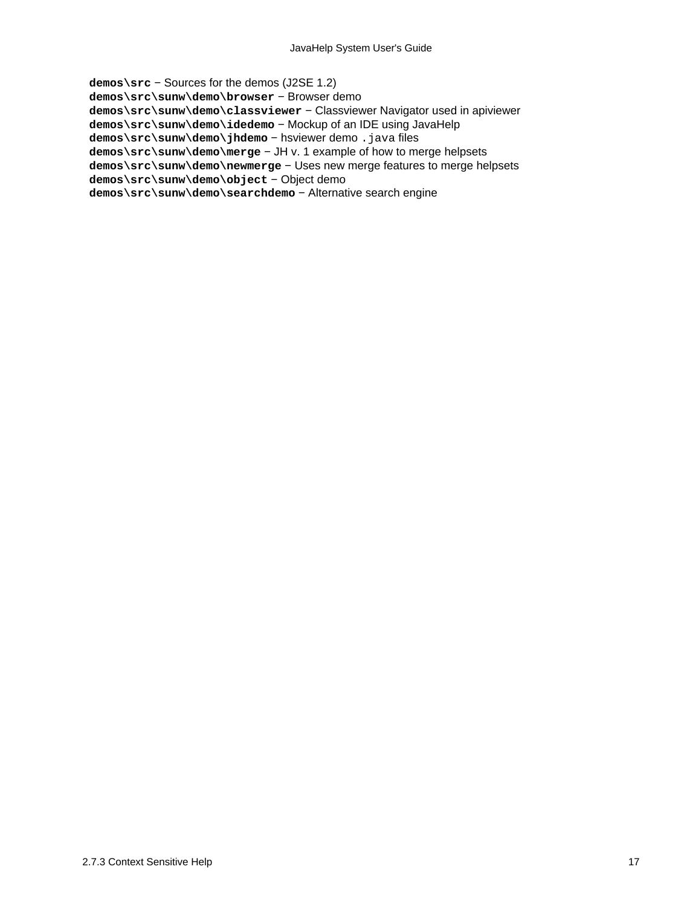**demos\src** − Sources for the demos (J2SE 1.2)

 **demos\src\sunw\demo\browser** − Browser demo

 **demos\src\sunw\demo\classviewer** − Classviewer Navigator used in apiviewer

 **demos\src\sunw\demo\idedemo** − Mockup of an IDE using JavaHelp

 **demos\src\sunw\demo\jhdemo** − hsviewer demo .java files

 **demos\src\sunw\demo\merge** − JH v. 1 example of how to merge helpsets

 **demos\src\sunw\demo\newmerge** − Uses new merge features to merge helpsets

 **demos\src\sunw\demo\object** − Object demo

<span id="page-22-0"></span> **demos\src\sunw\demo\searchdemo** − Alternative search engine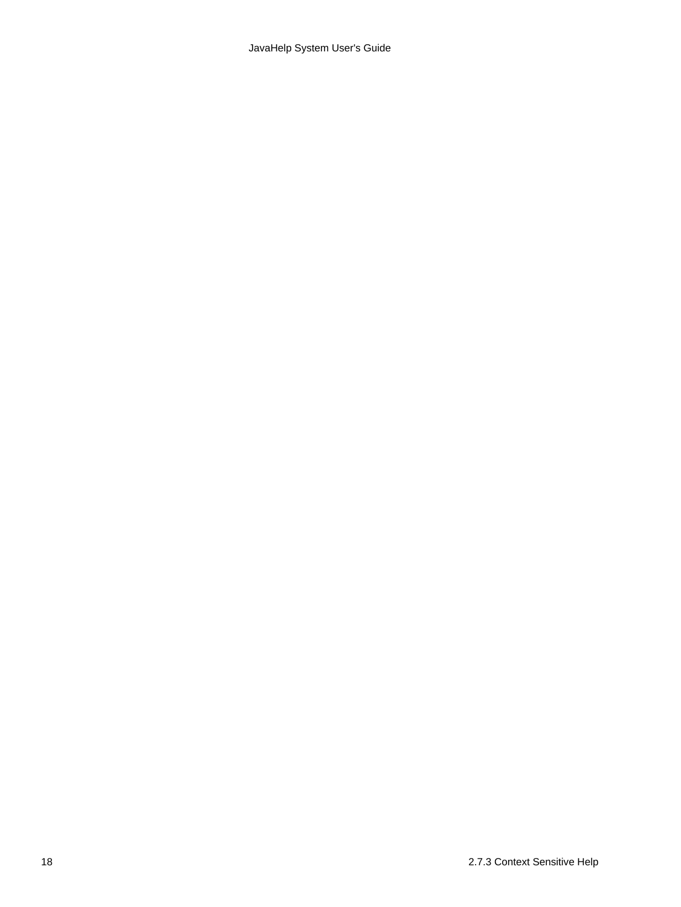JavaHelp System User's Guide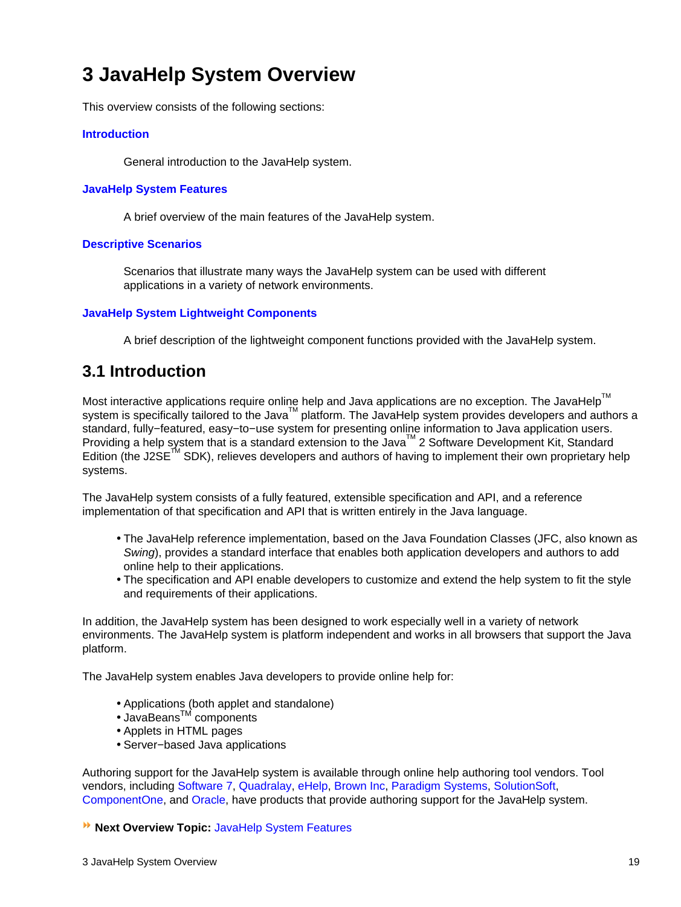# <span id="page-24-0"></span>**3 JavaHelp System Overview**

This overview consists of the following sections:

#### **[Introduction](#page-24-2)**

General introduction to the JavaHelp system.

#### **[JavaHelp System Features](#page-24-3)**

A brief overview of the main features of the JavaHelp system.

#### **[Descriptive Scenarios](#page-27-6)**

Scenarios that illustrate many ways the JavaHelp system can be used with different applications in a variety of network environments.

#### **[JavaHelp System Lightweight Components](#page-36-3)**

A brief description of the lightweight component functions provided with the JavaHelp system.

## <span id="page-24-2"></span><span id="page-24-1"></span>**3.1 Introduction**

Most interactive applications require online help and Java applications are no exception. The JavaHelp<sup>IM</sup> system is specifically tailored to the Java<sup>IM</sup> platform. The JavaHelp system provides developers and authors a standard, fully−featured, easy−to−use system for presenting online information to Java application users. Providing a help system that is a standard extension to the Java<sup>TM</sup> 2 Software Development Kit, Standard Providing a help system that is a standard extension to the Java<sup>TM</sup> 2 Software Development Kit, Standard Edition (the J2SE<sup>IM</sup> SDK), relieves developers and authors of having to implement their own proprietary help systems.

The JavaHelp system consists of a fully featured, extensible specification and API, and a reference implementation of that specification and API that is written entirely in the Java language.

- The JavaHelp reference implementation, based on the Java Foundation Classes (JFC, also known as Swing), provides a standard interface that enables both application developers and authors to add online help to their applications.
- The specification and API enable developers to customize and extend the help system to fit the style and requirements of their applications.

In addition, the JavaHelp system has been designed to work especially well in a variety of network environments. The JavaHelp system is platform independent and works in all browsers that support the Java platform.

The JavaHelp system enables Java developers to provide online help for:

- Applications (both applet and standalone)
- $\bullet$  JavaBeans<sup>TM</sup> components
- Applets in HTML pages
- Server−based Java applications

Authoring support for the JavaHelp system is available through online help authoring tool vendors. Tool vendors, including [Software 7](http://www.software7.biz/), [Quadralay,](http://www.quadralay.com/) [eHelp](http://www.ehelp.com/)[, Brown Inc,](http://www.html-indexer.com/) [Paradigm Systems](http://paradigmindia.tripod.com/jhelp.htm), [SolutionSoft,](http://www.solutionsoft.com/javahelp.htm) [ComponentOne,](http://www.componentone.com/helptools.aspx?helptoolscode=1) and [Oracle](http://otn.oracle.com/tech/java/help/content.html), have products that provide authoring support for the JavaHelp system.

#### <span id="page-24-3"></span>**Next Overview Topic:** [JavaHelp System Features](#page-24-3)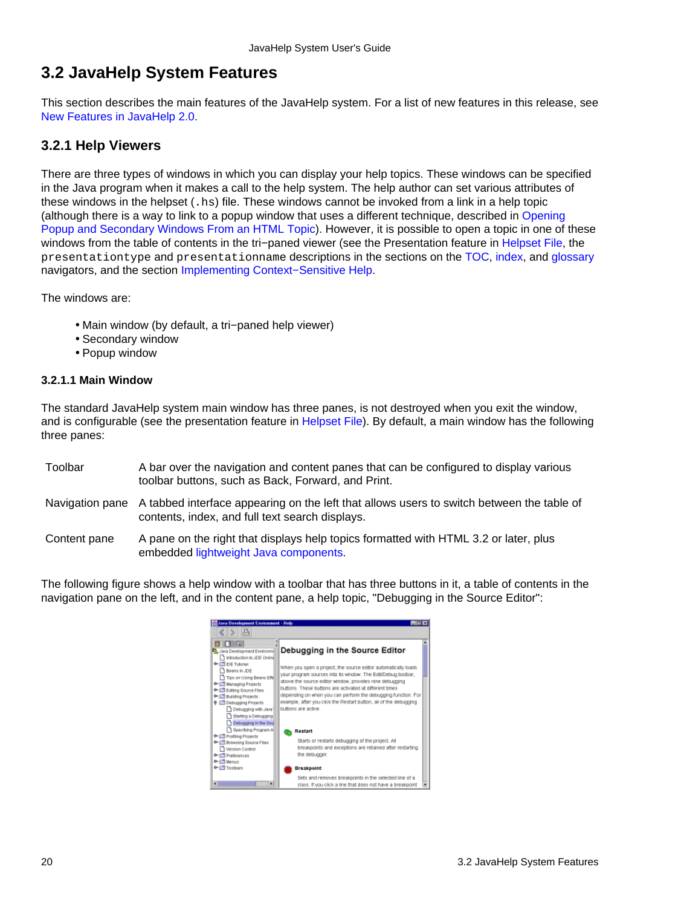## <span id="page-25-0"></span>**3.2 JavaHelp System Features**

This section describes the main features of the JavaHelp system. For a list of new features in this release, see [New Features in JavaHelp 2.0.](#page-9-6)

## <span id="page-25-1"></span>**3.2.1 Help Viewers**

There are three types of windows in which you can display your help topics. These windows can be specified in the Java program when it makes a call to the help system. The help author can set various attributes of these windows in the helpset (.hs) file. These windows cannot be invoked from a link in a help topic (although there is a way to link to a popup window that uses a different technique, described i[n Opening](#page-75-3) [Popup and Secondary Windows From an HTML Topic\)](#page-75-3). However, it is possible to open a topic in one of these windows from the table of contents in the tri−paned viewer (see the Presentation feature in [Helpset File,](#page-51-0) the presentationtype and presentationname descriptions in the sections on the [TOC,](#page-58-2) [index,](#page-61-1) an[d glossary](#page-63-1) navigators, and the section [Implementing Context−Sensitive Help](#page-95-1).

The windows are:

- Main window (by default, a tri−paned help viewer)
- Secondary window
- Popup window

#### **3.2.1.1 Main Window**

The standard JavaHelp system main window has three panes, is not destroyed when you exit the window, and is configurable (see the presentation feature i[n Helpset File\)](#page-51-0). By default, a main window has the following three panes:

| Toolbar      | A bar over the navigation and content panes that can be configured to display various<br>toolbar buttons, such as Back, Forward, and Print.                  |
|--------------|--------------------------------------------------------------------------------------------------------------------------------------------------------------|
|              | Navigation pane A tabbed interface appearing on the left that allows users to switch between the table of<br>contents, index, and full text search displays. |
| Content pane | A pane on the right that displays help topics formatted with HTML 3.2 or later, plus<br>embedded lightweight Java components.                                |

The following figure shows a help window with a toolbar that has three buttons in it, a table of contents in the navigation pane on the left, and in the content pane, a help topic, "Debugging in the Source Editor":

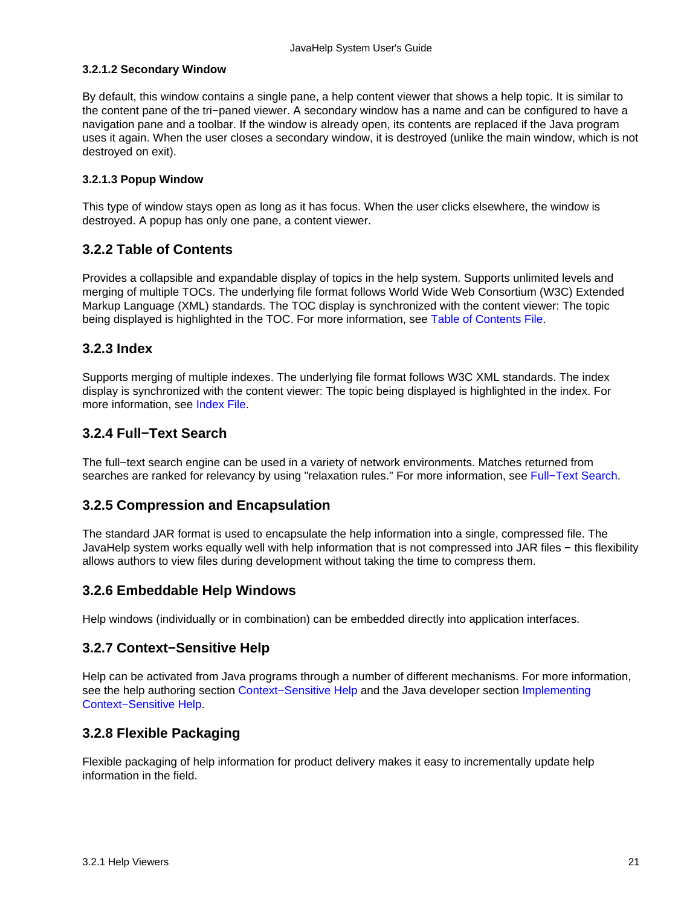#### **3.2.1.2 Secondary Window**

By default, this window contains a single pane, a help content viewer that shows a help topic. It is similar to the content pane of the tri−paned viewer. A secondary window has a name and can be configured to have a navigation pane and a toolbar. If the window is already open, its contents are replaced if the Java program uses it again. When the user closes a secondary window, it is destroyed (unlike the main window, which is not destroyed on exit).

#### **3.2.1.3 Popup Window**

This type of window stays open as long as it has focus. When the user clicks elsewhere, the window is destroyed. A popup has only one pane, a content viewer.

### <span id="page-26-0"></span>**3.2.2 Table of Contents**

Provides a collapsible and expandable display of topics in the help system. Supports unlimited levels and merging of multiple TOCs. The underlying file format follows World Wide Web Consortium (W3C) Extended Markup Language (XML) standards. The TOC display is synchronized with the content viewer: The topic being displayed is highlighted in the TOC. For more information, see [Table of Contents File](#page-58-2).

#### <span id="page-26-1"></span>**3.2.3 Index**

Supports merging of multiple indexes. The underlying file format follows W3C XML standards. The index display is synchronized with the content viewer: The topic being displayed is highlighted in the index. For more information, see [Index File.](#page-61-1)

### <span id="page-26-2"></span>**3.2.4 Full−Text Search**

The full−text search engine can be used in a variety of network environments. Matches returned from searches are ranked for relevancy by using "relaxation rules." For more information, see [Full−Text Search.](#page-69-3)

#### <span id="page-26-3"></span>**3.2.5 Compression and Encapsulation**

The standard JAR format is used to encapsulate the help information into a single, compressed file. The JavaHelp system works equally well with help information that is not compressed into JAR files − this flexibility allows authors to view files during development without taking the time to compress them.

#### <span id="page-26-4"></span>**3.2.6 Embeddable Help Windows**

Help windows (individually or in combination) can be embedded directly into application interfaces.

## <span id="page-26-5"></span>**3.2.7 Context−Sensitive Help**

Help can be activated from Java programs through a number of different mechanisms. For more information, see the help authoring sectio[n Context−Sensitive Help](#page-92-3) and the Java developer section [Implementing](#page-92-3) [Context−Sensitive Help](#page-92-3).

## <span id="page-26-6"></span>**3.2.8 Flexible Packaging**

Flexible packaging of help information for product delivery makes it easy to incrementally update help information in the field.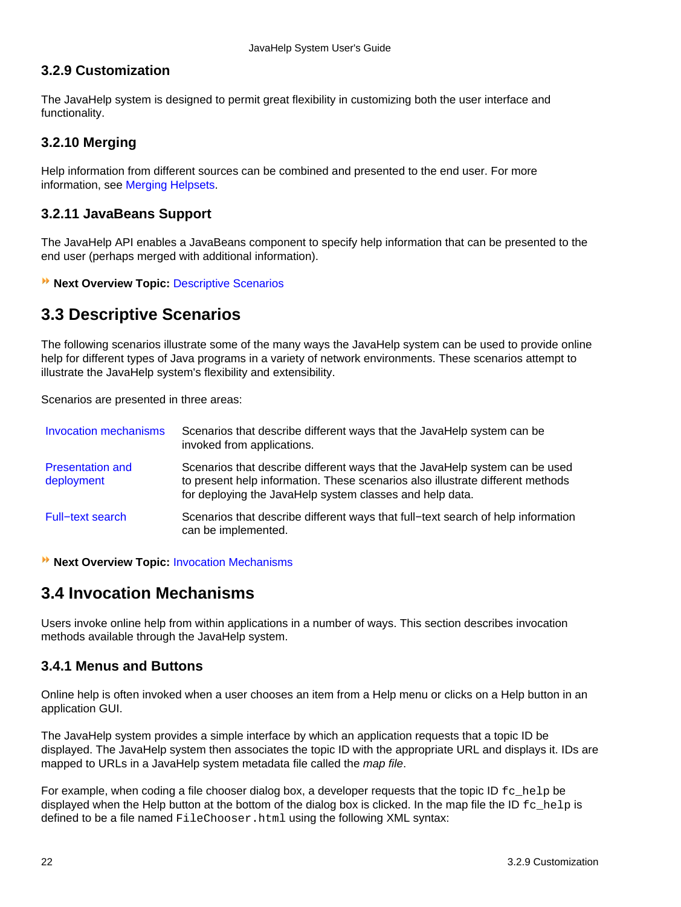## <span id="page-27-0"></span>**3.2.9 Customization**

The JavaHelp system is designed to permit great flexibility in customizing both the user interface and functionality.

## <span id="page-27-1"></span>**3.2.10 Merging**

Help information from different sources can be combined and presented to the end user. For more information, se[e Merging Helpsets.](#page-81-1)

## <span id="page-27-2"></span>**3.2.11 JavaBeans Support**

The JavaHelp API enables a JavaBeans component to specify help information that can be presented to the end user (perhaps merged with additional information).

<span id="page-27-6"></span>**M** Next Overview Topic: [Descriptive Scenarios](#page-27-6)

## <span id="page-27-3"></span>**3.3 Descriptive Scenarios**

The following scenarios illustrate some of the many ways the JavaHelp system can be used to provide online help for different types of Java programs in a variety of network environments. These scenarios attempt to illustrate the JavaHelp system's flexibility and extensibility.

Scenarios are presented in three areas:

| <b>Invocation mechanisms</b>          | Scenarios that describe different ways that the JavaHelp system can be<br>invoked from applications.                                                                                                                      |
|---------------------------------------|---------------------------------------------------------------------------------------------------------------------------------------------------------------------------------------------------------------------------|
| <b>Presentation and</b><br>deployment | Scenarios that describe different ways that the JavaHelp system can be used<br>to present help information. These scenarios also illustrate different methods<br>for deploying the JavaHelp system classes and help data. |
| Full-text search                      | Scenarios that describe different ways that full-text search of help information<br>can be implemented.                                                                                                                   |

<span id="page-27-7"></span>**M** Next Overview Topic: [Invocation Mechanisms](#page-27-7)

## <span id="page-27-4"></span>**3.4 Invocation Mechanisms**

Users invoke online help from within applications in a number of ways. This section describes invocation methods available through the JavaHelp system.

## <span id="page-27-5"></span>**3.4.1 Menus and Buttons**

Online help is often invoked when a user chooses an item from a Help menu or clicks on a Help button in an application GUI.

The JavaHelp system provides a simple interface by which an application requests that a topic ID be displayed. The JavaHelp system then associates the topic ID with the appropriate URL and displays it. IDs are mapped to URLs in a JavaHelp system metadata file called the map file.

For example, when coding a file chooser dialog box, a developer requests that the topic ID  $f_c$  help be displayed when the Help button at the bottom of the dialog box is clicked. In the map file the ID  $f c$  help is defined to be a file named FileChooser.html using the following XML syntax: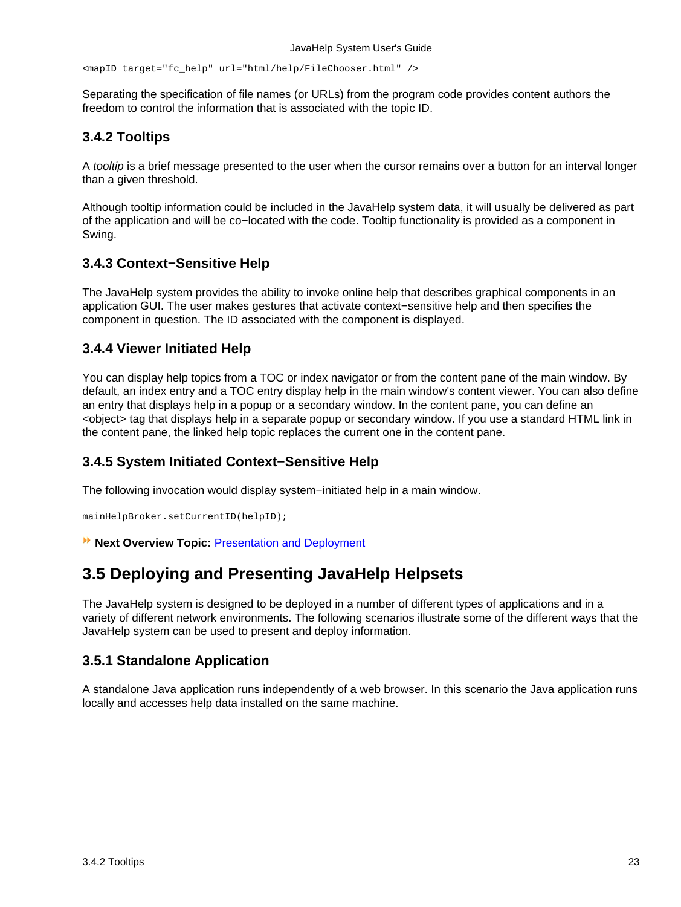<mapID target="fc\_help" url="html/help/FileChooser.html" />

Separating the specification of file names (or URLs) from the program code provides content authors the freedom to control the information that is associated with the topic ID.

## <span id="page-28-0"></span>**3.4.2 Tooltips**

A tooltip is a brief message presented to the user when the cursor remains over a button for an interval longer than a given threshold.

Although tooltip information could be included in the JavaHelp system data, it will usually be delivered as part of the application and will be co−located with the code. Tooltip functionality is provided as a component in Swing.

## <span id="page-28-1"></span>**3.4.3 Context−Sensitive Help**

The JavaHelp system provides the ability to invoke online help that describes graphical components in an application GUI. The user makes gestures that activate context−sensitive help and then specifies the component in question. The ID associated with the component is displayed.

## <span id="page-28-2"></span>**3.4.4 Viewer Initiated Help**

You can display help topics from a TOC or index navigator or from the content pane of the main window. By default, an index entry and a TOC entry display help in the main window's content viewer. You can also define an entry that displays help in a popup or a secondary window. In the content pane, you can define an <object> tag that displays help in a separate popup or secondary window. If you use a standard HTML link in the content pane, the linked help topic replaces the current one in the content pane.

## <span id="page-28-3"></span>**3.4.5 System Initiated Context−Sensitive Help**

The following invocation would display system−initiated help in a main window.

mainHelpBroker.setCurrentID(helpID);

#### **Next Overview Topic:** [Presentation and Deployment](#page-28-6)

## <span id="page-28-6"></span><span id="page-28-4"></span>**3.5 Deploying and Presenting JavaHelp Helpsets**

The JavaHelp system is designed to be deployed in a number of different types of applications and in a variety of different network environments. The following scenarios illustrate some of the different ways that the JavaHelp system can be used to present and deploy information.

## <span id="page-28-5"></span>**3.5.1 Standalone Application**

A standalone Java application runs independently of a web browser. In this scenario the Java application runs locally and accesses help data installed on the same machine.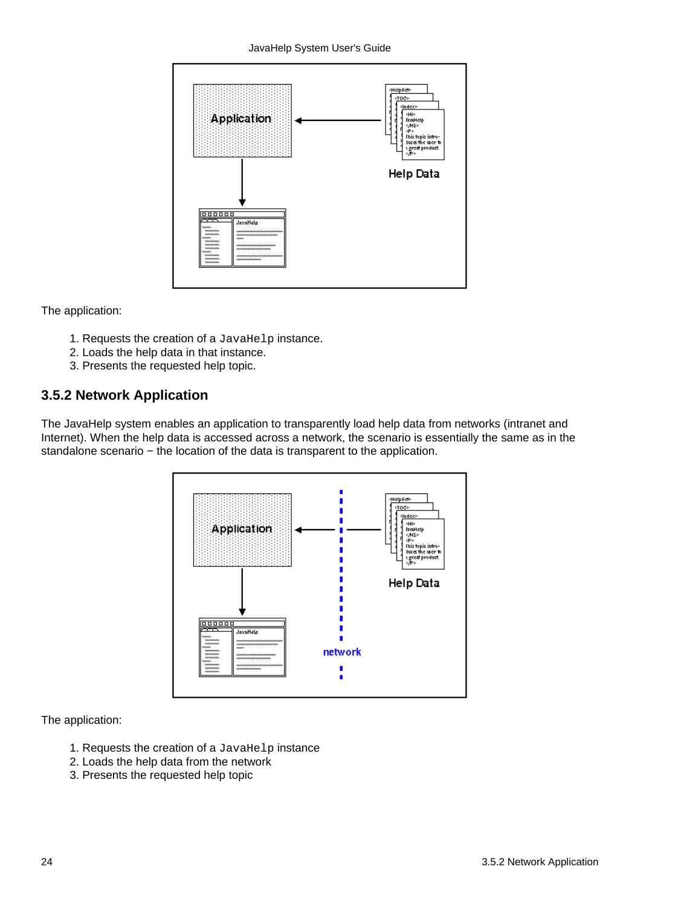JavaHelp System User's Guide



The application:

- 1. Requests the creation of a JavaHelp instance.
- 2. Loads the help data in that instance.
- 3. Presents the requested help topic.

## <span id="page-29-0"></span>**3.5.2 Network Application**

The JavaHelp system enables an application to transparently load help data from networks (intranet and Internet). When the help data is accessed across a network, the scenario is essentially the same as in the standalone scenario – the location of the data is transparent to the application.



The application:

- 1. Requests the creation of a JavaHelp instance
- 2. Loads the help data from the network
- 3. Presents the requested help topic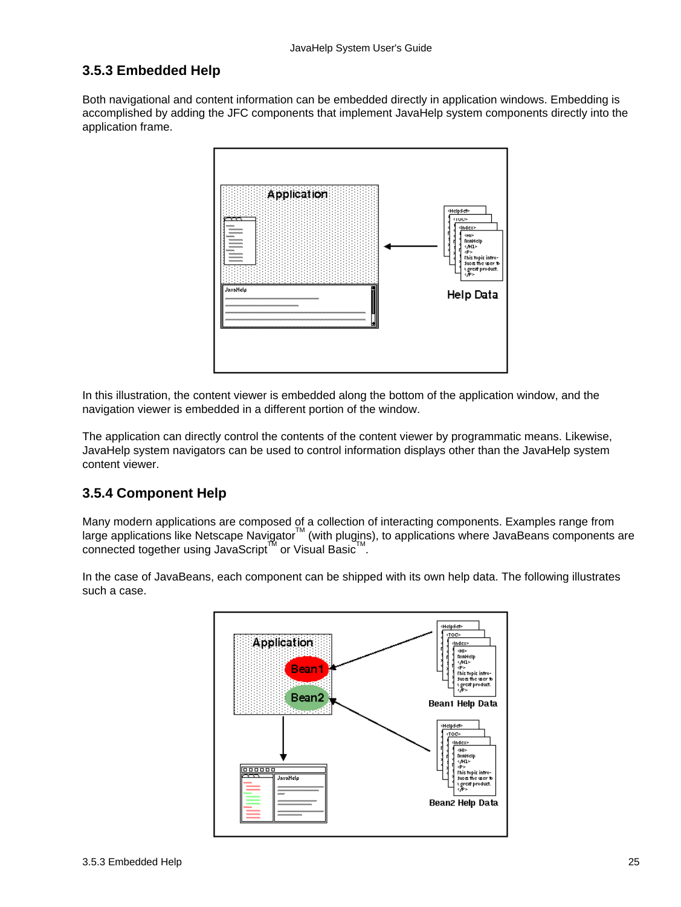## <span id="page-30-0"></span>**3.5.3 Embedded Help**

Both navigational and content information can be embedded directly in application windows. Embedding is accomplished by adding the JFC components that implement JavaHelp system components directly into the application frame.



In this illustration, the content viewer is embedded along the bottom of the application window, and the navigation viewer is embedded in a different portion of the window.

The application can directly control the contents of the content viewer by programmatic means. Likewise, JavaHelp system navigators can be used to control information displays other than the JavaHelp system content viewer.

## <span id="page-30-1"></span>**3.5.4 Component Help**

Many modern applications are composed of a collection of interacting components. Examples range from large applications like Netscape Navigator<sup>TM</sup> (with plugins), to applications where JavaBeans components are connected together using JavaScript<sup>™</sup> or Visual Basic™.

In the case of JavaBeans, each component can be shipped with its own help data. The following illustrates such a case.

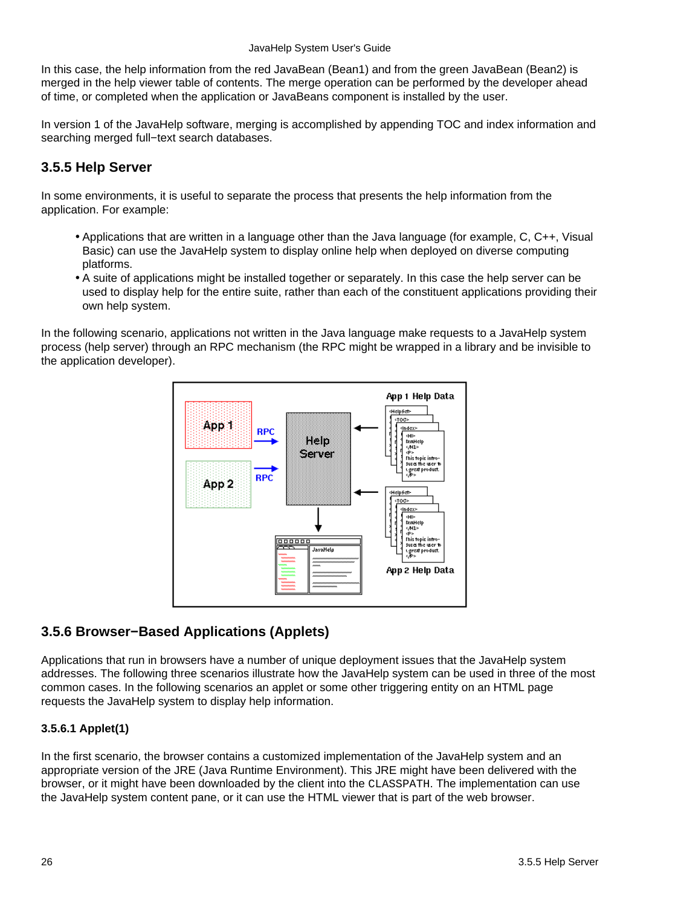In this case, the help information from the red JavaBean (Bean1) and from the green JavaBean (Bean2) is merged in the help viewer table of contents. The merge operation can be performed by the developer ahead of time, or completed when the application or JavaBeans component is installed by the user.

In version 1 of the JavaHelp software, merging is accomplished by appending TOC and index information and searching merged full−text search databases.

## <span id="page-31-0"></span>**3.5.5 Help Server**

In some environments, it is useful to separate the process that presents the help information from the application. For example:

- Applications that are written in a language other than the Java language (for example, C, C++, Visual Basic) can use the JavaHelp system to display online help when deployed on diverse computing platforms.
- A suite of applications might be installed together or separately. In this case the help server can be used to display help for the entire suite, rather than each of the constituent applications providing their own help system.

In the following scenario, applications not written in the Java language make requests to a JavaHelp system process (help server) through an RPC mechanism (the RPC might be wrapped in a library and be invisible to the application developer).



## <span id="page-31-1"></span>**3.5.6 Browser−Based Applications (Applets)**

Applications that run in browsers have a number of unique deployment issues that the JavaHelp system addresses. The following three scenarios illustrate how the JavaHelp system can be used in three of the most common cases. In the following scenarios an applet or some other triggering entity on an HTML page requests the JavaHelp system to display help information.

#### **3.5.6.1 Applet(1)**

In the first scenario, the browser contains a customized implementation of the JavaHelp system and an appropriate version of the JRE (Java Runtime Environment). This JRE might have been delivered with the browser, or it might have been downloaded by the client into the CLASSPATH. The implementation can use the JavaHelp system content pane, or it can use the HTML viewer that is part of the web browser.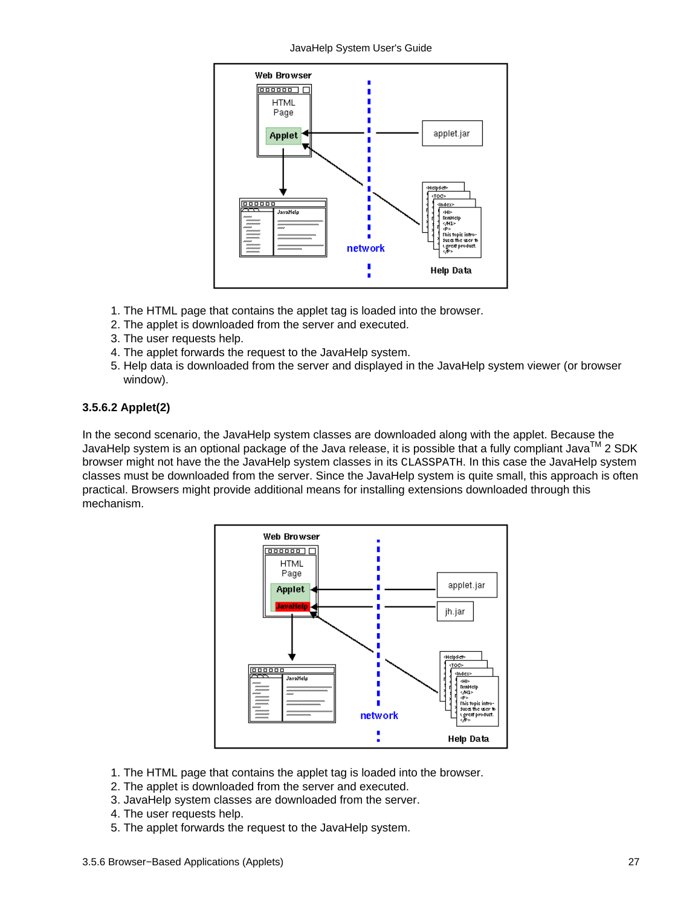JavaHelp System User's Guide



- 1. The HTML page that contains the applet tag is loaded into the browser.
- 2. The applet is downloaded from the server and executed.
- 3. The user requests help.
- 4. The applet forwards the request to the JavaHelp system.
- 5. Help data is downloaded from the server and displayed in the JavaHelp system viewer (or browser window).

### **3.5.6.2 Applet(2)**

In the second scenario, the JavaHelp system classes are downloaded along with the applet. Because the JavaHelp system is an optional package of the Java release, it is possible that a fully compliant Java<sup>TM</sup> 2 SDK browser might not have the the JavaHelp system classes in its CLASSPATH. In this case the JavaHelp system classes must be downloaded from the server. Since the JavaHelp system is quite small, this approach is often practical. Browsers might provide additional means for installing extensions downloaded through this mechanism.



- 1. The HTML page that contains the applet tag is loaded into the browser.
- 2. The applet is downloaded from the server and executed.
- 3. JavaHelp system classes are downloaded from the server.
- 4. The user requests help.
- 5. The applet forwards the request to the JavaHelp system.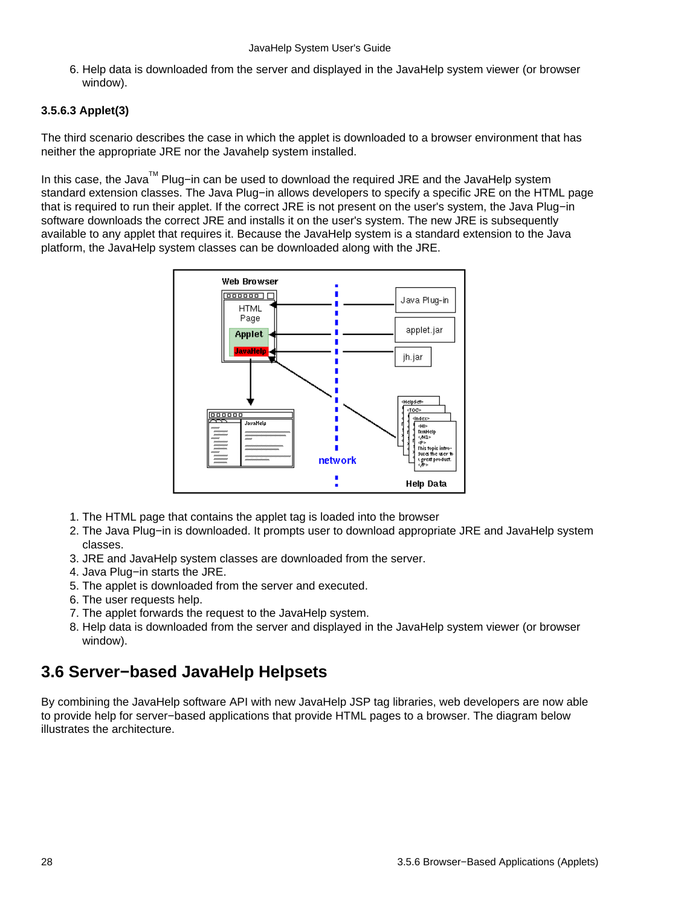6. Help data is downloaded from the server and displayed in the JavaHelp system viewer (or browser window).

#### **3.5.6.3 Applet(3)**

The third scenario describes the case in which the applet is downloaded to a browser environment that has neither the appropriate JRE nor the Javahelp system installed.

In this case, the Java<sup>™</sup> Plug–in can be used to download the required JRE and the JavaHelp system standard extension classes. The Java Plug−in allows developers to specify a specific JRE on the HTML page that is required to run their applet. If the correct JRE is not present on the user's system, the Java Plug−in software downloads the correct JRE and installs it on the user's system. The new JRE is subsequently available to any applet that requires it. Because the JavaHelp system is a standard extension to the Java platform, the JavaHelp system classes can be downloaded along with the JRE.



- 1. The HTML page that contains the applet tag is loaded into the browser
- 2. The Java Plug–in is downloaded. It prompts user to download appropriate JRE and JavaHelp system classes.
- 3. JRE and JavaHelp system classes are downloaded from the server.
- 4. Java Plug−in starts the JRE.
- 5. The applet is downloaded from the server and executed.
- 6. The user requests help.
- 7. The applet forwards the request to the JavaHelp system.
- 8. Help data is downloaded from the server and displayed in the JavaHelp system viewer (or browser window).

## <span id="page-33-0"></span>**3.6 Server−based JavaHelp Helpsets**

By combining the JavaHelp software API with new JavaHelp JSP tag libraries, web developers are now able to provide help for server−based applications that provide HTML pages to a browser. The diagram below illustrates the architecture.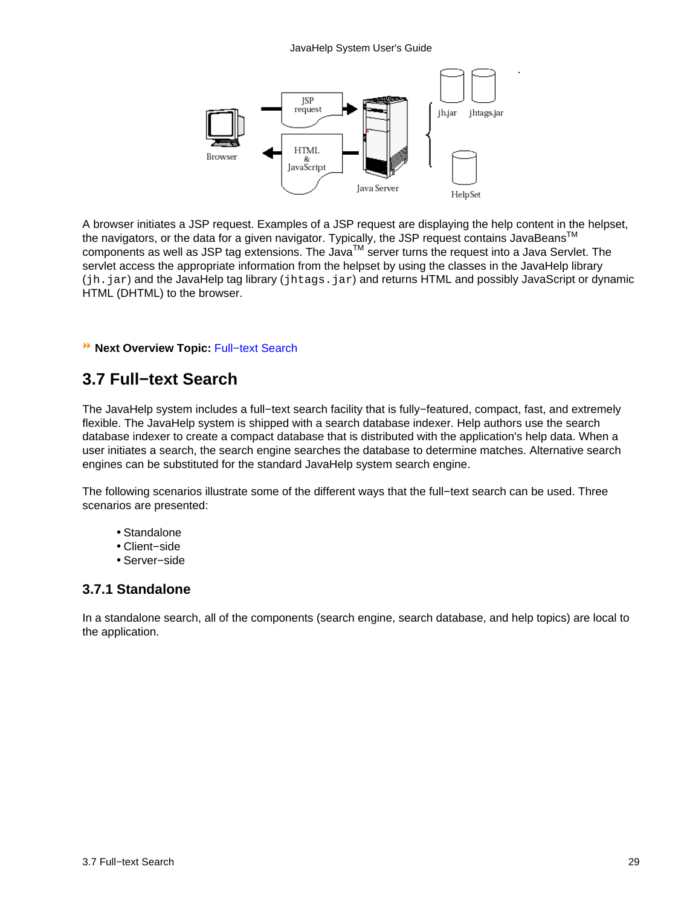#### JavaHelp System User's Guide



A browser initiates a JSP request. Examples of a JSP request are displaying the help content in the helpset, the navigators, or the data for a given navigator. Typically, the JSP request contains JavaBeans<sup>TM</sup> components as well as JSP tag extensions. The JavaTM server turns the request into a Java Servlet. The servlet access the appropriate information from the helpset by using the classes in the JavaHelp library (jh.jar) and the JavaHelp tag library (jhtags.jar) and returns HTML and possibly JavaScript or dynamic HTML (DHTML) to the browser.

#### **Next Overview Topic:** [Full−text Search](#page-69-3)

## <span id="page-34-0"></span>**3.7 Full−text Search**

The JavaHelp system includes a full−text search facility that is fully−featured, compact, fast, and extremely flexible. The JavaHelp system is shipped with a search database indexer. Help authors use the search database indexer to create a compact database that is distributed with the application's help data. When a user initiates a search, the search engine searches the database to determine matches. Alternative search engines can be substituted for the standard JavaHelp system search engine.

The following scenarios illustrate some of the different ways that the full−text search can be used. Three scenarios are presented:

- Standalone
- Client−side
- Server−side

#### <span id="page-34-1"></span>**3.7.1 Standalone**

In a standalone search, all of the components (search engine, search database, and help topics) are local to the application.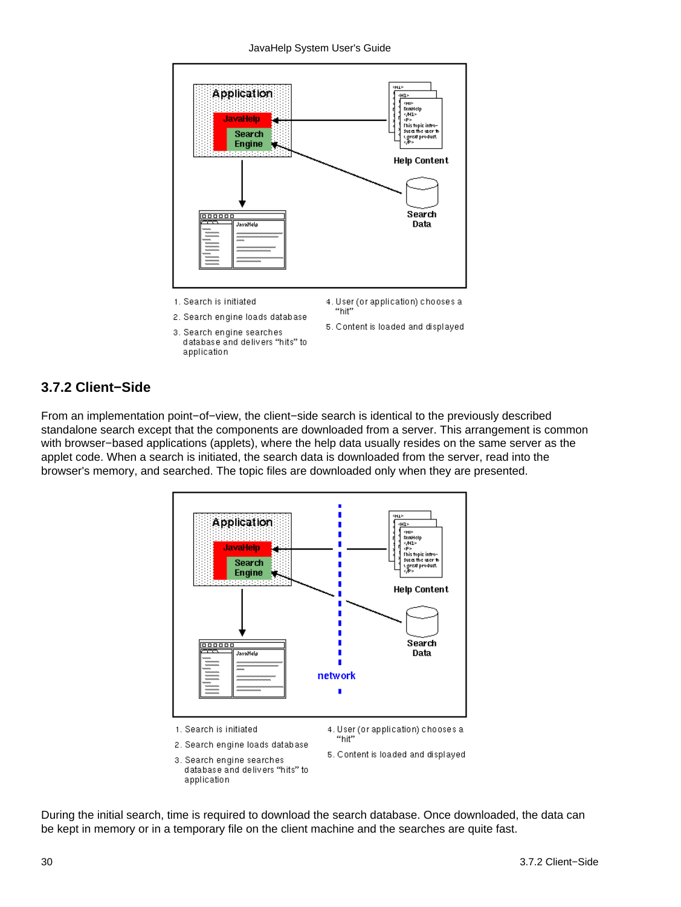JavaHelp System User's Guide



## <span id="page-35-0"></span>**3.7.2 Client−Side**

From an implementation point−of−view, the client−side search is identical to the previously described standalone search except that the components are downloaded from a server. This arrangement is common with browser−based applications (applets), where the help data usually resides on the same server as the applet code. When a search is initiated, the search data is downloaded from the server, read into the browser's memory, and searched. The topic files are downloaded only when they are presented.



During the initial search, time is required to download the search database. Once downloaded, the data can be kept in memory or in a temporary file on the client machine and the searches are quite fast.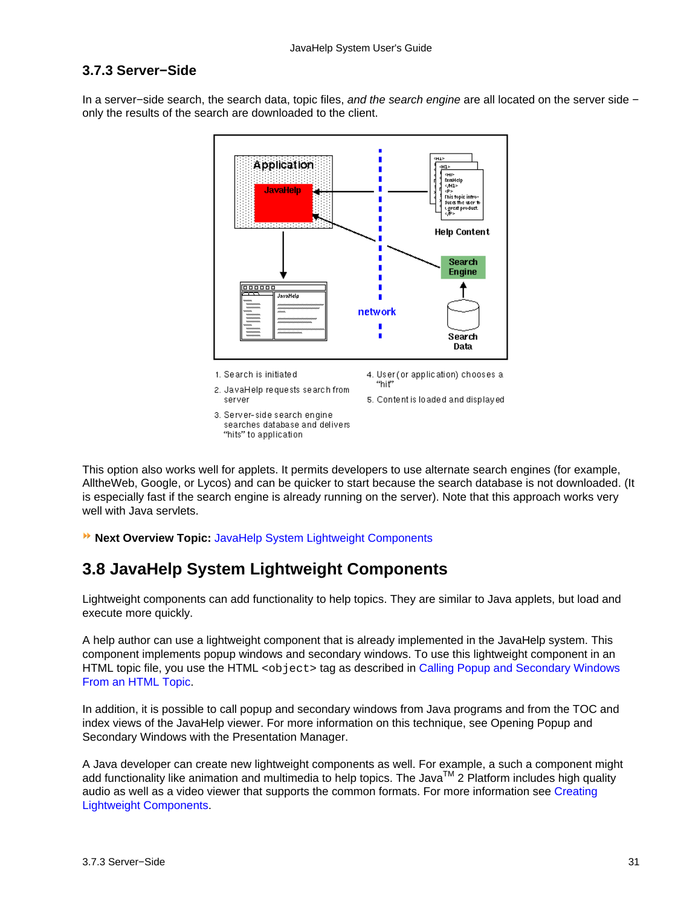## **3.7.3 Server−Side**

In a server–side search, the search data, topic files, and the search engine are all located on the server side – only the results of the search are downloaded to the client.



This option also works well for applets. It permits developers to use alternate search engines (for example, AlltheWeb, Google, or Lycos) and can be quicker to start because the search database is not downloaded. (It is especially fast if the search engine is already running on the server). Note that this approach works very well with Java servlets.

**Next Overview Topic:** [JavaHelp System Lightweight Components](#page-36-0)

# <span id="page-36-0"></span>**3.8 JavaHelp System Lightweight Components**

Lightweight components can add functionality to help topics. They are similar to Java applets, but load and execute more quickly.

A help author can use a lightweight component that is already implemented in the JavaHelp system. This component implements popup windows and secondary windows. To use this lightweight component in an HTML topic file, you use the HTML <object> tag as described i[n Calling Popup and Secondary Windows](#page-75-0) [From an HTML Topic](#page-75-0).

In addition, it is possible to call popup and secondary windows from Java programs and from the TOC and index views of the JavaHelp viewer. For more information on this technique, see Opening Popup and Secondary Windows with the Presentation Manager.

A Java developer can create new lightweight components as well. For example, a such a component might add functionality like animation and multimedia to help topics. The Java™ 2 Platform includes high quality audio as well as a video viewer that supports the common formats. For more information see [Creating](#page-105-0) [Lightweight Components](#page-105-0).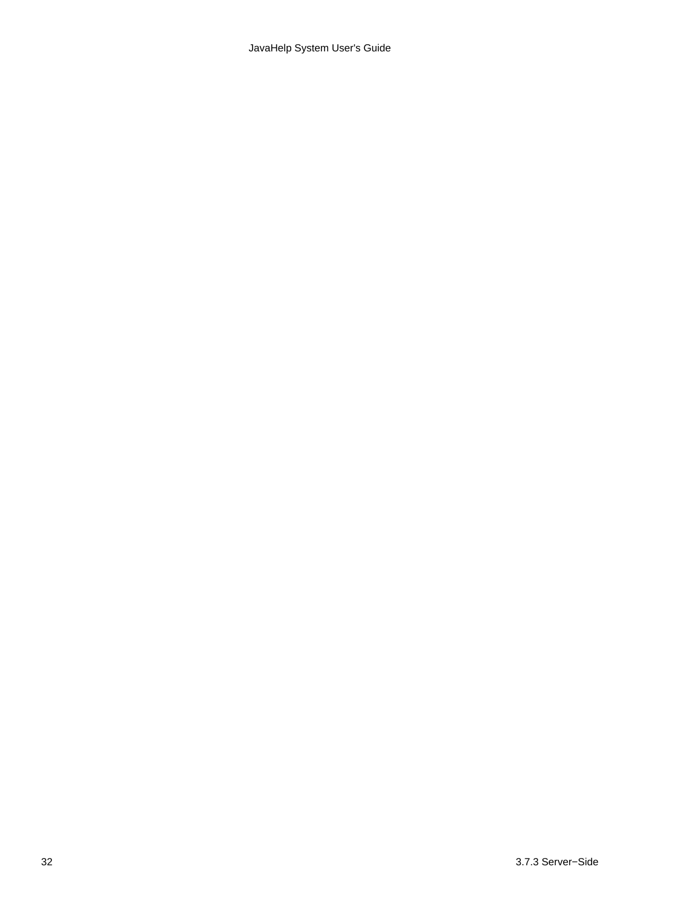JavaHelp System User's Guide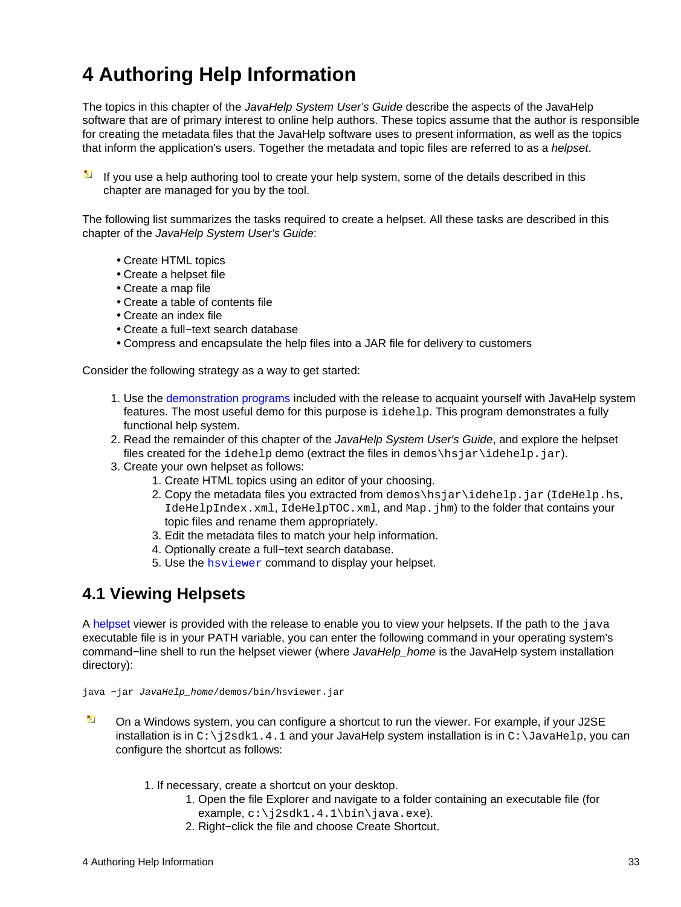# **4 Authoring Help Information**

The topics in this chapter of the JavaHelp System User's Guide describe the aspects of the JavaHelp software that are of primary interest to online help authors. These topics assume that the author is responsible for creating the metadata files that the JavaHelp software uses to present information, as well as the topics that inform the application's users. Together the metadata and topic files are referred to as a helpset.

If you use a help authoring tool to create your help system, some of the details described in this chapter are managed for you by the tool.

The following list summarizes the tasks required to create a helpset. All these tasks are described in this chapter of the JavaHelp System User's Guide:

- Create HTML topics
- Create a helpset file
- Create a map file
- Create a table of contents file
- Create an index file
- Create a full−text search database
- Compress and encapsulate the help files into a JAR file for delivery to customers

Consider the following strategy as a way to get started:

- 1. Use th[e demonstration programs](#page-11-0) included with the release to acquaint yourself with JavaHelp system features. The most useful demo for this purpose is idehelp. This program demonstrates a fully functional help system.
- 2. Read the remainder of this chapter of the JavaHelp System User's Guide, and explore the helpset files created for the idehelp demo (extract the files in demos \hsjar\idehelp.jar).
- 3. Create your own helpset as follows:
	- 1. Create HTML topics using an editor of your choosing.
	- 2. Copy the metadata files you extracted from  ${\rm demos\hbox{-}i}$  idehelp. jar (IdeHelp.hs, IdeHelpIndex.xml, IdeHelpTOC.xml, and Map.jhm) to the folder that contains your topic files and rename them appropriately.
	- 3. Edit the metadata files to match your help information.
	- 4. Optionally create a full−text search database.
	- 5. Use the [hsviewer](#page-38-0) command to display your helpset.

# <span id="page-38-0"></span>**4.1 Viewing Helpsets**

A [helpset](#page-47-0) viewer is provided with the release to enable you to view your helpsets. If the path to the java executable file is in your PATH variable, you can enter the following command in your operating system's command–line shell to run the helpset viewer (where JavaHelp\_home is the JavaHelp system installation directory):

java −jar JavaHelp\_home/demos/bin/hsviewer.jar

- 87 On a Windows system, you can configure a shortcut to run the viewer. For example, if your J2SE installation is in  $C:\j3sdk1.4.1$  and your JavaHelp system installation is in  $C:\Javake1p$ , you can configure the shortcut as follows:
	- 1. If necessary, create a shortcut on your desktop.
		- 1. Open the file Explorer and navigate to a folder containing an executable file (for example,  $c:\iota$  2sdk1.4.1\bin\java.exe).
		- 2. Right−click the file and choose Create Shortcut.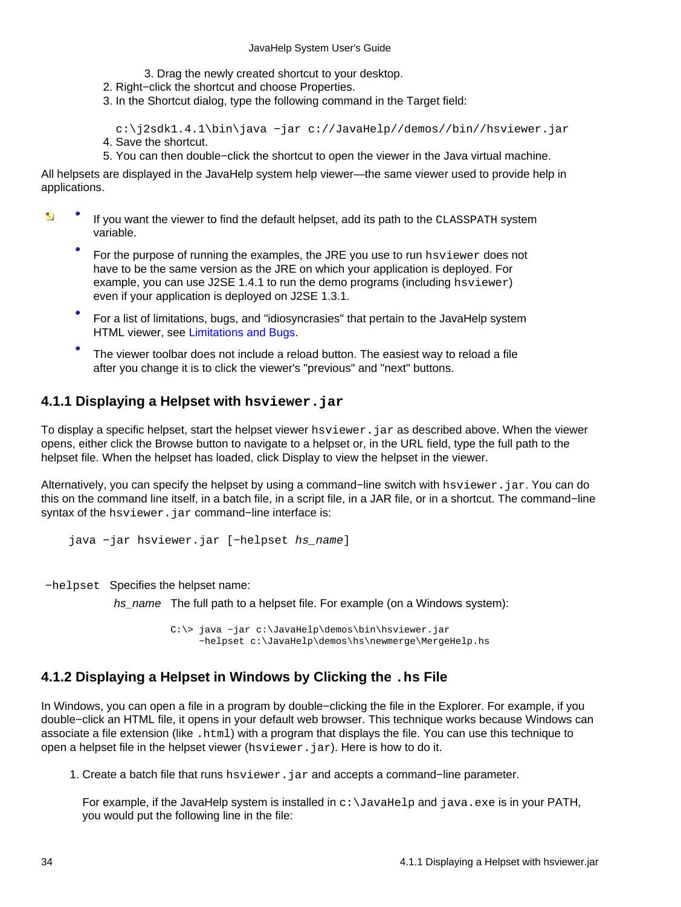- 3. Drag the newly created shortcut to your desktop.
- 2. Right–click the shortcut and choose Properties.
- 3. In the Shortcut dialog, type the following command in the Target field:

c:\j2sdk1.4.1\bin\java −jar c://JavaHelp//demos//bin//hsviewer.jar 4. Save the shortcut.

5. You can then double−click the shortcut to open the viewer in the Java virtual machine.

All helpsets are displayed in the JavaHelp system help viewer—the same viewer used to provide help in applications.

- 8 If you want the viewer to find the default helpset, add its path to the CLASSPATH system variable.
	- For the purpose of running the examples, the JRE you use to run hsviewer does not have to be the same version as the JRE on which your application is deployed. For example, you can use J2SE 1.4.1 to run the demo programs (including hsviewer) even if your application is deployed on J2SE 1.3.1.
	- For a list of limitations, bugs, and "idiosyncrasies" that pertain to the JavaHelp system HTML viewer, se[e Limitations and Bugs.](#page-17-0)
	- The viewer toolbar does not include a reload button. The easiest way to reload a file after you change it is to click the viewer's "previous" and "next" buttons.

## **4.1.1 Displaying a Helpset with hsviewer.jar**

To display a specific helpset, start the helpset viewer hsviewer. jar as described above. When the viewer opens, either click the Browse button to navigate to a helpset or, in the URL field, type the full path to the helpset file. When the helpset has loaded, click Display to view the helpset in the viewer.

Alternatively, you can specify the helpset by using a command–line switch with hsviewer.jar. You can do this on the command line itself, in a batch file, in a script file, in a JAR file, or in a shortcut. The command−line syntax of the hsviewer.jar command–line interface is:

```
 java −jar hsviewer.jar [−helpset hs_name]
```
−helpset Specifies the helpset name:

hs\_name The full path to a helpset file. For example (on a Windows system):

C:\> java −jar c:\JavaHelp\demos\bin\hsviewer.jar −helpset c:\JavaHelp\demos\hs\newmerge\MergeHelp.hs

## **4.1.2 Displaying a Helpset in Windows by Clicking the .hs File**

In Windows, you can open a file in a program by double−clicking the file in the Explorer. For example, if you double−click an HTML file, it opens in your default web browser. This technique works because Windows can associate a file extension (like .html) with a program that displays the file. You can use this technique to open a helpset file in the helpset viewer (hsviewer.jar). Here is how to do it.

1. Create a batch file that runs hsviewer. jar and accepts a command–line parameter.

For example, if the JavaHelp system is installed in  $c:\J{a}v$ aHelp and java.exe is in your PATH, you would put the following line in the file: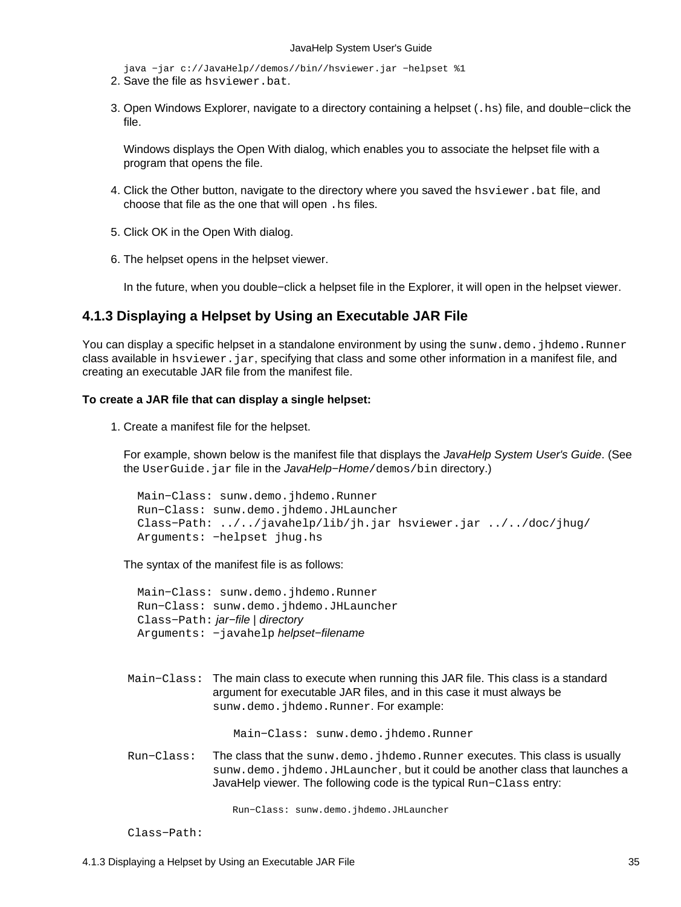```
java −jar c://JavaHelp//demos//bin//hsviewer.jar −helpset %1
```
- 2. Save the file as hsviewer.bat.
- 3. Open Windows Explorer, navigate to a directory containing a helpset (. hs) file, and double–click the file.

Windows displays the Open With dialog, which enables you to associate the helpset file with a program that opens the file.

- 4. Click the Other button, navigate to the directory where you saved the  $\operatorname{hsviewer}$  .  $\operatorname{bat}$  file, and choose that file as the one that will open .hs files.
- 5. Click OK in the Open With dialog.
- 6. The helpset opens in the helpset viewer.

In the future, when you double−click a helpset file in the Explorer, it will open in the helpset viewer.

## **4.1.3 Displaying a Helpset by Using an Executable JAR File**

You can display a specific helpset in a standalone environment by using the sunw.demo.jhdemo.Runner class available in hsviewer. jar, specifying that class and some other information in a manifest file, and creating an executable JAR file from the manifest file.

#### **To create a JAR file that can display a single helpset:**

1. Create a manifest file for the helpset.

For example, shown below is the manifest file that displays the JavaHelp System User's Guide. (See the UserGuide.jar file in the JavaHelp-Home/demos/bin directory.)

```
 Main−Class: sunw.demo.jhdemo.Runner
 Run−Class: sunw.demo.jhdemo.JHLauncher
 Class−Path: ../../javahelp/lib/jh.jar hsviewer.jar ../../doc/jhug/
 Arguments: −helpset jhug.hs
```
The syntax of the manifest file is as follows:

 Main−Class: sunw.demo.jhdemo.Runner Run−Class: sunw.demo.jhdemo.JHLauncher Class−Path: jar−file | directory Arguments: −javahelp helpset−filename

Main−Class: The main class to execute when running this JAR file. This class is a standard argument for executable JAR files, and in this case it must always be sunw.demo.jhdemo.Runner. For example:

Main−Class: sunw.demo.jhdemo.Runner

Run–Class: The class that the sunw.demo.jhdemo.Runner executes. This class is usually sunw.demo.jhdemo.JHLauncher, but it could be another class that launches a JavaHelp viewer. The following code is the typical Run−Class entry:

Run−Class: sunw.demo.jhdemo.JHLauncher

Class−Path: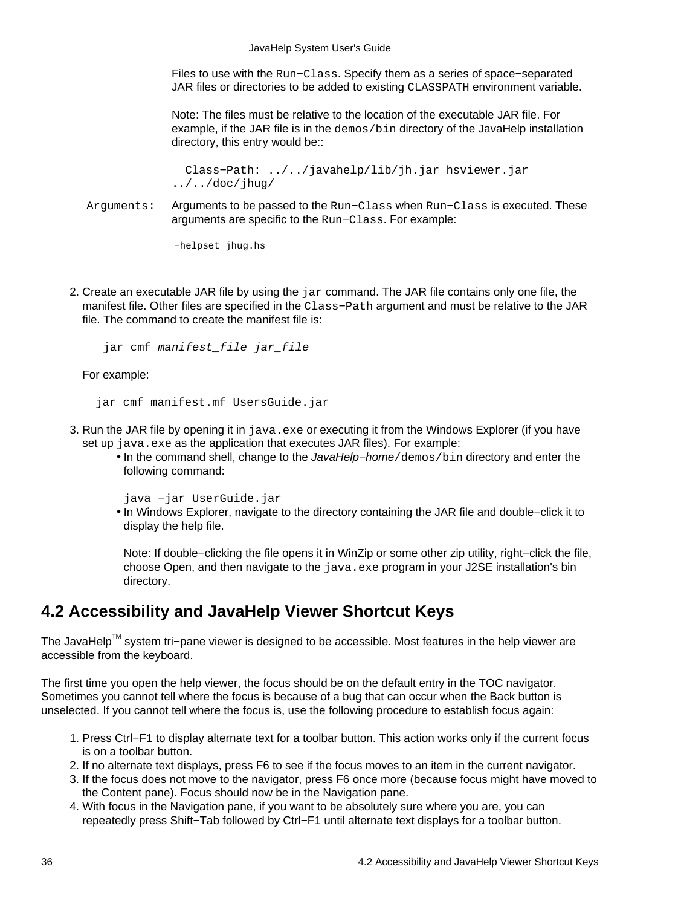JavaHelp System User's Guide

Files to use with the Run−Class. Specify them as a series of space−separated JAR files or directories to be added to existing CLASSPATH environment variable.

Note: The files must be relative to the location of the executable JAR file. For example, if the JAR file is in the demos/bin directory of the JavaHelp installation directory, this entry would be::

```
 Class−Path: ../../javahelp/lib/jh.jar hsviewer.jar
\ldots/../doc/jhug/
```
Arguments: Arguments to be passed to the Run−Class when Run−Class is executed. These arguments are specific to the Run−Class. For example:

−helpset jhug.hs

2. Create an executable JAR file by using the  $\frac{1}{3}$ ar command. The JAR file contains only one file, the manifest file. Other files are specified in the Class−Path argument and must be relative to the JAR file. The command to create the manifest file is:

```
jar cmf manifest file jar file
```
For example:

```
 jar cmf manifest.mf UsersGuide.jar
```
- 3. Run the JAR file by opening it in  $j$ ava.exe or executing it from the Windows Explorer (if you have set up java.exe as the application that executes JAR files). For example:
	- In the command shell, change to the JavaHelp-home/demos/bin directory and enter the following command:

java −jar UserGuide.jar

• In Windows Explorer, navigate to the directory containing the JAR file and double–click it to display the help file.

Note: If double−clicking the file opens it in WinZip or some other zip utility, right−click the file, choose Open, and then navigate to the java.exe program in your J2SE installation's bin directory.

# **4.2 Accessibility and JavaHelp Viewer Shortcut Keys**

The JavaHelp™ system tri–pane viewer is designed to be accessible. Most features in the help viewer are accessible from the keyboard.

The first time you open the help viewer, the focus should be on the default entry in the TOC navigator. Sometimes you cannot tell where the focus is because of a bug that can occur when the Back button is unselected. If you cannot tell where the focus is, use the following procedure to establish focus again:

- 1. Press Ctrl–F1 to display alternate text for a toolbar button. This action works only if the current focus is on a toolbar button.
- 2. If no alternate text displays, press F6 to see if the focus moves to an item in the current navigator.
- 3. If the focus does not move to the navigator, press F6 once more (because focus might have moved to the Content pane). Focus should now be in the Navigation pane.
- 4. With focus in the Navigation pane, if you want to be absolutely sure where you are, you can repeatedly press Shift−Tab followed by Ctrl−F1 until alternate text displays for a toolbar button.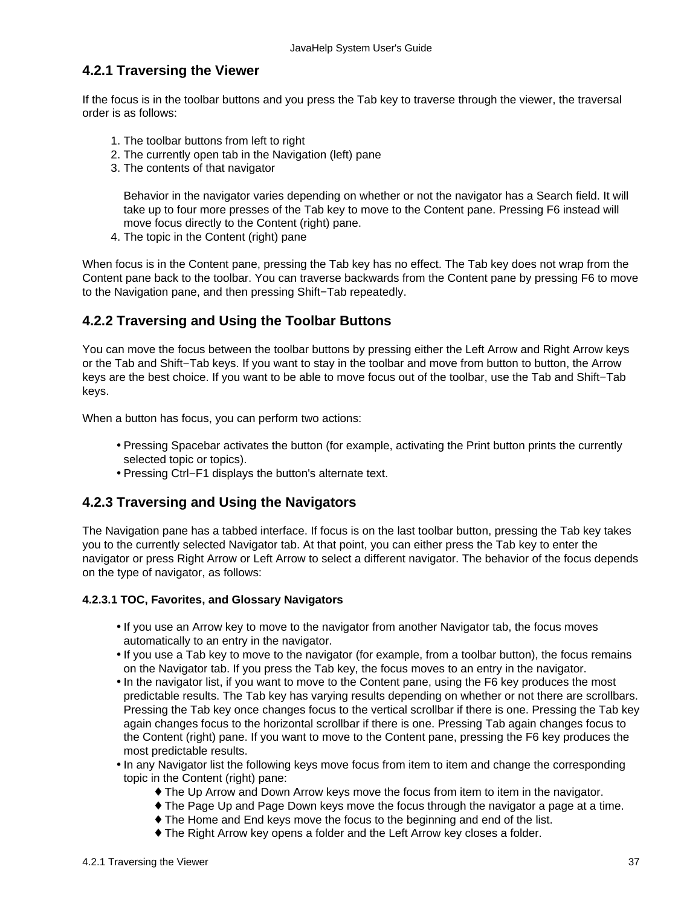## **4.2.1 Traversing the Viewer**

If the focus is in the toolbar buttons and you press the Tab key to traverse through the viewer, the traversal order is as follows:

- 1. The toolbar buttons from left to right
- 2. The currently open tab in the Navigation (left) pane
- 3. The contents of that navigator

Behavior in the navigator varies depending on whether or not the navigator has a Search field. It will take up to four more presses of the Tab key to move to the Content pane. Pressing F6 instead will move focus directly to the Content (right) pane.

4. The topic in the Content (right) pane

When focus is in the Content pane, pressing the Tab key has no effect. The Tab key does not wrap from the Content pane back to the toolbar. You can traverse backwards from the Content pane by pressing F6 to move to the Navigation pane, and then pressing Shift−Tab repeatedly.

## **4.2.2 Traversing and Using the Toolbar Buttons**

You can move the focus between the toolbar buttons by pressing either the Left Arrow and Right Arrow keys or the Tab and Shift−Tab keys. If you want to stay in the toolbar and move from button to button, the Arrow keys are the best choice. If you want to be able to move focus out of the toolbar, use the Tab and Shift−Tab keys.

When a button has focus, you can perform two actions:

- Pressing Spacebar activates the button (for example, activating the Print button prints the currently selected topic or topics).
- Pressing Ctrl−F1 displays the button's alternate text.

## **4.2.3 Traversing and Using the Navigators**

The Navigation pane has a tabbed interface. If focus is on the last toolbar button, pressing the Tab key takes you to the currently selected Navigator tab. At that point, you can either press the Tab key to enter the navigator or press Right Arrow or Left Arrow to select a different navigator. The behavior of the focus depends on the type of navigator, as follows:

### **4.2.3.1 TOC, Favorites, and Glossary Navigators**

- If you use an Arrow key to move to the navigator from another Navigator tab, the focus moves automatically to an entry in the navigator.
- If you use a Tab key to move to the navigator (for example, from a toolbar button), the focus remains on the Navigator tab. If you press the Tab key, the focus moves to an entry in the navigator.
- In the navigator list, if you want to move to the Content pane, using the F6 key produces the most predictable results. The Tab key has varying results depending on whether or not there are scrollbars. Pressing the Tab key once changes focus to the vertical scrollbar if there is one. Pressing the Tab key again changes focus to the horizontal scrollbar if there is one. Pressing Tab again changes focus to the Content (right) pane. If you want to move to the Content pane, pressing the F6 key produces the most predictable results.
- In any Navigator list the following keys move focus from item to item and change the corresponding topic in the Content (right) pane:
	- ♦ The Up Arrow and Down Arrow keys move the focus from item to item in the navigator.
	- ♦ The Page Up and Page Down keys move the focus through the navigator a page at a time.
	- ♦ The Home and End keys move the focus to the beginning and end of the list.
	- ♦ The Right Arrow key opens a folder and the Left Arrow key closes a folder.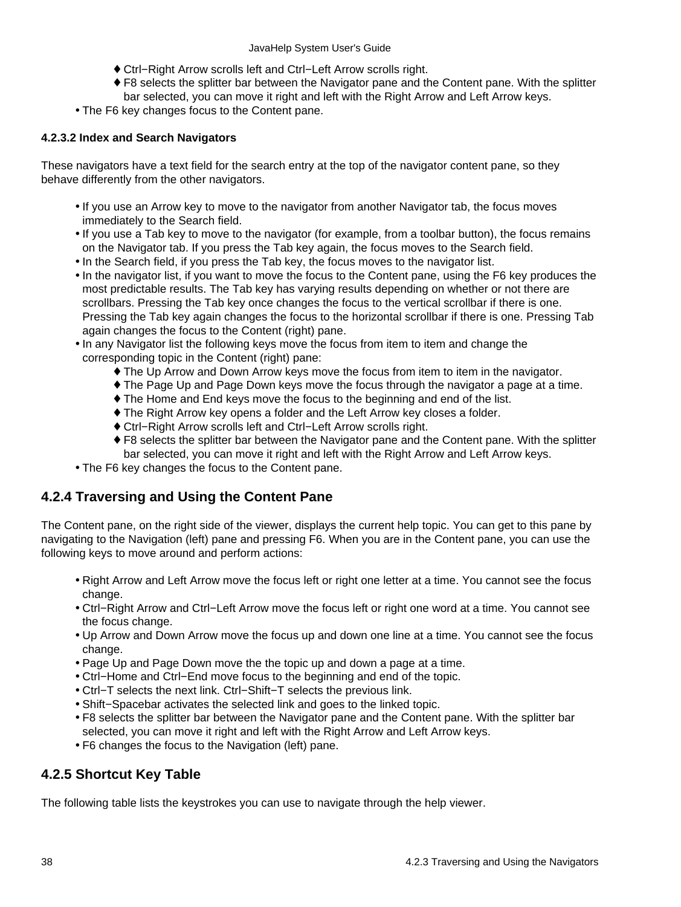- ♦ Ctrl−Right Arrow scrolls left and Ctrl−Left Arrow scrolls right.
- F8 selects the splitter bar between the Navigator pane and the Content pane. With the splitter ♦ bar selected, you can move it right and left with the Right Arrow and Left Arrow keys.
- The F6 key changes focus to the Content pane.

### **4.2.3.2 Index and Search Navigators**

These navigators have a text field for the search entry at the top of the navigator content pane, so they behave differently from the other navigators.

- If you use an Arrow key to move to the navigator from another Navigator tab, the focus moves immediately to the Search field.
- If you use a Tab key to move to the navigator (for example, from a toolbar button), the focus remains on the Navigator tab. If you press the Tab key again, the focus moves to the Search field.
- In the Search field, if you press the Tab key, the focus moves to the navigator list.
- In the navigator list, if you want to move the focus to the Content pane, using the F6 key produces the most predictable results. The Tab key has varying results depending on whether or not there are scrollbars. Pressing the Tab key once changes the focus to the vertical scrollbar if there is one. Pressing the Tab key again changes the focus to the horizontal scrollbar if there is one. Pressing Tab again changes the focus to the Content (right) pane.
- In any Navigator list the following keys move the focus from item to item and change the corresponding topic in the Content (right) pane:
	- ♦ The Up Arrow and Down Arrow keys move the focus from item to item in the navigator.
	- ♦ The Page Up and Page Down keys move the focus through the navigator a page at a time.
	- ♦ The Home and End keys move the focus to the beginning and end of the list.
	- ♦ The Right Arrow key opens a folder and the Left Arrow key closes a folder.
	- ♦ Ctrl−Right Arrow scrolls left and Ctrl−Left Arrow scrolls right.
	- F8 selects the splitter bar between the Navigator pane and the Content pane. With the splitter ♦ bar selected, you can move it right and left with the Right Arrow and Left Arrow keys.
- The F6 key changes the focus to the Content pane.

## **4.2.4 Traversing and Using the Content Pane**

The Content pane, on the right side of the viewer, displays the current help topic. You can get to this pane by navigating to the Navigation (left) pane and pressing F6. When you are in the Content pane, you can use the following keys to move around and perform actions:

- Right Arrow and Left Arrow move the focus left or right one letter at a time. You cannot see the focus change.
- Ctrl−Right Arrow and Ctrl−Left Arrow move the focus left or right one word at a time. You cannot see the focus change.
- Up Arrow and Down Arrow move the focus up and down one line at a time. You cannot see the focus change.
- Page Up and Page Down move the the topic up and down a page at a time.
- Ctrl−Home and Ctrl−End move focus to the beginning and end of the topic.
- Ctrl−T selects the next link. Ctrl−Shift−T selects the previous link.
- Shift−Spacebar activates the selected link and goes to the linked topic.
- F8 selects the splitter bar between the Navigator pane and the Content pane. With the splitter bar selected, you can move it right and left with the Right Arrow and Left Arrow keys.
- F6 changes the focus to the Navigation (left) pane.

## **4.2.5 Shortcut Key Table**

The following table lists the keystrokes you can use to navigate through the help viewer.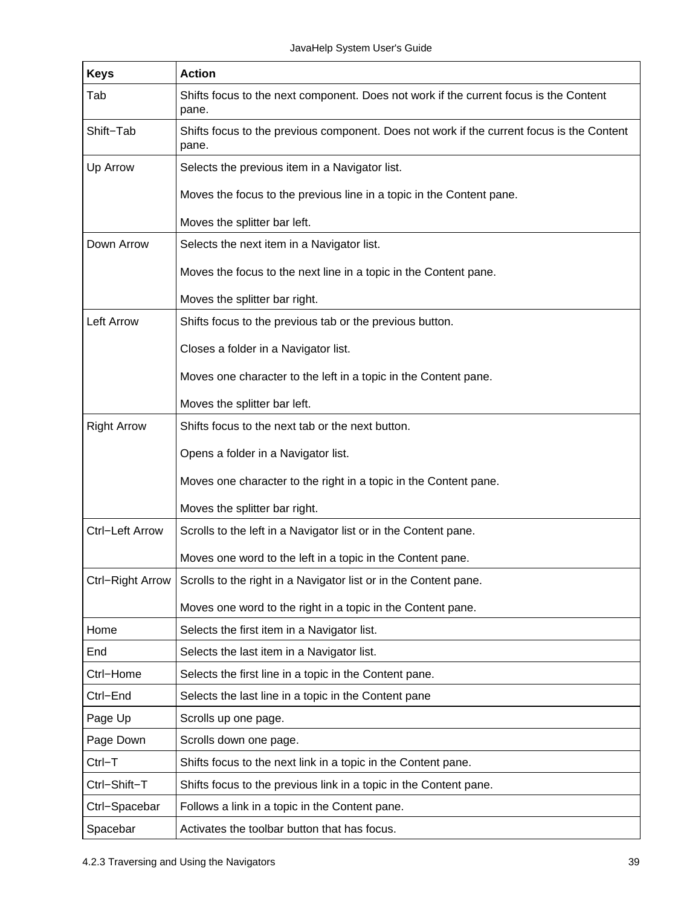| <b>Keys</b>        | <b>Action</b>                                                                                      |
|--------------------|----------------------------------------------------------------------------------------------------|
| Tab                | Shifts focus to the next component. Does not work if the current focus is the Content<br>pane.     |
| Shift-Tab          | Shifts focus to the previous component. Does not work if the current focus is the Content<br>pane. |
| Up Arrow           | Selects the previous item in a Navigator list.                                                     |
|                    | Moves the focus to the previous line in a topic in the Content pane.                               |
|                    | Moves the splitter bar left.                                                                       |
| Down Arrow         | Selects the next item in a Navigator list.                                                         |
|                    | Moves the focus to the next line in a topic in the Content pane.                                   |
|                    |                                                                                                    |
|                    | Moves the splitter bar right.                                                                      |
| <b>Left Arrow</b>  | Shifts focus to the previous tab or the previous button.                                           |
|                    | Closes a folder in a Navigator list.                                                               |
|                    | Moves one character to the left in a topic in the Content pane.                                    |
|                    | Moves the splitter bar left.                                                                       |
| <b>Right Arrow</b> | Shifts focus to the next tab or the next button.                                                   |
|                    | Opens a folder in a Navigator list.                                                                |
|                    | Moves one character to the right in a topic in the Content pane.                                   |
|                    | Moves the splitter bar right.                                                                      |
| Ctrl-Left Arrow    | Scrolls to the left in a Navigator list or in the Content pane.                                    |
|                    | Moves one word to the left in a topic in the Content pane.                                         |
| Ctrl-Right Arrow   | Scrolls to the right in a Navigator list or in the Content pane.                                   |
|                    | Moves one word to the right in a topic in the Content pane.                                        |
| Home               | Selects the first item in a Navigator list.                                                        |
| End                | Selects the last item in a Navigator list.                                                         |
| Ctrl-Home          | Selects the first line in a topic in the Content pane.                                             |
| Ctrl-End           | Selects the last line in a topic in the Content pane                                               |
| Page Up            | Scrolls up one page.                                                                               |
| Page Down          | Scrolls down one page.                                                                             |
| $Ctrl-T$           | Shifts focus to the next link in a topic in the Content pane.                                      |
| Ctrl-Shift-T       | Shifts focus to the previous link in a topic in the Content pane.                                  |
| Ctrl-Spacebar      | Follows a link in a topic in the Content pane.                                                     |
| Spacebar           | Activates the toolbar button that has focus.                                                       |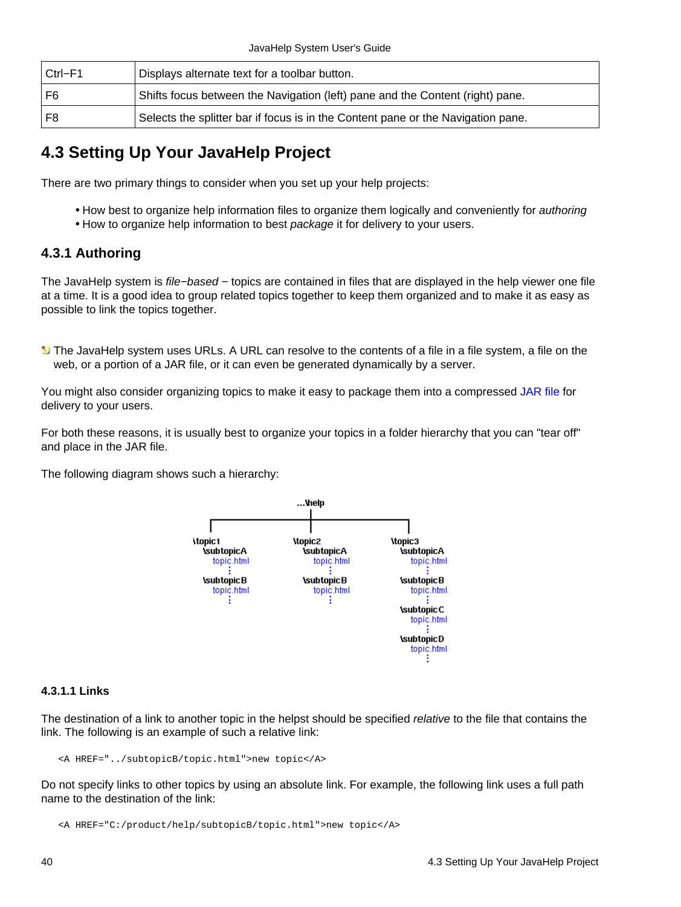| $ $ Ctrl-F1 | Displays alternate text for a toolbar button.                                    |
|-------------|----------------------------------------------------------------------------------|
| l F6        | Shifts focus between the Navigation (left) pane and the Content (right) pane.    |
| l F8        | Selects the splitter bar if focus is in the Content pane or the Navigation pane. |

# <span id="page-45-0"></span>**4.3 Setting Up Your JavaHelp Project**

There are two primary things to consider when you set up your help projects:

- How best to organize help information files to organize them logically and conveniently for *authoring*
- How to organize help information to best package it for delivery to your users.

## **4.3.1 Authoring**

The JavaHelp system is *file-based* − topics are contained in files that are displayed in the help viewer one file at a time. It is a good idea to group related topics together to keep them organized and to make it as easy as possible to link the topics together.

**I** The JavaHelp system uses URLs. A URL can resolve to the contents of a file in a file system, a file on the web, or a portion of a JAR file, or it can even be generated dynamically by a server.

You might also consider organizing topics to make it easy to package them into a compressed [JAR file](#page-55-0) for delivery to your users.

For both these reasons, it is usually best to organize your topics in a folder hierarchy that you can "tear off" and place in the JAR file.

The following diagram shows such a hierarchy:



### **4.3.1.1 Links**

The destination of a link to another topic in the helpst should be specified relative to the file that contains the link. The following is an example of such a relative link:

<A HREF="../subtopicB/topic.html">new topic</A>

Do not specify links to other topics by using an absolute link. For example, the following link uses a full path name to the destination of the link:

<A HREF="C:/product/help/subtopicB/topic.html">new topic</A>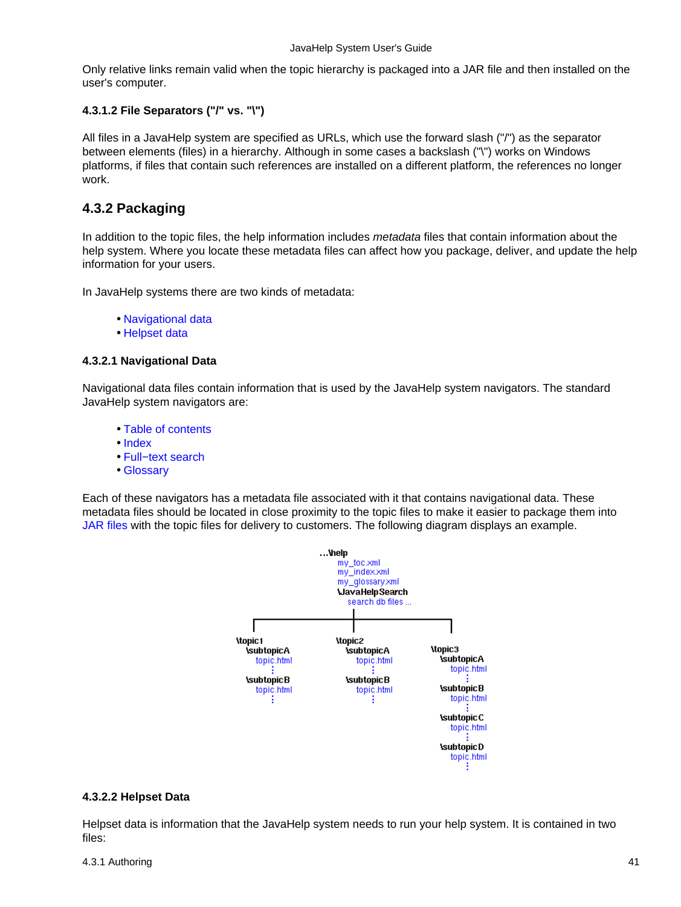Only relative links remain valid when the topic hierarchy is packaged into a JAR file and then installed on the user's computer.

## **4.3.1.2 File Separators ("/" vs. "\")**

All files in a JavaHelp system are specified as URLs, which use the forward slash ("/") as the separator between elements (files) in a hierarchy. Although in some cases a backslash ("\") works on Windows platforms, if files that contain such references are installed on a different platform, the references no longer work.

## **4.3.2 Packaging**

In addition to the topic files, the help information includes metadata files that contain information about the help system. Where you locate these metadata files can affect how you package, deliver, and update the help information for your users.

In JavaHelp systems there are two kinds of metadata:

- [Navigational data](#page-46-0)
- [Helpset data](#page-46-1)

### <span id="page-46-0"></span>**4.3.2.1 Navigational Data**

Navigational data files contain information that is used by the JavaHelp system navigators. The standard JavaHelp system navigators are:

- [Table of contents](#page-58-0)
- [Index](#page-61-0)
- [Full−text search](#page-69-0)
- [Glossary](#page-63-0)

Each of these navigators has a metadata file associated with it that contains navigational data. These metadata files should be located in close proximity to the topic files to make it easier to package them into [JAR files](#page-55-0) with the topic files for delivery to customers. The following diagram displays an example.



### <span id="page-46-1"></span>**4.3.2.2 Helpset Data**

Helpset data is information that the JavaHelp system needs to run your help system. It is contained in two files: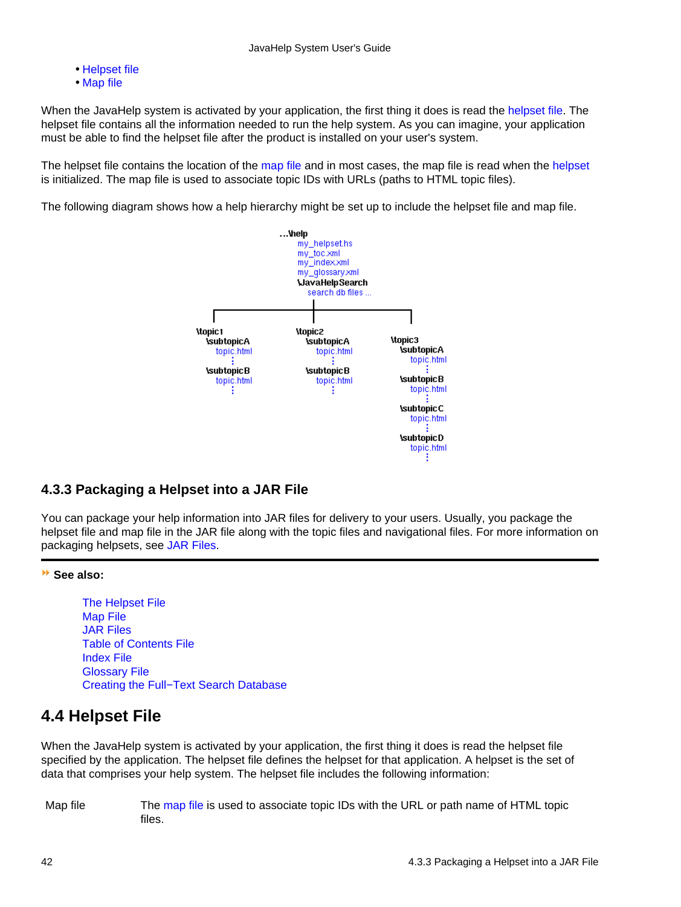- [Helpset file](#page-47-0)
- [Map file](#page-54-0)

When the JavaHelp system is activated by your application, the first thing it does is read th[e helpset file.](#page-47-0) The helpset file contains all the information needed to run the help system. As you can imagine, your application must be able to find the helpset file after the product is installed on your user's system.

The helpset file contains the location of the [map file](#page-54-0) and in most cases, the map file is read when th[e helpset](#page-47-0) is initialized. The map file is used to associate topic IDs with URLs (paths to HTML topic files).

The following diagram shows how a help hierarchy might be set up to include the helpset file and map file.



## **4.3.3 Packaging a Helpset into a JAR File**

You can package your help information into JAR files for delivery to your users. Usually, you package the helpset file and map file in the JAR file along with the topic files and navigational files. For more information on packaging helpsets, se[e JAR Files.](#page-55-0)

#### **See also:**

[The Helpset File](#page-47-0) [Map File](#page-54-0) [JAR Files](#page-55-0) [Table of Contents File](#page-58-0) [Index File](#page-61-0) [Glossary File](#page-63-0) [Creating the Full−Text Search Database](#page-69-0)

# <span id="page-47-0"></span>**4.4 Helpset File**

When the JavaHelp system is activated by your application, the first thing it does is read the helpset file specified by the application. The helpset file defines the helpset for that application. A helpset is the set of data that comprises your help system. The helpset file includes the following information:

Map file Th[e map file](#page-54-0) is used to associate topic IDs with the URL or path name of HTML topic files.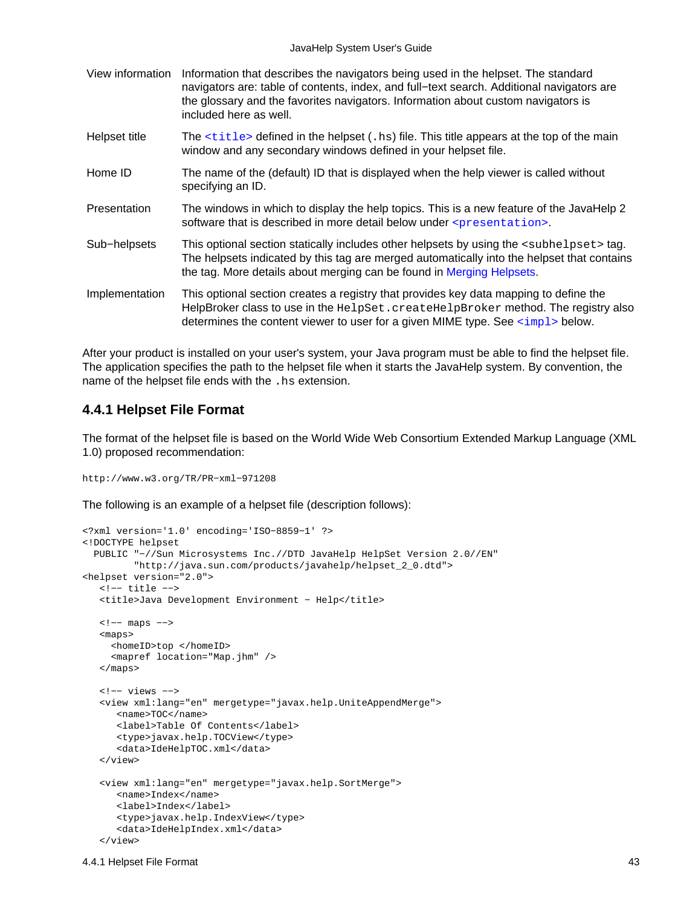JavaHelp System User's Guide

| View information | Information that describes the navigators being used in the helpset. The standard<br>navigators are: table of contents, index, and full-text search. Additional navigators are<br>the glossary and the favorites navigators. Information about custom navigators is<br>included here as well. |
|------------------|-----------------------------------------------------------------------------------------------------------------------------------------------------------------------------------------------------------------------------------------------------------------------------------------------|
| Helpset title    | The $\langle$ title> defined in the helpset $($ .hs) file. This title appears at the top of the main<br>window and any secondary windows defined in your helpset file.                                                                                                                        |
| Home ID          | The name of the (default) ID that is displayed when the help viewer is called without<br>specifying an ID.                                                                                                                                                                                    |
| Presentation     | The windows in which to display the help topics. This is a new feature of the JavaHelp 2<br>software that is described in more detail below under <presentation>.</presentation>                                                                                                              |
| Sub-helpsets     | This optional section statically includes other helpsets by using the <subhelpset> tag.<br/>The helpsets indicated by this tag are merged automatically into the helpset that contains<br/>the tag. More details about merging can be found in Merging Helpsets.</subhelpset>                 |
| Implementation   | This optional section creates a registry that provides key data mapping to define the<br>HelpBroker class to use in the HelpSet. createHelpBroker method. The registry also<br>determines the content viewer to user for a given MIME type. See $\langle \text{imp1} \rangle$ below.          |

After your product is installed on your user's system, your Java program must be able to find the helpset file. The application specifies the path to the helpset file when it starts the JavaHelp system. By convention, the name of the helpset file ends with the .hs extension.

## <span id="page-48-0"></span>**4.4.1 Helpset File Format**

The format of the helpset file is based on the World Wide Web Consortium Extended Markup Language (XML 1.0) proposed recommendation:

http://www.w3.org/TR/PR−xml−971208

The following is an example of a helpset file (description follows):

```
<?xml version='1.0' encoding='ISO−8859−1' ?>
<!DOCTYPE helpset
  PUBLIC "−//Sun Microsystems Inc.//DTD JavaHelp HelpSet Version 2.0//EN"
          "http://java.sun.com/products/javahelp/helpset_2_0.dtd">
<helpset version="2.0">
    <!−− title −−> 
    <title>Java Development Environment − Help</title>
    <!−− maps −−> 
    <maps>
     <homeID>top </homeID>
     <mapref location="Map.jhm" />
    </maps>
    <!−− views −−> 
    <view xml:lang="en" mergetype="javax.help.UniteAppendMerge">
       <name>TOC</name>
       <label>Table Of Contents</label>
       <type>javax.help.TOCView</type>
       <data>IdeHelpTOC.xml</data>
    </view>
    <view xml:lang="en" mergetype="javax.help.SortMerge">
       <name>Index</name>
       <label>Index</label>
       <type>javax.help.IndexView</type>
       <data>IdeHelpIndex.xml</data>
    </view>
```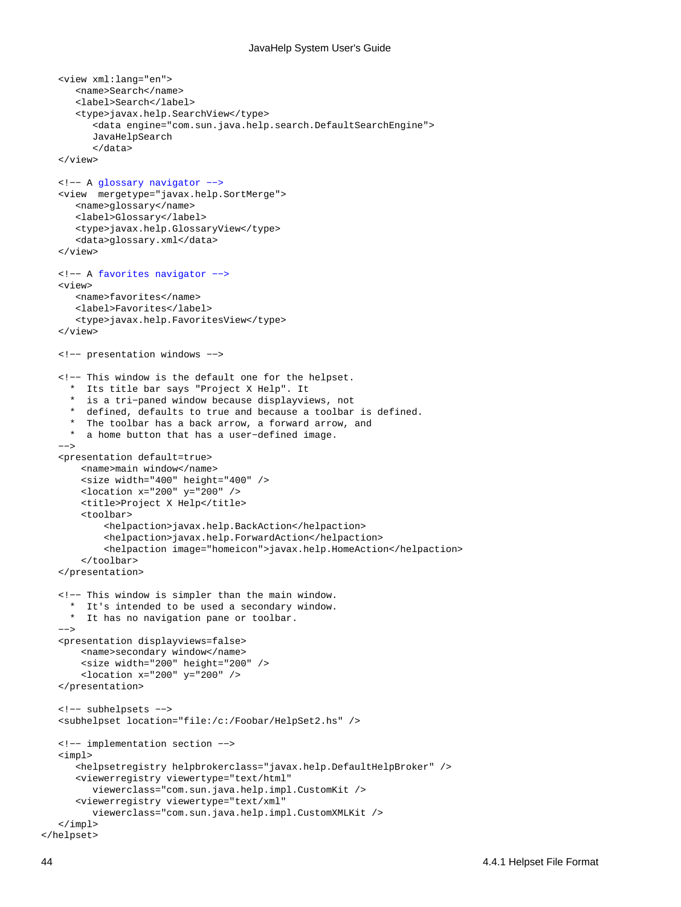```
 <view xml:lang="en">
       <name>Search</name>
       <label>Search</label>
       <type>javax.help.SearchView</type>
          <data engine="com.sun.java.help.search.DefaultSearchEngine">
          JavaHelpSearch
          </data>
    </view>
   <!−− A glossary navigator −−>
   <view mergetype="javax.help.SortMerge">
       <name>glossary</name>
       <label>Glossary</label>
       <type>javax.help.GlossaryView</type>
       <data>glossary.xml</data>
   </view>
   <!−− A favorites navigator −−>
   <view>
       <name>favorites</name>
       <label>Favorites</label>
       <type>javax.help.FavoritesView</type>
    </view>
  <!−− presentation windows −−>
   <!−− This window is the default one for the helpset. 
      * Its title bar says "Project X Help". It
     * is a tri−paned window because displayviews, not
      * defined, defaults to true and because a toolbar is defined.
       The toolbar has a back arrow, a forward arrow, and
     * a home button that has a user−defined image.
    −−>
    <presentation default=true>
       <name>main window</name>
       <size width="400" height="400" /> 
       <location x="200" y="200" />
       <title>Project X Help</title>
       <toolbar>
            <helpaction>javax.help.BackAction</helpaction>
            <helpaction>javax.help.ForwardAction</helpaction>
            <helpaction image="homeicon">javax.help.HomeAction</helpaction>
        </toolbar>
   </presentation>
   <!−− This window is simpler than the main window. 
     * It's intended to be used a secondary window.
     * It has no navigation pane or toolbar.
 −−>
    <presentation displayviews=false>
        <name>secondary window</name>
        <size width="200" height="200" /> 
       <location x="200" y="200" />
   </presentation>
   <!−− subhelpsets −−> 
   <subhelpset location="file:/c:/Foobar/HelpSet2.hs" />
   <!−− implementation section −−>
   <impl>
       <helpsetregistry helpbrokerclass="javax.help.DefaultHelpBroker" />
       <viewerregistry viewertype="text/html" 
         viewerclass="com.sun.java.help.impl.CustomKit />
       <viewerregistry viewertype="text/xml" 
         viewerclass="com.sun.java.help.impl.CustomXMLKit />
   </impl>
```

```
</helpset>
```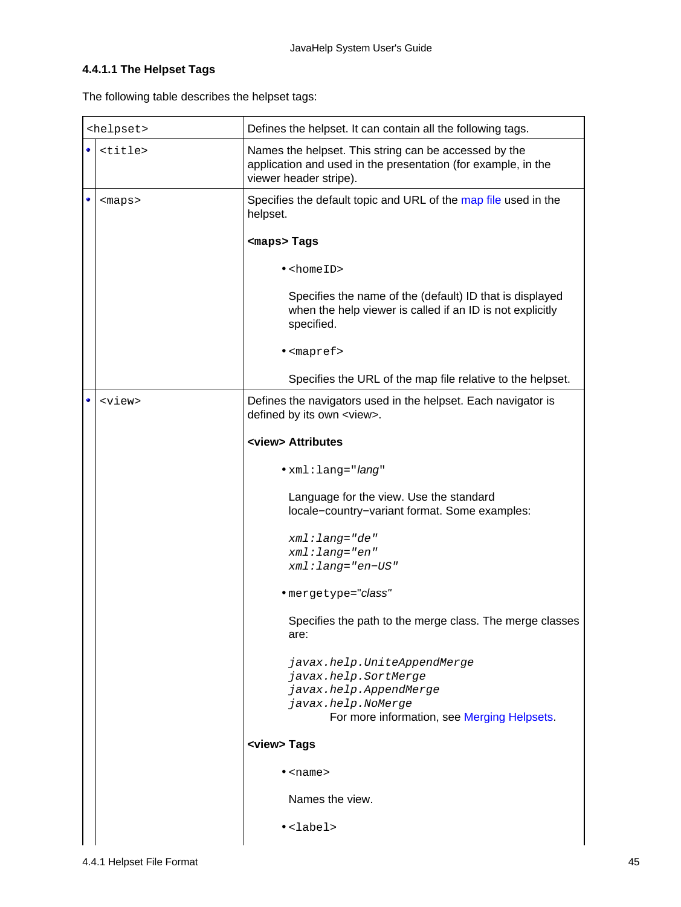## **4.4.1.1 The Helpset Tags**

The following table describes the helpset tags:

|   | <helpset></helpset> | Defines the helpset. It can contain all the following tags.                                                                                        |  |
|---|---------------------|----------------------------------------------------------------------------------------------------------------------------------------------------|--|
| ۰ | <title></title>     | Names the helpset. This string can be accessed by the<br>application and used in the presentation (for example, in the<br>viewer header stripe).   |  |
|   | $<$ maps $>$        | Specifies the default topic and URL of the map file used in the<br>helpset.<br><maps>Tags</maps>                                                   |  |
|   |                     |                                                                                                                                                    |  |
|   |                     | $\bullet$ <homeid></homeid>                                                                                                                        |  |
|   |                     | Specifies the name of the (default) ID that is displayed<br>when the help viewer is called if an ID is not explicitly<br>specified.                |  |
|   |                     | $\bullet$ <mapref></mapref>                                                                                                                        |  |
|   |                     | Specifies the URL of the map file relative to the helpset.                                                                                         |  |
| ۰ | <view></view>       | Defines the navigators used in the helpset. Each navigator is<br>defined by its own <view>.</view>                                                 |  |
|   |                     | <view> Attributes</view>                                                                                                                           |  |
|   |                     | $\bullet$ xml: lang=" $lang"$                                                                                                                      |  |
|   |                     | Language for the view. Use the standard<br>locale-country-variant format. Some examples:                                                           |  |
|   |                     | xml: lang="de"                                                                                                                                     |  |
|   |                     | xml: lang="en"<br>xml: lang="en-US"                                                                                                                |  |
|   |                     | · mergetype="class"                                                                                                                                |  |
|   |                     | Specifies the path to the merge class. The merge classes<br>are:                                                                                   |  |
|   |                     | javax.help.UniteAppendMerge<br>javax.help.SortMerge<br>javax.help.AppendMerge<br>javax.help.NoMerge<br>For more information, see Merging Helpsets. |  |
|   |                     | <view>Tags</view>                                                                                                                                  |  |
|   |                     | $\bullet$ <name></name>                                                                                                                            |  |
|   |                     | Names the view.                                                                                                                                    |  |
|   |                     | $\bullet$ <label></label>                                                                                                                          |  |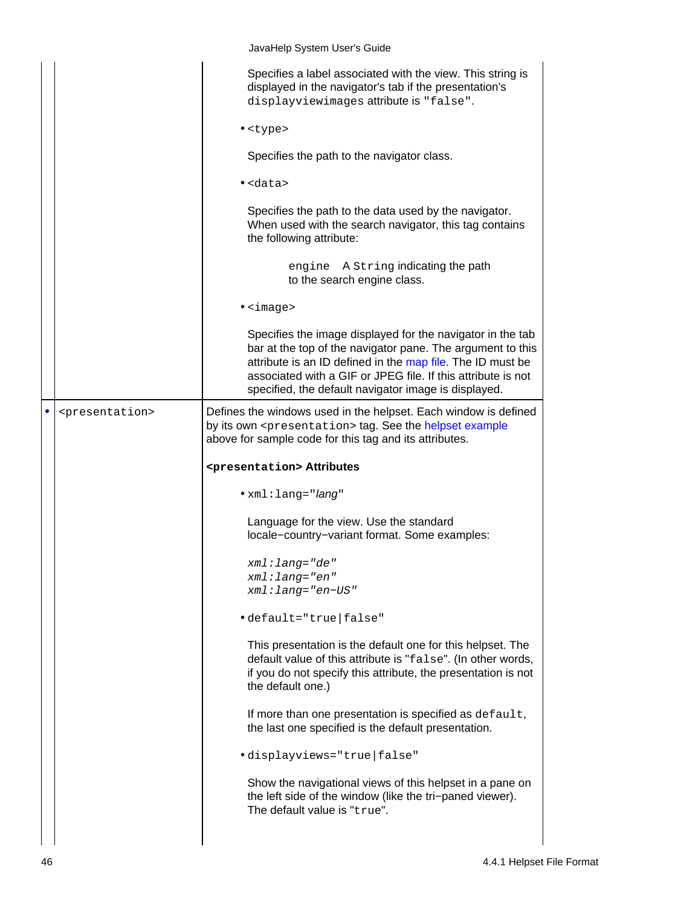<span id="page-51-0"></span>

|                               | JavaHelp System User's Guide                                                                                                                                                                                                                                                                                   |
|-------------------------------|----------------------------------------------------------------------------------------------------------------------------------------------------------------------------------------------------------------------------------------------------------------------------------------------------------------|
|                               | Specifies a label associated with the view. This string is<br>displayed in the navigator's tab if the presentation's<br>displayviewimages attribute is "false".                                                                                                                                                |
|                               | $\bullet$ <type></type>                                                                                                                                                                                                                                                                                        |
|                               | Specifies the path to the navigator class.                                                                                                                                                                                                                                                                     |
|                               | $\bullet$ <data></data>                                                                                                                                                                                                                                                                                        |
|                               | Specifies the path to the data used by the navigator.<br>When used with the search navigator, this tag contains<br>the following attribute:                                                                                                                                                                    |
|                               | engine A String indicating the path<br>to the search engine class.                                                                                                                                                                                                                                             |
|                               | $\bullet$ <image/>                                                                                                                                                                                                                                                                                             |
|                               | Specifies the image displayed for the navigator in the tab<br>bar at the top of the navigator pane. The argument to this<br>attribute is an ID defined in the map file. The ID must be<br>associated with a GIF or JPEG file. If this attribute is not<br>specified, the default navigator image is displayed. |
| <presentation></presentation> | Defines the windows used in the helpset. Each window is defined<br>by its own <presentation> tag. See the helpset example<br/>above for sample code for this tag and its attributes.</presentation>                                                                                                            |
|                               | <presentation> Attributes</presentation>                                                                                                                                                                                                                                                                       |
|                               | $\bullet$ xml: lang=" $lang$ "                                                                                                                                                                                                                                                                                 |
|                               | Language for the view. Use the standard<br>locale-country-variant format. Some examples:                                                                                                                                                                                                                       |
|                               | xml: lang="de"                                                                                                                                                                                                                                                                                                 |
|                               | xml: lang="en"<br>xml: lang="en-US"                                                                                                                                                                                                                                                                            |
|                               | ·default="true false"                                                                                                                                                                                                                                                                                          |
|                               | This presentation is the default one for this helpset. The<br>default value of this attribute is "false". (In other words,<br>if you do not specify this attribute, the presentation is not<br>the default one.)                                                                                               |
|                               | If more than one presentation is specified as default,<br>the last one specified is the default presentation.                                                                                                                                                                                                  |
|                               | ·displayviews="true false"                                                                                                                                                                                                                                                                                     |
|                               | Show the navigational views of this helpset in a pane on<br>the left side of the window (like the tri-paned viewer).                                                                                                                                                                                           |
|                               | The default value is "true".                                                                                                                                                                                                                                                                                   |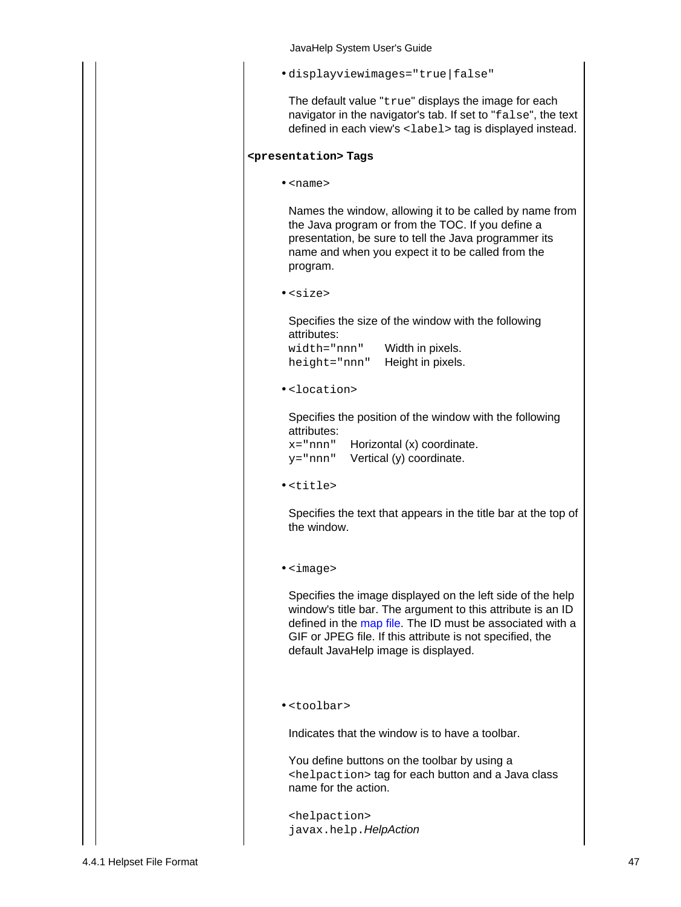JavaHelp System User's Guide

<span id="page-52-0"></span>

| ·displayviewimages="true false"                                                                                                                                                                                                                                                             |
|---------------------------------------------------------------------------------------------------------------------------------------------------------------------------------------------------------------------------------------------------------------------------------------------|
| The default value "true" displays the image for each<br>navigator in the navigator's tab. If set to "false", the text<br>defined in each view's <label> tag is displayed instead.</label>                                                                                                   |
| <presentation>Tags</presentation>                                                                                                                                                                                                                                                           |
| • <name></name>                                                                                                                                                                                                                                                                             |
| Names the window, allowing it to be called by name from<br>the Java program or from the TOC. If you define a<br>presentation, be sure to tell the Java programmer its<br>name and when you expect it to be called from the<br>program.                                                      |
| $\bullet$ <size></size>                                                                                                                                                                                                                                                                     |
| Specifies the size of the window with the following<br>attributes:                                                                                                                                                                                                                          |
| width="nnn" Width in pixels.<br>height="nnn" Height in pixels.                                                                                                                                                                                                                              |
| • <location></location>                                                                                                                                                                                                                                                                     |
| Specifies the position of the window with the following<br>attributes:                                                                                                                                                                                                                      |
| Horizontal (x) coordinate.<br>x="nnn"<br>$y = "nnn"$ Vertical (y) coordinate.                                                                                                                                                                                                               |
| $\bullet$ <title></title>                                                                                                                                                                                                                                                                   |
| Specifies the text that appears in the title bar at the top of<br>the window.                                                                                                                                                                                                               |
| <image/>                                                                                                                                                                                                                                                                                    |
| Specifies the image displayed on the left side of the help<br>window's title bar. The argument to this attribute is an ID<br>defined in the map file. The ID must be associated with a<br>GIF or JPEG file. If this attribute is not specified, the<br>default JavaHelp image is displayed. |
| • <toolbar></toolbar>                                                                                                                                                                                                                                                                       |
| Indicates that the window is to have a toolbar.                                                                                                                                                                                                                                             |
| You define buttons on the toolbar by using a<br><helpaction> tag for each button and a Java class<br/>name for the action.</helpaction>                                                                                                                                                     |
| <helpaction><br/>javax.help.HelpAction</helpaction>                                                                                                                                                                                                                                         |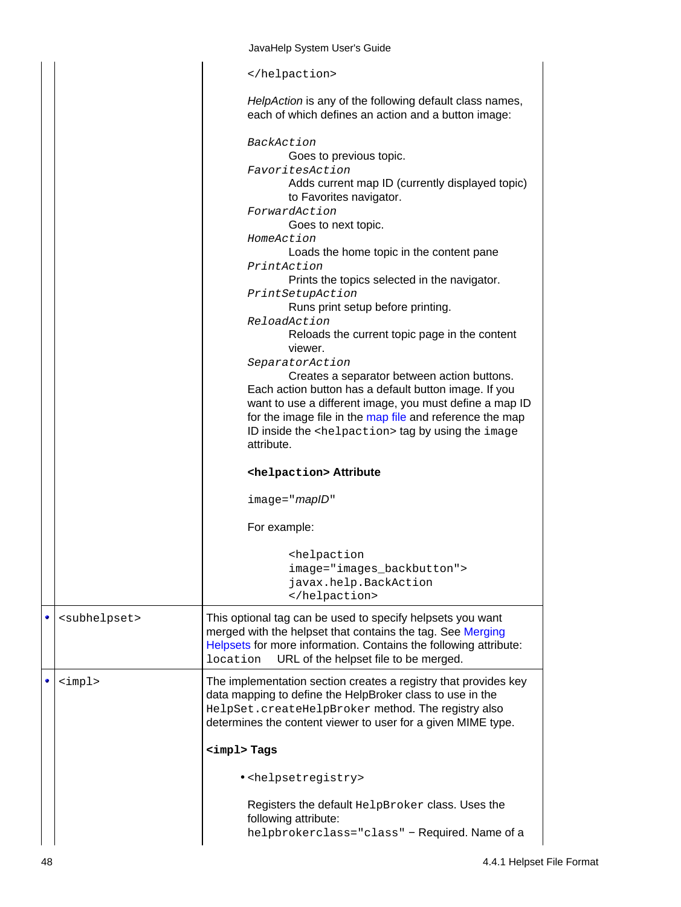<span id="page-53-0"></span>

|                           | JavaHelp System User's Guide                                                                                                                                                                                                                                                                                                    |
|---------------------------|---------------------------------------------------------------------------------------------------------------------------------------------------------------------------------------------------------------------------------------------------------------------------------------------------------------------------------|
|                           |                                                                                                                                                                                                                                                                                                                                 |
|                           | HelpAction is any of the following default class names,<br>each of which defines an action and a button image:                                                                                                                                                                                                                  |
|                           | BackAction<br>Goes to previous topic.<br>FavoritesAction                                                                                                                                                                                                                                                                        |
|                           | Adds current map ID (currently displayed topic)<br>to Favorites navigator.                                                                                                                                                                                                                                                      |
|                           | ForwardAction<br>Goes to next topic.<br>HomeAction                                                                                                                                                                                                                                                                              |
|                           | Loads the home topic in the content pane<br>PrintAction                                                                                                                                                                                                                                                                         |
|                           | Prints the topics selected in the navigator.<br>PrintSetupAction                                                                                                                                                                                                                                                                |
|                           | Runs print setup before printing.<br>ReloadAction<br>Reloads the current topic page in the content<br>viewer.                                                                                                                                                                                                                   |
|                           | SeparatorAction<br>Creates a separator between action buttons.<br>Each action button has a default button image. If you<br>want to use a different image, you must define a map ID<br>for the image file in the map file and reference the map<br>ID inside the <helpaction> tag by using the image<br/>attribute.</helpaction> |
|                           | <helpaction> Attribute</helpaction>                                                                                                                                                                                                                                                                                             |
|                           | image="maplD"                                                                                                                                                                                                                                                                                                                   |
|                           | For example:                                                                                                                                                                                                                                                                                                                    |
|                           | <helpaction<br>image="images_backbutton"&gt;<br/>javax.help.BackAction<br/></helpaction<br>                                                                                                                                                                                                                                     |
| <subhelpset></subhelpset> | This optional tag can be used to specify helpsets you want<br>merged with the helpset that contains the tag. See Merging<br>Helpsets for more information. Contains the following attribute:<br>URL of the helpset file to be merged.<br>location                                                                               |
| $<$ impl>                 | The implementation section creates a registry that provides key<br>data mapping to define the HelpBroker class to use in the<br>HelpSet.createHelpBroker method. The registry also<br>determines the content viewer to user for a given MIME type.                                                                              |
|                           | $\langle \text{imp1} \rangle$ Tags                                                                                                                                                                                                                                                                                              |
|                           | · < helpsetregistry>                                                                                                                                                                                                                                                                                                            |
|                           | Registers the default HelpBroker class. Uses the<br>following attribute:<br>helpbrokerclass="class" - Required. Name of a                                                                                                                                                                                                       |
|                           |                                                                                                                                                                                                                                                                                                                                 |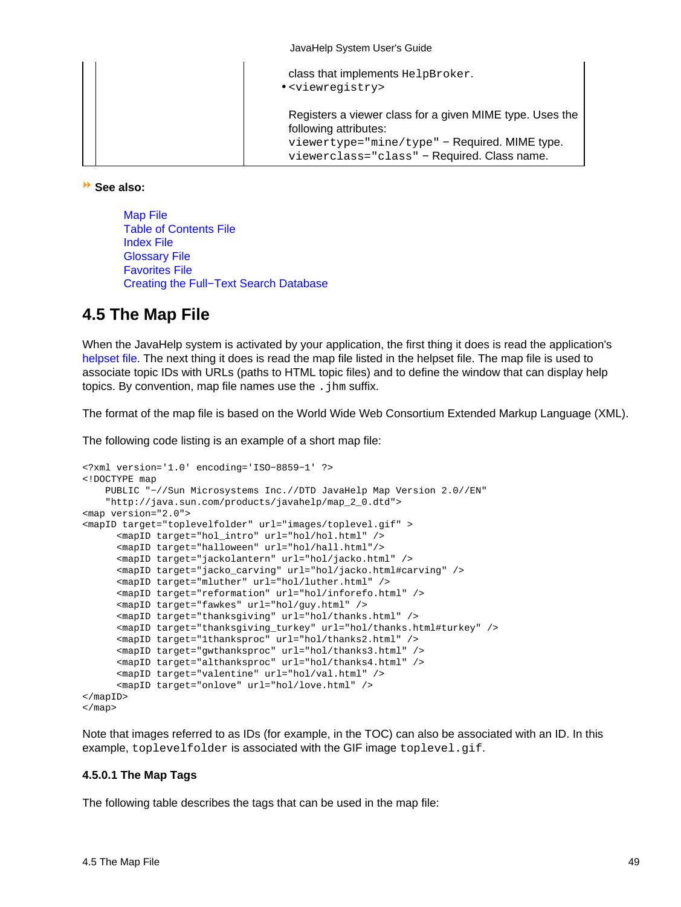| JavaHelp System User's Guide |                                                                                                                                                                                   |  |
|------------------------------|-----------------------------------------------------------------------------------------------------------------------------------------------------------------------------------|--|
|                              | class that implements HelpBroker.<br>· <viewreqistry></viewreqistry>                                                                                                              |  |
|                              | Registers a viewer class for a given MIME type. Uses the<br>following attributes:<br>viewertype="mine/type" - Required. MIME type.<br>viewerclass="class" - Required. Class name. |  |

**See also:**

[Map File](#page-54-0) [Table of Contents File](#page-58-0) [Index File](#page-61-0) [Glossary File](#page-63-0) [Favorites File](#page-65-0) [Creating the Full−Text Search Database](#page-69-0)

# <span id="page-54-0"></span>**4.5 The Map File**

When the JavaHelp system is activated by your application, the first thing it does is read the application's [helpset file.](#page-47-0) The next thing it does is read the map file listed in the helpset file. The map file is used to associate topic IDs with URLs (paths to HTML topic files) and to define the window that can display help topics. By convention, map file names use the  $\cdot$  jhm suffix.

The format of the map file is based on the World Wide Web Consortium Extended Markup Language (XML).

The following code listing is an example of a short map file:

```
<?xml version='1.0' encoding='ISO−8859−1' ?>
<!DOCTYPE map
     PUBLIC "−//Sun Microsystems Inc.//DTD JavaHelp Map Version 2.0//EN"
     "http://java.sun.com/products/javahelp/map_2_0.dtd">
<map version="2.0">
<mapID target="toplevelfolder" url="images/toplevel.gif" >
       <mapID target="hol_intro" url="hol/hol.html" />
       <mapID target="halloween" url="hol/hall.html"/>
       <mapID target="jackolantern" url="hol/jacko.html" />
       <mapID target="jacko_carving" url="hol/jacko.html#carving" />
       <mapID target="mluther" url="hol/luther.html" />
       <mapID target="reformation" url="hol/inforefo.html" />
       <mapID target="fawkes" url="hol/guy.html" />
       <mapID target="thanksgiving" url="hol/thanks.html" />
       <mapID target="thanksgiving_turkey" url="hol/thanks.html#turkey" />
       <mapID target="1thanksproc" url="hol/thanks2.html" />
       <mapID target="gwthanksproc" url="hol/thanks3.html" />
       <mapID target="althanksproc" url="hol/thanks4.html" />
       <mapID target="valentine" url="hol/val.html" />
       <mapID target="onlove" url="hol/love.html" />
</mapID>
</map>
```
Note that images referred to as IDs (for example, in the TOC) can also be associated with an ID. In this example, toplevelfolder is associated with the GIF image toplevel.gif.

### **4.5.0.1 The Map Tags**

The following table describes the tags that can be used in the map file: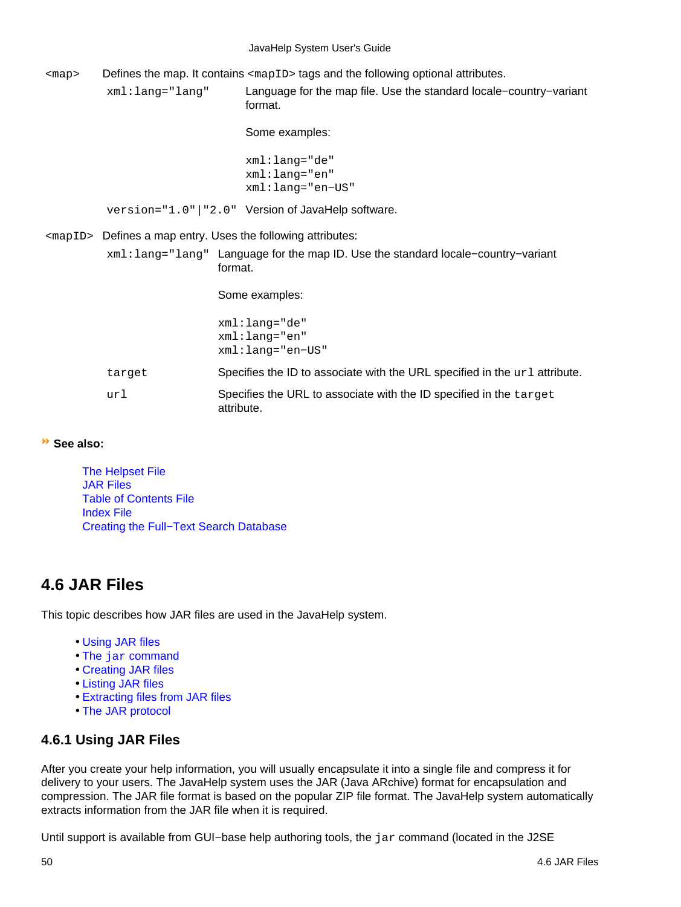<map> Defines the map. It contains <mapID> tags and the following optional attributes.

xml:lang="lang" Language for the map file. Use the standard locale−country−variant format.

Some examples:

xml:lang="de" xml:lang="en" xml:lang="en−US"

version="1.0"|"2.0" Version of JavaHelp software.

<mapID> Defines a map entry. Uses the following attributes:

xml:lang="lang" Language for the map ID. Use the standard locale−country−variant format.

Some examples:

xml:lang="de" xml:lang="en" xml:lang="en−US" target Specifies the ID to associate with the URL specified in the url attribute. url Specifies the URL to associate with the ID specified in the target attribute.

**See also:**

[The Helpset File](#page-47-0) [JAR Files](#page-55-0) [Table of Contents File](#page-58-0) [Index File](#page-61-0) [Creating the Full−Text Search Database](#page-69-0)

# <span id="page-55-0"></span>**4.6 JAR Files**

This topic describes how JAR files are used in the JavaHelp system.

- [Using JAR files](#page-55-1)
- [The](#page-56-0) jar [command](#page-56-0)
- [Creating JAR files](#page-56-1)
- [Listing JAR files](#page-57-0)
- [Extracting files from JAR files](#page-57-1)
- [The JAR protocol](#page-58-1)

## <span id="page-55-1"></span>**4.6.1 Using JAR Files**

After you create your help information, you will usually encapsulate it into a single file and compress it for delivery to your users. The JavaHelp system uses the JAR (Java ARchive) format for encapsulation and compression. The JAR file format is based on the popular ZIP file format. The JavaHelp system automatically extracts information from the JAR file when it is required.

Until support is available from GUI−base help authoring tools, the jar command (located in the J2SE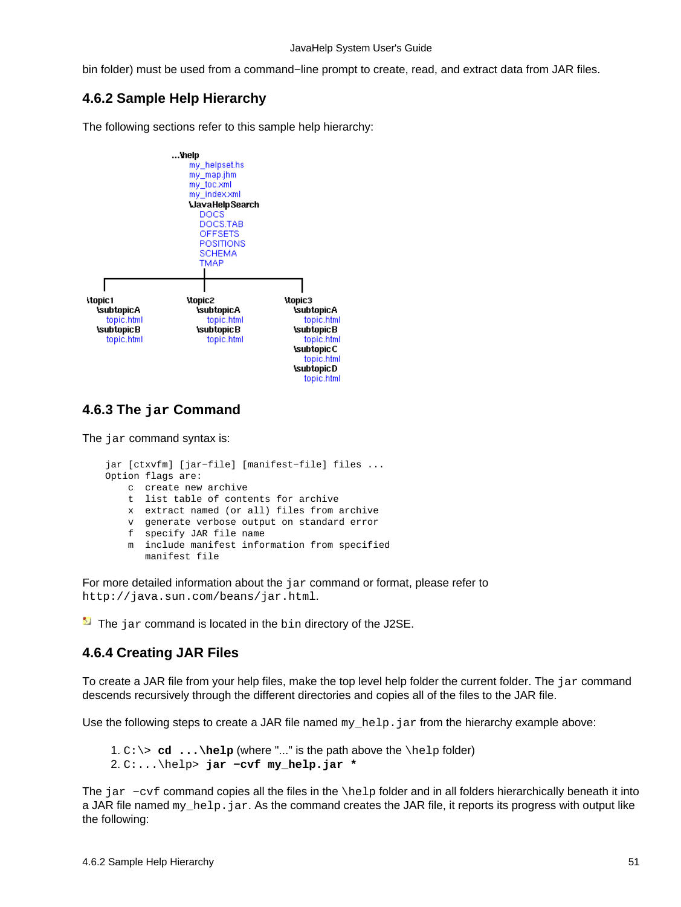bin folder) must be used from a command−line prompt to create, read, and extract data from JAR files.

## **4.6.2 Sample Help Hierarchy**

The following sections refer to this sample help hierarchy:



## <span id="page-56-0"></span>**4.6.3 The jar Command**

The jar command syntax is:

```
 jar [ctxvfm] [jar−file] [manifest−file] files ...
 Option flags are:
    c create new archive
    t list table of contents for archive
    x extract named (or all) files from archive
    v generate verbose output on standard error
     f specify JAR file name
    m include manifest information from specified 
        manifest file
```
For more detailed information about the jar command or format, please refer to http://java.sun.com/beans/jar.html.

<span id="page-56-1"></span> $\overline{\mathbb{Z}}$  The jar command is located in the bin directory of the J2SE.

## **4.6.4 Creating JAR Files**

To create a JAR file from your help files, make the top level help folder the current folder. The jar command descends recursively through the different directories and copies all of the files to the JAR file.

Use the following steps to create a JAR file named  $my{\perp}$ elp. jar from the hierarchy example above:

1.  $C:\> cd \dots \begin{array}{\text{where "...}}$  is the path above the \help folder) 2. C:...\help> **jar −cvf my\_help.jar \***

The jar –cvf command copies all the files in the \help folder and in all folders hierarchically beneath it into a JAR file named my\_help.jar. As the command creates the JAR file, it reports its progress with output like the following: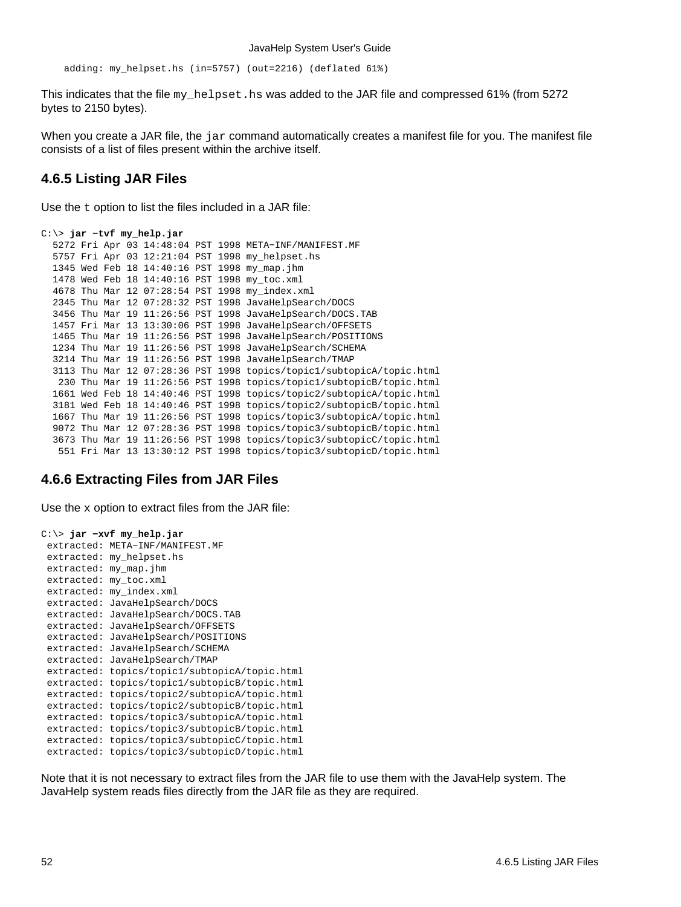adding: my\_helpset.hs (in=5757) (out=2216) (deflated 61%)

This indicates that the file my\_helpset.hs was added to the JAR file and compressed 61% (from 5272 bytes to 2150 bytes).

When you create a JAR file, the jar command automatically creates a manifest file for you. The manifest file consists of a list of files present within the archive itself.

### <span id="page-57-0"></span>**4.6.5 Listing JAR Files**

Use the  $t$  option to list the files included in a JAR file:

```
C:\> jar −tvf my_help.jar
   5272 Fri Apr 03 14:48:04 PST 1998 META−INF/MANIFEST.MF
   5757 Fri Apr 03 12:21:04 PST 1998 my_helpset.hs
   1345 Wed Feb 18 14:40:16 PST 1998 my_map.jhm
   1478 Wed Feb 18 14:40:16 PST 1998 my_toc.xml
   4678 Thu Mar 12 07:28:54 PST 1998 my_index.xml
   2345 Thu Mar 12 07:28:32 PST 1998 JavaHelpSearch/DOCS
   3456 Thu Mar 19 11:26:56 PST 1998 JavaHelpSearch/DOCS.TAB
   1457 Fri Mar 13 13:30:06 PST 1998 JavaHelpSearch/OFFSETS
   1465 Thu Mar 19 11:26:56 PST 1998 JavaHelpSearch/POSITIONS
   1234 Thu Mar 19 11:26:56 PST 1998 JavaHelpSearch/SCHEMA
   3214 Thu Mar 19 11:26:56 PST 1998 JavaHelpSearch/TMAP
   3113 Thu Mar 12 07:28:36 PST 1998 topics/topic1/subtopicA/topic.html
   230 Thu Mar 19 11:26:56 PST 1998 topics/topic1/subtopicB/topic.html
   1661 Wed Feb 18 14:40:46 PST 1998 topics/topic2/subtopicA/topic.html
   3181 Wed Feb 18 14:40:46 PST 1998 topics/topic2/subtopicB/topic.html
   1667 Thu Mar 19 11:26:56 PST 1998 topics/topic3/subtopicA/topic.html
   9072 Thu Mar 12 07:28:36 PST 1998 topics/topic3/subtopicB/topic.html
   3673 Thu Mar 19 11:26:56 PST 1998 topics/topic3/subtopicC/topic.html
   551 Fri Mar 13 13:30:12 PST 1998 topics/topic3/subtopicD/topic.html
```
## <span id="page-57-1"></span>**4.6.6 Extracting Files from JAR Files**

Use the  $x$  option to extract files from the JAR file:

```
C:\> jar −xvf my_help.jar
 extracted: META−INF/MANIFEST.MF
 extracted: my_helpset.hs
 extracted: my_map.jhm
 extracted: my_toc.xml
 extracted: my_index.xml
 extracted: JavaHelpSearch/DOCS
 extracted: JavaHelpSearch/DOCS.TAB
 extracted: JavaHelpSearch/OFFSETS
 extracted: JavaHelpSearch/POSITIONS
 extracted: JavaHelpSearch/SCHEMA
 extracted: JavaHelpSearch/TMAP
 extracted: topics/topic1/subtopicA/topic.html
 extracted: topics/topic1/subtopicB/topic.html
 extracted: topics/topic2/subtopicA/topic.html
 extracted: topics/topic2/subtopicB/topic.html
 extracted: topics/topic3/subtopicA/topic.html
 extracted: topics/topic3/subtopicB/topic.html
 extracted: topics/topic3/subtopicC/topic.html
 extracted: topics/topic3/subtopicD/topic.html
```
Note that it is not necessary to extract files from the JAR file to use them with the JavaHelp system. The JavaHelp system reads files directly from the JAR file as they are required.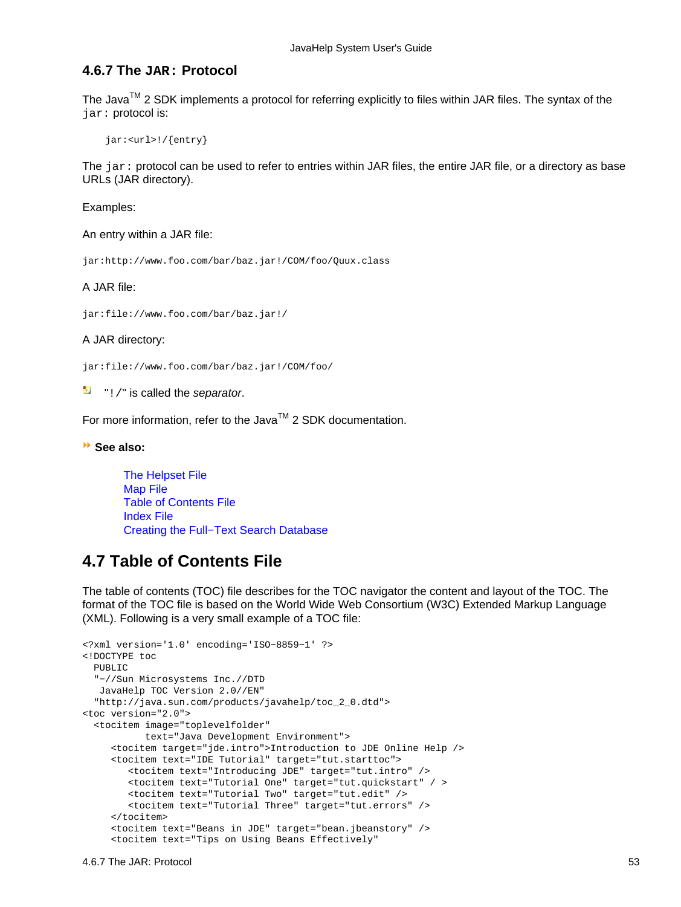## <span id="page-58-1"></span>**4.6.7 The JAR: Protocol**

The Java<sup>™</sup> 2 SDK implements a protocol for referring explicitly to files within JAR files. The syntax of the jar: protocol is:

jar:<url>!/{entry}

The jar: protocol can be used to refer to entries within JAR files, the entire JAR file, or a directory as base URLs (JAR directory).

Examples:

An entry within a JAR file:

jar:http://www.foo.com/bar/baz.jar!/COM/foo/Quux.class

A JAR file:

jar:file://www.foo.com/bar/baz.jar!/

#### A JAR directory:

jar:file://www.foo.com/bar/baz.jar!/COM/foo/

 $\mathbf{S}$   $\mathbf{I}$   $\mathbf{I}$   $\mathbf{I}$   $\mathbf{I}$   $\mathbf{I}$  is called the separator.

For more information, refer to the Java<sup>TM</sup> 2 SDK documentation.

**See also:**

[The Helpset File](#page-47-0) [Map File](#page-54-0) [Table of Contents File](#page-58-0) [Index File](#page-61-0) [Creating the Full−Text Search Database](#page-69-0)

## <span id="page-58-0"></span>**4.7 Table of Contents File**

The table of contents (TOC) file describes for the TOC navigator the content and layout of the TOC. The format of the TOC file is based on the World Wide Web Consortium (W3C) Extended Markup Language (XML). Following is a very small example of a TOC file:

```
<?xml version='1.0' encoding='ISO−8859−1' ?>
<!DOCTYPE toc
   PUBLIC 
   "−//Sun Microsystems Inc.//DTD 
   JavaHelp TOC Version 2.0//EN"
   "http://java.sun.com/products/javahelp/toc_2_0.dtd">
<toc version="2.0">
   <tocitem image="toplevelfolder" 
            text="Java Development Environment">
      <tocitem target="jde.intro">Introduction to JDE Online Help />
      <tocitem text="IDE Tutorial" target="tut.starttoc">
         <tocitem text="Introducing JDE" target="tut.intro" />
         <tocitem text="Tutorial One" target="tut.quickstart" / >
         <tocitem text="Tutorial Two" target="tut.edit" />
         <tocitem text="Tutorial Three" target="tut.errors" />
      </tocitem>
      <tocitem text="Beans in JDE" target="bean.jbeanstory" />
      <tocitem text="Tips on Using Beans Effectively"
```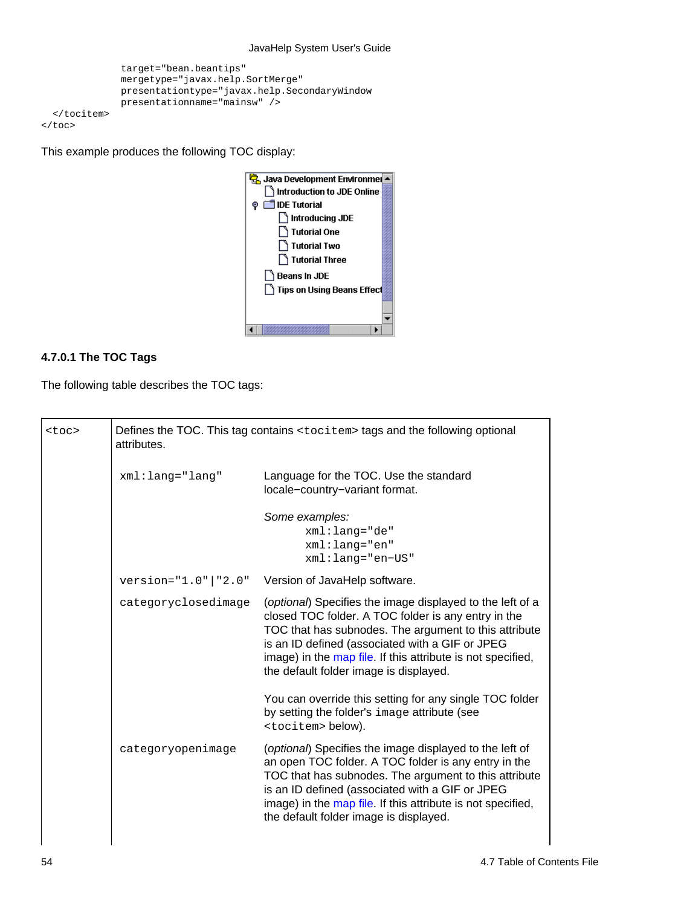```
 target="bean.beantips" 
             mergetype="javax.help.SortMerge" 
             presentationtype="javax.help.SecondaryWindow 
             presentationname="mainsw" />
 </tocitem>
```

```
\langletoc>
```
This example produces the following TOC display:



### **4.7.0.1 The TOC Tags**

The following table describes the TOC tags:

| attributes.             | Defines the TOC. This tag contains <tocitem> tags and the following optional</tocitem>                                                                                                                                                                                                                                                |
|-------------------------|---------------------------------------------------------------------------------------------------------------------------------------------------------------------------------------------------------------------------------------------------------------------------------------------------------------------------------------|
| xml: lang="lang"        | Language for the TOC. Use the standard<br>locale-country-variant format.                                                                                                                                                                                                                                                              |
|                         | Some examples:<br>xml: lang="de"<br>xml: lang="en"<br>$xml:lang="en-US"$                                                                                                                                                                                                                                                              |
| $version="1.0"   "2.0"$ | Version of JavaHelp software.                                                                                                                                                                                                                                                                                                         |
| categoryclosedimage     | (optional) Specifies the image displayed to the left of a<br>closed TOC folder. A TOC folder is any entry in the<br>TOC that has subnodes. The argument to this attribute<br>is an ID defined (associated with a GIF or JPEG<br>image) in the map file. If this attribute is not specified,<br>the default folder image is displayed. |
|                         | You can override this setting for any single TOC folder<br>by setting the folder's image attribute (see<br><tocitem> below).</tocitem>                                                                                                                                                                                                |
| categoryopenimage       | (optional) Specifies the image displayed to the left of<br>an open TOC folder. A TOC folder is any entry in the<br>TOC that has subnodes. The argument to this attribute<br>is an ID defined (associated with a GIF or JPEG<br>image) in the map file. If this attribute is not specified,<br>the default folder image is displayed.  |
|                         |                                                                                                                                                                                                                                                                                                                                       |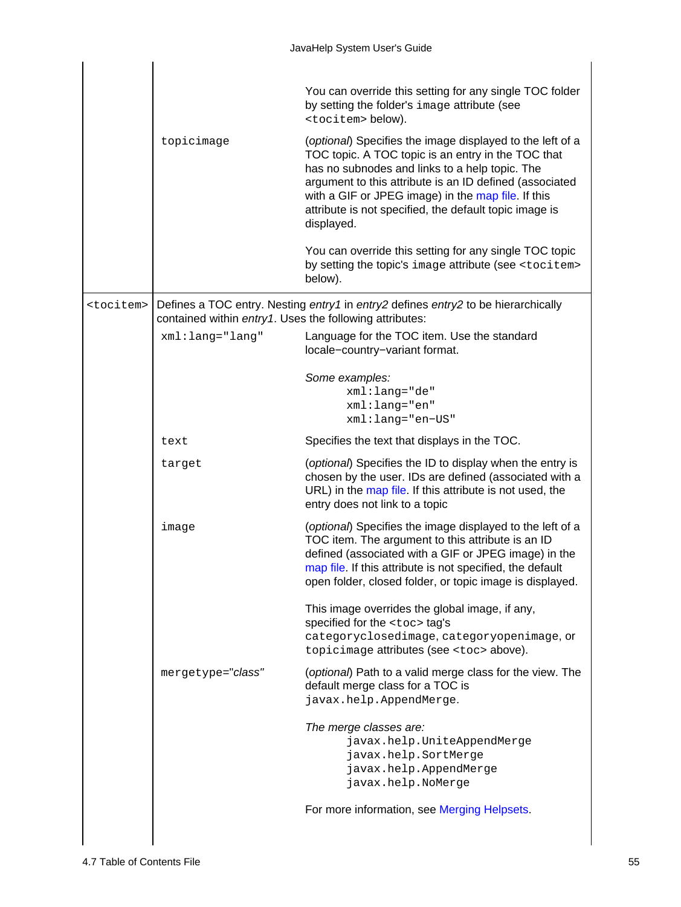|                      |                                                         | JavaHelp System User's Guide                                                                                                                                                                                                                                                                                                                               |
|----------------------|---------------------------------------------------------|------------------------------------------------------------------------------------------------------------------------------------------------------------------------------------------------------------------------------------------------------------------------------------------------------------------------------------------------------------|
|                      |                                                         | You can override this setting for any single TOC folder<br>by setting the folder's image attribute (see<br><tocitem> below).</tocitem>                                                                                                                                                                                                                     |
|                      | topicimage                                              | (optional) Specifies the image displayed to the left of a<br>TOC topic. A TOC topic is an entry in the TOC that<br>has no subnodes and links to a help topic. The<br>argument to this attribute is an ID defined (associated<br>with a GIF or JPEG image) in the map file. If this<br>attribute is not specified, the default topic image is<br>displayed. |
|                      |                                                         | You can override this setting for any single TOC topic<br>by setting the topic's image attribute (see <tocitem><br/>below).</tocitem>                                                                                                                                                                                                                      |
| <tocitem> </tocitem> | contained within entry1. Uses the following attributes: | Defines a TOC entry. Nesting entry1 in entry2 defines entry2 to be hierarchically                                                                                                                                                                                                                                                                          |
|                      | $xml:lang='lang"$                                       | Language for the TOC item. Use the standard<br>locale-country-variant format.                                                                                                                                                                                                                                                                              |
|                      |                                                         | Some examples:<br>xml: lang="de"<br>xml: lang="en"<br>xml: lang="en-US"                                                                                                                                                                                                                                                                                    |
|                      | text                                                    | Specifies the text that displays in the TOC.                                                                                                                                                                                                                                                                                                               |
|                      | target                                                  | (optional) Specifies the ID to display when the entry is<br>chosen by the user. IDs are defined (associated with a<br>URL) in the map file. If this attribute is not used, the<br>entry does not link to a topic                                                                                                                                           |
|                      | image                                                   | (optional) Specifies the image displayed to the left of a<br>TOC item. The argument to this attribute is an ID<br>defined (associated with a GIF or JPEG image) in the<br>map file. If this attribute is not specified, the default<br>open folder, closed folder, or topic image is displayed.                                                            |
|                      |                                                         | This image overrides the global image, if any,<br>specified for the <toc> tag's<br/>categoryclosedimage, categoryopenimage, or<br/>topicimage attributes (see <toc> above).</toc></toc>                                                                                                                                                                    |
|                      | mergetype="class"                                       | (optional) Path to a valid merge class for the view. The<br>default merge class for a TOC is<br>javax.help.AppendMerge.                                                                                                                                                                                                                                    |
|                      |                                                         | The merge classes are:<br>javax.help.UniteAppendMerge<br>javax.help.SortMerge<br>javax.help.AppendMerge<br>javax.help.NoMerge                                                                                                                                                                                                                              |
|                      |                                                         | For more information, see Merging Helpsets.                                                                                                                                                                                                                                                                                                                |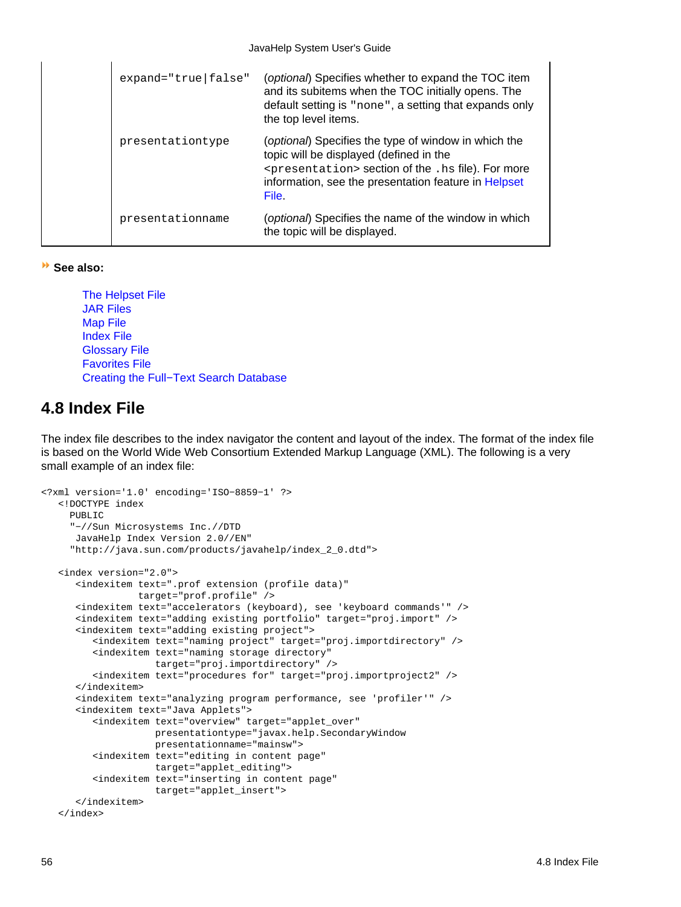|                     | JavaHelp System User's Guide                                                                                                                                                                                                           |
|---------------------|----------------------------------------------------------------------------------------------------------------------------------------------------------------------------------------------------------------------------------------|
| expand="true false" | (optional) Specifies whether to expand the TOC item<br>and its subitems when the TOC initially opens. The<br>default setting is "none", a setting that expands only<br>the top level items.                                            |
| presentationtype    | (optional) Specifies the type of window in which the<br>topic will be displayed (defined in the<br><presentation> section of the .hs file). For more<br/>information, see the presentation feature in Helpset<br/>File.</presentation> |
| presentationname    | (optional) Specifies the name of the window in which<br>the topic will be displayed.                                                                                                                                                   |

**See also:**

[The Helpset File](#page-47-0) [JAR Files](#page-55-0) [Map File](#page-54-0) [Index File](#page-61-0) [Glossary File](#page-63-0) [Favorites File](#page-65-0) [Creating the Full−Text Search Database](#page-69-0)

# <span id="page-61-0"></span>**4.8 Index File**

The index file describes to the index navigator the content and layout of the index. The format of the index file is based on the World Wide Web Consortium Extended Markup Language (XML). The following is a very small example of an index file:

```
<?xml version='1.0' encoding='ISO−8859−1' ?>
    <!DOCTYPE index
      PUBLIC 
      "−//Sun Microsystems Inc.//DTD 
      JavaHelp Index Version 2.0//EN"
      "http://java.sun.com/products/javahelp/index_2_0.dtd">
    <index version="2.0">
       <indexitem text=".prof extension (profile data)" 
                  target="prof.profile" />
       <indexitem text="accelerators (keyboard), see 'keyboard commands'" />
       <indexitem text="adding existing portfolio" target="proj.import" />
       <indexitem text="adding existing project">
          <indexitem text="naming project" target="proj.importdirectory" />
          <indexitem text="naming storage directory" 
                     target="proj.importdirectory" />
          <indexitem text="procedures for" target="proj.importproject2" />
       </indexitem>
       <indexitem text="analyzing program performance, see 'profiler'" />
       <indexitem text="Java Applets">
          <indexitem text="overview" target="applet_over"
                     presentationtype="javax.help.SecondaryWindow 
                     presentationname="mainsw">
          <indexitem text="editing in content page" 
                     target="applet_editing">
          <indexitem text="inserting in content page" 
                     target="applet_insert">
       </indexitem>
    </index>
```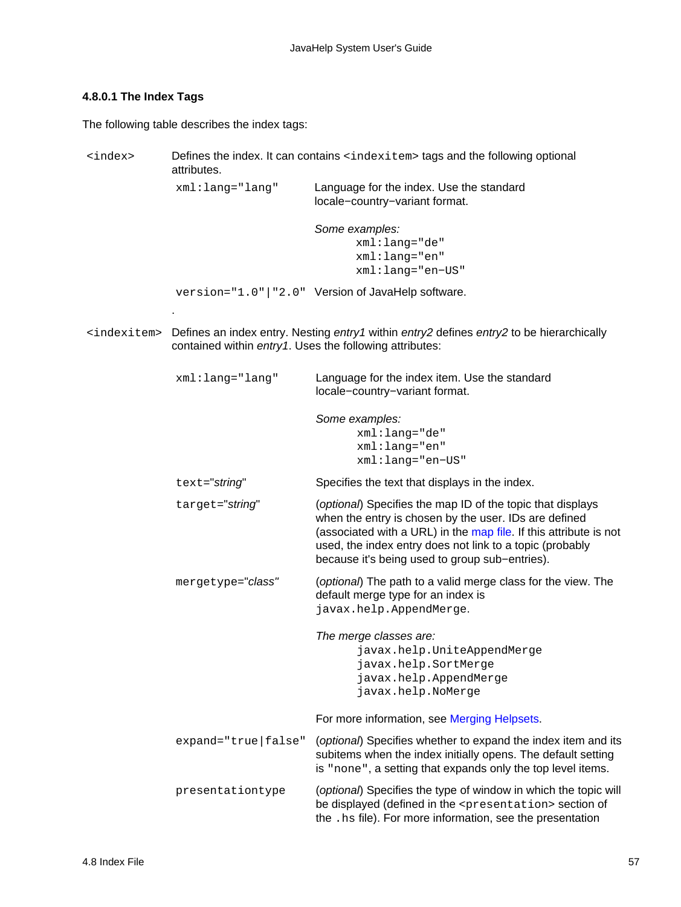### **4.8.0.1 The Index Tags**

The following table describes the index tags:

```
<index> Defines the index. It can contains <indexitem> tags and the following optional
               attributes.
                xml:lang="lang" Language for the index. Use the standard
                                         locale−country−variant format.
                                         Some examples:
                                                xml:lang="de"
                                                xml:lang="en"
                                                xml:lang="en−US"
                version="1.0"|"2.0" Version of JavaHelp software.
               .
<indexitem> Defines an index entry. Nesting entry1 within entry2 defines entry2 to be hierarchically
               contained within entry1. Uses the following attributes:
                xml:lang="lang" Language for the index item. Use the standard
                                         locale−country−variant format.
                                         Some examples:
                                                 xml:lang="de"
                                                 xml:lang="en"
                                                 xml:lang="en−US"
                text="string" Specifies the text that displays in the index.
                target="string" (optional) Specifies the map ID of the topic that displays
                                         when the entry is chosen by the user. IDs are defined
                                         (associated with a URL) in the map file. If this attribute is not
                                         used, the index entry does not link to a topic (probably
                                         because it's being used to group sub−entries).
                mergetype="class" (optional) The path to a valid merge class for the view. The
                                         default merge type for an index is
                                         javax.help.AppendMerge.
                                         The merge classes are:
                                                 javax.help.UniteAppendMerge
                                                 javax.help.SortMerge
                                                 javax.help.AppendMerge
                                                 javax.help.NoMerge
                                         For more information, see Merging Helpsets.
                expand="true|false" (optional) Specifies whether to expand the index item and its
                                         subitems when the index initially opens. The default setting
                                         is "none", a setting that expands only the top level items.
                presentationtype (optional) Specifies the type of window in which the topic will
                                         be displayed (defined in the <presentation> section of
                                         the .hs file). For more information, see the presentation
```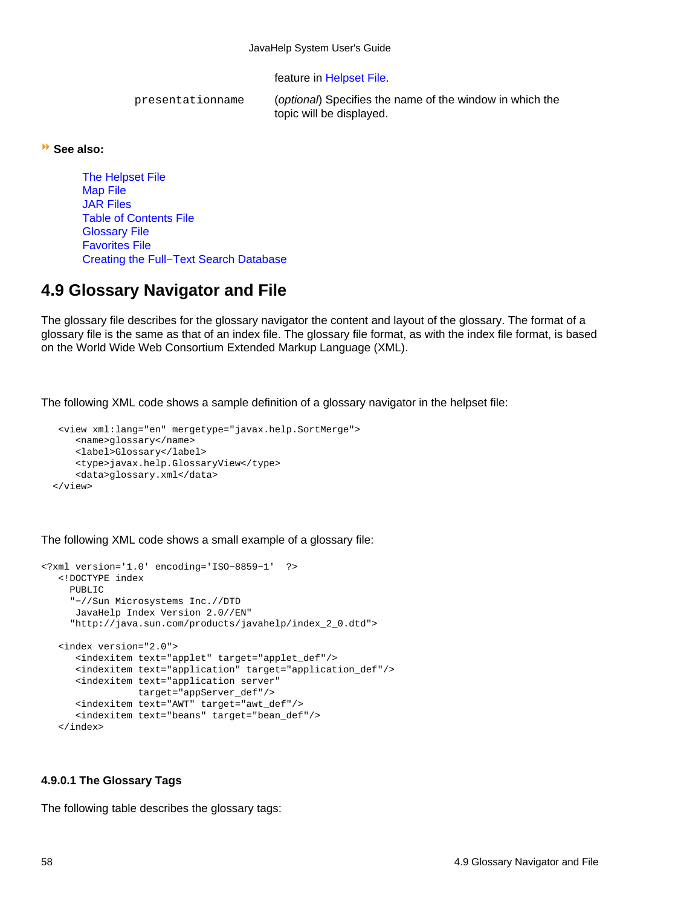#### feature in [Helpset File](#page-51-0).

presentationname (optional) Specifies the name of the window in which the topic will be displayed.

**See also:**

[The Helpset File](#page-47-0) [Map File](#page-54-0) [JAR Files](#page-55-0) [Table of Contents File](#page-58-0) [Glossary File](#page-63-0) [Favorites File](#page-65-0) [Creating the Full−Text Search Database](#page-69-0)

# <span id="page-63-0"></span>**4.9 Glossary Navigator and File**

The glossary file describes for the glossary navigator the content and layout of the glossary. The format of a glossary file is the same as that of an index file. The glossary file format, as with the index file format, is based on the World Wide Web Consortium Extended Markup Language (XML).

The following XML code shows a sample definition of a glossary navigator in the helpset file:

```
 <view xml:lang="en" mergetype="javax.help.SortMerge">
     <name>glossary</name>
     <label>Glossary</label>
     <type>javax.help.GlossaryView</type>
     <data>glossary.xml</data>
\langleview\rangle
```
The following XML code shows a small example of a glossary file:

```
<?xml version='1.0' encoding='ISO−8859−1' ?>
   <!DOCTYPE index
      PUBLIC 
      "−//Sun Microsystems Inc.//DTD 
      JavaHelp Index Version 2.0//EN"
      "http://java.sun.com/products/javahelp/index_2_0.dtd">
    <index version="2.0">
       <indexitem text="applet" target="applet_def"/>
       <indexitem text="application" target="application_def"/>
       <indexitem text="application server" 
                 target="appServer_def"/>
       <indexitem text="AWT" target="awt_def"/>
       <indexitem text="beans" target="bean_def"/>
    </index>
```
### **4.9.0.1 The Glossary Tags**

The following table describes the glossary tags: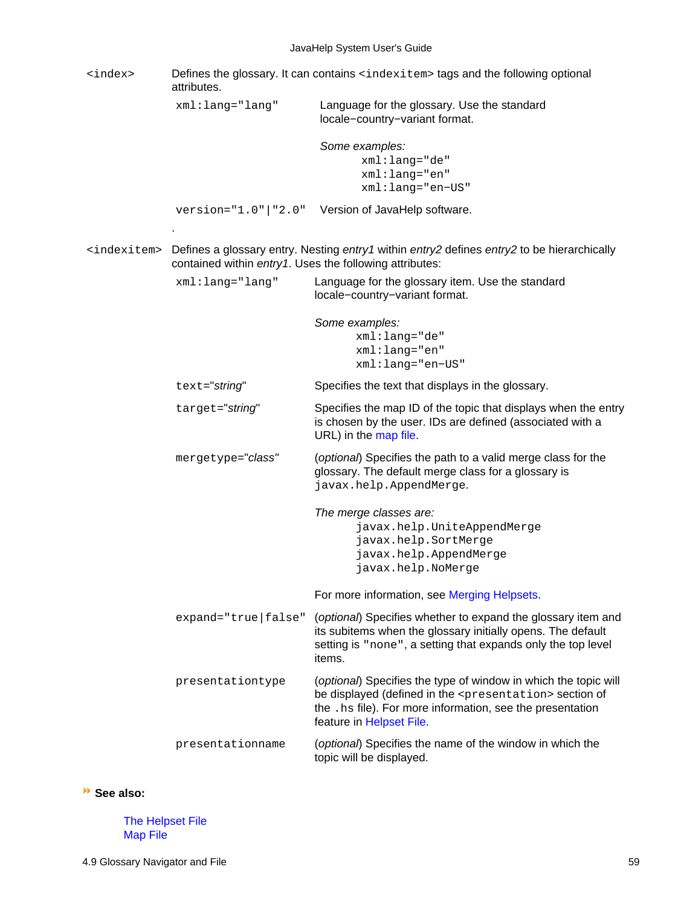<index> Defines the glossary. It can contains <indexitem> tags and the following optional attributes. xml:lang="lang" Language for the glossary. Use the standard locale−country−variant format. Some examples: xml:lang="de" xml:lang="en" xml:lang="en−US" version="1.0"|"2.0" Version of JavaHelp software. . <indexitem> Defines a glossary entry. Nesting entry1 within entry2 defines entry2 to be hierarchically contained within entry1. Uses the following attributes: xml:lang="lang" Language for the glossary item. Use the standard locale−country−variant format. Some examples: xml:lang="de" xml:lang="en" xml:lang="en−US" text="string" Specifies the text that displays in the glossary. target="string" Specifies the map ID of the topic that displays when the entry is chosen by the user. IDs are defined (associated with a URL) in the [map file](#page-54-0). mergetype="class" (optional) Specifies the path to a valid merge class for the glossary. The default merge class for a glossary is javax.help.AppendMerge. The merge classes are: javax.help.UniteAppendMerge javax.help.SortMerge javax.help.AppendMerge javax.help.NoMerge For more information, se[e Merging Helpsets.](#page-81-0) expand="true|false" (optional) Specifies whether to expand the glossary item and its subitems when the glossary initially opens. The default setting is "none", a setting that expands only the top level items. presentationtype (optional) Specifies the type of window in which the topic will be displayed (defined in the <presentation> section of the .hs file). For more information, see the presentation feature in [Helpset File](#page-51-0). presentationname (optional) Specifies the name of the window in which the topic will be displayed.

#### **See also:**

[The Helpset File](#page-47-0) [Map File](#page-54-0)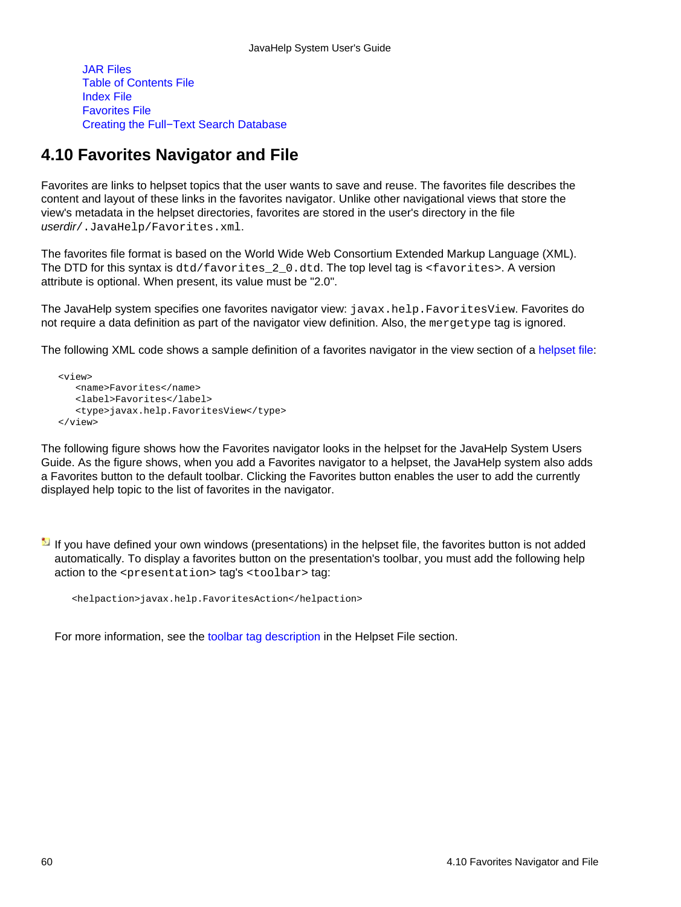[JAR Files](#page-55-0) [Table of Contents File](#page-58-0) [Index File](#page-61-0) [Favorites File](#page-65-0) [Creating the Full−Text Search Database](#page-69-0)

# <span id="page-65-0"></span>**4.10 Favorites Navigator and File**

Favorites are links to helpset topics that the user wants to save and reuse. The favorites file describes the content and layout of these links in the favorites navigator. Unlike other navigational views that store the view's metadata in the helpset directories, favorites are stored in the user's directory in the file userdir/.JavaHelp/Favorites.xml.

The favorites file format is based on the World Wide Web Consortium Extended Markup Language (XML). The DTD for this syntax is  $dt d/favorites_2_0.dtd.$  The top level tag is <favorites>. A version attribute is optional. When present, its value must be "2.0".

The JavaHelp system specifies one favorites navigator view: javax.help.FavoritesView. Favorites do not require a data definition as part of the navigator view definition. Also, the mergetype tag is ignored.

The following XML code shows a sample definition of a favorites navigator in the view section of a [helpset file](#page-47-0):

```
 <view>
    <name>Favorites</name>
    <label>Favorites</label>
    <type>javax.help.FavoritesView</type>
 </view>
```
The following figure shows how the Favorites navigator looks in the helpset for the JavaHelp System Users Guide. As the figure shows, when you add a Favorites navigator to a helpset, the JavaHelp system also adds a Favorites button to the default toolbar. Clicking the Favorites button enables the user to add the currently displayed help topic to the list of favorites in the navigator.

If you have defined your own windows (presentations) in the helpset file, the favorites button is not added automatically. To display a favorites button on the presentation's toolbar, you must add the following help action to the <presentation> tag's <toolbar> tag:

<helpaction>javax.help.FavoritesAction</helpaction>

For more information, see the [toolbar tag description](#page-52-0) in the Helpset File section.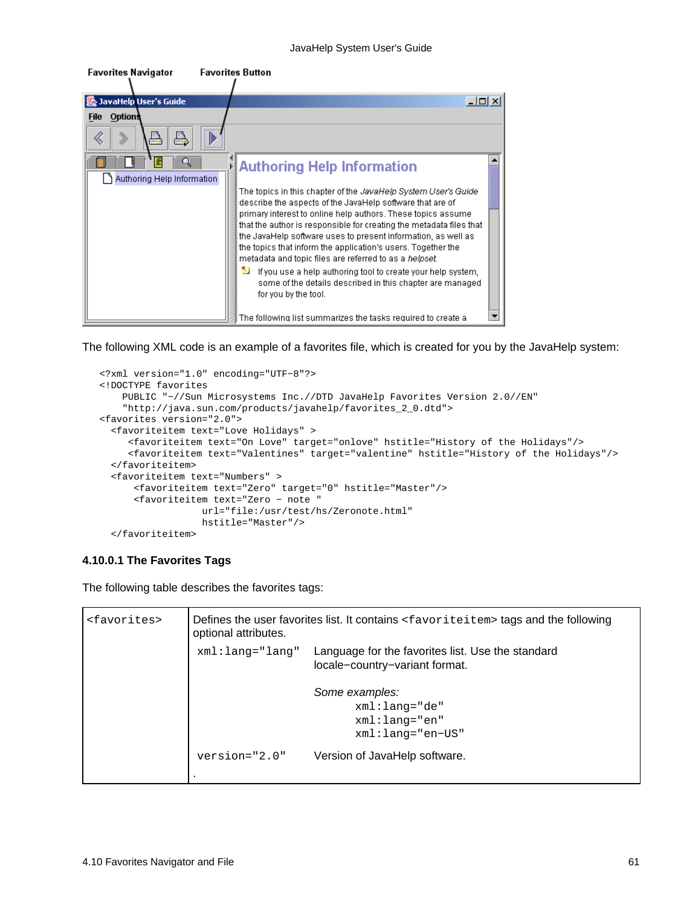#### JavaHelp System User's Guide

| <b>Favorites Navigator</b>    | <b>Favorites Button</b>                                                                                                                                                                                                                                                                                                                                                                                                                                       |  |
|-------------------------------|---------------------------------------------------------------------------------------------------------------------------------------------------------------------------------------------------------------------------------------------------------------------------------------------------------------------------------------------------------------------------------------------------------------------------------------------------------------|--|
|                               |                                                                                                                                                                                                                                                                                                                                                                                                                                                               |  |
| <b>JavaHelp User's Guide</b>  | $ \Box$ $\times$                                                                                                                                                                                                                                                                                                                                                                                                                                              |  |
| <b>Options</b><br><b>File</b> |                                                                                                                                                                                                                                                                                                                                                                                                                                                               |  |
|                               |                                                                                                                                                                                                                                                                                                                                                                                                                                                               |  |
| Authoring Help Information    | <b>Authoring Help Information</b>                                                                                                                                                                                                                                                                                                                                                                                                                             |  |
|                               | The topics in this chapter of the JavaHelp System User's Guide<br>describe the aspects of the JavaHelp software that are of<br>primary interest to online help authors. These topics assume<br>that the author is responsible for creating the metadata files that<br>the JavaHelp software uses to present information, as well as<br>the topics that inform the application's users. Together the<br>metadata and topic files are referred to as a helpset. |  |
|                               | 51<br>If you use a help authoring tool to create your help system,<br>some of the details described in this chapter are managed.<br>for you by the tool.<br>The following list summarizes the tasks required to create a                                                                                                                                                                                                                                      |  |

The following XML code is an example of a favorites file, which is created for you by the JavaHelp system:

```
 <?xml version="1.0" encoding="UTF−8"?>
 <!DOCTYPE favorites
    PUBLIC "−//Sun Microsystems Inc.//DTD JavaHelp Favorites Version 2.0//EN"
     "http://java.sun.com/products/javahelp/favorites_2_0.dtd">
 <favorites version="2.0">
   <favoriteitem text="Love Holidays" >
     <favoriteitem text="On Love" target="onlove" hstitle="History of the Holidays"/>
      <favoriteitem text="Valentines" target="valentine" hstitle="History of the Holidays"/>
   </favoriteitem>
   <favoriteitem text="Numbers" >
       <favoriteitem text="Zero" target="0" hstitle="Master"/>
       <favoriteitem text="Zero − note " 
                   url="file:/usr/test/hs/Zeronote.html"
                   hstitle="Master"/>
   </favoriteitem>
```
### **4.10.0.1 The Favorites Tags**

The following table describes the favorites tags:

| <favorites></favorites> | Defines the user favorites list. It contains <favoriteitem> tags and the following<br/>optional attributes.</favoriteitem> |                                                                                     |  |  |
|-------------------------|----------------------------------------------------------------------------------------------------------------------------|-------------------------------------------------------------------------------------|--|--|
|                         | $xml:lang="lang"$                                                                                                          | Language for the favorites list. Use the standard<br>locale-country-variant format. |  |  |
|                         |                                                                                                                            | Some examples:<br>$xml:$ lang="de"<br>$xml:lang="en"$<br>$xml:lang='en-US'$         |  |  |
|                         | $version="2.0"$                                                                                                            | Version of JavaHelp software.                                                       |  |  |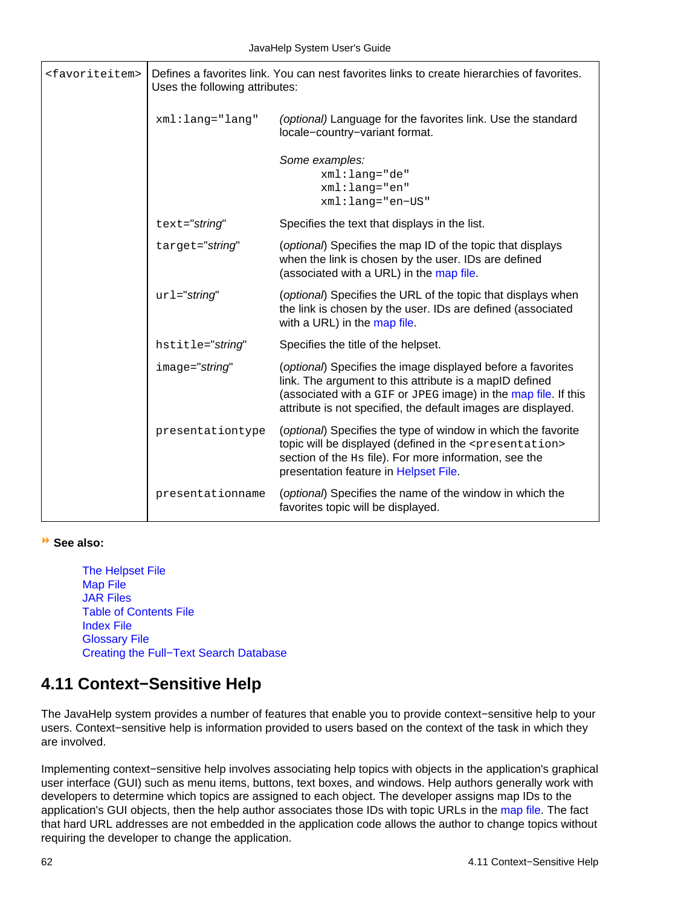| <favoriteitem></favoriteitem> | Defines a favorites link. You can nest favorites links to create hierarchies of favorites.<br>Uses the following attributes: |                                                                                                                                                                                                                                                           |  |
|-------------------------------|------------------------------------------------------------------------------------------------------------------------------|-----------------------------------------------------------------------------------------------------------------------------------------------------------------------------------------------------------------------------------------------------------|--|
|                               | xml: lang="lang"                                                                                                             | (optional) Language for the favorites link. Use the standard<br>locale-country-variant format.                                                                                                                                                            |  |
|                               |                                                                                                                              | Some examples:<br>$xml:lang="de"$<br>xml: lang="en"<br>xml: lang="en-US"                                                                                                                                                                                  |  |
|                               | text="string"                                                                                                                | Specifies the text that displays in the list.                                                                                                                                                                                                             |  |
|                               | target="string"                                                                                                              | (optional) Specifies the map ID of the topic that displays<br>when the link is chosen by the user. IDs are defined<br>(associated with a URL) in the map file.                                                                                            |  |
|                               | $ur1="string"$                                                                                                               | (optional) Specifies the URL of the topic that displays when<br>the link is chosen by the user. IDs are defined (associated<br>with a URL) in the map file.                                                                                               |  |
|                               | hstitle="string"                                                                                                             | Specifies the title of the helpset.                                                                                                                                                                                                                       |  |
|                               | image="string"                                                                                                               | (optional) Specifies the image displayed before a favorites<br>link. The argument to this attribute is a mapID defined<br>(associated with a GIF or JPEG image) in the map file. If this<br>attribute is not specified, the default images are displayed. |  |
|                               | presentationtype                                                                                                             | (optional) Specifies the type of window in which the favorite<br>topic will be displayed (defined in the <presentation><br/>section of the Hs file). For more information, see the<br/>presentation feature in Helpset File.</presentation>               |  |
|                               | presentationname                                                                                                             | (optional) Specifies the name of the window in which the<br>favorites topic will be displayed.                                                                                                                                                            |  |

**See also:**

[The Helpset File](#page-47-0) [Map File](#page-54-0) [JAR Files](#page-55-0) [Table of Contents File](#page-58-0) [Index File](#page-61-0) [Glossary File](#page-63-0) [Creating the Full−Text Search Database](#page-69-0)

# **4.11 Context−Sensitive Help**

The JavaHelp system provides a number of features that enable you to provide context−sensitive help to your users. Context−sensitive help is information provided to users based on the context of the task in which they are involved.

Implementing context−sensitive help involves associating help topics with objects in the application's graphical user interface (GUI) such as menu items, buttons, text boxes, and windows. Help authors generally work with developers to determine which topics are assigned to each object. The developer assigns map IDs to the application's GUI objects, then the help author associates those IDs with topic URLs in the [map file.](#page-54-0) The fact that hard URL addresses are not embedded in the application code allows the author to change topics without requiring the developer to change the application.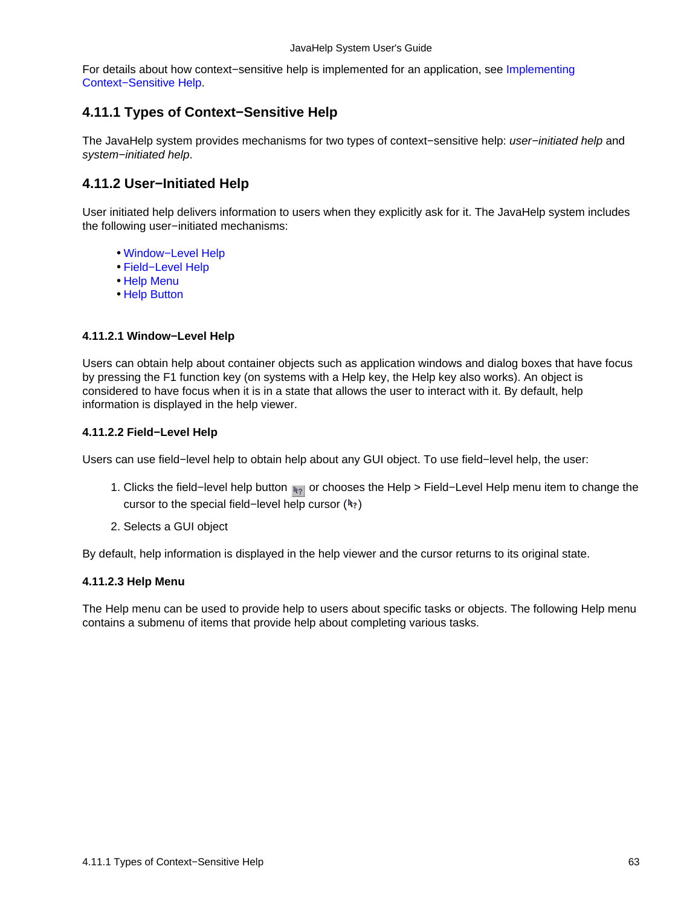For details about how context−sensitive help is implemented for an application, see [Implementing](#page-92-0) [Context−Sensitive Help](#page-92-0).

## **4.11.1 Types of Context−Sensitive Help**

The JavaHelp system provides mechanisms for two types of context–sensitive help: user–initiated help and system−initiated help.

## **4.11.2 User−Initiated Help**

User initiated help delivers information to users when they explicitly ask for it. The JavaHelp system includes the following user−initiated mechanisms:

- [Window−Level Help](#page-98-0)
- [Field−Level Help](#page-99-0)
- [Help Menu](#page-68-0)
- [Help Button](#page-69-1)

#### **4.11.2.1 Window−Level Help**

Users can obtain help about container objects such as application windows and dialog boxes that have focus by pressing the F1 function key (on systems with a Help key, the Help key also works). An object is considered to have focus when it is in a state that allows the user to interact with it. By default, help information is displayed in the help viewer.

#### **4.11.2.2 Field−Level Help**

Users can use field−level help to obtain help about any GUI object. To use field−level help, the user:

- 1. Clicks the field–level help button <sub>kal</sub> or chooses the Help > Field–Level Help menu item to change the cursor to the special field–level help cursor (k?)
- 2. Selects a GUI object

<span id="page-68-0"></span>By default, help information is displayed in the help viewer and the cursor returns to its original state.

#### **4.11.2.3 Help Menu**

The Help menu can be used to provide help to users about specific tasks or objects. The following Help menu contains a submenu of items that provide help about completing various tasks.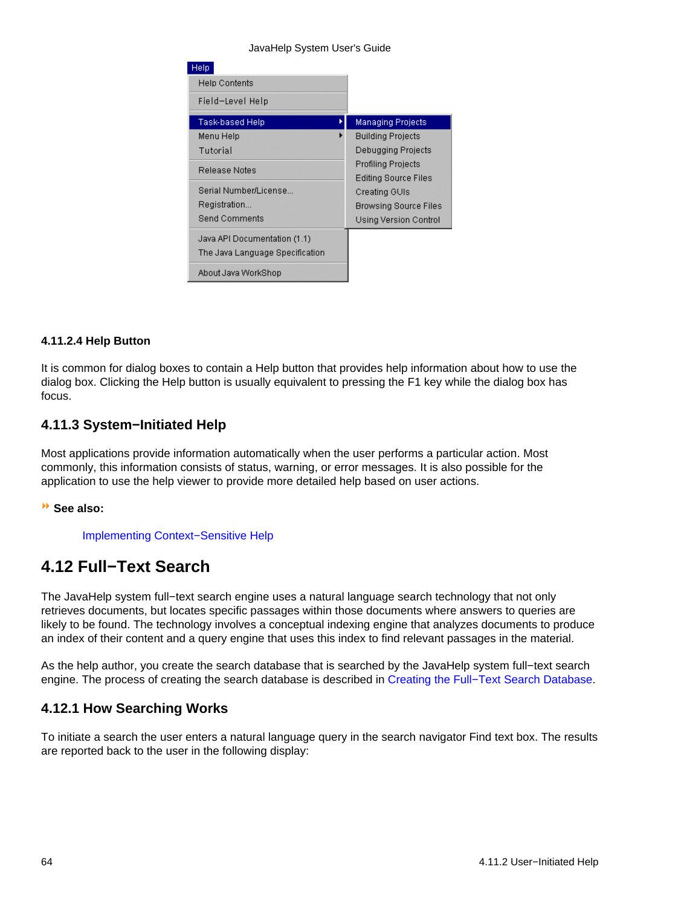#### JavaHelp System User's Guide

| Help                            |  |                              |
|---------------------------------|--|------------------------------|
| <b>Help Contents</b>            |  |                              |
| Field-Level Help                |  |                              |
| Task-based Help                 |  | <b>Managing Projects</b>     |
| Menu Help                       |  | <b>Building Projects</b>     |
| Tutorial                        |  | Debugging Projects           |
| Release Notes                   |  | Profiling Projects           |
|                                 |  | Editing Source Files         |
| Serial Number/License           |  | Creating GUIs                |
| Registration                    |  | <b>Browsing Source Files</b> |
| <b>Send Comments</b>            |  | Using Version Control        |
| Java API Documentation (1.1)    |  |                              |
| The Java Language Specification |  |                              |
| About Java WorkShop             |  |                              |

### <span id="page-69-1"></span>**4.11.2.4 Help Button**

It is common for dialog boxes to contain a Help button that provides help information about how to use the dialog box. Clicking the Help button is usually equivalent to pressing the F1 key while the dialog box has focus.

## **4.11.3 System−Initiated Help**

Most applications provide information automatically when the user performs a particular action. Most commonly, this information consists of status, warning, or error messages. It is also possible for the application to use the help viewer to provide more detailed help based on user actions.

#### **See also:**

[Implementing Context−Sensitive Help](#page-92-0)

# <span id="page-69-0"></span>**4.12 Full−Text Search**

The JavaHelp system full−text search engine uses a natural language search technology that not only retrieves documents, but locates specific passages within those documents where answers to queries are likely to be found. The technology involves a conceptual indexing engine that analyzes documents to produce an index of their content and a query engine that uses this index to find relevant passages in the material.

As the help author, you create the search database that is searched by the JavaHelp system full−text search engine. The process of creating the search database is described i[n Creating the Full−Text Search Database.](#page-71-0)

## **4.12.1 How Searching Works**

To initiate a search the user enters a natural language query in the search navigator Find text box. The results are reported back to the user in the following display: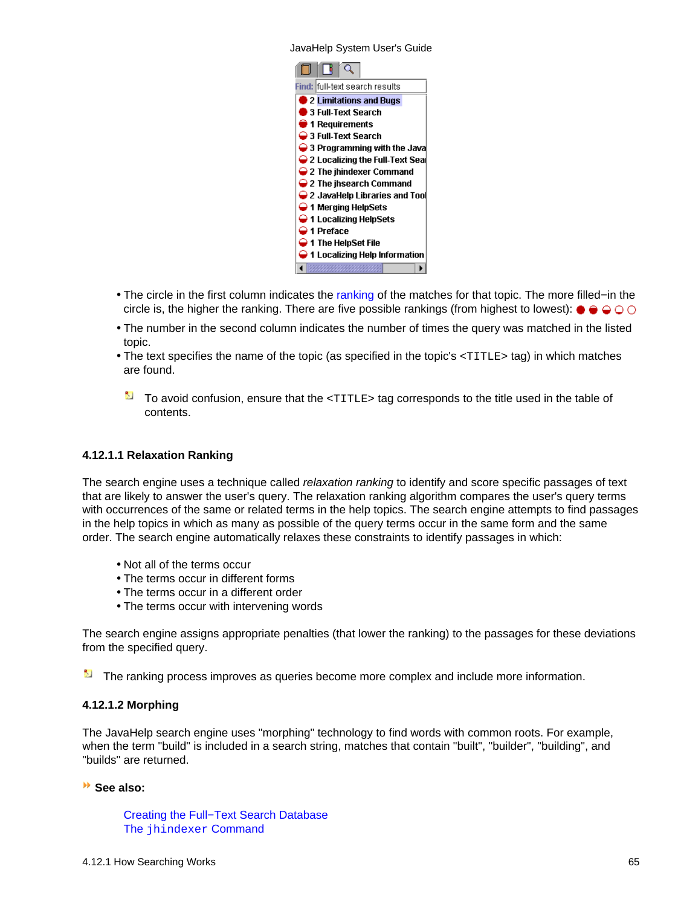

- The circle in the first column indicates th[e ranking](#page-70-0) of the matches for that topic. The more filled–in the circle is, the higher the ranking. There are five possible rankings (from highest to lowest):  $\bullet \bullet \bullet \bullet \circ \circ$
- The number in the second column indicates the number of times the query was matched in the listed topic.
- The text specifies the name of the topic (as specified in the topic's <TITLE> tag) in which matches are found.
	- $\overline{\mathbf{u}}$  To avoid confusion, ensure that the <TITLE> tag corresponds to the title used in the table of contents.

### <span id="page-70-0"></span>**4.12.1.1 Relaxation Ranking**

The search engine uses a technique called *relaxation ranking* to identify and score specific passages of text that are likely to answer the user's query. The relaxation ranking algorithm compares the user's query terms with occurrences of the same or related terms in the help topics. The search engine attempts to find passages in the help topics in which as many as possible of the query terms occur in the same form and the same order. The search engine automatically relaxes these constraints to identify passages in which:

- Not all of the terms occur
- The terms occur in different forms
- The terms occur in a different order
- The terms occur with intervening words

The search engine assigns appropriate penalties (that lower the ranking) to the passages for these deviations from the specified query.

**I** The ranking process improves as queries become more complex and include more information.

#### **4.12.1.2 Morphing**

The JavaHelp search engine uses "morphing" technology to find words with common roots. For example, when the term "build" is included in a search string, matches that contain "built", "builder", "building", and "builds" are returned.

#### **See also:**

[Creating the Full−Text Search Database](#page-71-0) [The](#page-72-0) [jhindexer](#page-72-0) Command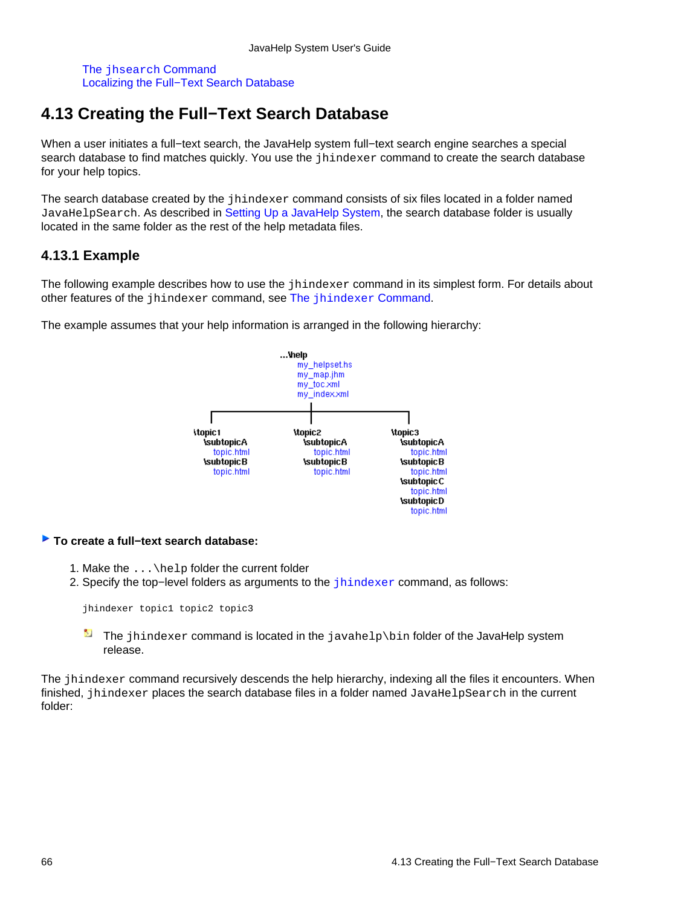[The](#page-75-1) jhsearch [Command](#page-75-1) [Localizing the Full−Text Search Database](#page-123-0)

# <span id="page-71-0"></span>**4.13 Creating the Full−Text Search Database**

When a user initiates a full−text search, the JavaHelp system full−text search engine searches a special search database to find matches quickly. You use the jhindexer command to create the search database for your help topics.

The search database created by the jhindexer command consists of six files located in a folder named JavaHelpSearch. As described in [Setting Up a JavaHelp System](#page-45-0), the search database folder is usually located in the same folder as the rest of the help metadata files.

## **4.13.1 Example**

The following example describes how to use the jhindexer command in its simplest form. For details about other features of the jhindexer command, see [The](#page-72-0) [jhindexer](#page-72-0) Command.

The example assumes that your help information is arranged in the following hierarchy:



### **To create a full−text search database:**

- 1. Make the  $\dots$  help folder the current folder
- 2. Specify the top−level folders as arguments to the [jhindexer](#page-72-0) command, as follows:

jhindexer topic1 topic2 topic3

 $\blacksquare$  The jhindexer command is located in the javahelp\bin folder of the JavaHelp system release.

The jhindexer command recursively descends the help hierarchy, indexing all the files it encounters. When finished, jhindexer places the search database files in a folder named JavaHelpSearch in the current folder: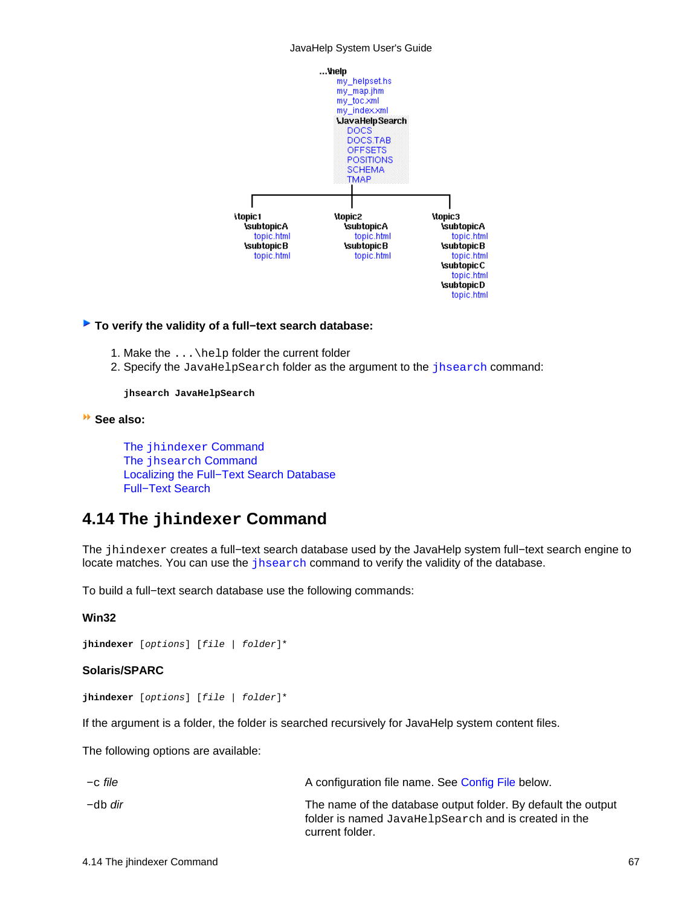#### JavaHelp System User's Guide



### **To verify the validity of a full−text search database:**

- 1. Make the  $\dots$  help folder the current folder
- 2. Specify the JavaHelpSearch folder as the argument to the [jhsearch](#page-75-0) command:

#### **jhsearch JavaHelpSearch**

### **See also:**

[The](#page-72-0) [jhindexer](#page-72-0) Command [The](#page-75-0) jhsearch [Command](#page-75-0) [Localizing the Full−Text Search Database](#page-123-0) [Full−Text Search](#page-69-0)

## <span id="page-72-0"></span>**4.14 The jhindexer Command**

The jhindexer creates a full−text search database used by the JavaHelp system full−text search engine to locate matches. You can use the [jhsearch](#page-75-0) command to verify the validity of the database.

To build a full−text search database use the following commands:

### **Win32**

**jhindexer** [options] [file | folder]\*

#### **Solaris/SPARC**

**jhindexer** [options] [file | folder]\*

If the argument is a folder, the folder is searched recursively for JavaHelp system content files.

The following options are available:

| $-c$ file | A configuration file name. See Config File below.                                                                                        |
|-----------|------------------------------------------------------------------------------------------------------------------------------------------|
| $-dh$ dir | The name of the database output folder. By default the output<br>folder is named JavaHelpSearch and is created in the<br>current folder. |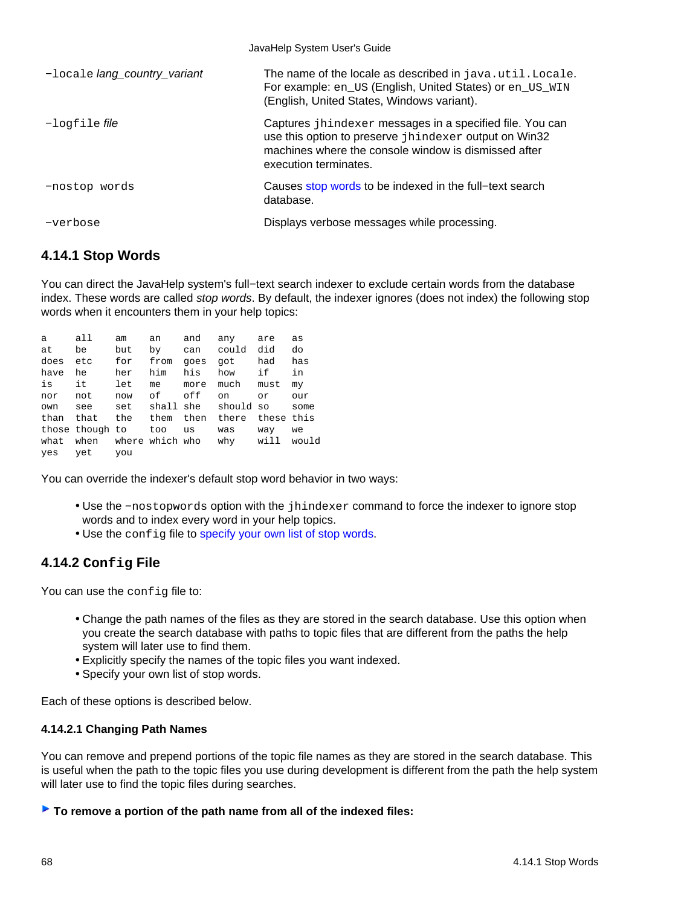|                              | JavaHelp System User's Guide                                                                                                                                                                       |
|------------------------------|----------------------------------------------------------------------------------------------------------------------------------------------------------------------------------------------------|
| -locale lang_country_variant | The name of the locale as described in java.util.Locale.<br>For example: en_US (English, United States) or en_US_WIN<br>(English, United States, Windows variant).                                 |
| -logfile <i>file</i>         | Captures jhindexer messages in a specified file. You can<br>use this option to preserve jhindexer output on Win32<br>machines where the console window is dismissed after<br>execution terminates. |
| -nostop words                | Causes stop words to be indexed in the full-text search<br>database.                                                                                                                               |
| -verbose                     | Displays verbose messages while processing.                                                                                                                                                        |

### <span id="page-73-1"></span>**4.14.1 Stop Words**

You can direct the JavaHelp system's full−text search indexer to exclude certain words from the database index. These words are called *stop words*. By default, the indexer ignores (does not index) the following stop words when it encounters them in your help topics:

| a    | all             | am  | an              | and  | any       | are        | as    |
|------|-----------------|-----|-----------------|------|-----------|------------|-------|
| at   | be              | but | by              | can  | could     | did        | do    |
| does | etc             | for | from            | qoes | qot       | had        | has   |
| have | he              | her | him             | his  | how       | if         | in    |
| is   | it              | let | me              | more | much      | must       | my    |
| nor  | not             | now | оf              | off  | on        | or         | our   |
| own  | see             | set | shall she       |      | should so |            | some  |
| than | that.           | the | them            | then | there     | these this |       |
|      | those though to |     | too             | us   | was       | way        | we    |
| what | when            |     | where which who |      | why       | will       | would |
| yes  | yet             | you |                 |      |           |            |       |

You can override the indexer's default stop word behavior in two ways:

- Use the -nostopwords option with the jhindexer command to force the indexer to ignore stop words and to index every word in your help topics.
- Use the config file to [specify your own list of stop words](#page-74-0).

### <span id="page-73-0"></span>**4.14.2 Config File**

You can use the config file to:

- Change the path names of the files as they are stored in the search database. Use this option when you create the search database with paths to topic files that are different from the paths the help system will later use to find them.
- Explicitly specify the names of the topic files you want indexed.
- Specify your own list of stop words.

Each of these options is described below.

### **4.14.2.1 Changing Path Names**

You can remove and prepend portions of the topic file names as they are stored in the search database. This is useful when the path to the topic files you use during development is different from the path the help system will later use to find the topic files during searches.

### **To remove a portion of the path name from all of the indexed files:**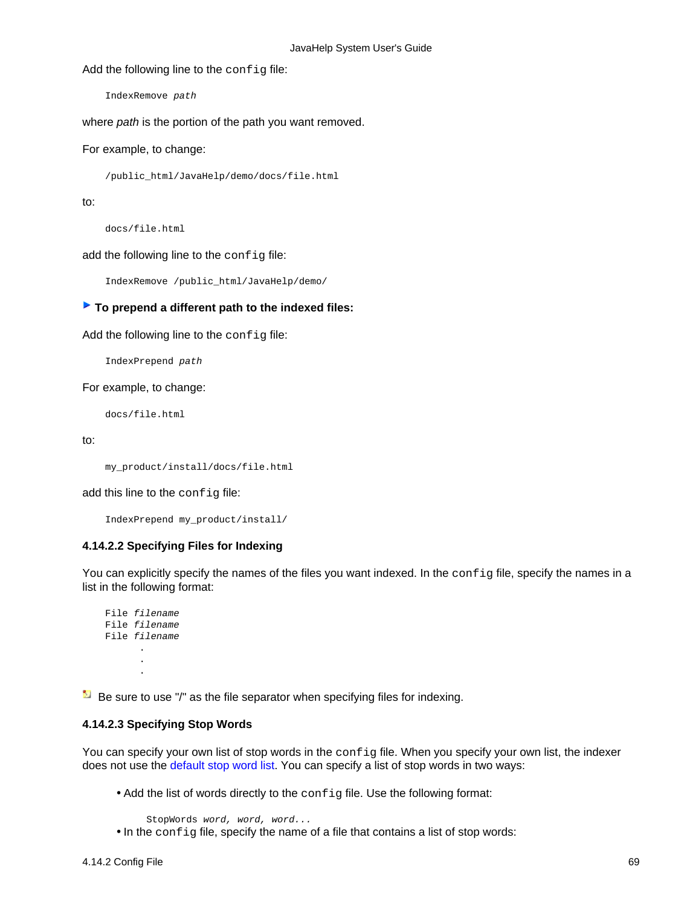Add the following line to the config file:

IndexRemove path

where *path* is the portion of the path you want removed.

### For example, to change:

/public\_html/JavaHelp/demo/docs/file.html

to:

docs/file.html

#### add the following line to the config file:

IndexRemove /public\_html/JavaHelp/demo/

### **To prepend a different path to the indexed files:**

Add the following line to the config file:

IndexPrepend path

For example, to change:

docs/file.html

to:

my\_product/install/docs/file.html

#### add this line to the config file:

IndexPrepend my\_product/install/

### **4.14.2.2 Specifying Files for Indexing**

You can explicitly specify the names of the files you want indexed. In the config file, specify the names in a list in the following format:

 File filename File filename File filename . . .

 $\mathbb{S}$  Be sure to use "/" as the file separator when specifying files for indexing.

### <span id="page-74-0"></span>**4.14.2.3 Specifying Stop Words**

You can specify your own list of stop words in the config file. When you specify your own list, the indexer does not use the [default stop word list.](#page-73-1) You can specify a list of stop words in two ways:

• Add the list of words directly to the config file. Use the following format:

StopWords word, word, word...

• In the config file, specify the name of a file that contains a list of stop words: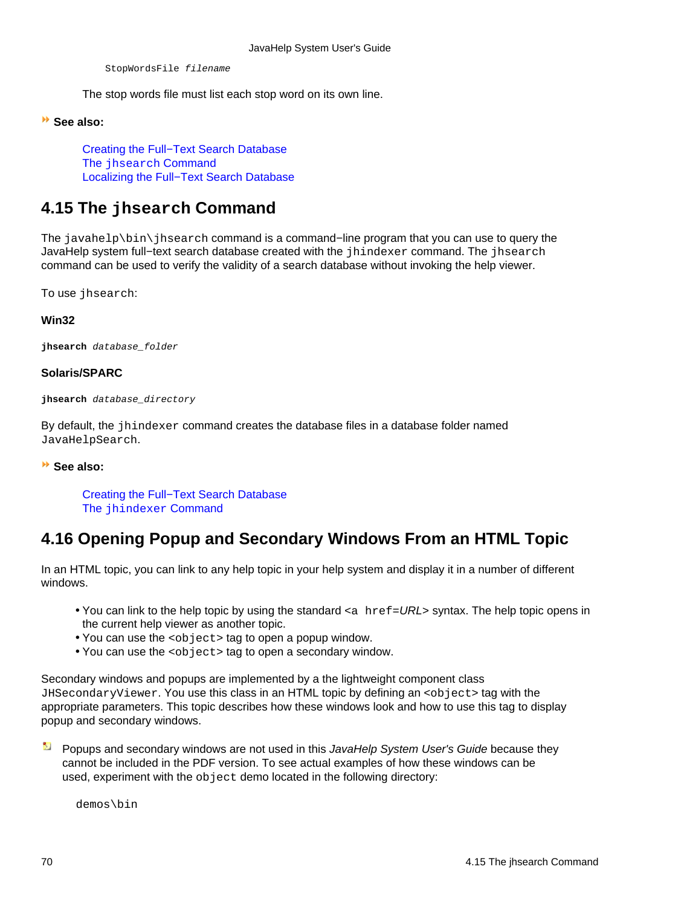StopWordsFile filename

The stop words file must list each stop word on its own line.

### **See also:**

[Creating the Full−Text Search Database](#page-69-0) [The](#page-75-0) jhsearch [Command](#page-75-0) [Localizing the Full−Text Search Database](#page-123-0)

## <span id="page-75-0"></span>**4.15 The jhsearch Command**

The javahelp\bin\jhsearch command is a command−line program that you can use to query the JavaHelp system full−text search database created with the jhindexer command. The jhsearch command can be used to verify the validity of a search database without invoking the help viewer.

To use jhsearch:

### **Win32**

**jhsearch** database\_folder

### **Solaris/SPARC**

**jhsearch** database\_directory

By default, the jhindexer command creates the database files in a database folder named JavaHelpSearch.

### **See also:**

[Creating the Full−Text Search Database](#page-69-0) [The](#page-72-0) [jhindexer](#page-72-0) Command

## **4.16 Opening Popup and Secondary Windows From an HTML Topic**

In an HTML topic, you can link to any help topic in your help system and display it in a number of different windows.

- You can link to the help topic by using the standard  $\langle a \rangle$  href=URL> syntax. The help topic opens in the current help viewer as another topic.
- You can use the <object> tag to open a popup window.
- You can use the <object> tag to open a secondary window.

Secondary windows and popups are implemented by a the lightweight component class JHSecondaryViewer. You use this class in an HTML topic by defining an <object> tag with the appropriate parameters. This topic describes how these windows look and how to use this tag to display popup and secondary windows.

**D** Popups and secondary windows are not used in this JavaHelp System User's Guide because they cannot be included in the PDF version. To see actual examples of how these windows can be used, experiment with the object demo located in the following directory:

demos\bin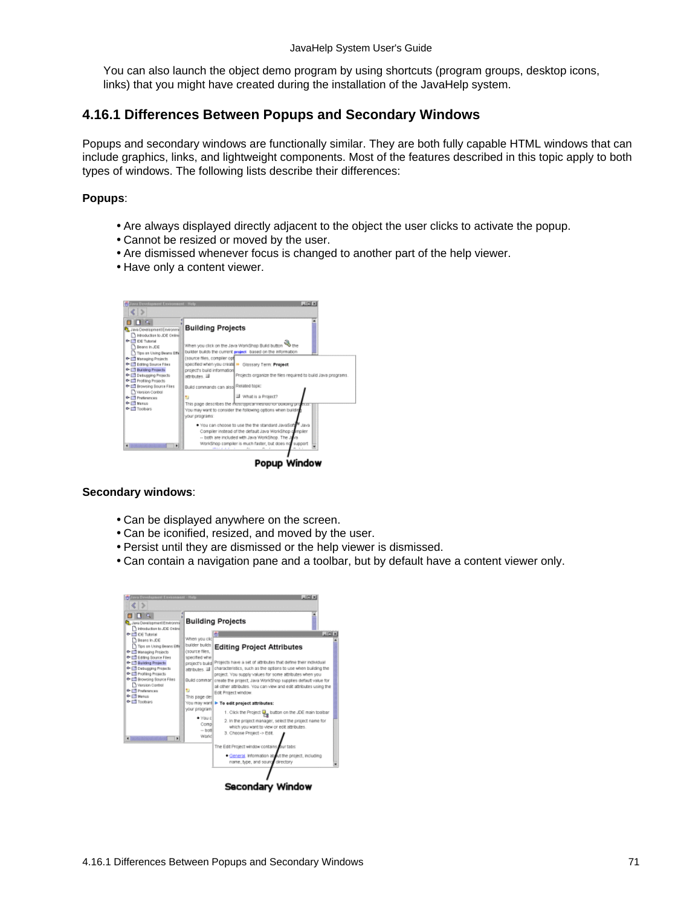You can also launch the object demo program by using shortcuts (program groups, desktop icons, links) that you might have created during the installation of the JavaHelp system.

### **4.16.1 Differences Between Popups and Secondary Windows**

Popups and secondary windows are functionally similar. They are both fully capable HTML windows that can include graphics, links, and lightweight components. Most of the features described in this topic apply to both types of windows. The following lists describe their differences:

### **Popups**:

- Are always displayed directly adjacent to the object the user clicks to activate the popup.
- Cannot be resized or moved by the user.
- Are dismissed whenever focus is changed to another part of the help viewer.
- Have only a content viewer.



#### **Secondary windows**:

- Can be displayed anywhere on the screen.
- Can be iconified, resized, and moved by the user.
- Persist until they are dismissed or the help viewer is dismissed.
- Can contain a navigation pane and a toolbar, but by default have a content viewer only.

| 8 B A<br><b>Rt.</b> Java Davelopment Environme<br>1 Introduction to JDE Online                                                                                                                                                                                                                                                                         | <b>Building Projects</b>                                                                                                                                                                                                                                                                                                                                                                                                                                                                                                                                                                                                                                                                                                                                                                                                                                                                                    |
|--------------------------------------------------------------------------------------------------------------------------------------------------------------------------------------------------------------------------------------------------------------------------------------------------------------------------------------------------------|-------------------------------------------------------------------------------------------------------------------------------------------------------------------------------------------------------------------------------------------------------------------------------------------------------------------------------------------------------------------------------------------------------------------------------------------------------------------------------------------------------------------------------------------------------------------------------------------------------------------------------------------------------------------------------------------------------------------------------------------------------------------------------------------------------------------------------------------------------------------------------------------------------------|
| CE Tutorial<br>Beans In JDE<br>Tips on Using Beans Effe<br>T Managing Projects<br><sup>*</sup> Eding Source Files<br><sup>6</sup> <sup>1</sup> Building Projects<br>C Debugging Projects<br>Profiling Projects<br><b>C El Browsing Bource Files</b><br>Version Control<br><sup>6</sup> Preferences<br><b>C Il Menus</b><br><sup>c</sup> IToolsars<br>٠ | $-101x$<br>When you clid<br>builder builds<br><b>Editing Project Attributes</b><br>(source files.<br>specified whet<br>project's build Projects have a set of attributes that define their individual<br>characteristics, such as the options to use when building the<br>attributes. III<br>project. You supply values for some attributes when you<br>Build comman] create the project, Java WorkShop supplies default value for<br>all other attributes. You can view and edit attributes using the<br>Ð<br>Edit Project window.<br>This page de:<br>You may want > To edit project attributes:<br>your program)<br>1. Click the Project Co button on the JDE main toolbar<br>$*$ You c<br>2. In the project manager, select the project name for<br>Compi<br>which you want to view or edit attributes.<br>- botl<br>3. Choose Project -> Edit.<br>World<br>The Edit Project window contains, bur tabs: |
|                                                                                                                                                                                                                                                                                                                                                        | · General, Information about the project, including<br>name, hoe, and source directory                                                                                                                                                                                                                                                                                                                                                                                                                                                                                                                                                                                                                                                                                                                                                                                                                      |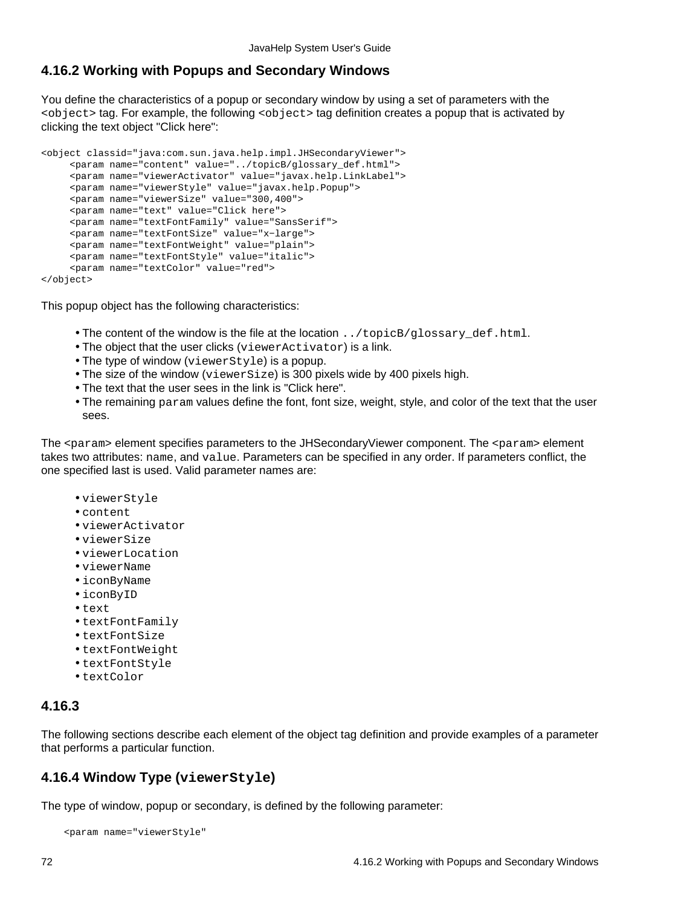### **4.16.2 Working with Popups and Secondary Windows**

You define the characteristics of a popup or secondary window by using a set of parameters with the <object> tag. For example, the following <object> tag definition creates a popup that is activated by clicking the text object "Click here":

```
<object classid="java:com.sun.java.help.impl.JHSecondaryViewer">
      <param name="content" value="../topicB/glossary_def.html">
      <param name="viewerActivator" value="javax.help.LinkLabel">
      <param name="viewerStyle" value="javax.help.Popup">
      <param name="viewerSize" value="300,400">
      <param name="text" value="Click here">
      <param name="textFontFamily" value="SansSerif">
      <param name="textFontSize" value="x−large">
      <param name="textFontWeight" value="plain">
      <param name="textFontStyle" value="italic">
     <param name="textColor" value="red">
</object>
```
This popup object has the following characteristics:

- The content of the window is the file at the location ../topicB/glossary\_def.html.
- The object that the user clicks (viewerActivator) is a link.
- The type of window (viewerStyle) is a popup.
- The size of the window (viewerSize) is 300 pixels wide by 400 pixels high.
- The text that the user sees in the link is "Click here".
- The remaining param values define the font, font size, weight, style, and color of the text that the user sees.

The  $\epsilon$  param> element specifies parameters to the JHSecondaryViewer component. The  $\epsilon$  param> element takes two attributes: name, and value. Parameters can be specified in any order. If parameters conflict, the one specified last is used. Valid parameter names are:

- viewerStyle
- content
- viewerActivator
- viewerSize
- viewerLocation
- viewerName
- iconByName
- iconByID
- $+ e$ xt
- textFontFamily
- textFontSize
- textFontWeight
- textFontStyle
- textColor

### **4.16.3**

The following sections describe each element of the object tag definition and provide examples of a parameter that performs a particular function.

### **4.16.4 Window Type (viewerStyle)**

The type of window, popup or secondary, is defined by the following parameter:

```
 <param name="viewerStyle"
```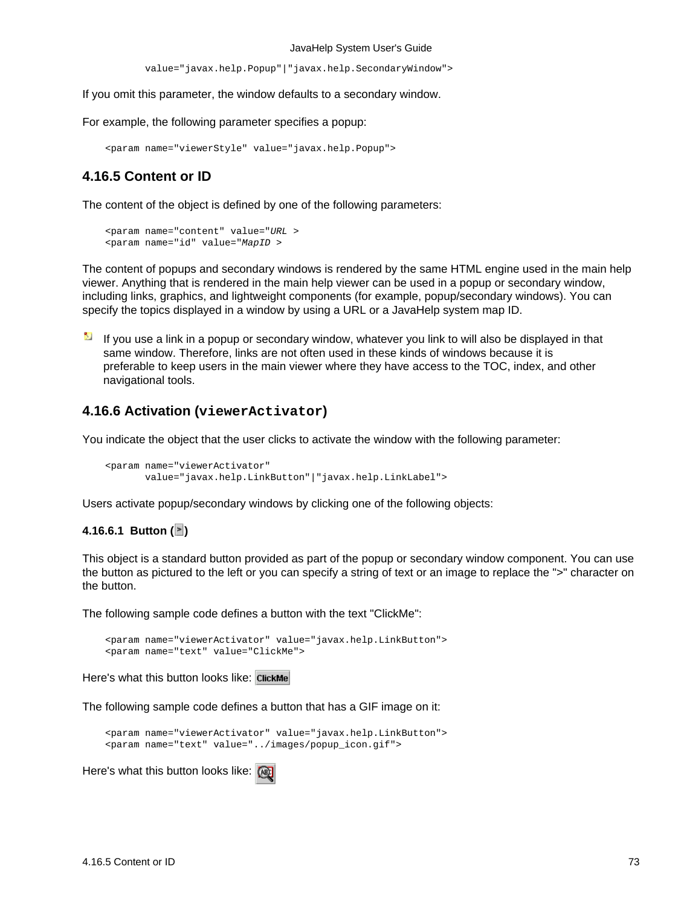value="javax.help.Popup"|"javax.help.SecondaryWindow">

If you omit this parameter, the window defaults to a secondary window.

For example, the following parameter specifies a popup:

<param name="viewerStyle" value="javax.help.Popup">

### **4.16.5 Content or ID**

The content of the object is defined by one of the following parameters:

```
 <param name="content" value="URL >
 <param name="id" value="MapID >
```
The content of popups and secondary windows is rendered by the same HTML engine used in the main help viewer. Anything that is rendered in the main help viewer can be used in a popup or secondary window, including links, graphics, and lightweight components (for example, popup/secondary windows). You can specify the topics displayed in a window by using a URL or a JavaHelp system map ID.

 $\mathbb{S}$  If you use a link in a popup or secondary window, whatever you link to will also be displayed in that same window. Therefore, links are not often used in these kinds of windows because it is preferable to keep users in the main viewer where they have access to the TOC, index, and other navigational tools.

### **4.16.6 Activation (viewerActivator)**

You indicate the object that the user clicks to activate the window with the following parameter:

```
 <param name="viewerActivator" 
        value="javax.help.LinkButton"|"javax.help.LinkLabel">
```
Users activate popup/secondary windows by clicking one of the following objects:

### **4.16.6.1 Button ( )**

This object is a standard button provided as part of the popup or secondary window component. You can use the button as pictured to the left or you can specify a string of text or an image to replace the ">" character on the button.

The following sample code defines a button with the text "ClickMe":

 <param name="viewerActivator" value="javax.help.LinkButton"> <param name="text" value="ClickMe">

Here's what this button looks like: ClickMe

The following sample code defines a button that has a GIF image on it:

```
 <param name="viewerActivator" value="javax.help.LinkButton">
 <param name="text" value="../images/popup_icon.gif">
```
Here's what this button looks like:  $\boxed{\text{QCD}}$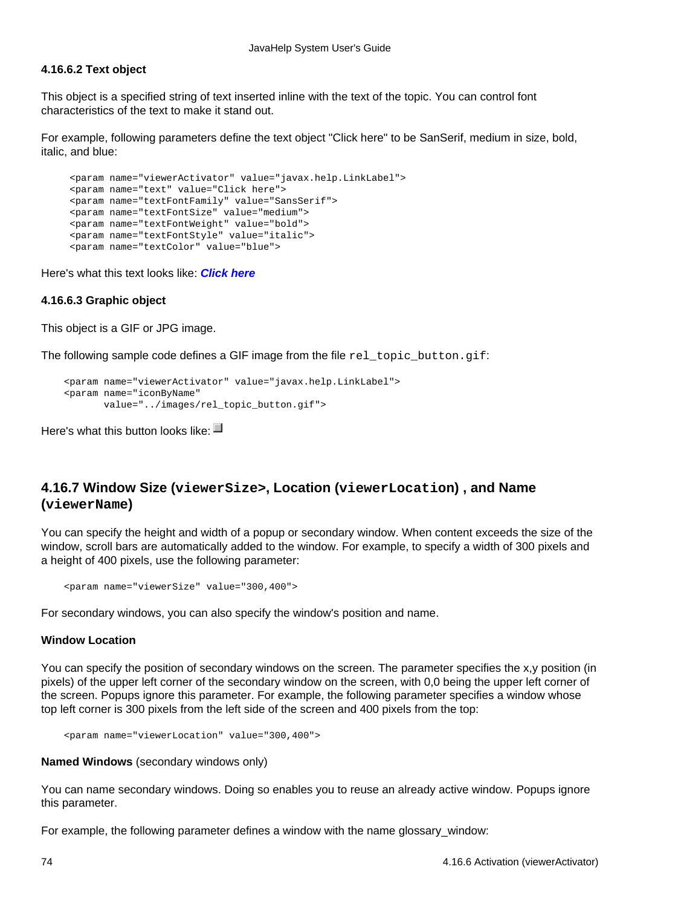### **4.16.6.2 Text object**

This object is a specified string of text inserted inline with the text of the topic. You can control font characteristics of the text to make it stand out.

For example, following parameters define the text object "Click here" to be SanSerif, medium in size, bold, italic, and blue:

```
 <param name="viewerActivator" value="javax.help.LinkLabel">
 <param name="text" value="Click here">
 <param name="textFontFamily" value="SansSerif">
 <param name="textFontSize" value="medium">
 <param name="textFontWeight" value="bold">
 <param name="textFontStyle" value="italic">
 <param name="textColor" value="blue">
```
Here's what this text looks like: **Click here**

### **4.16.6.3 Graphic object**

This object is a GIF or JPG image.

The following sample code defines a GIF image from the file rel\_topic\_button.gif:

```
 <param name="viewerActivator" value="javax.help.LinkLabel">
 <param name="iconByName" 
        value="../images/rel_topic_button.gif">
```
Here's what this button looks like:  $\blacksquare$ 

### **4.16.7 Window Size (viewerSize>, Location (viewerLocation) , and Name (viewerName)**

You can specify the height and width of a popup or secondary window. When content exceeds the size of the window, scroll bars are automatically added to the window. For example, to specify a width of 300 pixels and a height of 400 pixels, use the following parameter:

<param name="viewerSize" value="300,400">

For secondary windows, you can also specify the window's position and name.

### **Window Location**

You can specify the position of secondary windows on the screen. The parameter specifies the x,y position (in pixels) of the upper left corner of the secondary window on the screen, with 0,0 being the upper left corner of the screen. Popups ignore this parameter. For example, the following parameter specifies a window whose top left corner is 300 pixels from the left side of the screen and 400 pixels from the top:

<param name="viewerLocation" value="300,400">

#### **Named Windows** (secondary windows only)

You can name secondary windows. Doing so enables you to reuse an already active window. Popups ignore this parameter.

For example, the following parameter defines a window with the name glossary\_window: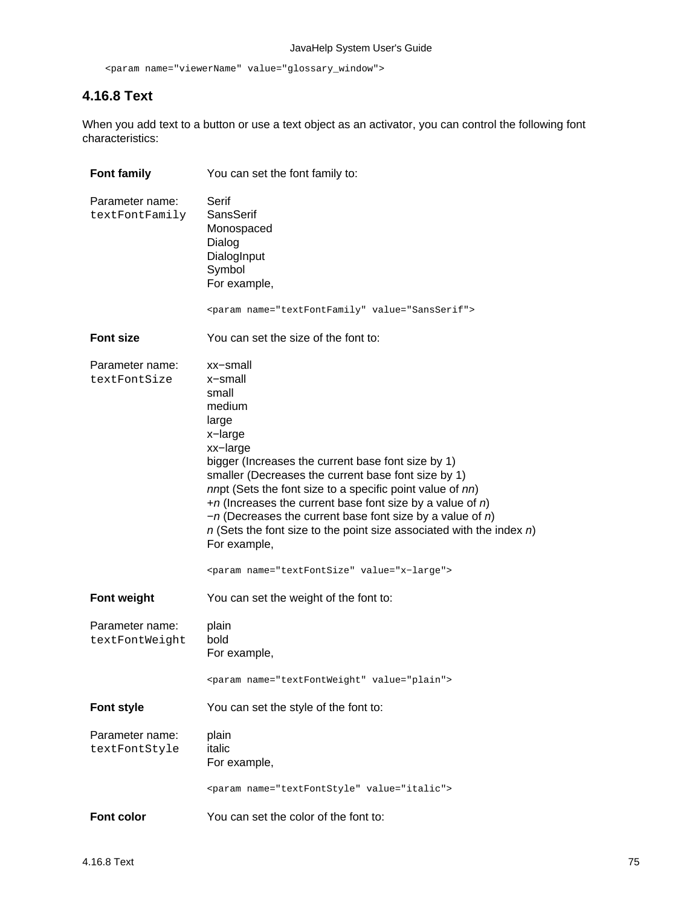<param name="viewerName" value="glossary\_window">

### **4.16.8 Text**

When you add text to a button or use a text object as an activator, you can control the following font characteristics:

| <b>Font family</b>                | You can set the font family to:                                                                                                                                                                                                                                                                                                                                                                                                                                                                                              |
|-----------------------------------|------------------------------------------------------------------------------------------------------------------------------------------------------------------------------------------------------------------------------------------------------------------------------------------------------------------------------------------------------------------------------------------------------------------------------------------------------------------------------------------------------------------------------|
| Parameter name:<br>textFontFamily | Serif<br><b>SansSerif</b><br>Monospaced<br>Dialog<br>DialogInput<br>Symbol<br>For example,<br><param name="textFontFamily" value="SansSerif"/>                                                                                                                                                                                                                                                                                                                                                                               |
| <b>Font size</b>                  | You can set the size of the font to:                                                                                                                                                                                                                                                                                                                                                                                                                                                                                         |
| Parameter name:<br>textFontSize   | xx-small<br>x-small<br>small<br>medium<br>large<br>x-large<br>xx-large<br>bigger (Increases the current base font size by 1)<br>smaller (Decreases the current base font size by 1)<br>nnpt (Sets the font size to a specific point value of nn)<br>+n (Increases the current base font size by a value of $n$ )<br>$-n$ (Decreases the current base font size by a value of n)<br>$n$ (Sets the font size to the point size associated with the index $n$ )<br>For example,<br><param name="textFontSize" value="x-large"/> |
| Font weight                       | You can set the weight of the font to:                                                                                                                                                                                                                                                                                                                                                                                                                                                                                       |
| Parameter name:<br>textFontWeight | plain<br>bold<br>For example,<br><param name="textFontWeight" value="plain"/>                                                                                                                                                                                                                                                                                                                                                                                                                                                |
| <b>Font style</b>                 | You can set the style of the font to:                                                                                                                                                                                                                                                                                                                                                                                                                                                                                        |
| Parameter name:<br>textFontStyle  | plain<br>italic<br>For example,<br><param name="textFontStyle" value="italic"/>                                                                                                                                                                                                                                                                                                                                                                                                                                              |
| <b>Font color</b>                 | You can set the color of the font to:                                                                                                                                                                                                                                                                                                                                                                                                                                                                                        |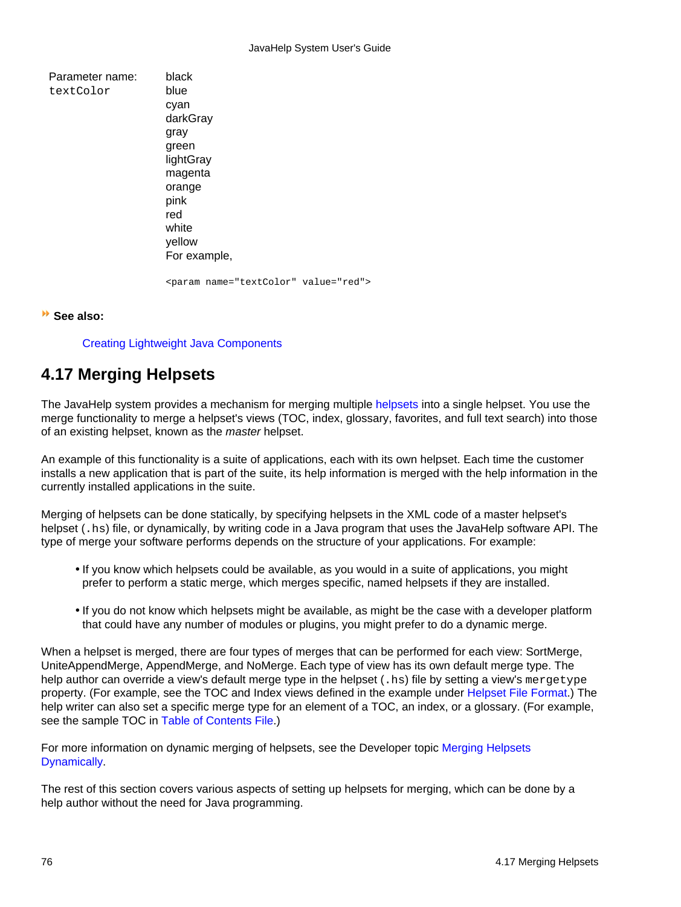#### Parameter name: black

- textColor
- blue cyan darkGray gray green lightGray magenta orange pink red white yellow For example,

<param name="textColor" value="red">

### **See also:**

[Creating Lightweight Java Components](#page-105-0)

## <span id="page-81-0"></span>**4.17 Merging Helpsets**

The JavaHelp system provides a mechanism for merging multiple [helpsets](#page-47-0) into a single helpset. You use the merge functionality to merge a helpset's views (TOC, index, glossary, favorites, and full text search) into those of an existing helpset, known as the *master* helpset.

An example of this functionality is a suite of applications, each with its own helpset. Each time the customer installs a new application that is part of the suite, its help information is merged with the help information in the currently installed applications in the suite.

Merging of helpsets can be done statically, by specifying helpsets in the XML code of a master helpset's helpset (.hs) file, or dynamically, by writing code in a Java program that uses the JavaHelp software API. The type of merge your software performs depends on the structure of your applications. For example:

- If you know which helpsets could be available, as you would in a suite of applications, you might prefer to perform a static merge, which merges specific, named helpsets if they are installed.
- If you do not know which helpsets might be available, as might be the case with a developer platform that could have any number of modules or plugins, you might prefer to do a dynamic merge.

When a helpset is merged, there are four types of merges that can be performed for each view: SortMerge, UniteAppendMerge, AppendMerge, and NoMerge. Each type of view has its own default merge type. The help author can override a view's default merge type in the helpset (. hs) file by setting a view's mergetype property. (For example, see the TOC and Index views defined in the example under [Helpset File Format.](#page-48-0)) The help writer can also set a specific merge type for an element of a TOC, an index, or a glossary. (For example, see the sample TOC i[n Table of Contents File.](#page-58-0))

For more information on dynamic merging of helpsets, see the Developer topi[c Merging Helpsets](#page-104-0) [Dynamically.](#page-104-0)

The rest of this section covers various aspects of setting up helpsets for merging, which can be done by a help author without the need for Java programming.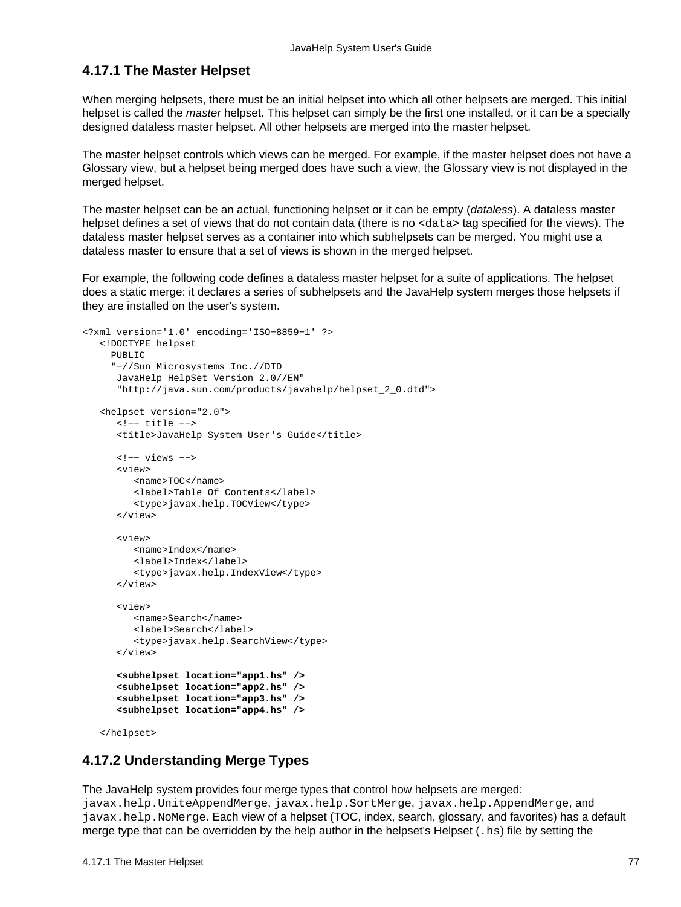### **4.17.1 The Master Helpset**

When merging helpsets, there must be an initial helpset into which all other helpsets are merged. This initial helpset is called the master helpset. This helpset can simply be the first one installed, or it can be a specially designed dataless master helpset. All other helpsets are merged into the master helpset.

The master helpset controls which views can be merged. For example, if the master helpset does not have a Glossary view, but a helpset being merged does have such a view, the Glossary view is not displayed in the merged helpset.

The master helpset can be an actual, functioning helpset or it can be empty (dataless). A dataless master helpset defines a set of views that do not contain data (there is no  $\alpha$  at a is appecified for the views). The dataless master helpset serves as a container into which subhelpsets can be merged. You might use a dataless master to ensure that a set of views is shown in the merged helpset.

For example, the following code defines a dataless master helpset for a suite of applications. The helpset does a static merge: it declares a series of subhelpsets and the JavaHelp system merges those helpsets if they are installed on the user's system.

```
<?xml version='1.0' encoding='ISO−8859−1' ?>
    <!DOCTYPE helpset
     PUBLIC
      "−//Sun Microsystems Inc.//DTD 
       JavaHelp HelpSet Version 2.0//EN"
       "http://java.sun.com/products/javahelp/helpset_2_0.dtd">
    <helpset version="2.0">
       <!−− title −−> 
       <title>JavaHelp System User's Guide</title>
       <!−− views −−> 
      \langle \text{tri} \rangle <name>TOC</name>
          <label>Table Of Contents</label>
          <type>javax.help.TOCView</type>
       </view>
       <view>
          <name>Index</name>
          <label>Index</label>
          <type>javax.help.IndexView</type>
       </view>
       <view>
          <name>Search</name>
          <label>Search</label>
          <type>javax.help.SearchView</type>
       </view>
      <subhelpset location="app1.hs" />
       <subhelpset location="app2.hs" />
       <subhelpset location="app3.hs" />
       <subhelpset location="app4.hs" />
    </helpset>
```
### **4.17.2 Understanding Merge Types**

The JavaHelp system provides four merge types that control how helpsets are merged: javax.help.UniteAppendMerge, javax.help.SortMerge, javax.help.AppendMerge, and javax.help.NoMerge. Each view of a helpset (TOC, index, search, glossary, and favorites) has a default merge type that can be overridden by the help author in the helpset's Helpset (.hs) file by setting the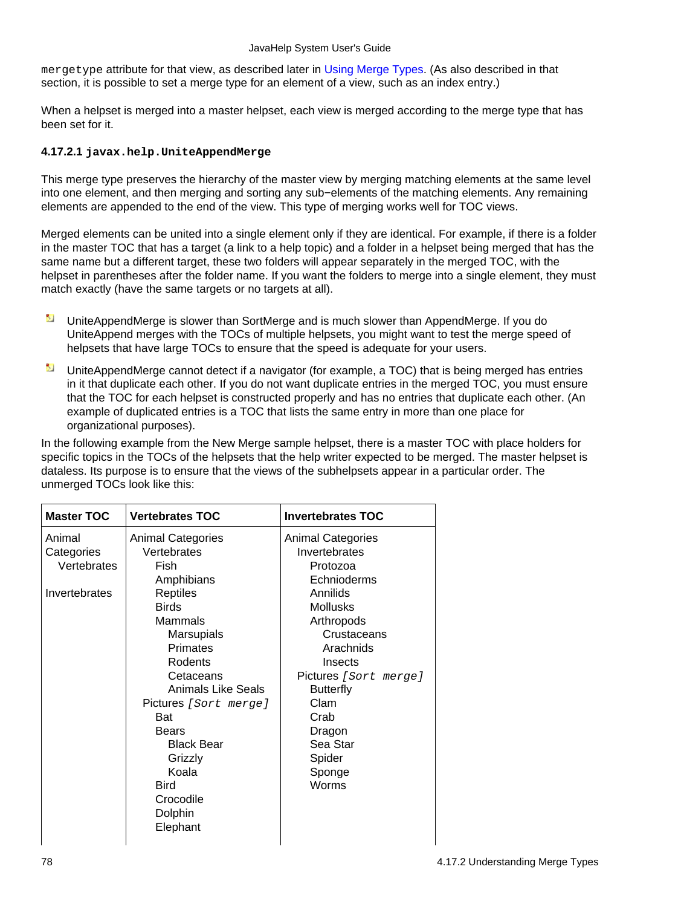mergetype attribute for that view, as described later in [Using Merge Types](#page-86-0). (As also described in that section, it is possible to set a merge type for an element of a view, such as an index entry.)

When a helpset is merged into a master helpset, each view is merged according to the merge type that has been set for it.

### **4.17.2.1 javax.help.UniteAppendMerge**

This merge type preserves the hierarchy of the master view by merging matching elements at the same level into one element, and then merging and sorting any sub−elements of the matching elements. Any remaining elements are appended to the end of the view. This type of merging works well for TOC views.

Merged elements can be united into a single element only if they are identical. For example, if there is a folder in the master TOC that has a target (a link to a help topic) and a folder in a helpset being merged that has the same name but a different target, these two folders will appear separately in the merged TOC, with the helpset in parentheses after the folder name. If you want the folders to merge into a single element, they must match exactly (have the same targets or no targets at all).

- 5. UniteAppendMerge is slower than SortMerge and is much slower than AppendMerge. If you do UniteAppend merges with the TOCs of multiple helpsets, you might want to test the merge speed of helpsets that have large TOCs to ensure that the speed is adequate for your users.
- **I** UniteAppendMerge cannot detect if a navigator (for example, a TOC) that is being merged has entries in it that duplicate each other. If you do not want duplicate entries in the merged TOC, you must ensure that the TOC for each helpset is constructed properly and has no entries that duplicate each other. (An example of duplicated entries is a TOC that lists the same entry in more than one place for organizational purposes).

In the following example from the New Merge sample helpset, there is a master TOC with place holders for specific topics in the TOCs of the helpsets that the help writer expected to be merged. The master helpset is dataless. Its purpose is to ensure that the views of the subhelpsets appear in a particular order. The unmerged TOCs look like this:

| <b>Master TOC</b>                                    | <b>Vertebrates TOC</b>                                                                                                                                                                                                                                                                                    | <b>Invertebrates TOC</b>                                                                                                                                                                                                                                                 |
|------------------------------------------------------|-----------------------------------------------------------------------------------------------------------------------------------------------------------------------------------------------------------------------------------------------------------------------------------------------------------|--------------------------------------------------------------------------------------------------------------------------------------------------------------------------------------------------------------------------------------------------------------------------|
| Animal<br>Categories<br>Vertebrates<br>Invertebrates | <b>Animal Categories</b><br>Vertebrates<br><b>Fish</b><br>Amphibians<br><b>Reptiles</b><br><b>Birds</b><br>Mammals<br><b>Marsupials</b><br><b>Primates</b><br>Rodents<br>Cetaceans<br>Animals Like Seals<br>Pictures [Sort merge]<br>Bat<br>Bears<br><b>Black Bear</b><br>Grizzly<br>Koala<br><b>Bird</b> | <b>Animal Categories</b><br>Invertebrates<br>Protozoa<br>Echnioderms<br>Annilids<br><b>Mollusks</b><br>Arthropods<br>Crustaceans<br>Arachnids<br>Insects<br>Pictures [Sort merge]<br><b>Butterfly</b><br>Clam<br>Crab<br>Dragon<br>Sea Star<br>Spider<br>Sponge<br>Worms |
|                                                      | Crocodile<br>Dolphin<br>Elephant                                                                                                                                                                                                                                                                          |                                                                                                                                                                                                                                                                          |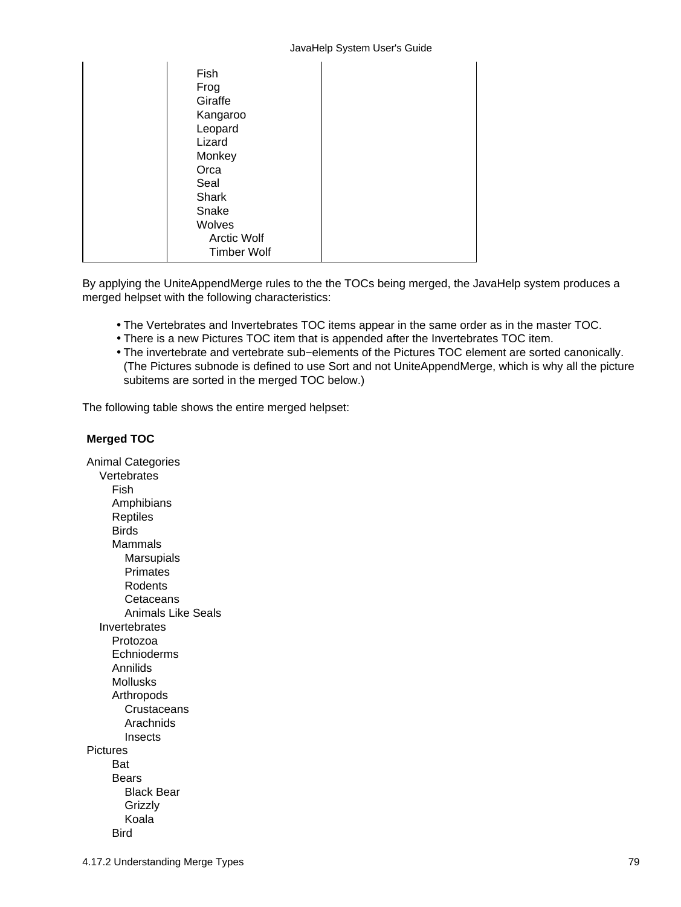### JavaHelp System User's Guide

| Fish<br>Frog<br>Giraffe<br>Kangaroo<br>Leopard<br>Lizard<br>Monkey<br>Orca<br>Seal<br>Shark<br>Snake<br>Wolves |  |
|----------------------------------------------------------------------------------------------------------------|--|
| <b>Arctic Wolf</b><br><b>Timber Wolf</b>                                                                       |  |

By applying the UniteAppendMerge rules to the the TOCs being merged, the JavaHelp system produces a merged helpset with the following characteristics:

- The Vertebrates and Invertebrates TOC items appear in the same order as in the master TOC.
- There is a new Pictures TOC item that is appended after the Invertebrates TOC item.
- The invertebrate and vertebrate sub−elements of the Pictures TOC element are sorted canonically. (The Pictures subnode is defined to use Sort and not UniteAppendMerge, which is why all the picture subitems are sorted in the merged TOC below.)

The following table shows the entire merged helpset:

### **Merged TOC**

Animal Categories **Vertebrates**  Fish **Amphibians**  Reptiles **Birds**  Mammals **Marsupials Primates**  Rodents **Cetaceans**  Animals Like Seals **Invertebrates**  Protozoa **Echnioderms**  Annilids Mollusks **Arthropods Crustaceans**  Arachnids Insects Pictures Bat **Bears**  Black Bear Grizzly Koala Bird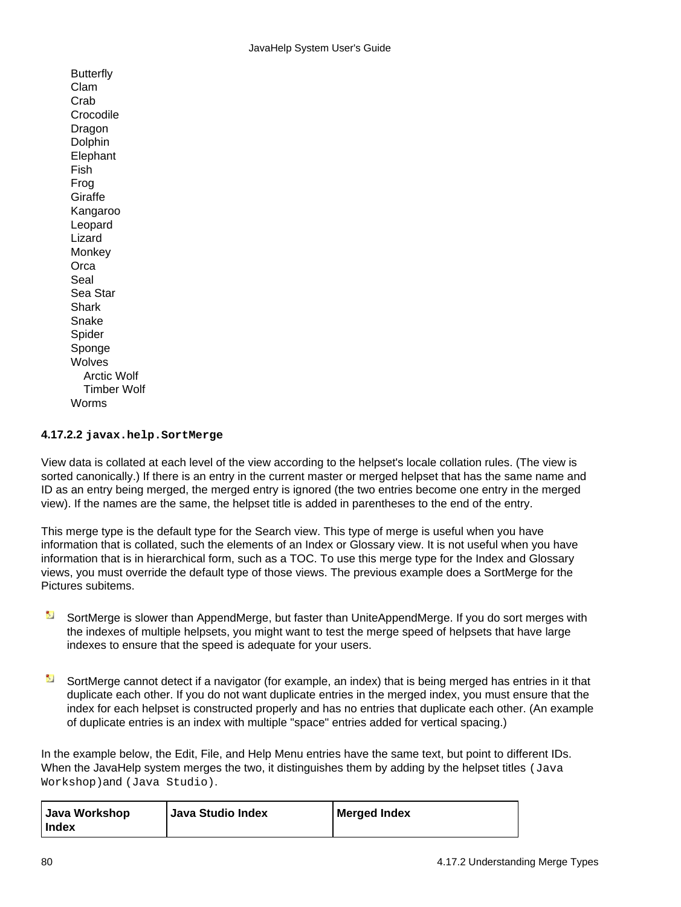**Butterfly**  Clam Crab Crocodile Dragon **Dolphin Elephant**  Fish Frog **Giraffe**  Kangaroo Leopard Lizard **Monkey Orca**  Seal Sea Star Shark Snake Spider Sponge **Wolves**  Arctic Wolf Timber Wolf Worms

### **4.17.2.2 javax.help.SortMerge**

View data is collated at each level of the view according to the helpset's locale collation rules. (The view is sorted canonically.) If there is an entry in the current master or merged helpset that has the same name and ID as an entry being merged, the merged entry is ignored (the two entries become one entry in the merged view). If the names are the same, the helpset title is added in parentheses to the end of the entry.

This merge type is the default type for the Search view. This type of merge is useful when you have information that is collated, such the elements of an Index or Glossary view. It is not useful when you have information that is in hierarchical form, such as a TOC. To use this merge type for the Index and Glossary views, you must override the default type of those views. The previous example does a SortMerge for the Pictures subitems.

- ۹, SortMerge is slower than AppendMerge, but faster than UniteAppendMerge. If you do sort merges with the indexes of multiple helpsets, you might want to test the merge speed of helpsets that have large indexes to ensure that the speed is adequate for your users.
- ۹J SortMerge cannot detect if a navigator (for example, an index) that is being merged has entries in it that duplicate each other. If you do not want duplicate entries in the merged index, you must ensure that the index for each helpset is constructed properly and has no entries that duplicate each other. (An example of duplicate entries is an index with multiple "space" entries added for vertical spacing.)

In the example below, the Edit, File, and Help Menu entries have the same text, but point to different IDs. When the JavaHelp system merges the two, it distinguishes them by adding by the helpset titles (Java Workshop)and (Java Studio).

| Java Workshop<br>Index | <b>Java Studio Index</b> | <b>Merged Index</b> |
|------------------------|--------------------------|---------------------|
|------------------------|--------------------------|---------------------|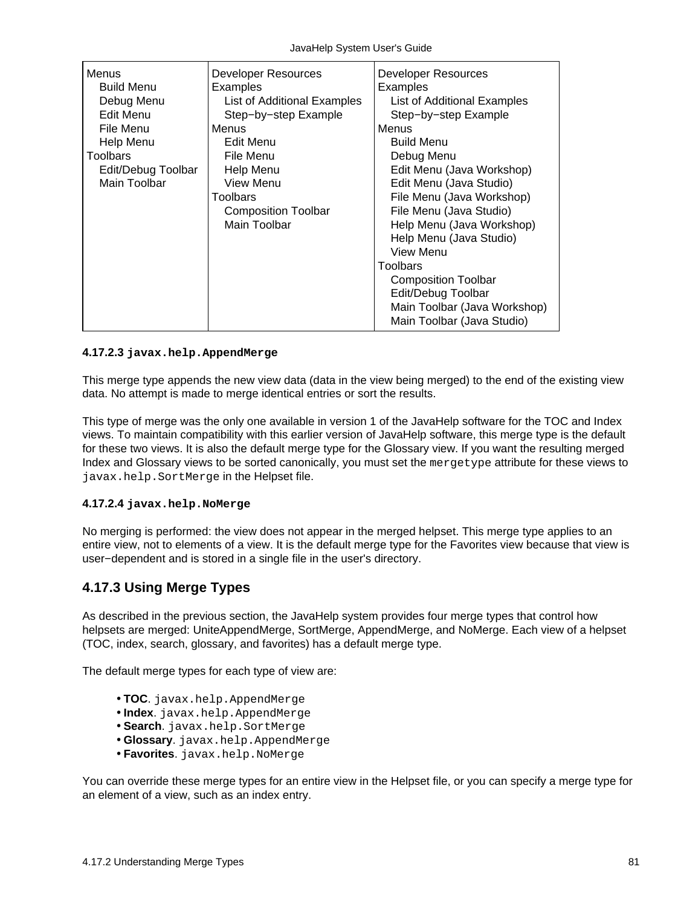| Menus<br><b>Build Menu</b><br>Debug Menu<br>Edit Menu | Developer Resources<br>Examples<br>List of Additional Examples<br>Step-by-step Example | Developer Resources<br>Examples<br>List of Additional Examples<br>Step-by-step Example |
|-------------------------------------------------------|----------------------------------------------------------------------------------------|----------------------------------------------------------------------------------------|
| File Menu                                             | Menus                                                                                  | Menus                                                                                  |
| Help Menu                                             | Edit Menu                                                                              | <b>Build Menu</b>                                                                      |
| <b>Toolbars</b>                                       | File Menu                                                                              | Debug Menu                                                                             |
| Edit/Debug Toolbar                                    | Help Menu                                                                              | Edit Menu (Java Workshop)                                                              |
| Main Toolbar                                          | View Menu                                                                              | Edit Menu (Java Studio)                                                                |
|                                                       | <b>Toolbars</b>                                                                        | File Menu (Java Workshop)                                                              |
|                                                       | <b>Composition Toolbar</b>                                                             | File Menu (Java Studio)                                                                |
|                                                       | Main Toolbar                                                                           | Help Menu (Java Workshop)                                                              |
|                                                       |                                                                                        | Help Menu (Java Studio)                                                                |
|                                                       |                                                                                        | View Menu                                                                              |
|                                                       |                                                                                        | <b>Toolbars</b>                                                                        |
|                                                       |                                                                                        | <b>Composition Toolbar</b>                                                             |
|                                                       |                                                                                        | Edit/Debug Toolbar                                                                     |
|                                                       |                                                                                        | Main Toolbar (Java Workshop)                                                           |
|                                                       |                                                                                        | Main Toolbar (Java Studio)                                                             |

### **4.17.2.3 javax.help.AppendMerge**

This merge type appends the new view data (data in the view being merged) to the end of the existing view data. No attempt is made to merge identical entries or sort the results.

This type of merge was the only one available in version 1 of the JavaHelp software for the TOC and Index views. To maintain compatibility with this earlier version of JavaHelp software, this merge type is the default for these two views. It is also the default merge type for the Glossary view. If you want the resulting merged Index and Glossary views to be sorted canonically, you must set the mergetype attribute for these views to javax.help.SortMerge in the Helpset file.

### **4.17.2.4 javax.help.NoMerge**

No merging is performed: the view does not appear in the merged helpset. This merge type applies to an entire view, not to elements of a view. It is the default merge type for the Favorites view because that view is user−dependent and is stored in a single file in the user's directory.

### <span id="page-86-0"></span>**4.17.3 Using Merge Types**

As described in the previous section, the JavaHelp system provides four merge types that control how helpsets are merged: UniteAppendMerge, SortMerge, AppendMerge, and NoMerge. Each view of a helpset (TOC, index, search, glossary, and favorites) has a default merge type.

The default merge types for each type of view are:

- **TOC**. javax.help.AppendMerge
- **Index**. javax.help.AppendMerge
- **Search**. javax.help.SortMerge
- **Glossary**. javax.help.AppendMerge
- **Favorites**. javax.help.NoMerge

You can override these merge types for an entire view in the Helpset file, or you can specify a merge type for an element of a view, such as an index entry.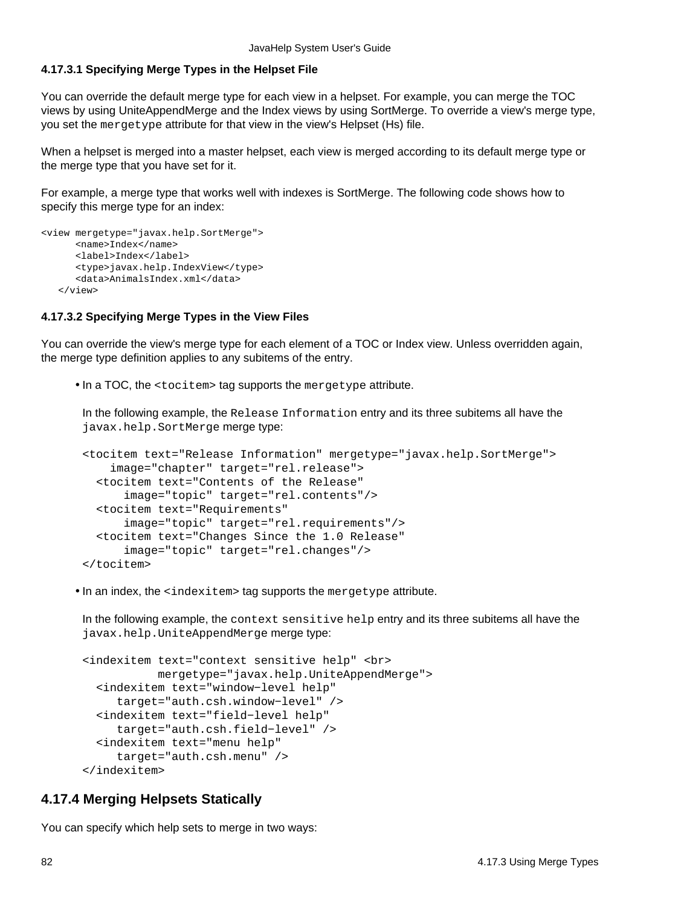### **4.17.3.1 Specifying Merge Types in the Helpset File**

You can override the default merge type for each view in a helpset. For example, you can merge the TOC views by using UniteAppendMerge and the Index views by using SortMerge. To override a view's merge type, you set the mergetype attribute for that view in the view's Helpset (Hs) file.

When a helpset is merged into a master helpset, each view is merged according to its default merge type or the merge type that you have set for it.

For example, a merge type that works well with indexes is SortMerge. The following code shows how to specify this merge type for an index:

```
<view mergetype="javax.help.SortMerge">
       <name>Index</name>
       <label>Index</label>
       <type>javax.help.IndexView</type>
       <data>AnimalsIndex.xml</data>
    </view>
```
#### **4.17.3.2 Specifying Merge Types in the View Files**

You can override the view's merge type for each element of a TOC or Index view. Unless overridden again, the merge type definition applies to any subitems of the entry.

• In a TOC, the <tocitem> tag supports the mergetype attribute.

In the following example, the Release Information entry and its three subitems all have the javax.help.SortMerge merge type:

```
<tocitem text="Release Information" mergetype="javax.help.SortMerge">
     image="chapter" target="rel.release">
  <tocitem text="Contents of the Release"
       image="topic" target="rel.contents"/>
  <tocitem text="Requirements"
       image="topic" target="rel.requirements"/>
   <tocitem text="Changes Since the 1.0 Release"
       image="topic" target="rel.changes"/>
</tocitem>
```
• In an index, the <indexitem> tag supports the mergetype attribute.

In the following example, the context sensitive help entry and its three subitems all have the javax.help.UniteAppendMerge merge type:

```
<indexitem text="context sensitive help" <br>
           mergetype="javax.help.UniteAppendMerge">
  <indexitem text="window−level help"
      target="auth.csh.window−level" />
  <indexitem text="field−level help"
     target="auth.csh.field−level" />
   <indexitem text="menu help"
      target="auth.csh.menu" />
</indexitem>
```
### **4.17.4 Merging Helpsets Statically**

You can specify which help sets to merge in two ways: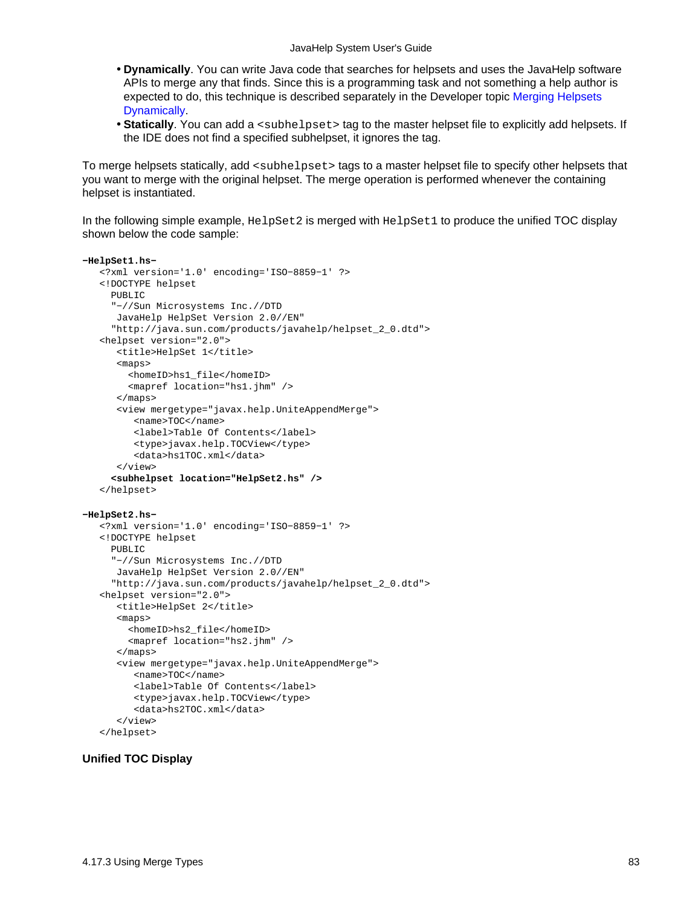- **Dynamically**. You can write Java code that searches for helpsets and uses the JavaHelp software APIs to merge any that finds. Since this is a programming task and not something a help author is expected to do, this technique is described separately in the Developer topi[c Merging Helpsets](#page-104-0) [Dynamically.](#page-104-0)
- Statically. You can add a <subhelpset> tag to the master helpset file to explicitly add helpsets. If the IDE does not find a specified subhelpset, it ignores the tag.

To merge helpsets statically, add <subhelpset> tags to a master helpset file to specify other helpsets that you want to merge with the original helpset. The merge operation is performed whenever the containing helpset is instantiated.

In the following simple example, HelpSet2 is merged with HelpSet1 to produce the unified TOC display shown below the code sample:

```
−HelpSet1.hs−
    <?xml version='1.0' encoding='ISO−8859−1' ?>
    <!DOCTYPE helpset
      PUBLIC 
      "−//Sun Microsystems Inc.//DTD 
      JavaHelp HelpSet Version 2.0//EN"
      "http://java.sun.com/products/javahelp/helpset_2_0.dtd">
    <helpset version="2.0">
       <title>HelpSet 1</title>
       <maps>
         <homeID>hs1_file</homeID>
         <mapref location="hs1.jhm" />
       </maps>
       <view mergetype="javax.help.UniteAppendMerge">
          <name>TOC</name>
          <label>Table Of Contents</label>
          <type>javax.help.TOCView</type>
          <data>hs1TOC.xml</data>
      \langle \text{vire} \rangle<subhelpset location="HelpSet2.hs" />
    </helpset>
−HelpSet2.hs−
    <?xml version='1.0' encoding='ISO−8859−1' ?>
    <!DOCTYPE helpset
      PUBLIC 
      "−//Sun Microsystems Inc.//DTD 
      JavaHelp HelpSet Version 2.0//EN"
      "http://java.sun.com/products/javahelp/helpset_2_0.dtd">
    <helpset version="2.0">
      <title>HelpSet 2</title>
       <maps>
         <homeID>hs2_file</homeID>
         <mapref location="hs2.jhm" />
       </maps>
       <view mergetype="javax.help.UniteAppendMerge">
          <name>TOC</name>
          <label>Table Of Contents</label>
          <type>javax.help.TOCView</type>
          <data>hs2TOC.xml</data>
       </view>
    </helpset>
```
### **Unified TOC Display**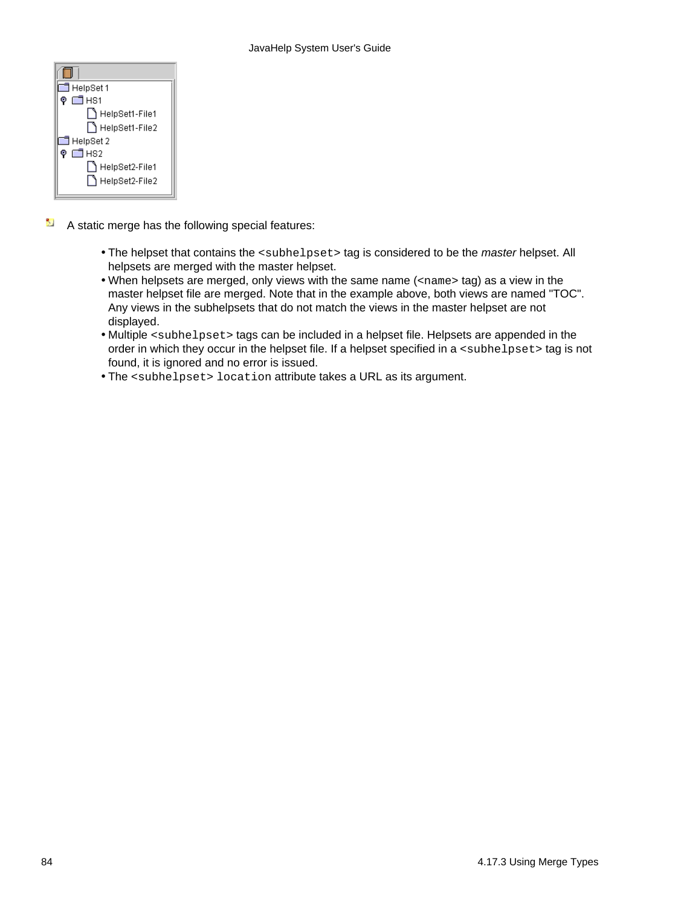

- <span id="page-89-0"></span>₹ A static merge has the following special features:
	- The helpset that contains the <subhelpset> tag is considered to be the master helpset. All helpsets are merged with the master helpset.
	- When helpsets are merged, only views with the same name (<name> tag) as a view in the master helpset file are merged. Note that in the example above, both views are named "TOC". Any views in the subhelpsets that do not match the views in the master helpset are not displayed.
	- Multiple <subhelpset> tags can be included in a helpset file. Helpsets are appended in the order in which they occur in the helpset file. If a helpset specified in a <subhelpset> tag is not found, it is ignored and no error is issued.
	- The <subhelpset> location attribute takes a URL as its argument.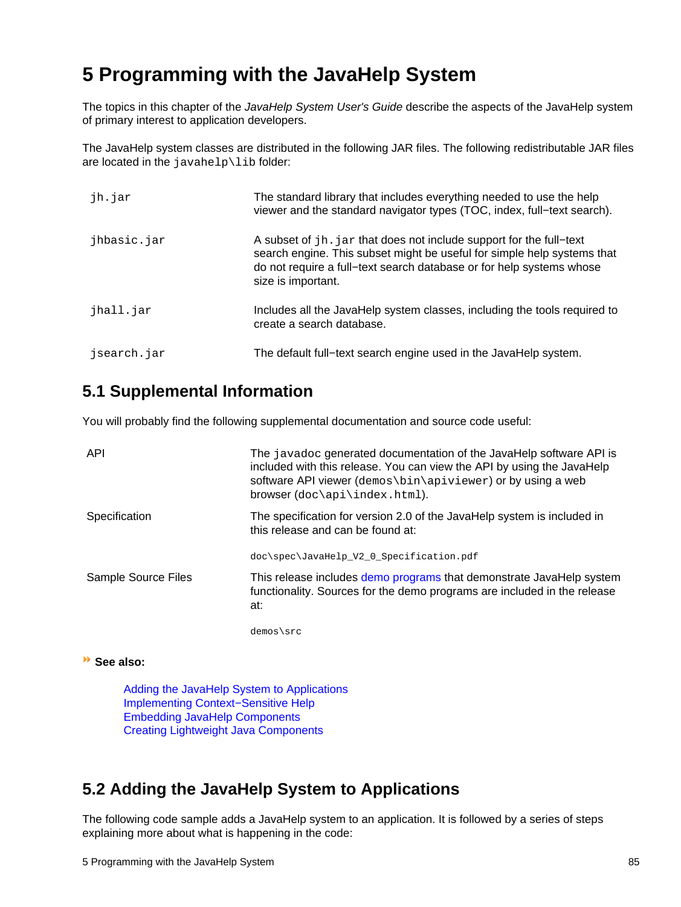# **5 Programming with the JavaHelp System**

The topics in this chapter of the JavaHelp System User's Guide describe the aspects of the JavaHelp system of primary interest to application developers.

The JavaHelp system classes are distributed in the following JAR files. The following redistributable JAR files are located in the javahelp\lib folder:

| jh.jar      | The standard library that includes everything needed to use the help<br>viewer and the standard navigator types (TOC, index, full-text search).                                                                                              |
|-------------|----------------------------------------------------------------------------------------------------------------------------------------------------------------------------------------------------------------------------------------------|
| jhbasic.jar | A subset of jh. jar that does not include support for the full-text<br>search engine. This subset might be useful for simple help systems that<br>do not require a full-text search database or for help systems whose<br>size is important. |
| jhall.jar   | Includes all the JavaHelp system classes, including the tools required to<br>create a search database.                                                                                                                                       |
| jsearch.jar | The default full–text search engine used in the JavaHelp system.                                                                                                                                                                             |

## **5.1 Supplemental Information**

You will probably find the following supplemental documentation and source code useful:

| <b>API</b>          | The javadoc generated documentation of the JavaHelp software API is<br>included with this release. You can view the API by using the JavaHelp<br>software API viewer (demos\bin\apiviewer) or by using a web<br>browser $doc\api\index.html$ . |
|---------------------|------------------------------------------------------------------------------------------------------------------------------------------------------------------------------------------------------------------------------------------------|
| Specification       | The specification for version 2.0 of the JavaHelp system is included in<br>this release and can be found at:                                                                                                                                   |
|                     | doc\spec\JavaHelp_V2_0_Specification.pdf                                                                                                                                                                                                       |
| Sample Source Files | This release includes demo programs that demonstrate JavaHelp system<br>functionality. Sources for the demo programs are included in the release<br>at:                                                                                        |
|                     | demos\src                                                                                                                                                                                                                                      |

**See also:**

[Adding the JavaHelp System to Applications](#page-90-0) [Implementing Context−Sensitive Help](#page-92-0) [Embedding JavaHelp Components](#page-105-1) [Creating Lightweight Java Components](#page-105-0)

## <span id="page-90-0"></span>**5.2 Adding the JavaHelp System to Applications**

The following code sample adds a JavaHelp system to an application. It is followed by a series of steps explaining more about what is happening in the code: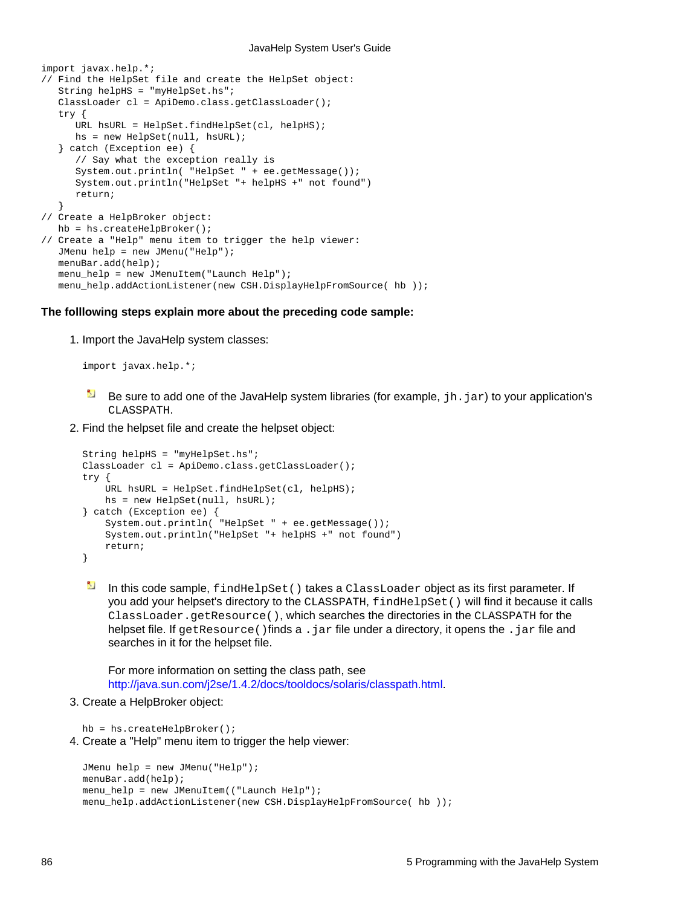```
import javax.help.*;
// Find the HelpSet file and create the HelpSet object:
   String helpHS = "myHelpSet.hs";
   ClassLoader cl = ApiDemo.class.getClassLoader();
    try {
      URL hsURL = HelpSet.findHelpSet(cl, helpHS);
      hs = new HelpSet(null, hsURL);
    } catch (Exception ee) {
       // Say what the exception really is
       System.out.println( "HelpSet " + ee.getMessage());
       System.out.println("HelpSet "+ helpHS +" not found")
      return;
    }
// Create a HelpBroker object:
   hb = hs.createHelpBroker();
// Create a "Help" menu item to trigger the help viewer:
   JMenu help = new JMenu("Help");
   menuBar.add(help);
   menu_help = new JMenuItem("Launch Help");
   menu_help.addActionListener(new CSH.DisplayHelpFromSource( hb ));
```
#### **The folllowing steps explain more about the preceding code sample:**

#### 1. Import the JavaHelp system classes:

import javax.help.\*;

- 51 Be sure to add one of the JavaHelp system libraries (for example, jh. jar) to your application's CLASSPATH.
- 2. Find the helpset file and create the helpset object:

```
String helpHS = "myHelpSet.hs";
ClassLoader cl = ApiDemo.class.getClassLoader();
try {
    URL hsURL = HelpSet.findHelpSet(cl, helpHS);
    hs = new HelpSet(null, hsURL);
} catch (Exception ee) {
     System.out.println( "HelpSet " + ee.getMessage());
     System.out.println("HelpSet "+ helpHS +" not found")
    return;
}
```
۹. In this code sample, findHelpSet() takes a ClassLoader object as its first parameter. If you add your helpset's directory to the CLASSPATH, findHelpSet() will find it because it calls ClassLoader.getResource(), which searches the directories in the CLASSPATH for the helpset file. If getResource() finds a . jar file under a directory, it opens the . jar file and searches in it for the helpset file.

For more information on setting the class path, see [http://java.sun.com/j2se/1.4.2/docs/tooldocs/solaris/classpath.html.](http://java.sun.com/j2se/1.4.2/docs/tooldocs/solaris/classpath.html)

3. Create a HelpBroker object:

```
hb = hs.createHelpBroker();
4. Create a "Help" menu item to trigger the help viewer:
```

```
JMenu help = new JMenu("Help");
menuBar.add(help);
menu_help = new JMenuItem(("Launch Help");
menu help.addActionListener(new CSH.DisplayHelpFromSource( hb ));
```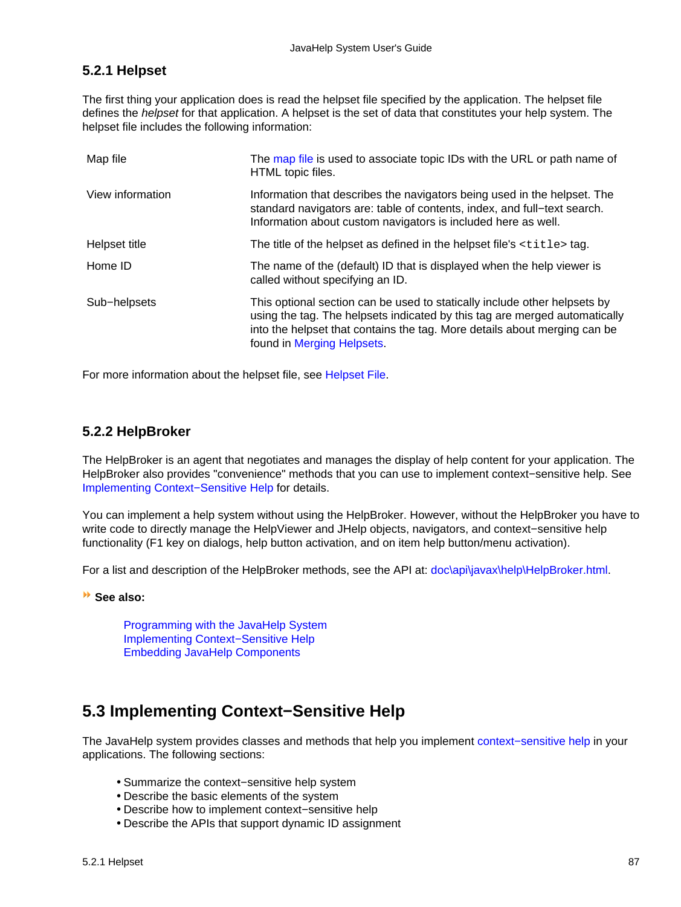### **5.2.1 Helpset**

The first thing your application does is read the helpset file specified by the application. The helpset file defines the *helpset* for that application. A helpset is the set of data that constitutes your help system. The helpset file includes the following information:

| Map file         | The map file is used to associate topic IDs with the URL or path name of<br>HTML topic files.                                                                                                                                                                      |
|------------------|--------------------------------------------------------------------------------------------------------------------------------------------------------------------------------------------------------------------------------------------------------------------|
| View information | Information that describes the navigators being used in the helpset. The<br>standard navigators are: table of contents, index, and full-text search.<br>Information about custom navigators is included here as well.                                              |
| Helpset title    | The title of the helpset as defined in the helpset file's $\lt$ title> tag.                                                                                                                                                                                        |
| Home ID          | The name of the (default) ID that is displayed when the help viewer is<br>called without specifying an ID.                                                                                                                                                         |
| Sub-helpsets     | This optional section can be used to statically include other helpsets by<br>using the tag. The helpsets indicated by this tag are merged automatically<br>into the helpset that contains the tag. More details about merging can be<br>found in Merging Helpsets. |

For more information about the helpset file, see [Helpset File](#page-47-0).

### **5.2.2 HelpBroker**

The HelpBroker is an agent that negotiates and manages the display of help content for your application. The HelpBroker also provides "convenience" methods that you can use to implement context−sensitive help. See [Implementing Context−Sensitive Help](#page-95-0) for details.

You can implement a help system without using the HelpBroker. However, without the HelpBroker you have to write code to directly manage the HelpViewer and JHelp objects, navigators, and context−sensitive help functionality (F1 key on dialogs, help button activation, and on item help button/menu activation).

For a list and description of the HelpBroker methods, see the API at: doc\api\javax\help\HelpBroker.html.

**See also:**

[Programming with the JavaHelp System](#page-89-0) [Implementing Context−Sensitive Help](#page-92-0) [Embedding JavaHelp Components](#page-105-1)

## <span id="page-92-0"></span>**5.3 Implementing Context−Sensitive Help**

The JavaHelp system provides classes and methods that help you implemen[t context−sensitive help](#page-92-0) in your applications. The following sections:

- Summarize the context−sensitive help system
- Describe the basic elements of the system
- Describe how to implement context−sensitive help
- Describe the APIs that support dynamic ID assignment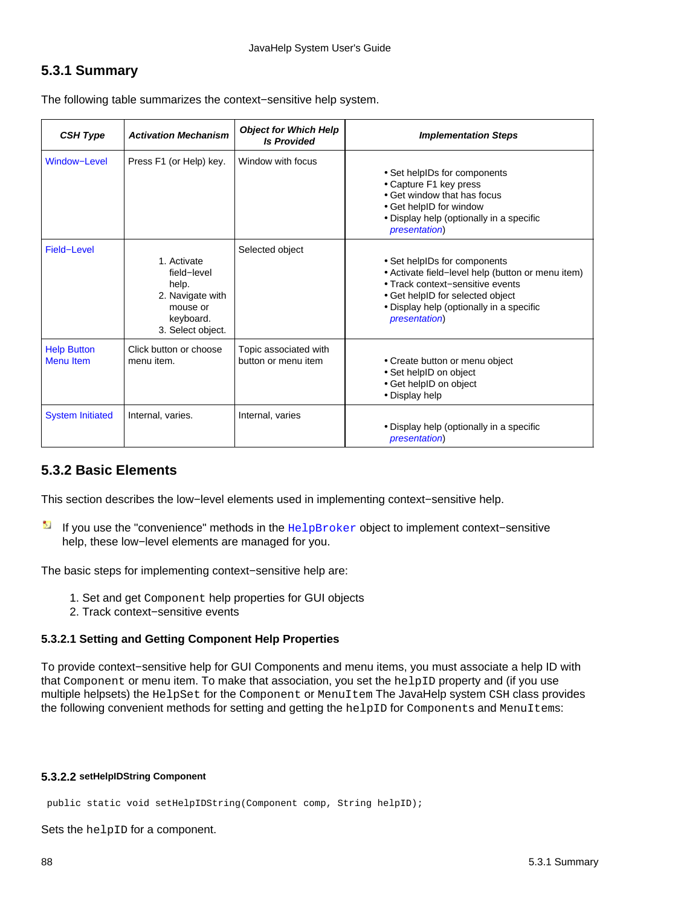### **5.3.1 Summary**

The following table summarizes the context−sensitive help system.

| <b>CSH Type</b>                        | <b>Activation Mechanism</b>                                                                           | <b>Object for Which Help</b><br><b>Is Provided</b> | <b>Implementation Steps</b>                                                                                                                                                                                                    |
|----------------------------------------|-------------------------------------------------------------------------------------------------------|----------------------------------------------------|--------------------------------------------------------------------------------------------------------------------------------------------------------------------------------------------------------------------------------|
| Window-Level                           | Press F1 (or Help) key.                                                                               | Window with focus                                  | • Set helpIDs for components<br>• Capture F1 key press<br>• Get window that has focus<br>• Get helpID for window<br>• Display help (optionally in a specific<br><i>presentation</i> )                                          |
| Field-Level                            | 1. Activate<br>field-level<br>help.<br>2. Navigate with<br>mouse or<br>keyboard.<br>3. Select object. | Selected object                                    | • Set helpIDs for components<br>• Activate field-level help (button or menu item)<br>• Track context-sensitive events<br>• Get helpID for selected object<br>• Display help (optionally in a specific<br><i>presentation</i> ) |
| <b>Help Button</b><br><b>Menu</b> Item | Click button or choose<br>menu item.                                                                  | Topic associated with<br>button or menu item       | • Create button or menu object<br>• Set helpID on object<br>• Get helpID on object<br>• Display help                                                                                                                           |
| <b>System Initiated</b>                | Internal, varies.                                                                                     | Internal, varies                                   | • Display help (optionally in a specific<br><i>presentation</i> )                                                                                                                                                              |

### **5.3.2 Basic Elements**

This section describes the low−level elements used in implementing context−sensitive help.

 $\mathbf{L}$ If you use the "convenience" methods in the [HelpBroker](#page-95-0) object to implement context−sensitive help, these low−level elements are managed for you.

The basic steps for implementing context−sensitive help are:

- 1. Set and get Component help properties for GUI objects
- 2. Track context−sensitive events

### **5.3.2.1 Setting and Getting Component Help Properties**

To provide context−sensitive help for GUI Components and menu items, you must associate a help ID with that Component or menu item. To make that association, you set the helpID property and (if you use multiple helpsets) the HelpSet for the Component or MenuItem The JavaHelp system CSH class provides the following convenient methods for setting and getting the helpID for Components and MenuItems:

#### **5.3.2.2 setHelpIDString Component**

public static void setHelpIDString(Component comp, String helpID);

Sets the helpID for a component.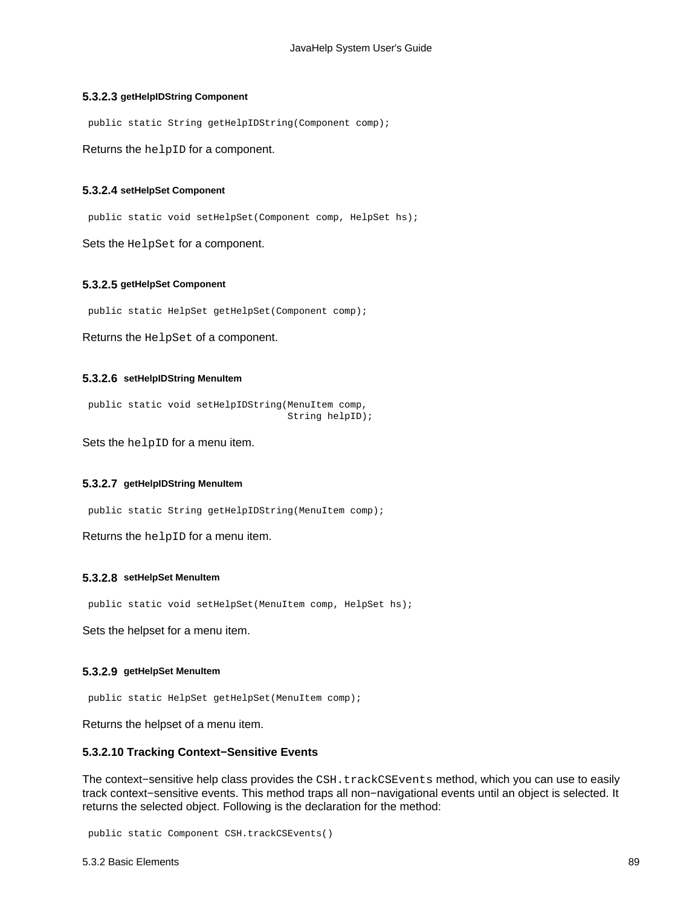### **5.3.2.3 getHelpIDString Component**

public static String getHelpIDString(Component comp);

Returns the helpID for a component.

#### **5.3.2.4 setHelpSet Component**

public static void setHelpSet(Component comp, HelpSet hs);

Sets the HelpSet for a component.

#### **5.3.2.5 getHelpSet Component**

public static HelpSet getHelpSet(Component comp);

Returns the HelpSet of a component.

#### **5.3.2.6 setHelpIDString MenuItem**

 public static void setHelpIDString(MenuItem comp, String helpID);

Sets the helpID for a menu item.

#### **5.3.2.7 getHelpIDString MenuItem**

public static String getHelpIDString(MenuItem comp);

Returns the helpID for a menu item.

#### **5.3.2.8 setHelpSet MenuItem**

public static void setHelpSet(MenuItem comp, HelpSet hs);

Sets the helpset for a menu item.

#### **5.3.2.9 getHelpSet MenuItem**

public static HelpSet getHelpSet(MenuItem comp);

Returns the helpset of a menu item.

#### **5.3.2.10 Tracking Context−Sensitive Events**

The context–sensitive help class provides the CSH.trackCSEvents method, which you can use to easily track context−sensitive events. This method traps all non−navigational events until an object is selected. It returns the selected object. Following is the declaration for the method:

public static Component CSH.trackCSEvents()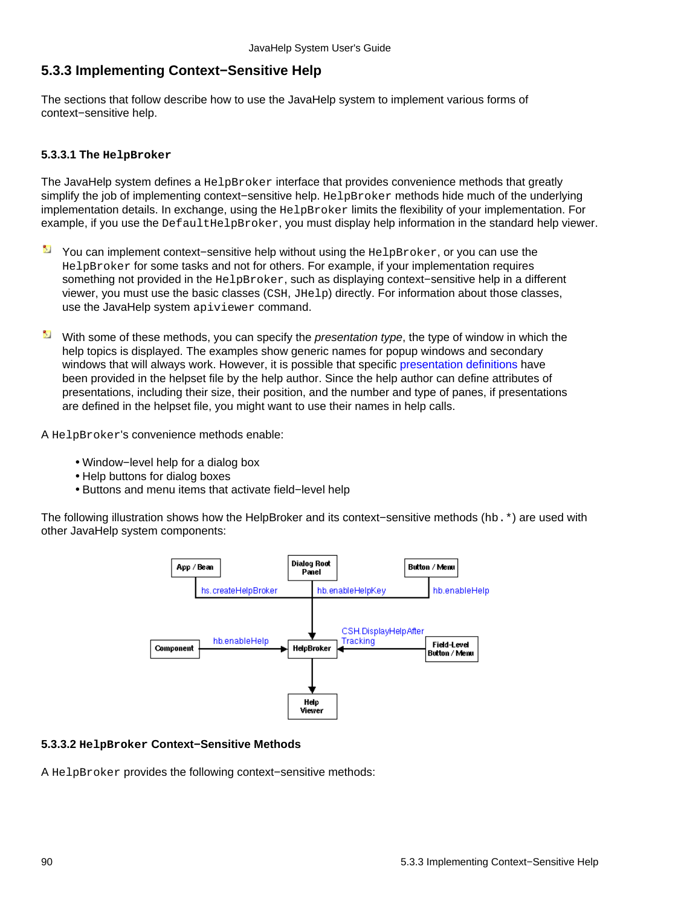### **5.3.3 Implementing Context−Sensitive Help**

<span id="page-95-0"></span>The sections that follow describe how to use the JavaHelp system to implement various forms of context−sensitive help.

### **5.3.3.1 The HelpBroker**

The JavaHelp system defines a HelpBroker interface that provides convenience methods that greatly simplify the job of implementing context−sensitive help. HelpBroker methods hide much of the underlying implementation details. In exchange, using the HelpBroker limits the flexibility of your implementation. For example, if you use the DefaultHelpBroker, you must display help information in the standard help viewer.

- 3. J You can implement context–sensitive help without using the HelpBroker, or you can use the HelpBroker for some tasks and not for others. For example, if your implementation requires something not provided in the HelpBroker, such as displaying context–sensitive help in a different viewer, you must use the basic classes (CSH, JHelp) directly. For information about those classes, use the JavaHelp system apiviewer command.
- <span id="page-95-1"></span> $\mathbb{S}$  With some of these methods, you can specify the *presentation type*, the type of window in which the help topics is displayed. The examples show generic names for popup windows and secondary windows that will always work. However, it is possible that specific [presentation definitions](#page-51-0) have been provided in the helpset file by the help author. Since the help author can define attributes of presentations, including their size, their position, and the number and type of panes, if presentations are defined in the helpset file, you might want to use their names in help calls.

A HelpBroker's convenience methods enable:

- Window−level help for a dialog box
- Help buttons for dialog boxes
- Buttons and menu items that activate field−level help

The following illustration shows how the HelpBroker and its context−sensitive methods (hb.\*) are used with other JavaHelp system components:



### <span id="page-95-2"></span>**5.3.3.2 HelpBroker Context−Sensitive Methods**

A HelpBroker provides the following context−sensitive methods: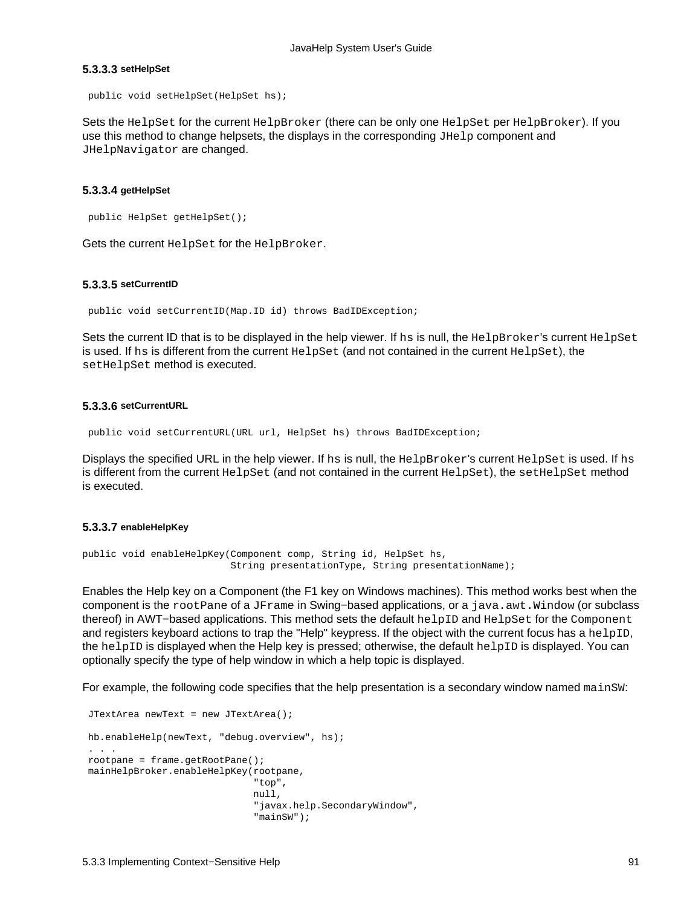#### **5.3.3.3 setHelpSet**

```
 public void setHelpSet(HelpSet hs);
```
Sets the HelpSet for the current HelpBroker (there can be only one HelpSet per HelpBroker). If you use this method to change helpsets, the displays in the corresponding  $JHe1p$  component and JHelpNavigator are changed.

### **5.3.3.4 getHelpSet**

```
 public HelpSet getHelpSet();
```
Gets the current HelpSet for the HelpBroker.

### **5.3.3.5 setCurrentID**

public void setCurrentID(Map.ID id) throws BadIDException;

Sets the current ID that is to be displayed in the help viewer. If hs is null, the HelpBroker's current HelpSet is used. If hs is different from the current HelpSet (and not contained in the current HelpSet), the setHelpSet method is executed.

### **5.3.3.6 setCurrentURL**

public void setCurrentURL(URL url, HelpSet hs) throws BadIDException;

Displays the specified URL in the help viewer. If hs is null, the HelpBroker's current HelpSet is used. If hs is different from the current HelpSet (and not contained in the current HelpSet), the setHelpSet method is executed.

### **5.3.3.7 enableHelpKey**

```
public void enableHelpKey(Component comp, String id, HelpSet hs, 
                           String presentationType, String presentationName);
```
Enables the Help key on a Component (the F1 key on Windows machines). This method works best when the component is the rootPane of a JFrame in Swing–based applications, or a java.awt.Window (or subclass thereof) in AWT−based applications. This method sets the default helpID and HelpSet for the Component and registers keyboard actions to trap the "Help" keypress. If the object with the current focus has a helpID, the helpID is displayed when the Help key is pressed; otherwise, the default helpID is displayed. You can optionally specify the type of help window in which a help topic is displayed.

For example, the following code specifies that the help presentation is a secondary window named mainSW:

```
 JTextArea newText = new JTextArea();
hb.enableHelp(newText, "debug.overview", hs);
 . . .
 rootpane = frame.getRootPane();
 mainHelpBroker.enableHelpKey(rootpane,
                                "top",
                                null,
                                "javax.help.SecondaryWindow",
                                "mainSW");
```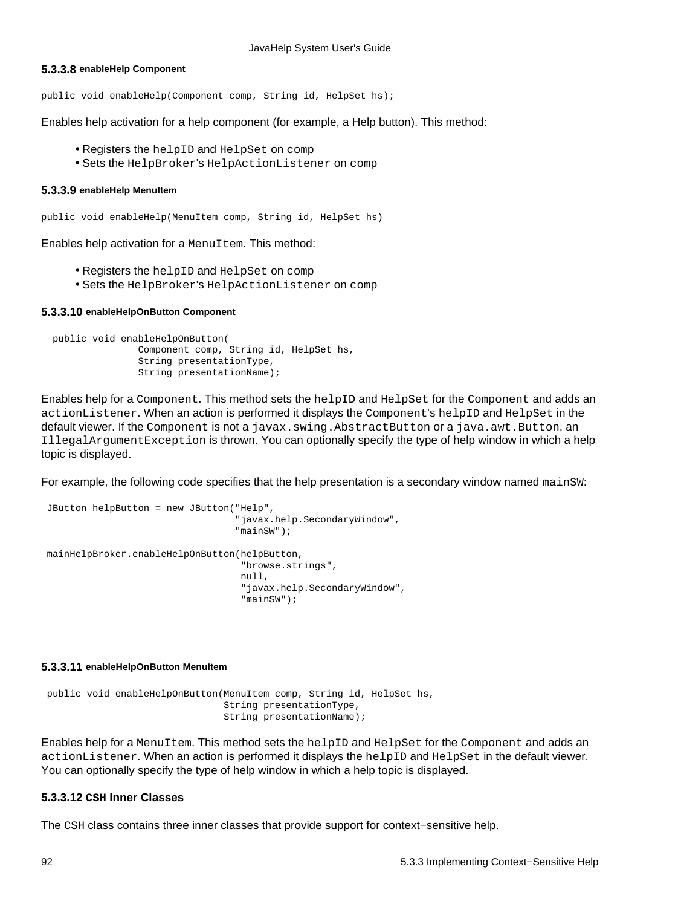### **5.3.3.8 enableHelp Component**

public void enableHelp(Component comp, String id, HelpSet hs);

Enables help activation for a help component (for example, a Help button). This method:

- Registers the helpID and HelpSet on comp
- Sets the HelpBroker's HelpActionListener on comp

### **5.3.3.9 enableHelp MenuItem**

public void enableHelp(MenuItem comp, String id, HelpSet hs)

Enables help activation for a MenuItem. This method:

- Registers the helpID and HelpSet on comp
- Sets the HelpBroker's HelpActionListener on comp

### **5.3.3.10 enableHelpOnButton Component**

```
 public void enableHelpOnButton(
                Component comp, String id, HelpSet hs,
                String presentationType,
                String presentationName);
```
Enables help for a Component. This method sets the helpID and HelpSet for the Component and adds an actionListener. When an action is performed it displays the Component's helpID and HelpSet in the default viewer. If the Component is not a javax.swing.AbstractButton or a java.awt.Button, an IllegalArgumentException is thrown. You can optionally specify the type of help window in which a help topic is displayed.

For example, the following code specifies that the help presentation is a secondary window named mainSW:

```
 JButton helpButton = new JButton("Help",
                                    "javax.help.SecondaryWindow",
                                    "mainSW");
 mainHelpBroker.enableHelpOnButton(helpButton,
                                     "browse.strings",
                                    null,
                                     "javax.help.SecondaryWindow",
                                     "mainSW");
```
### **5.3.3.11 enableHelpOnButton MenuItem**

```
 public void enableHelpOnButton(MenuItem comp, String id, HelpSet hs,
                                 String presentationType, 
                                 String presentationName);
```
Enables help for a MenuItem. This method sets the helpID and HelpSet for the Component and adds an actionListener. When an action is performed it displays the helpID and HelpSet in the default viewer. You can optionally specify the type of help window in which a help topic is displayed.

### <span id="page-97-0"></span>**5.3.3.12 CSH Inner Classes**

The CSH class contains three inner classes that provide support for context−sensitive help.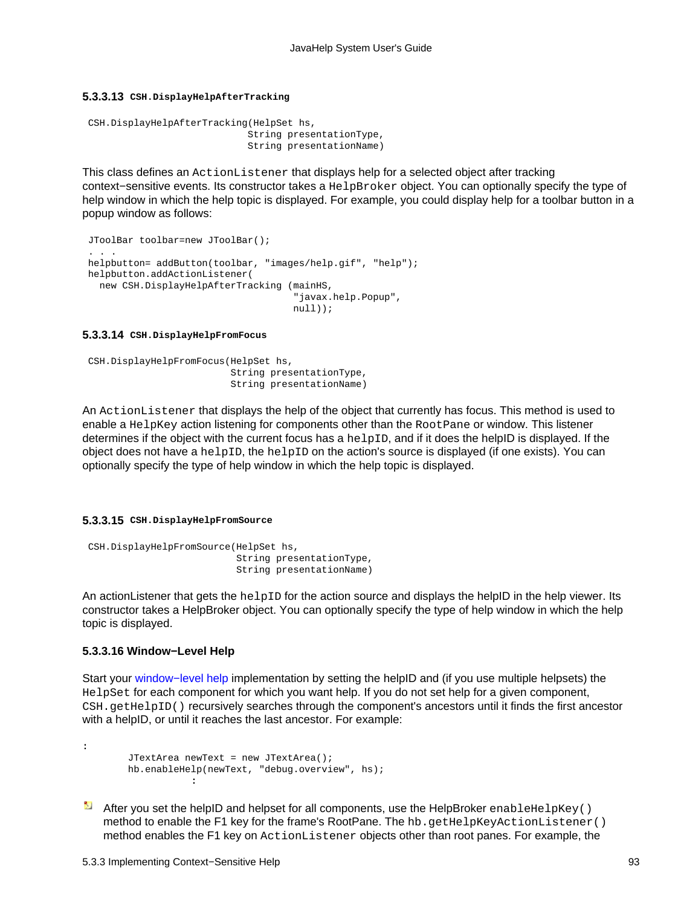#### **5.3.3.13 CSH.DisplayHelpAfterTracking**

```
 CSH.DisplayHelpAfterTracking(HelpSet hs,
                              String presentationType,
                              String presentationName)
```
This class defines an ActionListener that displays help for a selected object after tracking context−sensitive events. Its constructor takes a HelpBroker object. You can optionally specify the type of help window in which the help topic is displayed. For example, you could display help for a toolbar button in a popup window as follows:

```
 JToolBar toolbar=new JToolBar();
 . . .
 helpbutton= addButton(toolbar, "images/help.gif", "help");
 helpbutton.addActionListener(
   new CSH.DisplayHelpAfterTracking (mainHS,
                                      "javax.help.Popup",
                                      null));
```
#### **5.3.3.14 CSH.DisplayHelpFromFocus**

```
 CSH.DisplayHelpFromFocus(HelpSet hs,
                          String presentationType,
                          String presentationName)
```
An ActionListener that displays the help of the object that currently has focus. This method is used to enable a HelpKey action listening for components other than the RootPane or window. This listener determines if the object with the current focus has a  $\text{helpID}$ , and if it does the helpID is displayed. If the object does not have a helpID, the helpID on the action's source is displayed (if one exists). You can optionally specify the type of help window in which the help topic is displayed.

#### **5.3.3.15 CSH.DisplayHelpFromSource**

```
 CSH.DisplayHelpFromSource(HelpSet hs,
                            String presentationType,
                            String presentationName)
```
An actionListener that gets the  $he1pID$  for the action source and displays the helpID in the help viewer. Its constructor takes a HelpBroker object. You can optionally specify the type of help window in which the help topic is displayed.

### <span id="page-98-0"></span>**5.3.3.16 Window−Level Help**

**:**

Start you[r window−level help](#page-98-0) implementation by setting the helpID and (if you use multiple helpsets) the HelpSet for each component for which you want help. If you do not set help for a given component, CSH.getHelpID() recursively searches through the component's ancestors until it finds the first ancestor with a helpID, or until it reaches the last ancestor. For example:

```
JTextArea newText = new JTextArea();
hb.enableHelp(newText, "debug.overview", hs);
           :
```
 $\mathbb{Z}$  After you set the helpID and helpset for all components, use the HelpBroker enableHelpKey() method to enable the F1 key for the frame's RootPane. The  $hb.getHelpKeyActionListener()$ method enables the F1 key on ActionListener objects other than root panes. For example, the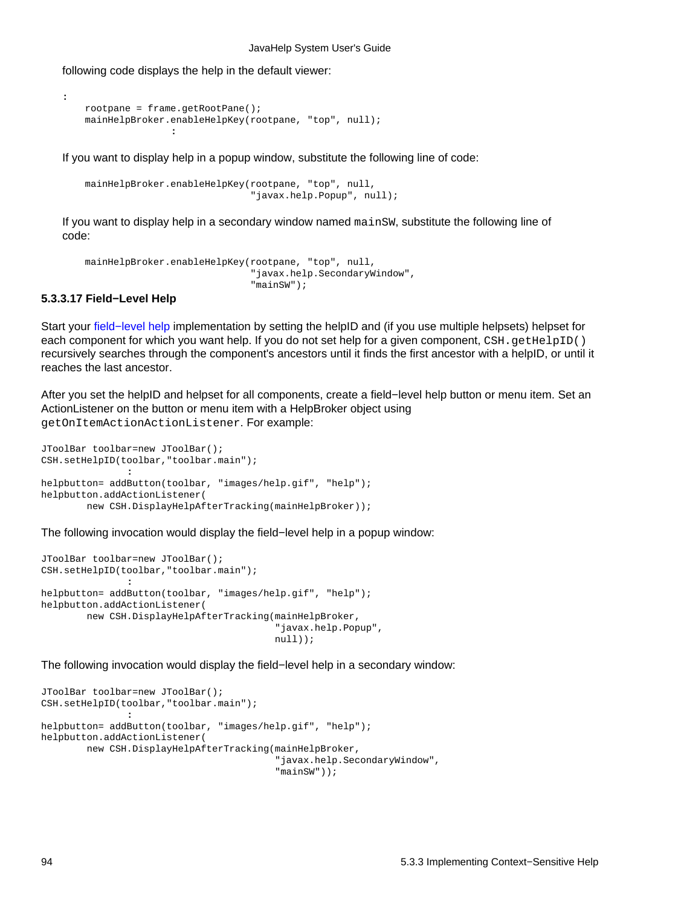following code displays the help in the default viewer:

```
 rootpane = frame.getRootPane();
 mainHelpBroker.enableHelpKey(rootpane, "top", null);
                :
```
If you want to display help in a popup window, substitute the following line of code:

```
 mainHelpBroker.enableHelpKey(rootpane, "top", null,
                               "javax.help.Popup", null);
```
If you want to display help in a secondary window named mainSW, substitute the following line of code:

```
 mainHelpBroker.enableHelpKey(rootpane, "top", null,
                               "javax.help.SecondaryWindow",
                               "mainSW");
```
### <span id="page-99-0"></span>**5.3.3.17 Field−Level Help**

**:**

Start you[r field−level help](#page-99-0) implementation by setting the helpID and (if you use multiple helpsets) helpset for each component for which you want help. If you do not set help for a given component, CSH.getHelpID() recursively searches through the component's ancestors until it finds the first ancestor with a helpID, or until it reaches the last ancestor.

After you set the helpID and helpset for all components, create a field−level help button or menu item. Set an ActionListener on the button or menu item with a HelpBroker object using getOnItemActionActionListener. For example:

```
JToolBar toolbar=new JToolBar();
CSH.setHelpID(toolbar,"toolbar.main");
              :
helpbutton= addButton(toolbar, "images/help.gif", "help");
helpbutton.addActionListener(
        new CSH.DisplayHelpAfterTracking(mainHelpBroker));
```
The following invocation would display the field−level help in a popup window:

```
JToolBar toolbar=new JToolBar();
CSH.setHelpID(toolbar,"toolbar.main");
               :
helpbutton= addButton(toolbar, "images/help.gif", "help");
helpbutton.addActionListener(
        new CSH.DisplayHelpAfterTracking(mainHelpBroker,
                                          "javax.help.Popup",
                                          null));
```
The following invocation would display the field−level help in a secondary window:

```
JToolBar toolbar=new JToolBar();
CSH.setHelpID(toolbar,"toolbar.main");
               :
helpbutton= addButton(toolbar, "images/help.gif", "help");
helpbutton.addActionListener(
        new CSH.DisplayHelpAfterTracking(mainHelpBroker,
                                           "javax.help.SecondaryWindow",
                                           "mainSW"));
```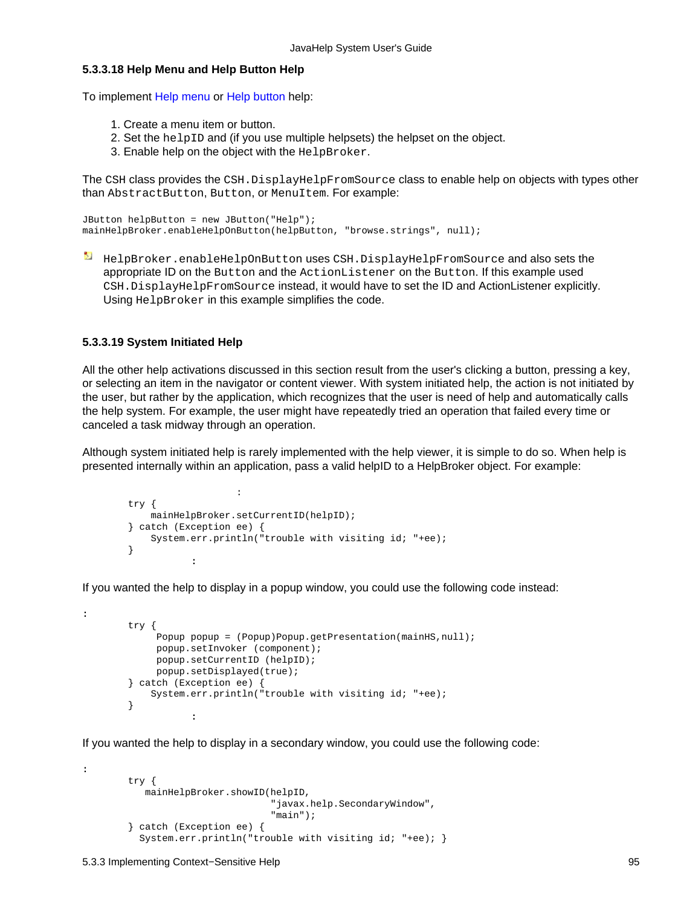### **5.3.3.18 Help Menu and Help Button Help**

To implement [Help menu](#page-68-0) o[r Help button](#page-69-1) help:

- 1. Create a menu item or button.
- 2. Set the helpID and (if you use multiple helpsets) the helpset on the object.
- 3. Enable help on the object with the HelpBroker.

The CSH class provides the CSH. DisplayHelpFromSource class to enable help on objects with types other than AbstractButton, Button, or MenuItem. For example:

```
JButton helpButton = new JButton("Help");
mainHelpBroker.enableHelpOnButton(helpButton, "browse.strings", null);
```
**M** HelpBroker.enableHelpOnButton uses CSH.DisplayHelpFromSource and also sets the appropriate ID on the Button and the ActionListener on the Button. If this example used CSH.DisplayHelpFromSource instead, it would have to set the ID and ActionListener explicitly. Using HelpBroker in this example simplifies the code.

### <span id="page-100-0"></span>**5.3.3.19 System Initiated Help**

All the other help activations discussed in this section result from the user's clicking a button, pressing a key, or selecting an item in the navigator or content viewer. With system initiated help, the action is not initiated by the user, but rather by the application, which recognizes that the user is need of help and automatically calls the help system. For example, the user might have repeatedly tried an operation that failed every time or canceled a task midway through an operation.

Although system initiated help is rarely implemented with the help viewer, it is simple to do so. When help is presented internally within an application, pass a valid helpID to a HelpBroker object. For example:

```
Example 2008 Provided a series of the series of the series of the series of the series of the series of the series
             try {
                   mainHelpBroker.setCurrentID(helpID);
             } catch (Exception ee) {
                   System.err.println("trouble with visiting id; "+ee);
             }
                              :
```
If you wanted the help to display in a popup window, you could use the following code instead:

```
:
         try {
             Popup popup = (Popup)Popup.getPresentation(mainHS,null);
              popup.setInvoker (component);
              popup.setCurrentID (helpID);
              popup.setDisplayed(true);
         } catch (Exception ee) {
             System.err.println("trouble with visiting id; "+ee);
         }
                    :
```
If you wanted the help to display in a secondary window, you could use the following code:

```
:
         try { 
            mainHelpBroker.showID(helpID,
                                    "javax.help.SecondaryWindow",
                                    "main");
         } catch (Exception ee) { 
          System.err.println("trouble with visiting id; "+ee); }
```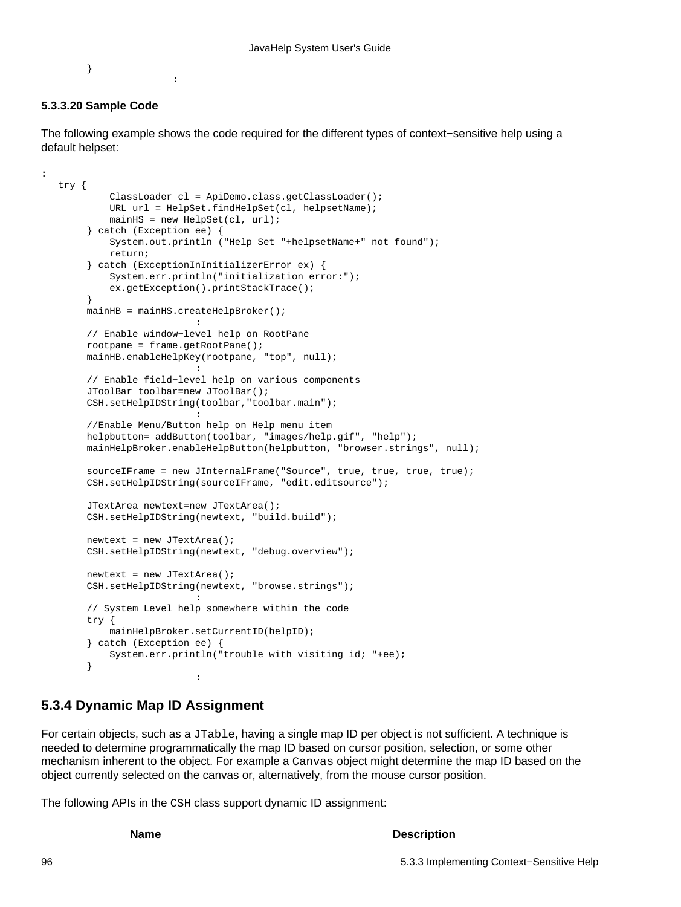### **5.3.3.20 Sample Code**

**:**

}

**:**

The following example shows the code required for the different types of context−sensitive help using a default helpset:

```
 try {
          ClassLoader cl = ApiDemo.class.getClassLoader();
         URL url = HelpSet.findHelpSet(cl, helpsetName);
          mainHS = new HelpSet(cl, url);
      } catch (Exception ee) {
          System.out.println ("Help Set "+helpsetName+" not found");
          return;
      } catch (ExceptionInInitializerError ex) {
          System.err.println("initialization error:");
          ex.getException().printStackTrace();
      }
    mainHB = mainHS.createHelpBroker();
                        :
      // Enable window−level help on RootPane
      rootpane = frame.getRootPane();
    mainHB.enableHelpKey(rootpane, "top", null);
                        :
      // Enable field−level help on various components
      JToolBar toolbar=new JToolBar();
      CSH.setHelpIDString(toolbar,"toolbar.main");
                       :
      //Enable Menu/Button help on Help menu item
     helpbutton= addButton(toolbar, "images/help.gif", "help");
     mainHelpBroker.enableHelpButton(helpbutton, "browser.strings", null);
      sourceIFrame = new JInternalFrame("Source", true, true, true, true);
      CSH.setHelpIDString(sourceIFrame, "edit.editsource");
      JTextArea newtext=new JTextArea();
      CSH.setHelpIDString(newtext, "build.build");
     newtext = new JTextArea();
     CSH.setHelpIDString(newtext, "debug.overview");
      newtext = new JTextArea();
      CSH.setHelpIDString(newtext, "browse.strings");
                        :
      // System Level help somewhere within the code
      try {
          mainHelpBroker.setCurrentID(helpID);
      } catch (Exception ee) {
         System.err.println("trouble with visiting id; "+ee);
      }
                         :
```
### **5.3.4 Dynamic Map ID Assignment**

For certain objects, such as a  $JTable$ , having a single map ID per object is not sufficient. A technique is needed to determine programmatically the map ID based on cursor position, selection, or some other mechanism inherent to the object. For example a Canvas object might determine the map ID based on the object currently selected on the canvas or, alternatively, from the mouse cursor position.

The following APIs in the CSH class support dynamic ID assignment:

#### **Name Description**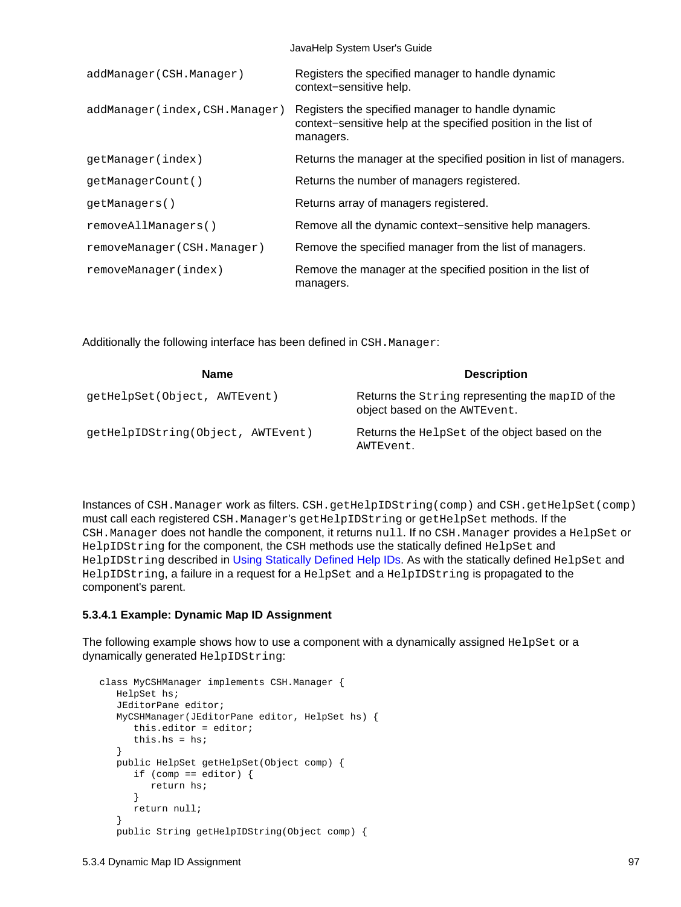|                                | JavaHelp System User's Guide                                                                                                      |
|--------------------------------|-----------------------------------------------------------------------------------------------------------------------------------|
| addManager(CSH.Manager)        | Registers the specified manager to handle dynamic<br>context-sensitive help.                                                      |
| addManager(index, CSH.Manager) | Registers the specified manager to handle dynamic<br>context-sensitive help at the specified position in the list of<br>managers. |
| qetManaqer(index)              | Returns the manager at the specified position in list of managers.                                                                |
| qetManaqerCount()              | Returns the number of managers registered.                                                                                        |
| qetManaqers()                  | Returns array of managers registered.                                                                                             |
| removeAllManagers()            | Remove all the dynamic context-sensitive help managers.                                                                           |
| removeManager(CSH.Manager)     | Remove the specified manager from the list of managers.                                                                           |
| removeManager(index)           | Remove the manager at the specified position in the list of<br>managers.                                                          |

Additionally the following interface has been defined in CSH. Manager:

| <b>Name</b>                       | <b>Description</b>                                                                |
|-----------------------------------|-----------------------------------------------------------------------------------|
| getHelpSet(Object, AWTEvent)      | Returns the String representing the mapID of the<br>object based on the AWTEvent. |
| getHelpIDString(Object, AWTEvent) | Returns the HelpSet of the object based on the<br>AWTEvent.                       |

Instances of CSH.Manager work as filters. CSH.getHelpIDString(comp) and CSH.getHelpSet(comp) must call each registered CSH.Manager's getHelpIDString or getHelpSet methods. If the CSH. Manager does not handle the component, it returns null. If no CSH. Manager provides a HelpSet or HelpIDString for the component, the CSH methods use the statically defined HelpSet and HelpIDString described in [Using Statically Defined Help IDs](#page-103-0). As with the statically defined HelpSet and HelpIDString, a failure in a request for a HelpSet and a HelpIDString is propagated to the component's parent.

### **5.3.4.1 Example: Dynamic Map ID Assignment**

The following example shows how to use a component with a dynamically assigned HelpSet or a dynamically generated HelpIDString:

```
 class MyCSHManager implements CSH.Manager {
      HelpSet hs;
      JEditorPane editor;
      MyCSHManager(JEditorPane editor, HelpSet hs) {
         this.editor = editor;
         this.hs = hs;
      }
      public HelpSet getHelpSet(Object comp) {
        if (comp == editor) \{ return hs;
 }
         return null;
      }
      public String getHelpIDString(Object comp) {
```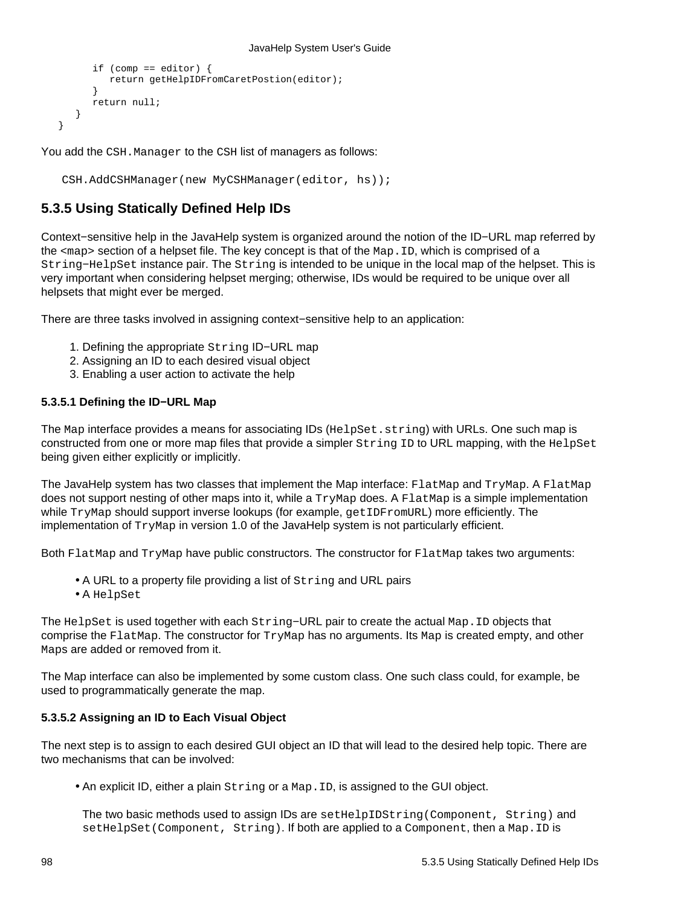```
 if (comp == editor) {
            return getHelpIDFromCaretPostion(editor);
 }
         return null;
      }
   }
```
You add the CSH. Manager to the CSH list of managers as follows:

```
 CSH.AddCSHManager(new MyCSHManager(editor, hs));
```
### <span id="page-103-0"></span>**5.3.5 Using Statically Defined Help IDs**

Context−sensitive help in the JavaHelp system is organized around the notion of the ID−URL map referred by the  $\langle map \rangle$  section of a helpset file. The key concept is that of the Map. ID, which is comprised of a String−HelpSet instance pair. The String is intended to be unique in the local map of the helpset. This is very important when considering helpset merging; otherwise, IDs would be required to be unique over all helpsets that might ever be merged.

There are three tasks involved in assigning context−sensitive help to an application:

- 1. Defining the appropriate String ID−URL map
- 2. Assigning an ID to each desired visual object
- 3. Enabling a user action to activate the help

### **5.3.5.1 Defining the ID−URL Map**

The Map interface provides a means for associating IDs (HelpSet.string) with URLs. One such map is constructed from one or more map files that provide a simpler String ID to URL mapping, with the HelpSet being given either explicitly or implicitly.

The JavaHelp system has two classes that implement the Map interface: FlatMap and TryMap. A FlatMap does not support nesting of other maps into it, while a  $TryMap$  does. A  $F$ latMap is a simple implementation while TryMap should support inverse lookups (for example, getIDFromURL) more efficiently. The implementation of TryMap in version 1.0 of the JavaHelp system is not particularly efficient.

Both FlatMap and TryMap have public constructors. The constructor for FlatMap takes two arguments:

- A URL to a property file providing a list of  $String$  and URL pairs
- A HelpSet

The HelpSet is used together with each String-URL pair to create the actual Map.ID objects that comprise the FlatMap. The constructor for TryMap has no arguments. Its Map is created empty, and other Maps are added or removed from it.

The Map interface can also be implemented by some custom class. One such class could, for example, be used to programmatically generate the map.

### **5.3.5.2 Assigning an ID to Each Visual Object**

The next step is to assign to each desired GUI object an ID that will lead to the desired help topic. There are two mechanisms that can be involved:

• An explicit ID, either a plain  $String$  or a Map. ID, is assigned to the GUI object.

The two basic methods used to assign IDs are setHelpIDString(Component, String) and setHelpSet(Component, String). If both are applied to a Component, then a Map. ID is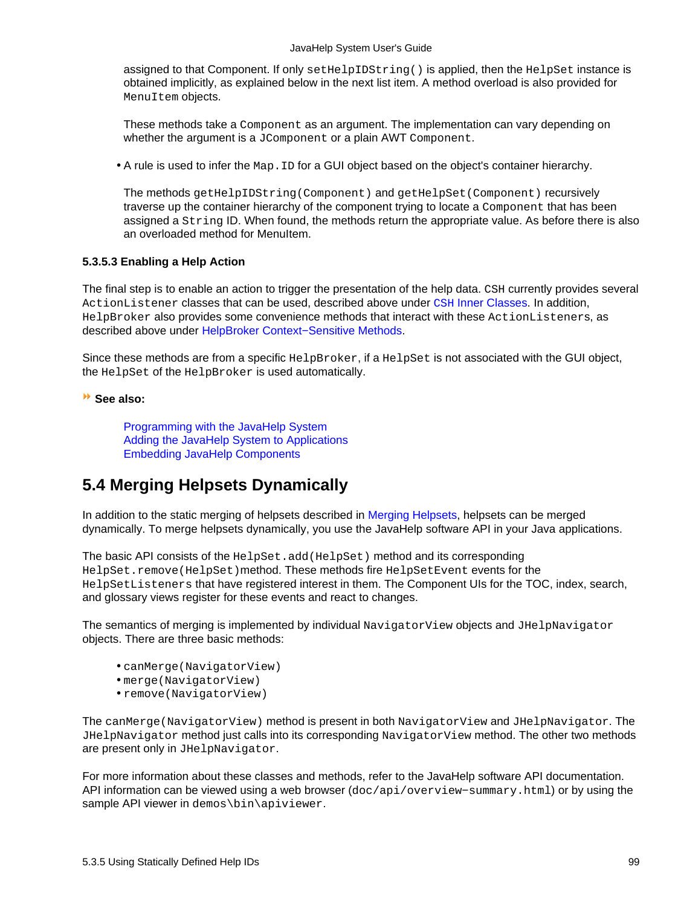### JavaHelp System User's Guide

assigned to that Component. If only  $setHelpIDString()$  is applied, then the HelpSet instance is obtained implicitly, as explained below in the next list item. A method overload is also provided for MenuItem objects.

These methods take a Component as an argument. The implementation can vary depending on whether the argument is a JComponent or a plain AWT Component.

• A rule is used to infer the Map. ID for a GUI object based on the object's container hierarchy.

The methods getHelpIDString(Component) and getHelpSet(Component) recursively traverse up the container hierarchy of the component trying to locate a Component that has been assigned a String ID. When found, the methods return the appropriate value. As before there is also an overloaded method for MenuItem.

### **5.3.5.3 Enabling a Help Action**

The final step is to enable an action to trigger the presentation of the help data. CSH currently provides several ActionListener classes that can be used, described above under CSH [Inner Classes.](#page-97-0) In addition, HelpBroker also provides some convenience methods that interact with these ActionListeners, as described above under [HelpBroker Context−Sensitive Methods](#page-95-2).

Since these methods are from a specific HelpBroker, if a HelpSet is not associated with the GUI object, the HelpSet of the HelpBroker is used automatically.

### **See also:**

[Programming with the JavaHelp System](#page-89-0) [Adding the JavaHelp System to Applications](#page-90-0) [Embedding JavaHelp Components](#page-105-1)

## <span id="page-104-0"></span>**5.4 Merging Helpsets Dynamically**

In addition to the static merging of helpsets described in [Merging Helpsets](#page-81-0), helpsets can be merged dynamically. To merge helpsets dynamically, you use the JavaHelp software API in your Java applications.

The basic API consists of the HelpSet.add(HelpSet) method and its corresponding HelpSet.remove(HelpSet)method. These methods fire HelpSetEvent events for the HelpSetListeners that have registered interest in them. The Component UIs for the TOC, index, search, and glossary views register for these events and react to changes.

The semantics of merging is implemented by individual NavigatorView objects and JHelpNavigator objects. There are three basic methods:

- canMerge(NavigatorView)
- merge(NavigatorView)
- remove(NavigatorView)

The canMerge(NavigatorView) method is present in both NavigatorView and JHelpNavigator. The JHelpNavigator method just calls into its corresponding NavigatorView method. The other two methods are present only in JHelpNavigator.

For more information about these classes and methods, refer to the JavaHelp software API documentation. API information can be viewed using a web browser (doc/api/overview−summary.html) or by using the sample API viewer in demos\bin\apiviewer.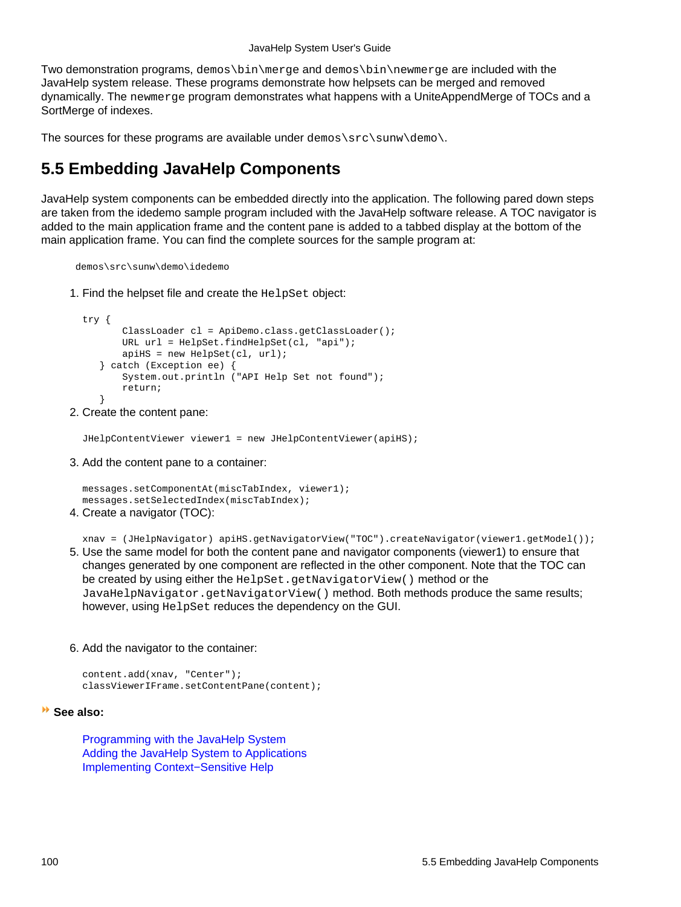Two demonstration programs, demos\bin\merge and demos\bin\newmerge are included with the JavaHelp system release. These programs demonstrate how helpsets can be merged and removed dynamically. The newmerge program demonstrates what happens with a UniteAppendMerge of TOCs and a SortMerge of indexes.

<span id="page-105-1"></span>The sources for these programs are available under  $d$ emos $\src\sum\gamma\demot$ .

## **5.5 Embedding JavaHelp Components**

JavaHelp system components can be embedded directly into the application. The following pared down steps are taken from the idedemo sample program included with the JavaHelp software release. A TOC navigator is added to the main application frame and the content pane is added to a tabbed display at the bottom of the main application frame. You can find the complete sources for the sample program at:

demos\src\sunw\demo\idedemo

1. Find the helpset file and create the HelpSet object:

```
try {
        ClassLoader cl = ApiDemo.class.getClassLoader();
      URL url = HelpSet.findHelpSet(cl, "api");
       apiHS = new HelpSet(cl, url);
    } catch (Exception ee) {
       System.out.println ("API Help Set not found");
        return;
    }
```
2. Create the content pane:

JHelpContentViewer viewer1 = new JHelpContentViewer(apiHS);

3. Add the content pane to a container:

```
messages.setComponentAt(miscTabIndex, viewer1);
messages.setSelectedIndex(miscTabIndex);
```
4. Create a navigator (TOC):

xnav = (JHelpNavigator) apiHS.getNavigatorView("TOC").createNavigator(viewer1.getModel()); 5. Use the same model for both the content pane and navigator components (viewer1) to ensure that changes generated by one component are reflected in the other component. Note that the TOC can be created by using either the HelpSet.getNavigatorView() method or the JavaHelpNavigator.getNavigatorView() method. Both methods produce the same results; however, using HelpSet reduces the dependency on the GUI.

6. Add the navigator to the container:

```
content.add(xnav, "Center");
classViewerIFrame.setContentPane(content);
```
### <span id="page-105-0"></span>**See also:**

[Programming with the JavaHelp System](#page-89-0) [Adding the JavaHelp System to Applications](#page-90-0) [Implementing Context−Sensitive Help](#page-92-0)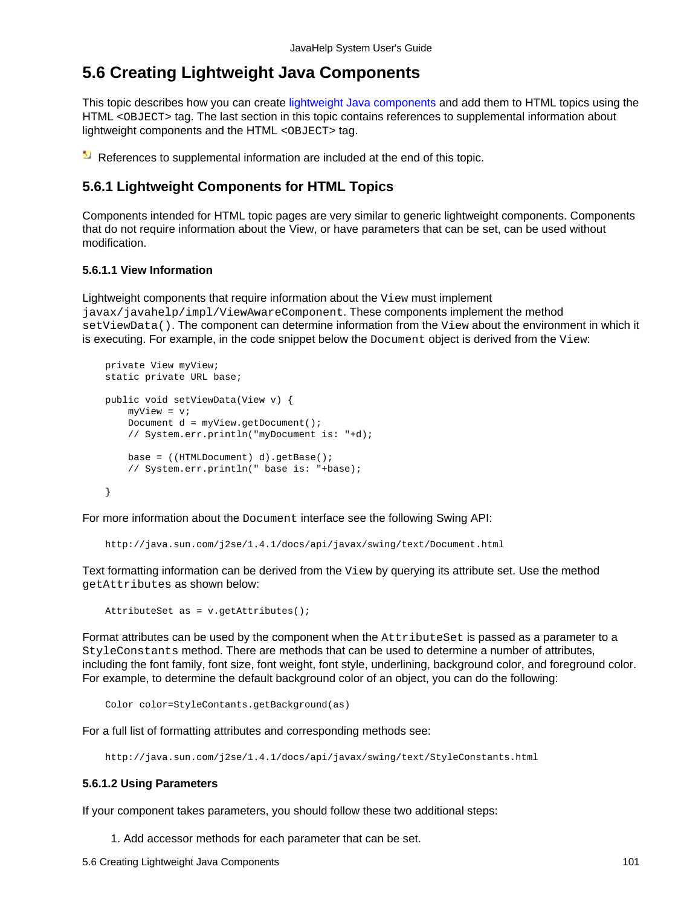## **5.6 Creating Lightweight Java Components**

This topic describes how you can create [lightweight Java components](#page-108-0) and add them to HTML topics using the HTML <OBJECT> tag. The last section in this topic contains references to supplemental information about lightweight components and the HTML <OBJECT> tag.

 $\Delta$  References to supplemental information are included at the end of this topic.

### **5.6.1 Lightweight Components for HTML Topics**

Components intended for HTML topic pages are very similar to generic lightweight components. Components that do not require information about the View, or have parameters that can be set, can be used without modification.

### **5.6.1.1 View Information**

Lightweight components that require information about the View must implement javax/javahelp/impl/ViewAwareComponent. These components implement the method setViewData(). The component can determine information from the View about the environment in which it is executing. For example, in the code snippet below the Document object is derived from the View:

```
 private View myView;
 static private URL base;
 public void setViewData(View v) {
    myView = vi Document d = myView.getDocument();
     // System.err.println("myDocument is: "+d);
    base = ((HTMLDocument) d).getBase();
     // System.err.println(" base is: "+base);
 }
```
For more information about the Document interface see the following Swing API:

http://java.sun.com/j2se/1.4.1/docs/api/javax/swing/text/Document.html

Text formatting information can be derived from the View by querying its attribute set. Use the method getAttributes as shown below:

AttributeSet as = v.getAttributes();

Format attributes can be used by the component when the AttributeSet is passed as a parameter to a StyleConstants method. There are methods that can be used to determine a number of attributes, including the font family, font size, font weight, font style, underlining, background color, and foreground color. For example, to determine the default background color of an object, you can do the following:

```
 Color color=StyleContants.getBackground(as)
```
For a full list of formatting attributes and corresponding methods see:

http://java.sun.com/j2se/1.4.1/docs/api/javax/swing/text/StyleConstants.html

### **5.6.1.2 Using Parameters**

If your component takes parameters, you should follow these two additional steps:

1. Add accessor methods for each parameter that can be set.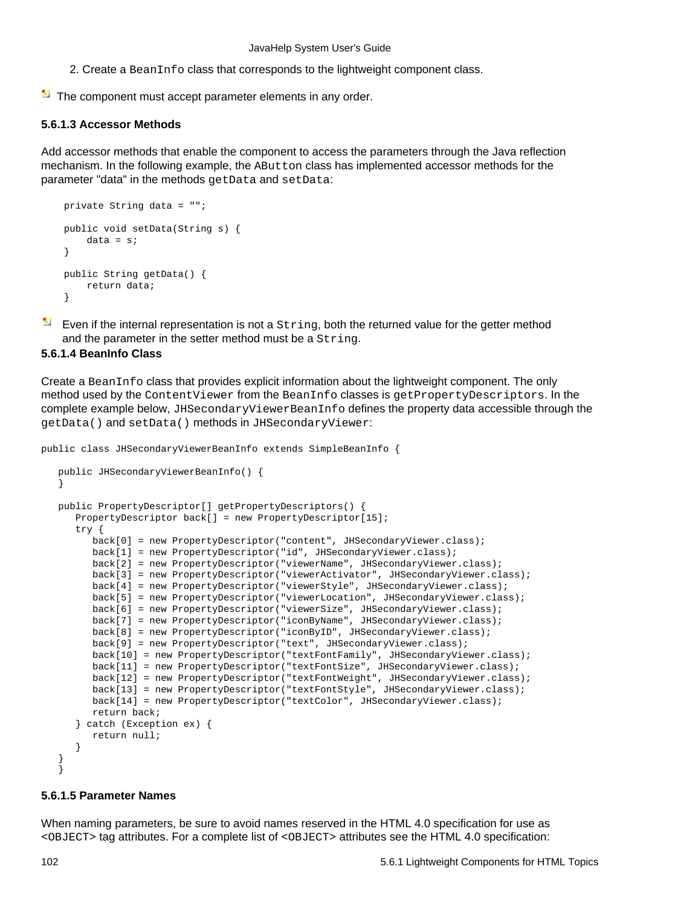2. Create a BeanInfo class that corresponds to the lightweight component class.

The component must accept parameter elements in any order.

### **5.6.1.3 Accessor Methods**

Add accessor methods that enable the component to access the parameters through the Java reflection mechanism. In the following example, the AButton class has implemented accessor methods for the parameter "data" in the methods getData and setData:

```
 private String data = "";
 public void setData(String s) {
    data = si }
 public String getData() {
     return data;
 }
```
Even if the internal representation is not a  $String$ , both the returned value for the getter method and the parameter in the setter method must be a String.

### **5.6.1.4 BeanInfo Class**

Create a BeanInfo class that provides explicit information about the lightweight component. The only method used by the ContentViewer from the BeanInfo classes is getPropertyDescriptors. In the complete example below, JHSecondaryViewerBeanInfo defines the property data accessible through the getData() and setData() methods in JHSecondaryViewer:

public class JHSecondaryViewerBeanInfo extends SimpleBeanInfo {

```
 public JHSecondaryViewerBeanInfo() {
 }
 public PropertyDescriptor[] getPropertyDescriptors() {
    PropertyDescriptor back[] = new PropertyDescriptor[15];
    try {
       back[0] = new PropertyDescriptor("content", JHSecondaryViewer.class);
       back[1] = new PropertyDescriptor("id", JHSecondaryViewer.class);
       back[2] = new PropertyDescriptor("viewerName", JHSecondaryViewer.class);
       back[3] = new PropertyDescriptor("viewerActivator", JHSecondaryViewer.class);
       back[4] = new PropertyDescriptor("viewerStyle", JHSecondaryViewer.class);
       back[5] = new PropertyDescriptor("viewerLocation", JHSecondaryViewer.class);
       back[6] = new PropertyDescriptor("viewerSize", JHSecondaryViewer.class);
       back[7] = new PropertyDescriptor("iconByName", JHSecondaryViewer.class);
       back[8] = new PropertyDescriptor("iconByID", JHSecondaryViewer.class);
       back[9] = new PropertyDescriptor("text", JHSecondaryViewer.class);
       back[10] = new PropertyDescriptor("textFontFamily", JHSecondaryViewer.class);
       back[11] = new PropertyDescriptor("textFontSize", JHSecondaryViewer.class);
      back[12] = new PropertyDescriptor("textFontWeight", JHSecondaryViewer.class);
       back[13] = new PropertyDescriptor("textFontStyle", JHSecondaryViewer.class);
       back[14] = new PropertyDescriptor("textColor", JHSecondaryViewer.class);
       return back;
    } catch (Exception ex) {
      return null;
    }
 }
 }
```
#### **5.6.1.5 Parameter Names**

When naming parameters, be sure to avoid names reserved in the HTML 4.0 specification for use as <OBJECT> tag attributes. For a complete list of <OBJECT> attributes see the HTML 4.0 specification: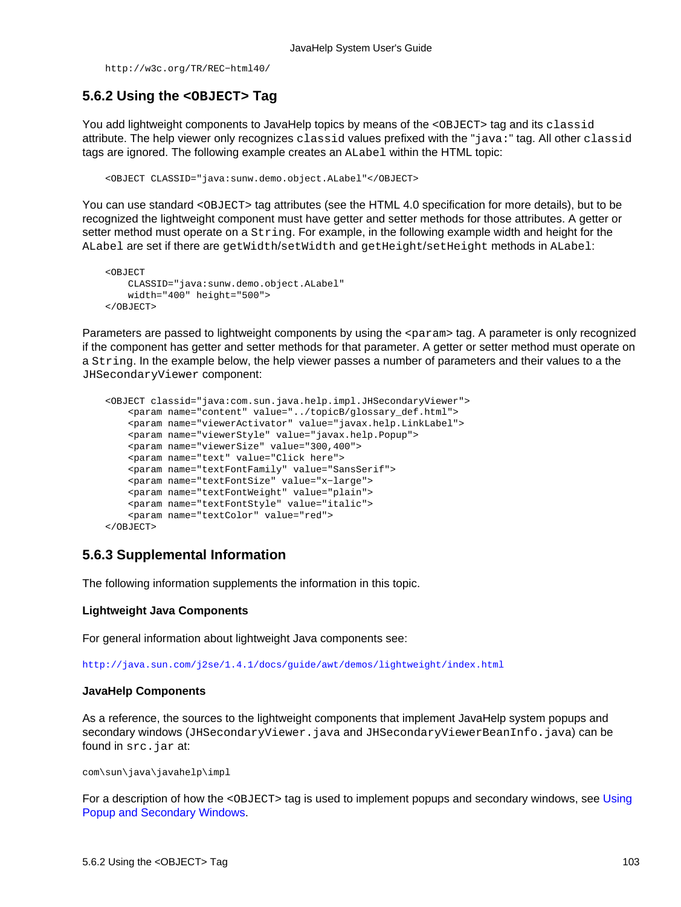http://w3c.org/TR/REC−html40/

## **5.6.2 Using the <OBJECT> Tag**

You add lightweight components to JavaHelp topics by means of the <OBJECT> tag and its classid attribute. The help viewer only recognizes classid values prefixed with the "java:" tag. All other classid tags are ignored. The following example creates an ALabel within the HTML topic:

<OBJECT CLASSID="java:sunw.demo.object.ALabel"</OBJECT>

You can use standard <OBJECT> tag attributes (see the HTML 4.0 specification for more details), but to be recognized the lightweight component must have getter and setter methods for those attributes. A getter or setter method must operate on a  $string$ . For example, in the following example width and height for the ALabel are set if there are getWidth/setWidth and getHeight/setHeight methods in ALabel:

```
 <OBJECT 
     CLASSID="java:sunw.demo.object.ALabel" 
     width="400" height="500">
 </OBJECT>
```
Parameters are passed to lightweight components by using the <param> tag. A parameter is only recognized if the component has getter and setter methods for that parameter. A getter or setter method must operate on a String. In the example below, the help viewer passes a number of parameters and their values to a the JHSecondaryViewer component:

```
 <OBJECT classid="java:com.sun.java.help.impl.JHSecondaryViewer">
     <param name="content" value="../topicB/glossary_def.html">
     <param name="viewerActivator" value="javax.help.LinkLabel">
     <param name="viewerStyle" value="javax.help.Popup">
     <param name="viewerSize" value="300,400">
     <param name="text" value="Click here">
     <param name="textFontFamily" value="SansSerif">
     <param name="textFontSize" value="x−large">
     <param name="textFontWeight" value="plain">
     <param name="textFontStyle" value="italic">
     <param name="textColor" value="red">
 </OBJECT>
```
#### **5.6.3 Supplemental Information**

The following information supplements the information in this topic.

#### **Lightweight Java Components**

For general information about lightweight Java components see:

<http://java.sun.com/j2se/1.4.1/docs/guide/awt/demos/lightweight/index.html>

#### **JavaHelp Components**

As a reference, the sources to the lightweight components that implement JavaHelp system popups and secondary windows (JHSecondaryViewer.java and JHSecondaryViewerBeanInfo.java) can be found in src.jar at:

com\sun\java\javahelp\impl

For a description of how the <OBJECT> tag is used to implement popups and secondary windows, se[e Using](#page-75-0) [Popup and Secondary Windows](#page-75-0).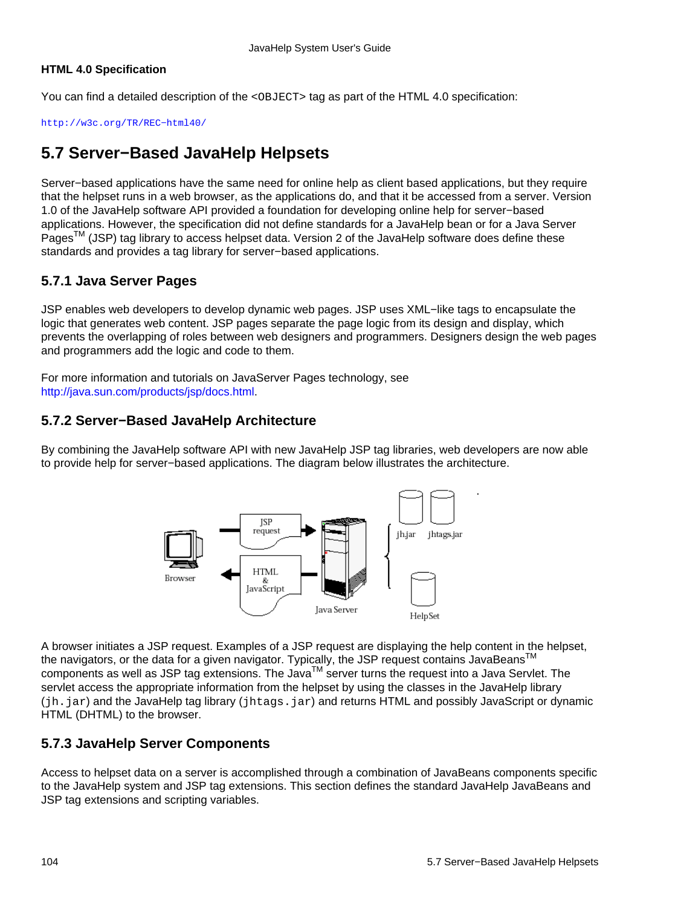#### **HTML 4.0 Specification**

You can find a detailed description of the <OBJECT> tag as part of the HTML 4.0 specification:

<span id="page-109-0"></span>[http://w3c.org/TR/REC−html40/](http://w3c.org/TR/REC-html40/)

# **5.7 Server−Based JavaHelp Helpsets**

Server−based applications have the same need for online help as client based applications, but they require that the helpset runs in a web browser, as the applications do, and that it be accessed from a server. Version 1.0 of the JavaHelp software API provided a foundation for developing online help for server−based applications. However, the specification did not define standards for a JavaHelp bean or for a Java Server Pages<sup>IM</sup> (JSP) tag library to access helpset data. Version 2 of the JavaHelp software does define these standards and provides a tag library for server−based applications.

# **5.7.1 Java Server Pages**

JSP enables web developers to develop dynamic web pages. JSP uses XML−like tags to encapsulate the logic that generates web content. JSP pages separate the page logic from its design and display, which prevents the overlapping of roles between web designers and programmers. Designers design the web pages and programmers add the logic and code to them.

For more information and tutorials on JavaServer Pages technology, see <http://java.sun.com/products/jsp/docs.html>.

# **5.7.2 Server−Based JavaHelp Architecture**

By combining the JavaHelp software API with new JavaHelp JSP tag libraries, web developers are now able to provide help for server−based applications. The diagram below illustrates the architecture.



A browser initiates a JSP request. Examples of a JSP request are displaying the help content in the helpset, the navigators, or the data for a given navigator. Typically, the JSP request contains JavaBeans<sup>™</sup> components as well as JSP tag extensions. The JavaTM server turns the request into a Java Servlet. The servlet access the appropriate information from the helpset by using the classes in the JavaHelp library (jh.jar) and the JavaHelp tag library (jhtags.jar) and returns HTML and possibly JavaScript or dynamic HTML (DHTML) to the browser.

# **5.7.3 JavaHelp Server Components**

Access to helpset data on a server is accomplished through a combination of JavaBeans components specific to the JavaHelp system and JSP tag extensions. This section defines the standard JavaHelp JavaBeans and JSP tag extensions and scripting variables.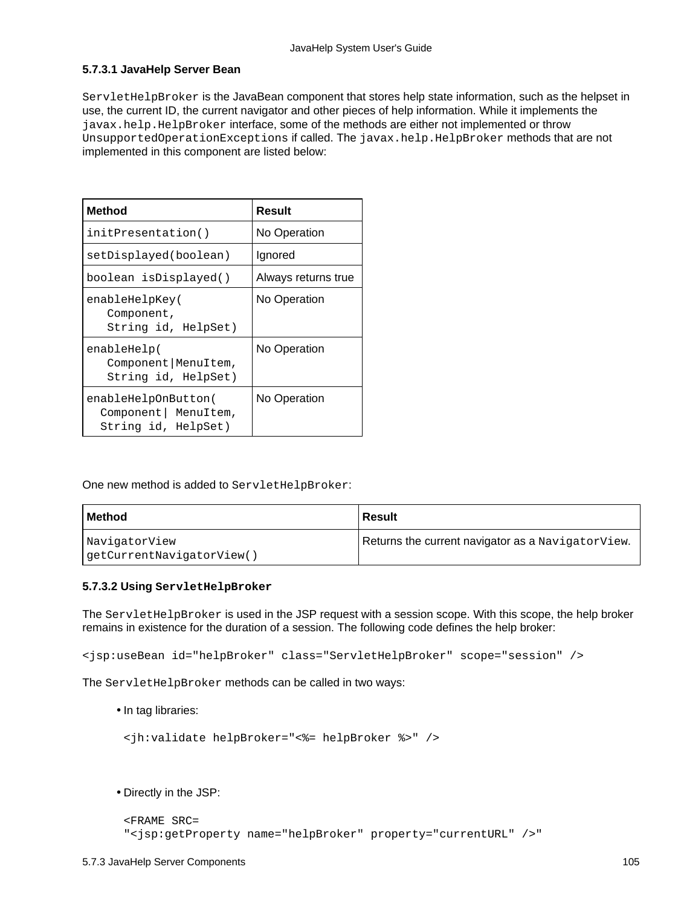#### <span id="page-110-0"></span>**5.7.3.1 JavaHelp Server Bean**

ServletHelpBroker is the JavaBean component that stores help state information, such as the helpset in use, the current ID, the current navigator and other pieces of help information. While it implements the javax.help.HelpBroker interface, some of the methods are either not implemented or throw UnsupportedOperationExceptions if called. The javax.help.HelpBroker methods that are not implemented in this component are listed below:

| <b>Method</b>                                                       | Result              |
|---------------------------------------------------------------------|---------------------|
| initPresentation()                                                  | No Operation        |
| setDisplayed(boolean)                                               | Ignored             |
| boolean isDisplayed()                                               | Always returns true |
| enableHelpKey(<br>Component,<br>String id, HelpSet)                 | No Operation        |
| enableHelp(<br>Component   MenuItem,<br>String id, HelpSet)         | No Operation        |
| enableHelpOnButton(<br>Component   MenuItem,<br>String id, HelpSet) | No Operation        |

One new method is added to ServletHelpBroker:

| <b>Method</b>                              | <b>Result</b>                                      |
|--------------------------------------------|----------------------------------------------------|
| NavigatorView<br>getCurrentNavigatorView() | Returns the current navigator as a Navigator View. |

#### **5.7.3.2 Using ServletHelpBroker**

The ServletHelpBroker is used in the JSP request with a session scope. With this scope, the help broker remains in existence for the duration of a session. The following code defines the help broker:

<jsp:useBean id="helpBroker" class="ServletHelpBroker" scope="session" />

The ServletHelpBroker methods can be called in two ways:

#### • In tag libraries:

<jh:validate helpBroker="<%= helpBroker %>" />

• Directly in the JSP:

```
<FRAME SRC=
"<jsp:getProperty name="helpBroker" property="currentURL" />"
```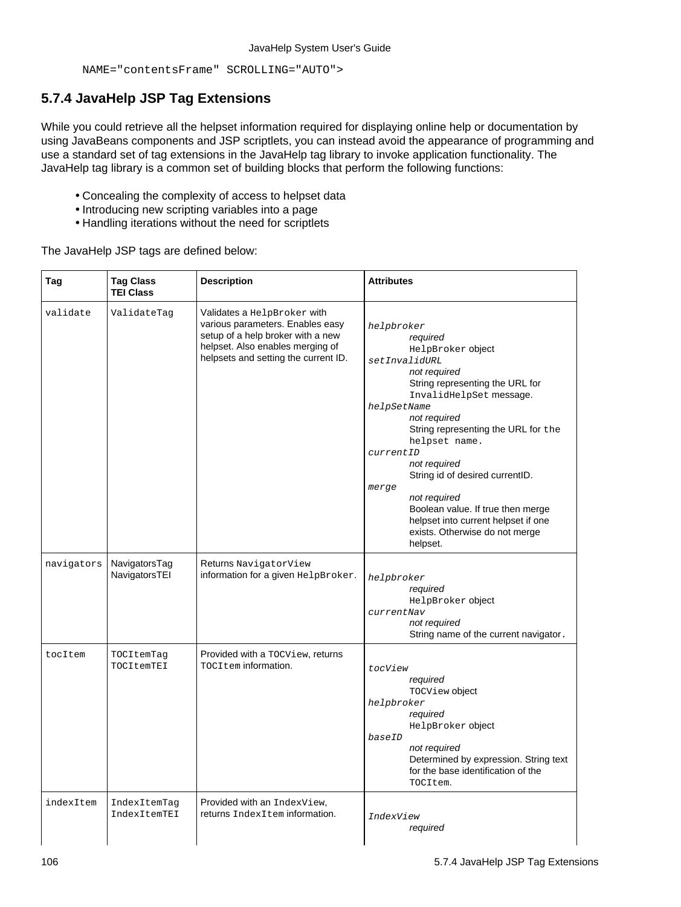```
NAME="contentsFrame" SCROLLING="AUTO">
```
# <span id="page-111-0"></span>**5.7.4 JavaHelp JSP Tag Extensions**

While you could retrieve all the helpset information required for displaying online help or documentation by using JavaBeans components and JSP scriptlets, you can instead avoid the appearance of programming and use a standard set of tag extensions in the JavaHelp tag library to invoke application functionality. The JavaHelp tag library is a common set of building blocks that perform the following functions:

- Concealing the complexity of access to helpset data
- Introducing new scripting variables into a page
- Handling iterations without the need for scriptlets

The JavaHelp JSP tags are defined below:

| Tag        | <b>Tag Class</b><br><b>TEI Class</b> | <b>Description</b>                                                                                                                                                               | <b>Attributes</b>                                                                                                                                                                                                                                                                                                                                                                                                                                    |
|------------|--------------------------------------|----------------------------------------------------------------------------------------------------------------------------------------------------------------------------------|------------------------------------------------------------------------------------------------------------------------------------------------------------------------------------------------------------------------------------------------------------------------------------------------------------------------------------------------------------------------------------------------------------------------------------------------------|
| validate   | ValidateTag                          | Validates a HelpBroker with<br>various parameters. Enables easy<br>setup of a help broker with a new<br>helpset. Also enables merging of<br>helpsets and setting the current ID. | helpbroker<br>required<br>HelpBroker object<br>setInvalidURL<br>not required<br>String representing the URL for<br>InvalidHelpSet message.<br>helpSetName<br>not required<br>String representing the URL for the<br>helpset name.<br>currentID<br>not required<br>String id of desired currentID.<br>merge<br>not required<br>Boolean value. If true then merge<br>helpset into current helpset if one<br>exists. Otherwise do not merge<br>helpset. |
| navigators | NavigatorsTag<br>NavigatorsTEI       | Returns NavigatorView<br>information for a given HelpBroker.                                                                                                                     | helpbroker<br>required<br>HelpBroker object<br>currentNav<br>not required<br>String name of the current navigator.                                                                                                                                                                                                                                                                                                                                   |
| tocItem    | TOCItemTag<br>TOCItemTEI             | Provided with a TOCView, returns<br>TOCItem information.                                                                                                                         | tocView<br>required<br>TOCView object<br>helpbroker<br>required<br>HelpBroker object<br>baseID<br>not required<br>Determined by expression. String text<br>for the base identification of the<br>TOCItem.                                                                                                                                                                                                                                            |
| indexItem  | IndexItemTag<br>IndexItemTEI         | Provided with an IndexView,<br>returns IndexIt.em information.                                                                                                                   | IndexView<br>required                                                                                                                                                                                                                                                                                                                                                                                                                                |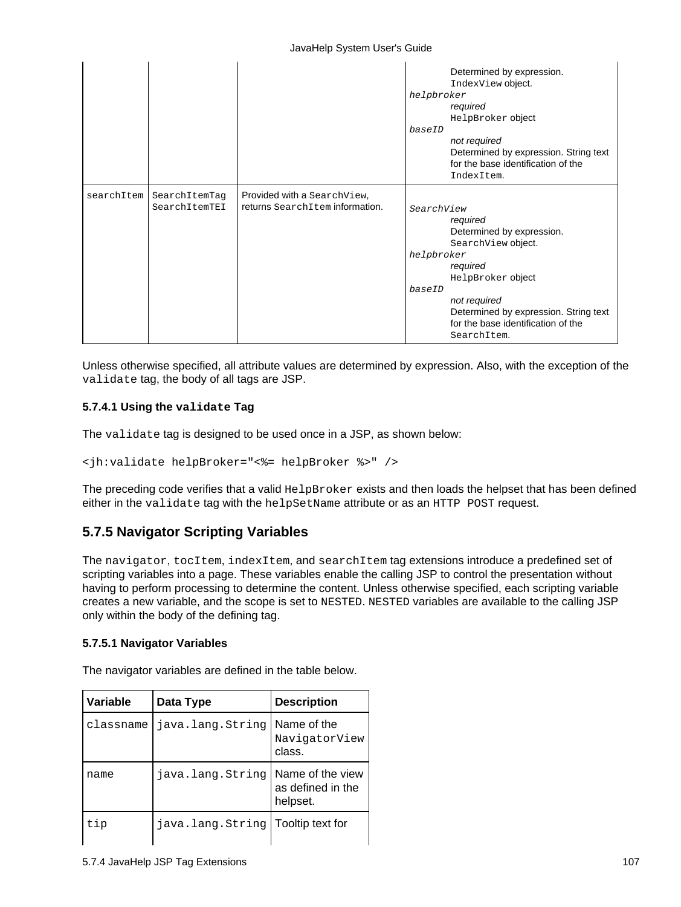|            |                                |                                                                  | Determined by expression.<br>IndexView object.<br>helpbroker<br>required<br>HelpBroker object<br>baseID<br>not required<br>Determined by expression. String text<br>for the base identification of the<br>IndexItem.                             |
|------------|--------------------------------|------------------------------------------------------------------|--------------------------------------------------------------------------------------------------------------------------------------------------------------------------------------------------------------------------------------------------|
| searchItem | SearchItemTag<br>SearchItemTEI | Provided with a SearchView,<br>returns Search I tem information. | SearchView<br>required<br>Determined by expression.<br>SearchView object.<br>helpbroker<br>required<br>HelpBroker object<br>baseID<br>not required<br>Determined by expression. String text<br>for the base identification of the<br>SearchItem. |

Unless otherwise specified, all attribute values are determined by expression. Also, with the exception of the validate tag, the body of all tags are JSP.

# **5.7.4.1 Using the validate Tag**

The validate tag is designed to be used once in a JSP, as shown below:

```
<jh:validate helpBroker="<%= helpBroker %>" />
```
The preceding code verifies that a valid HelpBroker exists and then loads the helpset that has been defined either in the validate tag with the helpSetName attribute or as an HTTP POST request.

# **5.7.5 Navigator Scripting Variables**

The navigator, tocItem, indexItem, and searchItem tag extensions introduce a predefined set of scripting variables into a page. These variables enable the calling JSP to control the presentation without having to perform processing to determine the content. Unless otherwise specified, each scripting variable creates a new variable, and the scope is set to NESTED. NESTED variables are available to the calling JSP only within the body of the defining tag.

#### **5.7.5.1 Navigator Variables**

The navigator variables are defined in the table below.

| Variable  | Data Type        | <b>Description</b>                                |
|-----------|------------------|---------------------------------------------------|
| classname | java.lang.String | Name of the<br>NavigatorView<br>class.            |
| name      | java.lang.String | Name of the view<br>as defined in the<br>helpset. |
| tip       | java.lang.String | Tooltip text for                                  |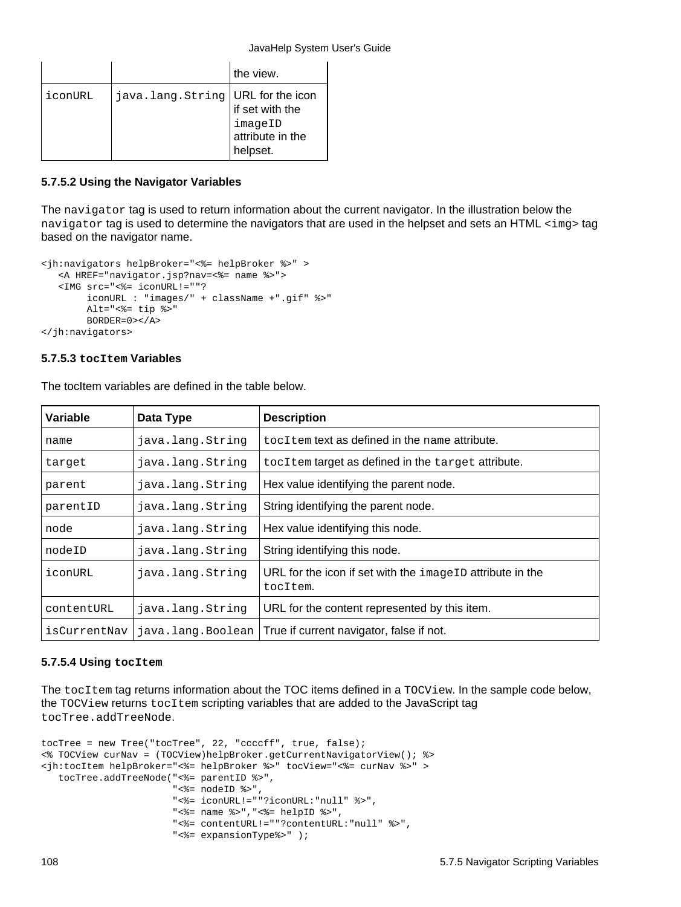|         |                                     | the view.                                                  |
|---------|-------------------------------------|------------------------------------------------------------|
| iconURL | java.lang.String   URL for the icon | if set with the<br>imageID<br>attribute in the<br>helpset. |

#### **5.7.5.2 Using the Navigator Variables**

The navigator tag is used to return information about the current navigator. In the illustration below the navigator tag is used to determine the navigators that are used in the helpset and sets an HTML <img> tag based on the navigator name.

```
<jh:navigators helpBroker="<%= helpBroker %>" >
   <A HREF="navigator.jsp?nav=<%= name %>">
    <IMG src="<%= iconURL!=""? 
        iconURL : "images/" + className +".gif" %>" 
         Alt="<%= tip %>"
         BORDER=0></A>
</jh:navigators>
```
#### **5.7.5.3 tocItem Variables**

The tocItem variables are defined in the table below.

| Variable     | Data Type         | <b>Description</b>                                                    |
|--------------|-------------------|-----------------------------------------------------------------------|
| name         | java.lang.String  | tocItem text as defined in the name attribute.                        |
| target       | java.lang.String  | tocItem target as defined in the target attribute.                    |
| parent       | java.lang.String  | Hex value identifying the parent node.                                |
| parentID     | java.lang.String  | String identifying the parent node.                                   |
| node         | java.lang.String  | Hex value identifying this node.                                      |
| nodeID       | java.lang.String  | String identifying this node.                                         |
| iconURL      | java.lang.String  | URL for the icon if set with the imageID attribute in the<br>tocItem. |
| contentURL   | java.lang.String  | URL for the content represented by this item.                         |
| isCurrentNav | java.lang.Boolean | True if current navigator, false if not.                              |

#### **5.7.5.4 Using tocItem**

The tocItem tag returns information about the TOC items defined in a TOCView. In the sample code below, the TOCView returns tocItem scripting variables that are added to the JavaScript tag tocTree.addTreeNode.

```
tocTree = new Tree("tocTree", 22, "ccccff", true, false);
<% TOCView curNav = (TOCView)helpBroker.getCurrentNavigatorView(); %>
<jh:tocItem helpBroker="<%= helpBroker %>" tocView="<%= curNav %>" >
   tocTree.addTreeNode("<%= parentID %>",
                        "<%= nodeID %>",
                        "<%= iconURL!=""?iconURL:"null" %>",
                        "<%= name %>","<%= helpID %>",
                        "<%= contentURL!=""?contentURL:"null" %>",
                        "<%= expansionType%>" );
```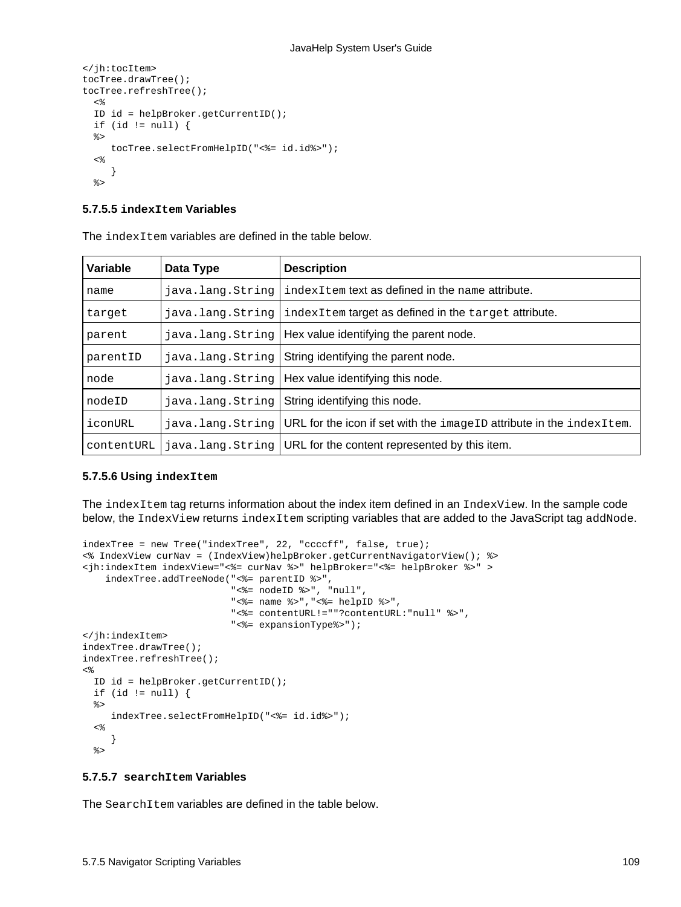```
</jh:tocItem>
tocTree.drawTree();
tocTree.refreshTree();
  <\frac{6}{6} ID id = helpBroker.getCurrentID();
   if (id != null) {
   %> 
      tocTree.selectFromHelpID("<%= id.id%>");
  <\frac{6}{6} }
   %>
```
#### **5.7.5.5 indexItem Variables**

The indexItem variables are defined in the table below.

| Variable   | Data Type        | <b>Description</b>                                                   |
|------------|------------------|----------------------------------------------------------------------|
| name       | java.lang.String | indexItem text as defined in the name attribute.                     |
| target     | java.lang.String | indexItem target as defined in the target attribute.                 |
| parent     | java.lang.String | Hex value identifying the parent node.                               |
| parentID   |                  | java.lang.String String identifying the parent node.                 |
| node       | java.lang.String | Hex value identifying this node.                                     |
| nodeID     | java.lang.String | String identifying this node.                                        |
| iconURL    | java.lang.String | URL for the icon if set with the imageID attribute in the indexItem. |
| contentURL | java.lang.String | URL for the content represented by this item.                        |

#### **5.7.5.6 Using indexItem**

The indexItem tag returns information about the index item defined in an IndexView. In the sample code below, the IndexView returns indexItem scripting variables that are added to the JavaScript tag addNode.

```
indexTree = new Tree("indexTree", 22, "ccccff", false, true);
<% IndexView curNav = (IndexView)helpBroker.getCurrentNavigatorView(); %>
<jh:indexItem indexView="<%= curNav %>" helpBroker="<%= helpBroker %>" >
     indexTree.addTreeNode("<%= parentID %>", 
                            "<%= nodeID %>", "null", 
                            "<%= name %>","<%= helpID %>",
                            "<%= contentURL!=""?contentURL:"null" %>", 
                            "<%= expansionType%>");
</jh:indexItem>
indexTree.drawTree();
indexTree.refreshTree();
<\!>^{\circ}</math> ID id = helpBroker.getCurrentID();
  if (id != null) {
   %> 
      indexTree.selectFromHelpID("<%= id.id%>");
  & }
   %>
```
#### **5.7.5.7 searchItem Variables**

The SearchItem variables are defined in the table below.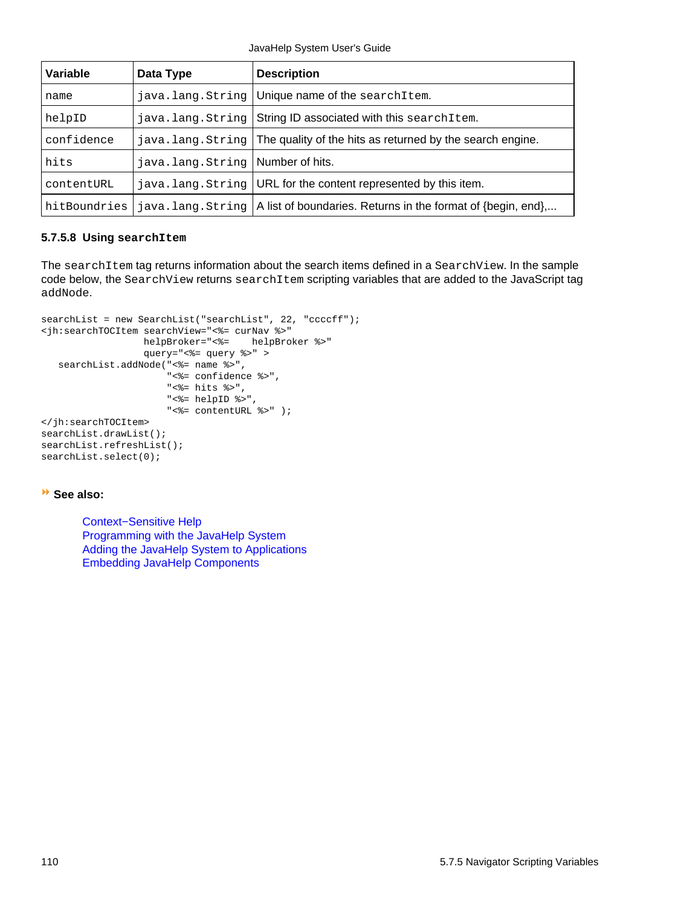JavaHelp System User's Guide

| Variable     | Data Type                          | <b>Description</b>                                                                |
|--------------|------------------------------------|-----------------------------------------------------------------------------------|
| name         |                                    | java.lang.String   Unique name of the searchitem.                                 |
| helpID       |                                    | java.lang.String   String ID associated with this searchItem.                     |
| confidence   |                                    | java. lang. String   The quality of the hits as returned by the search engine.    |
| hits         | java.lang.String   Number of hits. |                                                                                   |
| contentURL   |                                    | java. lang. String URL for the content represented by this item.                  |
| hitBoundries |                                    | java. lang. String   A list of boundaries. Returns in the format of {begin, end}, |

#### **5.7.5.8 Using searchItem**

The searchItem tag returns information about the search items defined in a SearchView. In the sample code below, the SearchView returns searchItem scripting variables that are added to the JavaScript tag addNode.

```
searchList = new SearchList("searchList", 22, "ccccff");
<jh:searchTOCItem searchView="<%= curNav %>"
                  helpBroker="<%= helpBroker %>" 
                  query="<%= query %>" >
  searchList.addNode("<%= name %>",
                       "<%= confidence %>",
                       "<%= hits %>",
                       "<%= helpID %>",
                       "<%= contentURL %>" );
</jh:searchTOCItem>
searchList.drawList();
searchList.refreshList();
searchList.select(0);
```
#### <span id="page-115-0"></span>**See also:**

[Context−Sensitive Help](#page-92-0) [Programming with the JavaHelp System](#page-89-0) [Adding the JavaHelp System to Applications](#page-90-0) [Embedding JavaHelp Components](#page-105-0)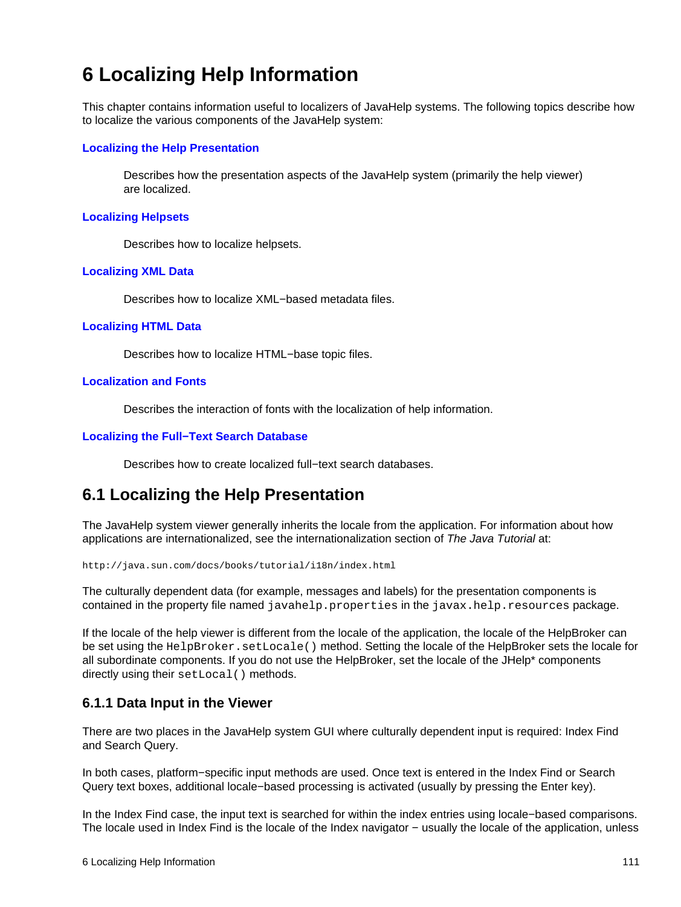# **6 Localizing Help Information**

This chapter contains information useful to localizers of JavaHelp systems. The following topics describe how to localize the various components of the JavaHelp system:

#### **[Localizing the Help Presentation](#page-116-0)**

Describes how the presentation aspects of the JavaHelp system (primarily the help viewer) are localized.

#### **[Localizing Helpsets](#page-117-0)**

Describes how to localize helpsets.

#### **[Localizing XML Data](#page-120-0)**

Describes how to localize XML–based metadata files.

#### **[Localizing HTML Data](#page-121-0)**

Describes how to localize HTML−base topic files.

#### **[Localization and Fonts](#page-123-0)**

Describes the interaction of fonts with the localization of help information.

#### **[Localizing the Full−Text Search Database](#page-123-1)**

Describes how to create localized full−text search databases.

# <span id="page-116-0"></span>**6.1 Localizing the Help Presentation**

The JavaHelp system viewer generally inherits the locale from the application. For information about how applications are internationalized, see the internationalization section of The Java Tutorial at:

http://java.sun.com/docs/books/tutorial/i18n/index.html

The culturally dependent data (for example, messages and labels) for the presentation components is contained in the property file named javahelp.properties in the javax.help.resources package.

If the locale of the help viewer is different from the locale of the application, the locale of the HelpBroker can be set using the HelpBroker.setLocale() method. Setting the locale of the HelpBroker sets the locale for all subordinate components. If you do not use the HelpBroker, set the locale of the JHelp\* components directly using their setLocal() methods.

# **6.1.1 Data Input in the Viewer**

There are two places in the JavaHelp system GUI where culturally dependent input is required: Index Find and Search Query.

In both cases, platform−specific input methods are used. Once text is entered in the Index Find or Search Query text boxes, additional locale−based processing is activated (usually by pressing the Enter key).

In the Index Find case, the input text is searched for within the index entries using locale−based comparisons. The locale used in Index Find is the locale of the Index navigator – usually the locale of the application, unless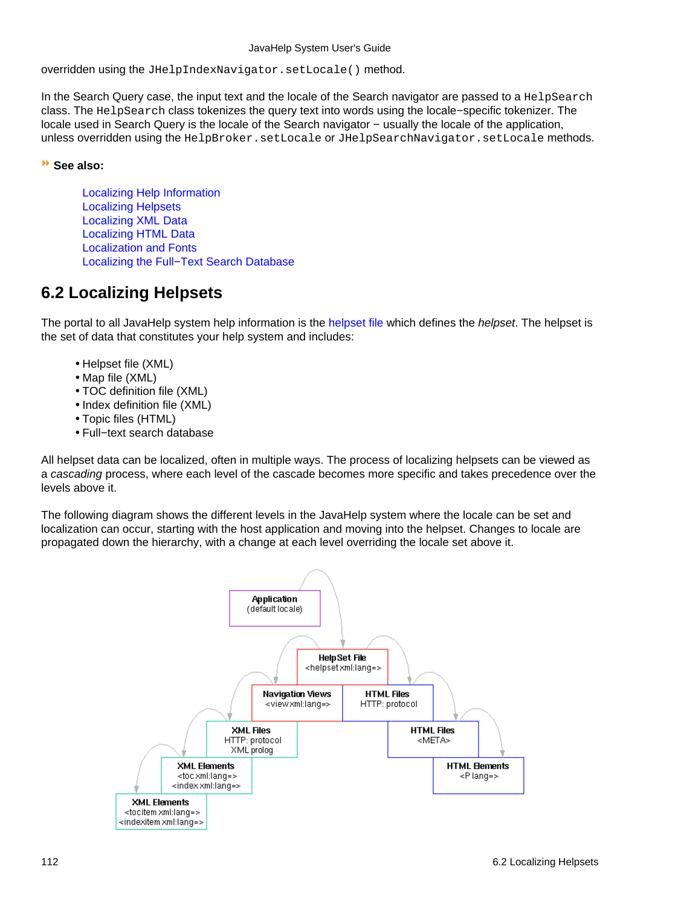#### JavaHelp System User's Guide

overridden using the JHelpIndexNavigator.setLocale() method.

In the Search Query case, the input text and the locale of the Search navigator are passed to a HelpSearch class. The HelpSearch class tokenizes the query text into words using the locale−specific tokenizer. The locale used in Search Query is the locale of the Search navigator − usually the locale of the application, unless overridden using the HelpBroker.setLocale or JHelpSearchNavigator.setLocale methods.

#### **See also:**

[Localizing Help Information](#page-115-0) [Localizing Helpsets](#page-117-0) [Localizing XML Data](#page-120-0) [Localizing HTML Data](#page-121-0) [Localization and Fonts](#page-123-0) [Localizing the Full−Text Search Database](#page-123-1)

# <span id="page-117-0"></span>**6.2 Localizing Helpsets**

The portal to all JavaHelp system help information is th[e helpset file](#page-47-0) which defines the *helpset*. The helpset is the set of data that constitutes your help system and includes:

- Helpset file (XML)
- Map file (XML)
- TOC definition file (XML)
- Index definition file (XML)
- Topic files (HTML)
- Full−text search database

All helpset data can be localized, often in multiple ways. The process of localizing helpsets can be viewed as a cascading process, where each level of the cascade becomes more specific and takes precedence over the levels above it.

The following diagram shows the different levels in the JavaHelp system where the locale can be set and localization can occur, starting with the host application and moving into the helpset. Changes to locale are propagated down the hierarchy, with a change at each level overriding the locale set above it.

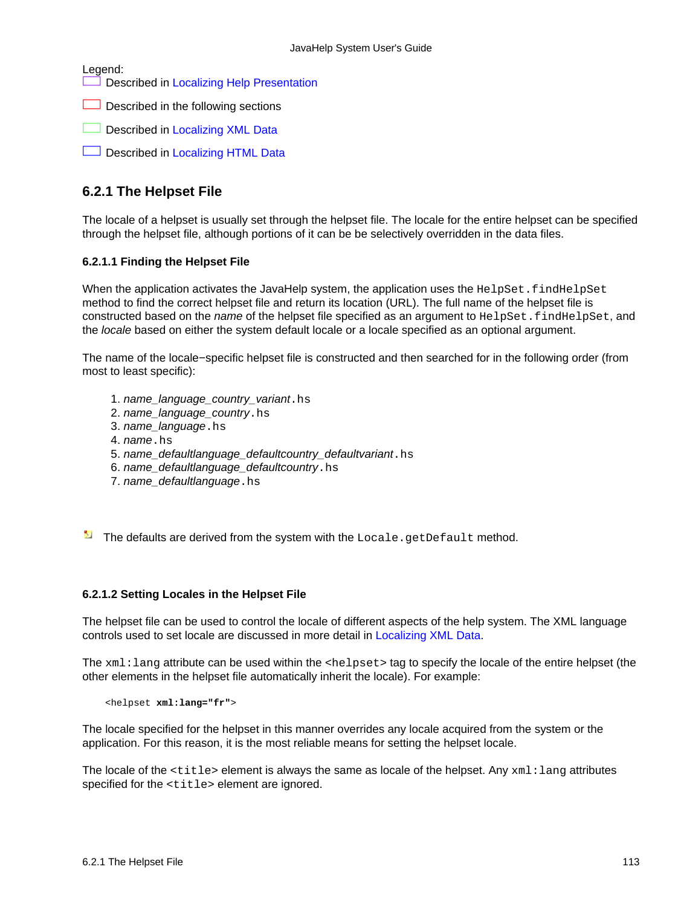Legend:

- **Described i[n Localizing Help Presentation](#page-116-0)**
- $\Box$  Described in the following sections
- Described i[n Localizing XML Data](#page-120-0)
- Described i[n Localizing HTML Data](#page-121-0)

# **6.2.1 The Helpset File**

The locale of a helpset is usually set through the helpset file. The locale for the entire helpset can be specified through the helpset file, although portions of it can be be selectively overridden in the data files.

#### <span id="page-118-0"></span>**6.2.1.1 Finding the Helpset File**

When the application activates the JavaHelp system, the application uses the HelpSet.findHelpSet method to find the correct helpset file and return its location (URL). The full name of the helpset file is constructed based on the name of the helpset file specified as an argument to HelpSet.findHelpSet, and the locale based on either the system default locale or a locale specified as an optional argument.

The name of the locale−specific helpset file is constructed and then searched for in the following order (from most to least specific):

- 1. name language country variant.hs
- 2. name\_language\_country.hs
- 3. name\_language.hs
- 4. name.hs
- 5. name\_defaultlanguage\_defaultcountry\_defaultvariant.hs
- 6. name\_defaultlanguage\_defaultcountry.hs
- 7. name\_defaultlanguage.hs

 $\blacksquare$  The defaults are derived from the system with the Locale.getDefault method.

#### **6.2.1.2 Setting Locales in the Helpset File**

The helpset file can be used to control the locale of different aspects of the help system. The XML language controls used to set locale are discussed in more detail i[n Localizing XML Data.](#page-120-0)

The  $xml:$  lang attribute can be used within the <helpset> tag to specify the locale of the entire helpset (the other elements in the helpset file automatically inherit the locale). For example:

<helpset **xml:lang="fr"**>

The locale specified for the helpset in this manner overrides any locale acquired from the system or the application. For this reason, it is the most reliable means for setting the helpset locale.

The locale of the  $\text{title}$  element is always the same as locale of the helpset. Any  $\text{xml}$  : lang attributes specified for the <title> element are ignored.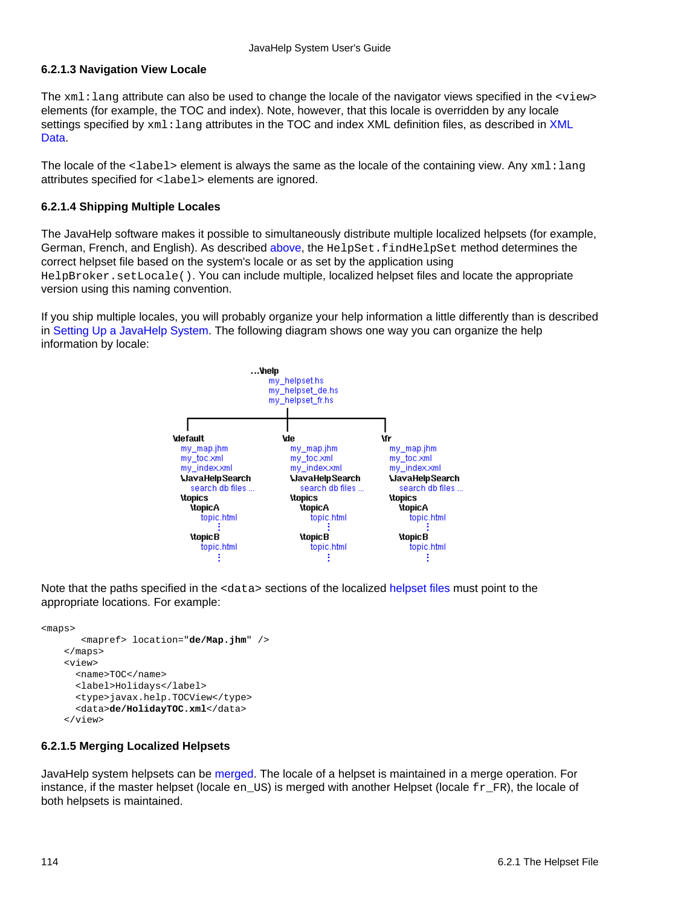#### **6.2.1.3 Navigation View Locale**

The  $xml:$  lang attribute can also be used to change the locale of the navigator views specified in the  $\langle$ view> elements (for example, the TOC and index). Note, however, that this locale is overridden by any locale settings specified by  $xml:1$  and attributes in the TOC and index [XML](#page-120-0) definition files, as described in XML [Data](#page-120-0).

The locale of the  $\langle$ label> element is always the same as the locale of the containing view. Any  $xml:$ lang attributes specified for <label> elements are ignored.

#### **6.2.1.4 Shipping Multiple Locales**

The JavaHelp software makes it possible to simultaneously distribute multiple localized helpsets (for example, German, French, and English). As describe[d above](#page-118-0), the HelpSet, findHelpSet method determines the correct helpset file based on the system's locale or as set by the application using HelpBroker.setLocale(). You can include multiple, localized helpset files and locate the appropriate version using this naming convention.

If you ship multiple locales, you will probably organize your help information a little differently than is described in [Setting Up a JavaHelp System](#page-46-0). The following diagram shows one way you can organize the help information by locale:



Note that the paths specified in the  $\alpha$ -data sections of the localized [helpset files](#page-47-0) must point to the appropriate locations. For example:

```
<maps>
        <mapref> location="de/Map.jhm" />
     </maps>
     <view>
       <name>TOC</name>
       <label>Holidays</label>
       <type>javax.help.TOCView</type>
       <data>de/HolidayTOC.xml</data>
     </view>
```
#### **6.2.1.5 Merging Localized Helpsets**

JavaHelp system helpsets can be [merged.](#page-81-0) The locale of a helpset is maintained in a merge operation. For instance, if the master helpset (locale  $en_{US}$ ) is merged with another Helpset (locale  $fr\_FR$ ), the locale of both helpsets is maintained.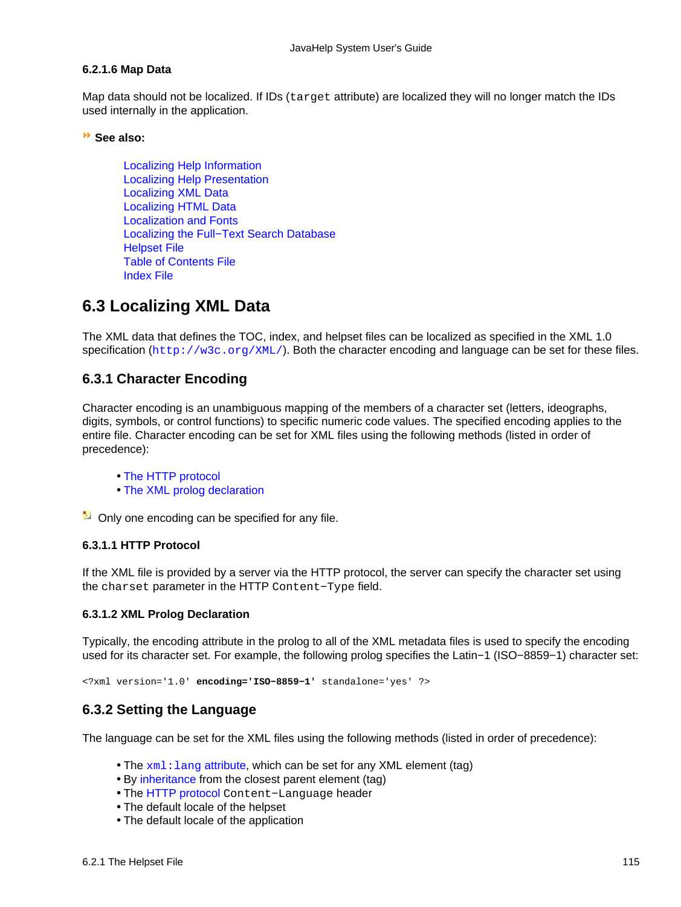#### **6.2.1.6 Map Data**

Map data should not be localized. If IDs (target attribute) are localized they will no longer match the IDs used internally in the application.

**See also:**

[Localizing Help Information](#page-115-0) [Localizing Help Presentation](#page-116-0) [Localizing XML Data](#page-120-0) [Localizing HTML Data](#page-121-0) [Localization and Fonts](#page-123-0) [Localizing the Full−Text Search Database](#page-123-1) [Helpset File](#page-47-0) [Table of Contents File](#page-58-0) [Index File](#page-61-0)

# <span id="page-120-0"></span>**6.3 Localizing XML Data**

The XML data that defines the TOC, index, and helpset files can be localized as specified in the XML 1.0 specification  $(h_{\text{t}})$  /w3c.org/XML/). Both the character encoding and language can be set for these files.

# **6.3.1 Character Encoding**

Character encoding is an unambiguous mapping of the members of a character set (letters, ideographs, digits, symbols, or control functions) to specific numeric code values. The specified encoding applies to the entire file. Character encoding can be set for XML files using the following methods (listed in order of precedence):

- [The HTTP protocol](#page-120-1)
- [The XML prolog declaration](#page-120-2)

 $\mathbb{S}^1$  Only one encoding can be specified for any file.

#### <span id="page-120-1"></span>**6.3.1.1 HTTP Protocol**

If the XML file is provided by a server via the HTTP protocol, the server can specify the character set using the charset parameter in the HTTP Content−Type field.

#### <span id="page-120-2"></span>**6.3.1.2 XML Prolog Declaration**

Typically, the encoding attribute in the prolog to all of the XML metadata files is used to specify the encoding used for its character set. For example, the following prolog specifies the Latin−1 (ISO−8859−1) character set:

<?xml version='1.0' **encoding='ISO−8859−1'** standalone='yes' ?>

## **6.3.2 Setting the Language**

The language can be set for the XML files using the following methods (listed in order of precedence):

- The  $xml:$  lang attribute, which can be set for any XML element (tag)
- By [inheritance](#page-121-2) from the closest parent element (tag)
- Th[e HTTP protocol](#page-121-3) Content−Language header
- The default locale of the helpset
- The default locale of the application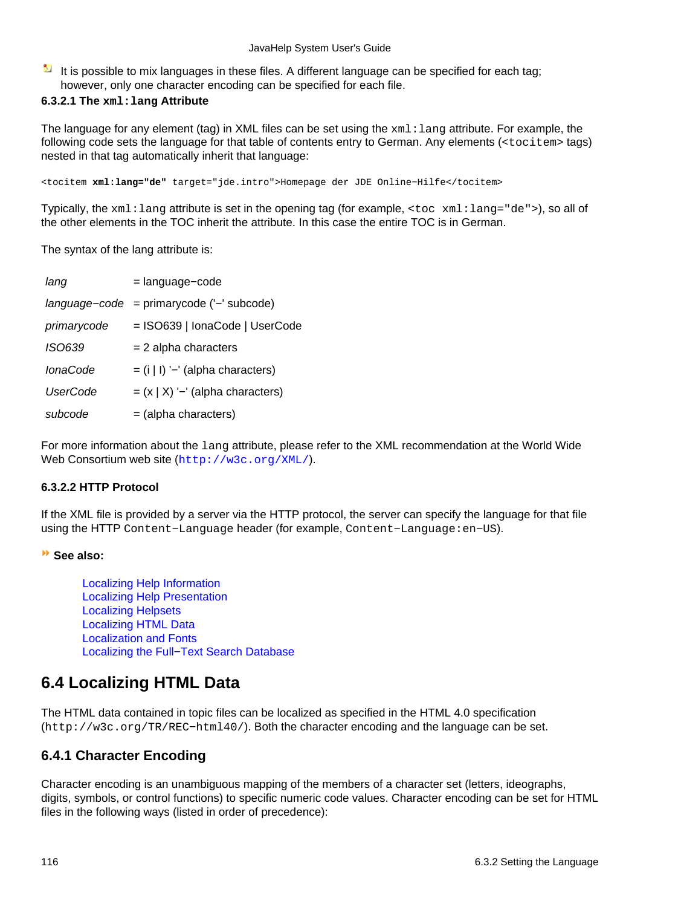It is possible to mix languages in these files. A different language can be specified for each tag; however, only one character encoding can be specified for each file.

#### <span id="page-121-1"></span>**6.3.2.1 The xml:lang Attribute**

The language for any element (tag) in XML files can be set using the  $xml :$  lang attribute. For example, the following code sets the language for that table of contents entry to German. Any elements (<tocitem> tags) nested in that tag automatically inherit that language:

<tocitem **xml:lang="de"** target="jde.intro">Homepage der JDE Online−Hilfe</tocitem>

<span id="page-121-2"></span>Typically, the  $xml:$  lang attribute is set in the opening tag (for example,  $\text{>toc}$   $xml:$  lang="de">), so all of the other elements in the TOC inherit the attribute. In this case the entire TOC is in German.

The syntax of the lang attribute is:

| lang            | = language-code                             |
|-----------------|---------------------------------------------|
|                 | $language-code = primarycode(' -' subcode)$ |
| primarycode     | = ISO639   IonaCode   UserCode              |
| ISO639          | $= 2$ alpha characters                      |
| <i>IonaCode</i> | $= (i   I)' -' (alpha characters)$          |
| UserCode        | $=(x \mid X)' -'$ (alpha characters)        |
| subcode         | $=$ (alpha characters)                      |

For more information about the lang attribute, please refer to the XML recommendation at the World Wide Web Consortium web site (<http://w3c.org/XML/>).

## <span id="page-121-3"></span>**6.3.2.2 HTTP Protocol**

If the XML file is provided by a server via the HTTP protocol, the server can specify the language for that file using the HTTP Content−Language header (for example, Content−Language:en−US).

#### **See also:**

[Localizing Help Information](#page-115-0) [Localizing Help Presentation](#page-116-0) [Localizing Helpsets](#page-117-0) [Localizing HTML Data](#page-121-0) [Localization and Fonts](#page-123-0) [Localizing the Full−Text Search Database](#page-123-1)

# <span id="page-121-0"></span>**6.4 Localizing HTML Data**

The HTML data contained in topic files can be localized as specified in the HTML 4.0 specification (http://w3c.org/TR/REC−html40/). Both the character encoding and the language can be set.

# <span id="page-121-4"></span>**6.4.1 Character Encoding**

Character encoding is an unambiguous mapping of the members of a character set (letters, ideographs, digits, symbols, or control functions) to specific numeric code values. Character encoding can be set for HTML files in the following ways (listed in order of precedence):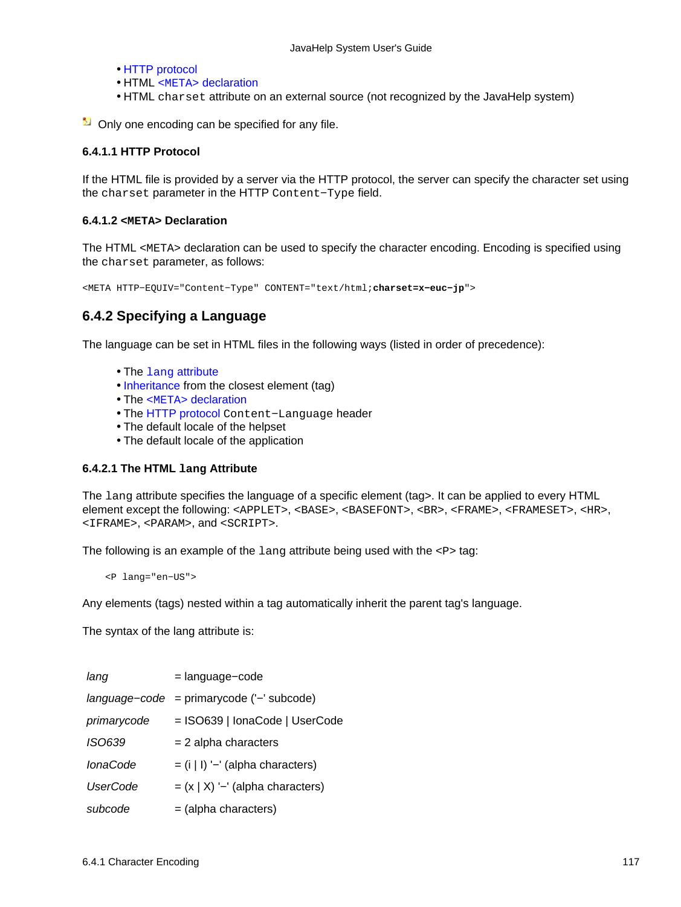- [HTTP protocol](#page-122-0)
- HTML <META> [declaration](#page-122-1)
- HTML charset attribute on an external source (not recognized by the JavaHelp system)

**D** Only one encoding can be specified for any file.

#### <span id="page-122-0"></span>**6.4.1.1 HTTP Protocol**

If the HTML file is provided by a server via the HTTP protocol, the server can specify the character set using the charset parameter in the HTTP Content−Type field.

#### <span id="page-122-1"></span>**6.4.1.2 <META> Declaration**

The HTML <META> declaration can be used to specify the character encoding. Encoding is specified using the charset parameter, as follows:

<META HTTP−EQUIV="Content−Type" CONTENT="text/html;**charset=x−euc−jp**">

# **6.4.2 Specifying a Language**

The language can be set in HTML files in the following ways (listed in order of precedence):

- The lang [attribute](#page-122-2)
- [Inheritance](#page-122-3) from the closest element (tag)
- The <META> [declaration](#page-123-2)
- Th[e HTTP protocol](#page-123-3) Content−Language header
- The default locale of the helpset
- The default locale of the application

#### <span id="page-122-2"></span>**6.4.2.1 The HTML lang Attribute**

The lang attribute specifies the language of a specific element (tag>. It can be applied to every HTML element except the following: <APPLET>, <BASE>, <BASEFONT>, <BR>, <FRAME>, <FRAMESET>, <HR>, <IFRAME>, <PARAM>, and <SCRIPT>.

The following is an example of the  $\text{lang}$  attribute being used with the  $\text{p}$  tag:

<P lang="en−US">

<span id="page-122-3"></span>Any elements (tags) nested within a tag automatically inherit the parent tag's language.

The syntax of the lang attribute is:

| lang            | $=$ language-code                           |
|-----------------|---------------------------------------------|
|                 | $language-code = primarycode(' -' subcode)$ |
| primarycode     | = ISO639   IonaCode   UserCode              |
| <i>ISO639</i>   | $= 2$ alpha characters                      |
| <i>IonaCode</i> | $= (i   I)' -' (alpha characters)$          |
| UserCode        | $=(x \mid X)' -'$ (alpha characters)        |
| subcode         | $=$ (alpha characters)                      |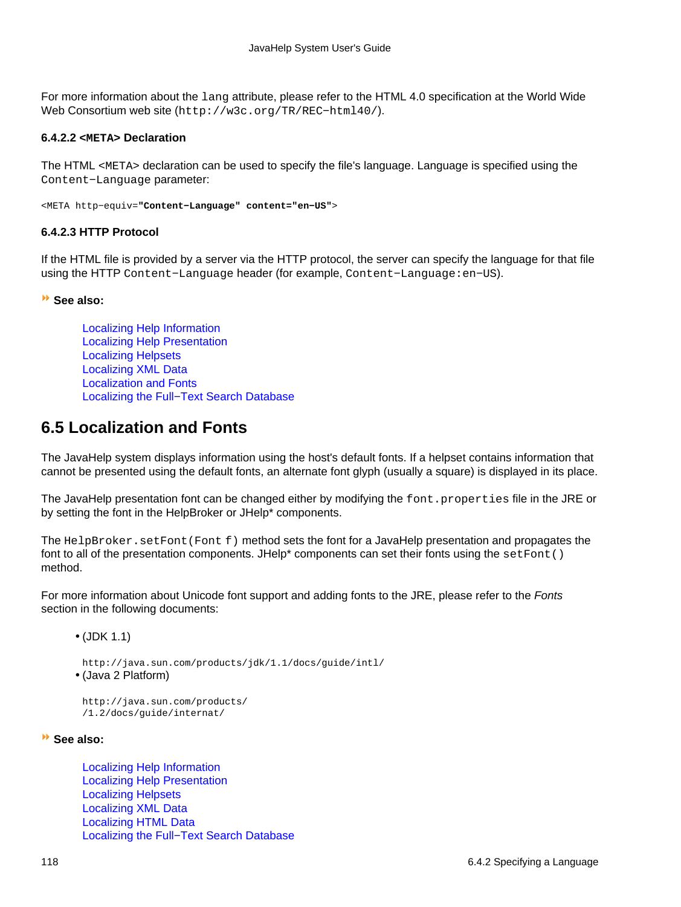For more information about the lang attribute, please refer to the HTML 4.0 specification at the World Wide Web Consortium web site (http://w3c.org/TR/REC−html40/).

#### <span id="page-123-2"></span>**6.4.2.2 <META> Declaration**

The HTML <META> declaration can be used to specify the file's language. Language is specified using the Content−Language parameter:

<META http−equiv=**"Content−Language" content="en−US"**>

#### <span id="page-123-3"></span>**6.4.2.3 HTTP Protocol**

If the HTML file is provided by a server via the HTTP protocol, the server can specify the language for that file using the HTTP Content−Language header (for example, Content−Language:en−US).

#### **See also:**

[Localizing Help Information](#page-115-0) [Localizing Help Presentation](#page-116-0) [Localizing Helpsets](#page-117-0) [Localizing XML Data](#page-120-0) [Localization and Fonts](#page-123-0) [Localizing the Full−Text Search Database](#page-123-1)

# <span id="page-123-0"></span>**6.5 Localization and Fonts**

The JavaHelp system displays information using the host's default fonts. If a helpset contains information that cannot be presented using the default fonts, an alternate font glyph (usually a square) is displayed in its place.

The JavaHelp presentation font can be changed either by modifying the font.properties file in the JRE or by setting the font in the HelpBroker or JHelp\* components.

The  $H \in H \cap B$  setFont (Font f) method sets the font for a JavaHelp presentation and propagates the font to all of the presentation components. JHelp\* components can set their fonts using the setFont() method.

For more information about Unicode font support and adding fonts to the JRE, please refer to the Fonts section in the following documents:

```
(JDK 1.1)
•
```

```
http://java.sun.com/products/jdk/1.1/docs/guide/intl/
(Java 2 Platform)
•
```

```
http://java.sun.com/products/
/1.2/docs/guide/internat/
```
#### **See also:**

<span id="page-123-1"></span>[Localizing Help Information](#page-115-0) [Localizing Help Presentation](#page-116-0) [Localizing Helpsets](#page-117-0) [Localizing XML Data](#page-120-0) [Localizing HTML Data](#page-121-0) [Localizing the Full−Text Search Database](#page-123-1)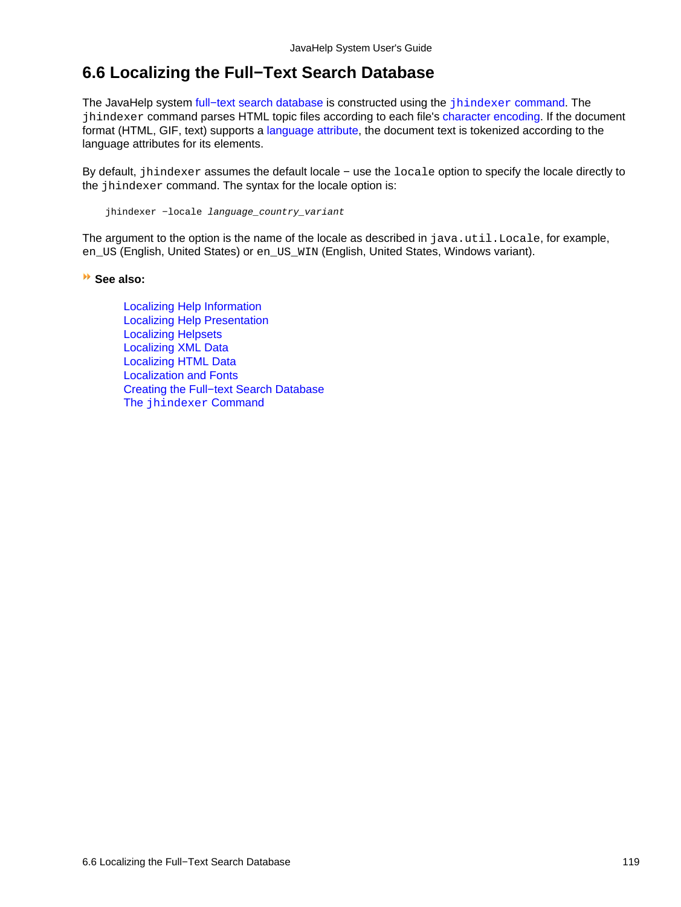# **6.6 Localizing the Full−Text Search Database**

The JavaHelp system full–text search database is constructed using the [jhindexer](#page-72-0) command. The jhindexer command parses HTML topic files according to each file'[s character encoding.](#page-121-4) If the document format (HTML, GIF, text) supports [a language attribute](#page-122-2), the document text is tokenized according to the language attributes for its elements.

By default, jhindexer assumes the default locale − use the locale option to specify the locale directly to the jhindexer command. The syntax for the locale option is:

jhindexer −locale language\_country\_variant

The argument to the option is the name of the locale as described in java.util.Locale, for example, en\_US (English, United States) or en\_US\_WIN (English, United States, Windows variant).

#### **See also:**

[Localizing Help Information](#page-115-0) [Localizing Help Presentation](#page-116-0) [Localizing Helpsets](#page-117-0) [Localizing XML Data](#page-120-0) [Localizing HTML Data](#page-121-0) [Localization and Fonts](#page-123-0) [Creating the Full−text Search Database](#page-69-0) [The](#page-72-0) [jhindexer](#page-72-0) Command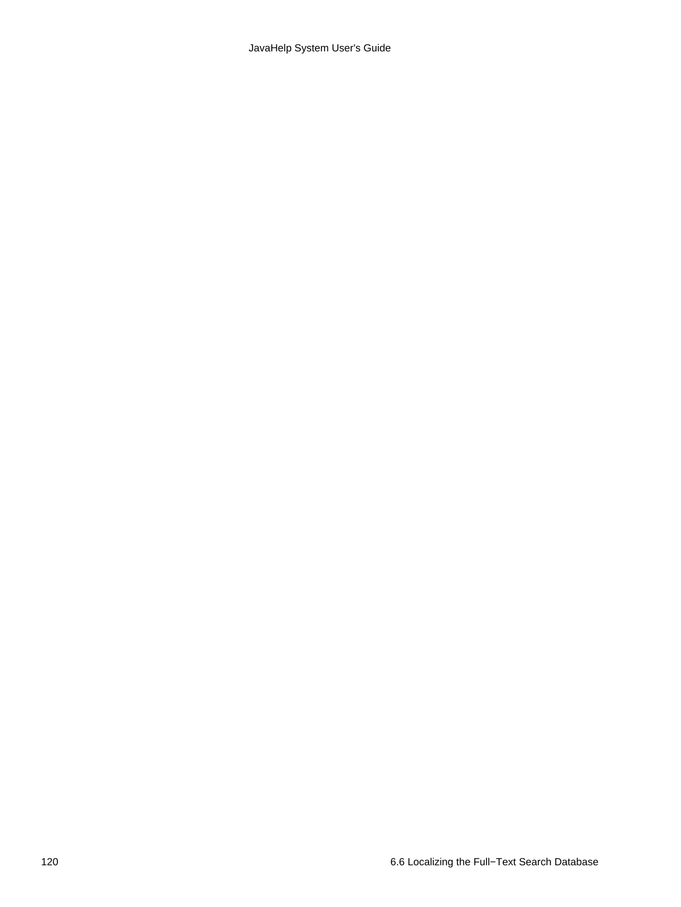JavaHelp System User's Guide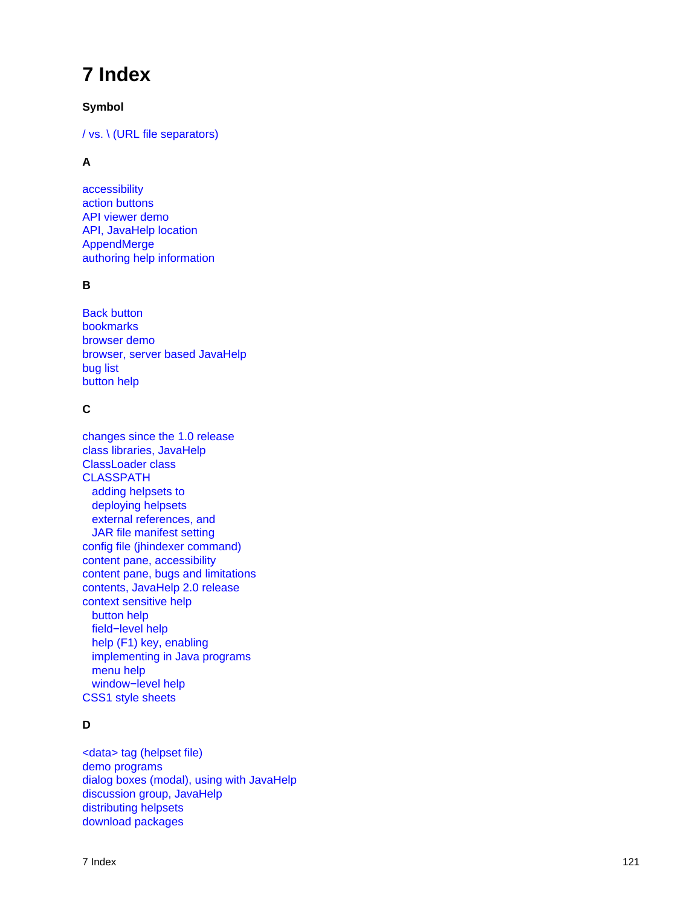# **7 Index**

# **Symbol**

[/ vs. \ \(URL file separators\)](#page-46-1)

# **A**

[accessibility](#page-41-0) [action buttons](#page-51-0) [API viewer demo](#page-11-0) [API, JavaHelp location](#page-8-0) [AppendMerge](#page-81-0) [authoring help information](#page-36-0)

# **B**

[Back button](#page-51-0) [bookmarks](#page-65-0) [browser demo](#page-11-0) [browser, server based JavaHelp](#page-109-0) [bug list](#page-17-0) [button help](#page-69-1)

# **C**

[changes since the 1.0 release](#page-9-0) [class libraries, JavaHelp](#page-16-0) [ClassLoader class](#page-91-0) **[CLASSPATH](#page-91-0)** [adding helpsets to](#page-91-0) [deploying helpsets](#page-28-0) [external references, and](#page-17-1) [JAR file manifest setting](#page-40-0) [config file \(jhindexer command\)](#page-73-0) [content pane, accessibility](#page-41-0) [content pane, bugs and limitations](#page-17-2) [contents, JavaHelp 2.0 release](#page-8-0) [context sensitive help](#page-92-0) [button help](#page-69-1) [field−level help](#page-99-0) [help \(F1\) key, enabling](#page-96-0) [implementing in Java programs](#page-92-0) [menu help](#page-68-0) [window−level help](#page-98-0) [CSS1 style sheets](#page-9-0)

# **D**

[<data> tag \(helpset file\)](#page-47-0) [demo programs](#page-11-0) dialog boxes (modal), using with JavaHelp [discussion group, JavaHelp](#page-6-0) [distributing helpsets](#page-89-0) [download packages](#page-8-0)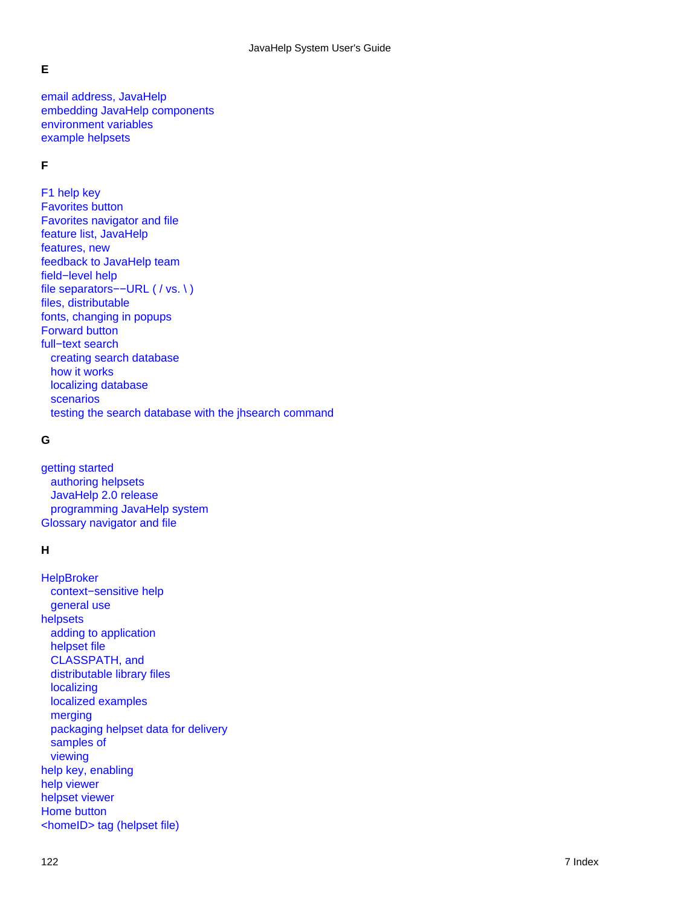#### **E**

[email address, JavaHelp](#page-6-0) [embedding JavaHelp components](#page-105-0) environment variables [example helpsets](#page-15-0)

## **F**

[F1 help key](#page-96-0) [Favorites button](#page-51-0) [Favorites navigator and file](#page-65-0) [feature list, JavaHelp](#page-24-0) [features, new](#page-9-0) [feedback to JavaHelp team](#page-6-0) [field−level help](#page-99-0) [file separators−−URL \( / vs. \ \)](#page-46-1) [files, distributable](#page-89-0) [fonts, changing in popups](#page-75-0) [Forward button](#page-51-0) [full−text search](#page-75-1) creating search database [how it works](#page-69-0) [localizing database](#page-123-1) [scenarios](#page-69-0) [testing the search database with the jhsearch command](#page-75-1)

#### **G**

[getting started](#page-7-0) [authoring helpsets](#page-36-0) [JavaHelp 2.0 release](#page-7-0) [programming JavaHelp system](#page-89-0) [Glossary navigator and file](#page-63-0)

#### **H**

**[HelpBroker](#page-95-0)** [context−sensitive help](#page-95-0) [general use](#page-95-0) [helpsets](#page-47-0) [adding to application](#page-90-0) [helpset file](#page-47-0) [CLASSPATH, and](#page-90-0) [distributable library files](#page-89-0) [localizing](#page-117-0) [localized examples](#page-15-0) [merging](#page-81-0) [packaging helpset data for delivery](#page-46-0) [samples of](#page-15-0) [viewing](#page-38-0) [help key, enabling](#page-96-0) [help viewer](#page-38-0) [helpset viewer](#page-38-0) [Home button](#page-51-0) [<homeID> tag \(helpset file\)](#page-47-0)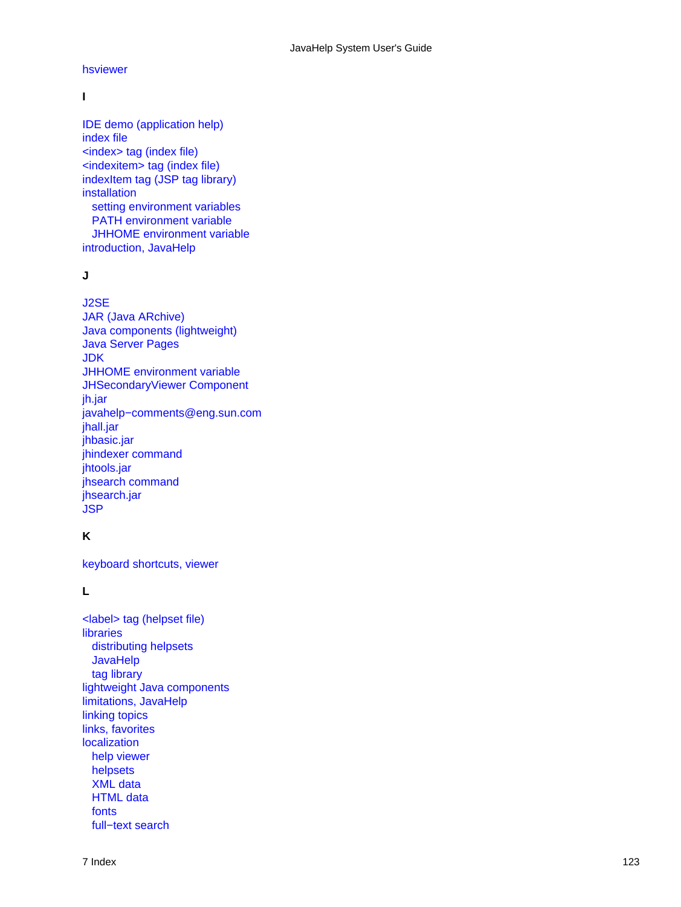[hsviewer](#page-38-0)

# **I**

[IDE demo \(application help\)](#page-11-0) [index file](#page-61-0) [<index> tag \(index file\)](#page-61-0) [<indexitem> tag \(index file\)](#page-61-0) [indexItem tag \(JSP tag library\)](#page-111-0) installation setting environment variables PATH environment variable JHHOME environment variable [introduction, JavaHelp](#page-24-1)

#### **J**

[J2SE](#page-9-1) [JAR \(Java ARchive\)](#page-47-1) [Java components \(lightweight\)](#page-105-1) [Java Server Pages](#page-109-0) [JDK](#page-9-1) JHHOME environment variable [JHSecondaryViewer Component](#page-75-0) [jh.jar](#page-16-0) [javahelp−comments@eng.sun.com](#page-6-0) [jhall.jar](#page-16-0) [jhbasic.jar](#page-16-0) [jhindexer command](#page-72-0) [jhtools.jar](#page-16-0) [jhsearch command](#page-75-1) [jhsearch.jar](#page-16-0) [JSP](#page-109-0)

## **K**

[keyboard shortcuts, viewer](#page-41-0)

# **L**

[<label> tag \(helpset file\)](#page-47-0) [libraries](#page-16-0) [distributing helpsets](#page-89-0) [JavaHelp](#page-16-0) [tag library](#page-109-0) [lightweight Java components](#page-105-1) [limitations, JavaHelp](#page-17-0) [linking topics](#page-45-0) [links, favorites](#page-65-0) [localization](#page-115-0) [help viewer](#page-116-0) [helpsets](#page-117-0) [XML data](#page-120-0) [HTML data](#page-121-0) [fonts](#page-123-0) [full−text search](#page-123-1)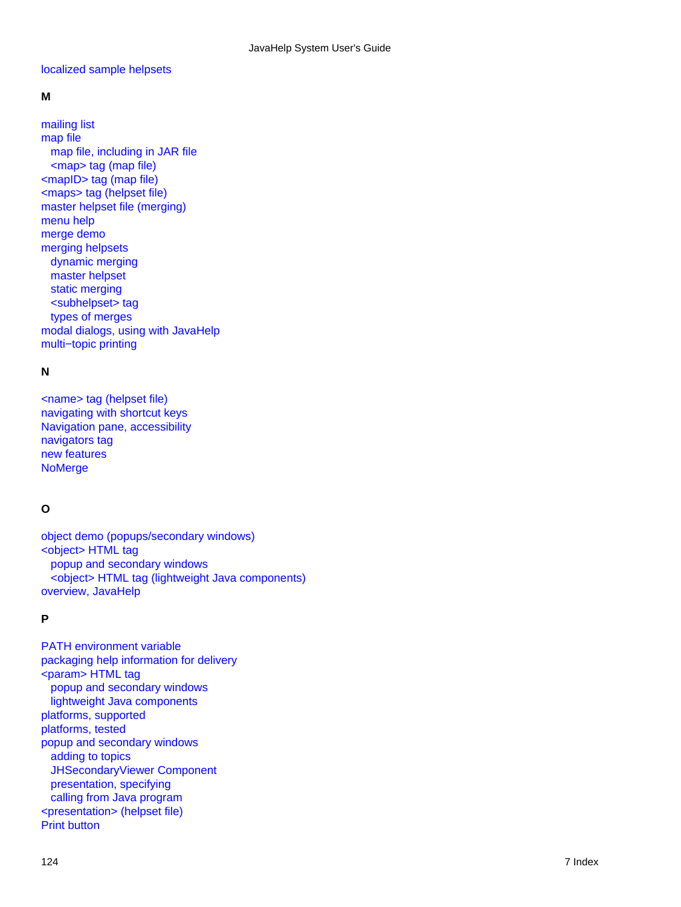#### [localized sample helpsets](#page-11-0)

#### **M**

[mailing list](#page-6-0) [map file](#page-54-0) map file, including in JAR file [<map> tag \(map file\)](#page-54-0) [<mapID> tag \(map file\)](#page-54-0) [<maps> tag \(helpset file\)](#page-47-0) [master helpset file \(merging\)](#page-81-0) [menu help](#page-68-0) [merge demo](#page-11-0) [merging helpsets](#page-81-0) [dynamic merging](#page-104-0) [master helpset](#page-81-0) [static merging](#page-81-0) [<subhelpset> tag](#page-81-0) [types of merges](#page-81-0) modal dialogs, using with JavaHelp multi−topic printing

# **N**

[<name> tag \(helpset file\)](#page-47-0) [navigating with shortcut keys](#page-41-0) [Navigation pane, accessibility](#page-41-0) [navigators tag](#page-111-0) [new features](#page-9-0) **[NoMerge](#page-81-0)** 

# **O**

[object demo \(popups/secondary windows\)](#page-13-0) [<object> HTML tag](#page-75-0) [popup and secondary windows](#page-75-0) [<object> HTML tag \(lightweight Java components\)](#page-105-1) [overview, JavaHelp](#page-22-0)

## **P**

PATH environment variable packaging help information for delivery [<param> HTML tag](#page-75-0) [popup and secondary windows](#page-75-0) [lightweight Java components](#page-105-1) [platforms, supported](#page-9-1) [platforms, tested](#page-9-1) [popup and secondary windows](#page-75-0) [adding to topics](#page-75-0) [JHSecondaryViewer Component](#page-75-0) [presentation, specifying](#page-51-0) [calling from Java program](#page-95-1) [<presentation> \(helpset file\)](#page-51-0) [Print button](#page-51-0)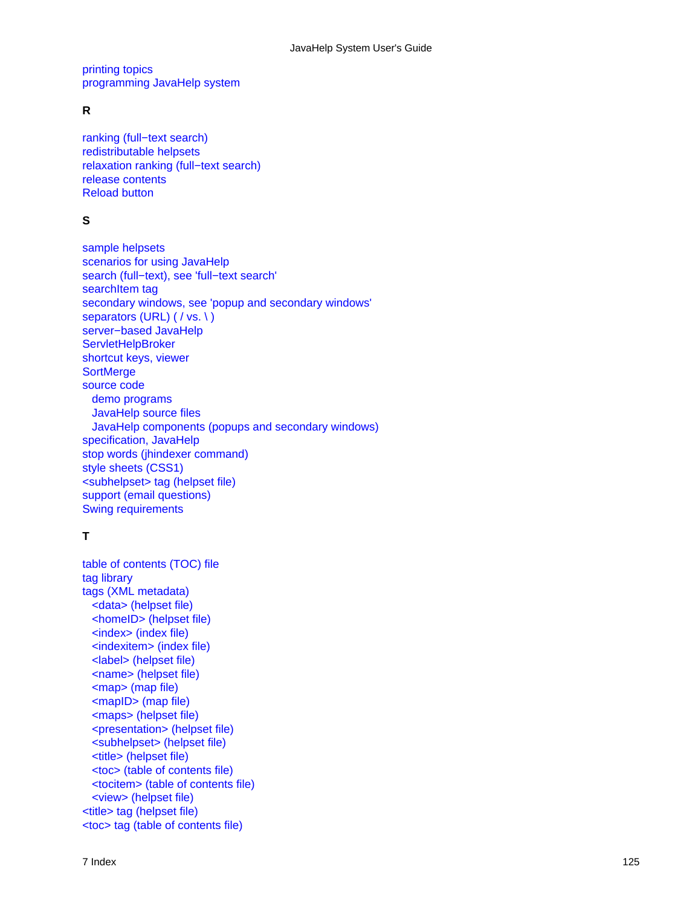printing topics [programming JavaHelp system](#page-89-0)

#### **R**

[ranking \(full−text search\)](#page-69-0) [redistributable helpsets](#page-89-0) [relaxation ranking \(full−text search\)](#page-69-0) [release contents](#page-8-0) [Reload button](#page-51-0)

### **S**

[sample helpsets](#page-15-0) [scenarios for using JavaHelp](#page-27-0) [search \(full−text\), see 'full−text search'](#page-75-1) [searchItem tag](#page-111-0) [secondary windows, see 'popup and secondary windows'](#page-75-0) separators (URL) (/ vs. \) [server−based JavaHelp](#page-109-0) **[ServletHelpBroker](#page-110-0)** [shortcut keys, viewer](#page-41-0) **[SortMerge](#page-81-0)** [source code](#page-8-0) [demo programs](#page-11-0) [JavaHelp source files](#page-8-0) [JavaHelp components \(popups and secondary windows\)](#page-105-1) [specification, JavaHelp](#page-8-0) [stop words \(jhindexer command\)](#page-73-1) [style sheets \(CSS1\)](#page-9-0) [<subhelpset> tag \(helpset file\)](#page-47-0) [support \(email questions\)](#page-6-0) [Swing requirements](#page-9-1)

## **T**

[table of contents \(TOC\) file](#page-58-0) [tag library](#page-111-0) [tags \(XML metadata\)](#page-47-0) [<data> \(helpset file\)](#page-47-0) [<homeID> \(helpset file\)](#page-47-0) [<index> \(index file\)](#page-61-0) [<indexitem> \(index file\)](#page-61-0) [<label> \(helpset file\)](#page-47-0) [<name> \(helpset file\)](#page-47-0) [<map> \(map file\)](#page-54-0) [<mapID> \(map file\)](#page-54-0) [<maps> \(helpset file\)](#page-47-0) [<presentation> \(helpset file\)](#page-47-0) [<subhelpset> \(helpset file\)](#page-47-0) [<title> \(helpset file\)](#page-47-0) [<toc> \(table of contents file\)](#page-58-0) [<tocitem> \(table of contents file\)](#page-58-0) [<view> \(helpset file\)](#page-47-0) [<title> tag \(helpset file\)](#page-47-0) [<toc> tag \(table of contents file\)](#page-58-0)